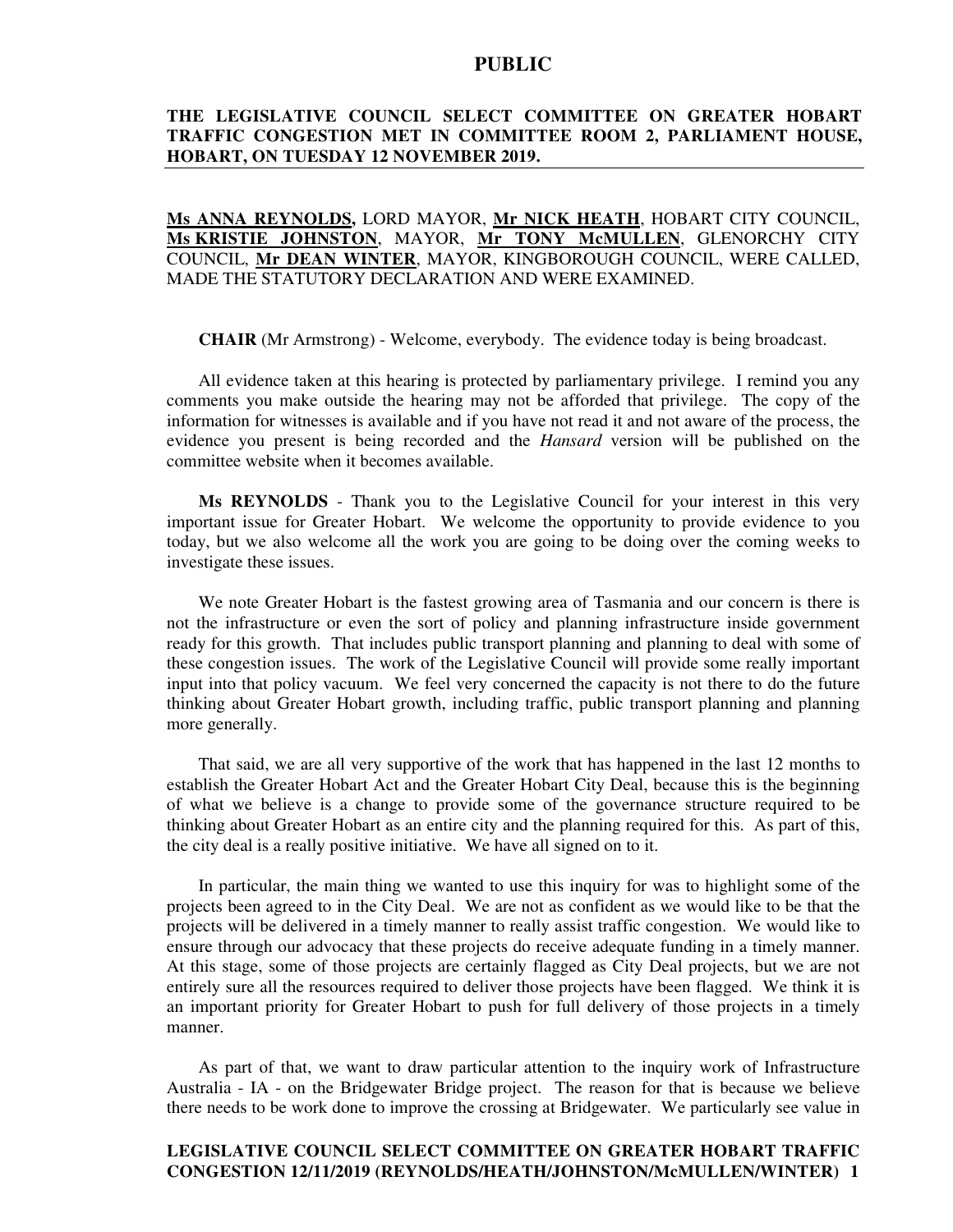## **THE LEGISLATIVE COUNCIL SELECT COMMITTEE ON GREATER HOBART TRAFFIC CONGESTION MET IN COMMITTEE ROOM 2, PARLIAMENT HOUSE, HOBART, ON TUESDAY 12 NOVEMBER 2019.**

**Ms ANNA REYNOLDS,** LORD MAYOR, **Mr NICK HEATH**, HOBART CITY COUNCIL, **Ms KRISTIE JOHNSTON**, MAYOR, **Mr TONY McMULLEN**, GLENORCHY CITY COUNCIL, **Mr DEAN WINTER**, MAYOR, KINGBOROUGH COUNCIL, WERE CALLED, MADE THE STATUTORY DECLARATION AND WERE EXAMINED.

**CHAIR** (Mr Armstrong) - Welcome, everybody. The evidence today is being broadcast.

All evidence taken at this hearing is protected by parliamentary privilege. I remind you any comments you make outside the hearing may not be afforded that privilege. The copy of the information for witnesses is available and if you have not read it and not aware of the process, the evidence you present is being recorded and the *Hansard* version will be published on the committee website when it becomes available.

**Ms REYNOLDS** - Thank you to the Legislative Council for your interest in this very important issue for Greater Hobart. We welcome the opportunity to provide evidence to you today, but we also welcome all the work you are going to be doing over the coming weeks to investigate these issues.

We note Greater Hobart is the fastest growing area of Tasmania and our concern is there is not the infrastructure or even the sort of policy and planning infrastructure inside government ready for this growth. That includes public transport planning and planning to deal with some of these congestion issues. The work of the Legislative Council will provide some really important input into that policy vacuum. We feel very concerned the capacity is not there to do the future thinking about Greater Hobart growth, including traffic, public transport planning and planning more generally.

That said, we are all very supportive of the work that has happened in the last 12 months to establish the Greater Hobart Act and the Greater Hobart City Deal, because this is the beginning of what we believe is a change to provide some of the governance structure required to be thinking about Greater Hobart as an entire city and the planning required for this. As part of this, the city deal is a really positive initiative. We have all signed on to it.

In particular, the main thing we wanted to use this inquiry for was to highlight some of the projects been agreed to in the City Deal. We are not as confident as we would like to be that the projects will be delivered in a timely manner to really assist traffic congestion. We would like to ensure through our advocacy that these projects do receive adequate funding in a timely manner. At this stage, some of those projects are certainly flagged as City Deal projects, but we are not entirely sure all the resources required to deliver those projects have been flagged. We think it is an important priority for Greater Hobart to push for full delivery of those projects in a timely manner.

As part of that, we want to draw particular attention to the inquiry work of Infrastructure Australia - IA - on the Bridgewater Bridge project. The reason for that is because we believe there needs to be work done to improve the crossing at Bridgewater. We particularly see value in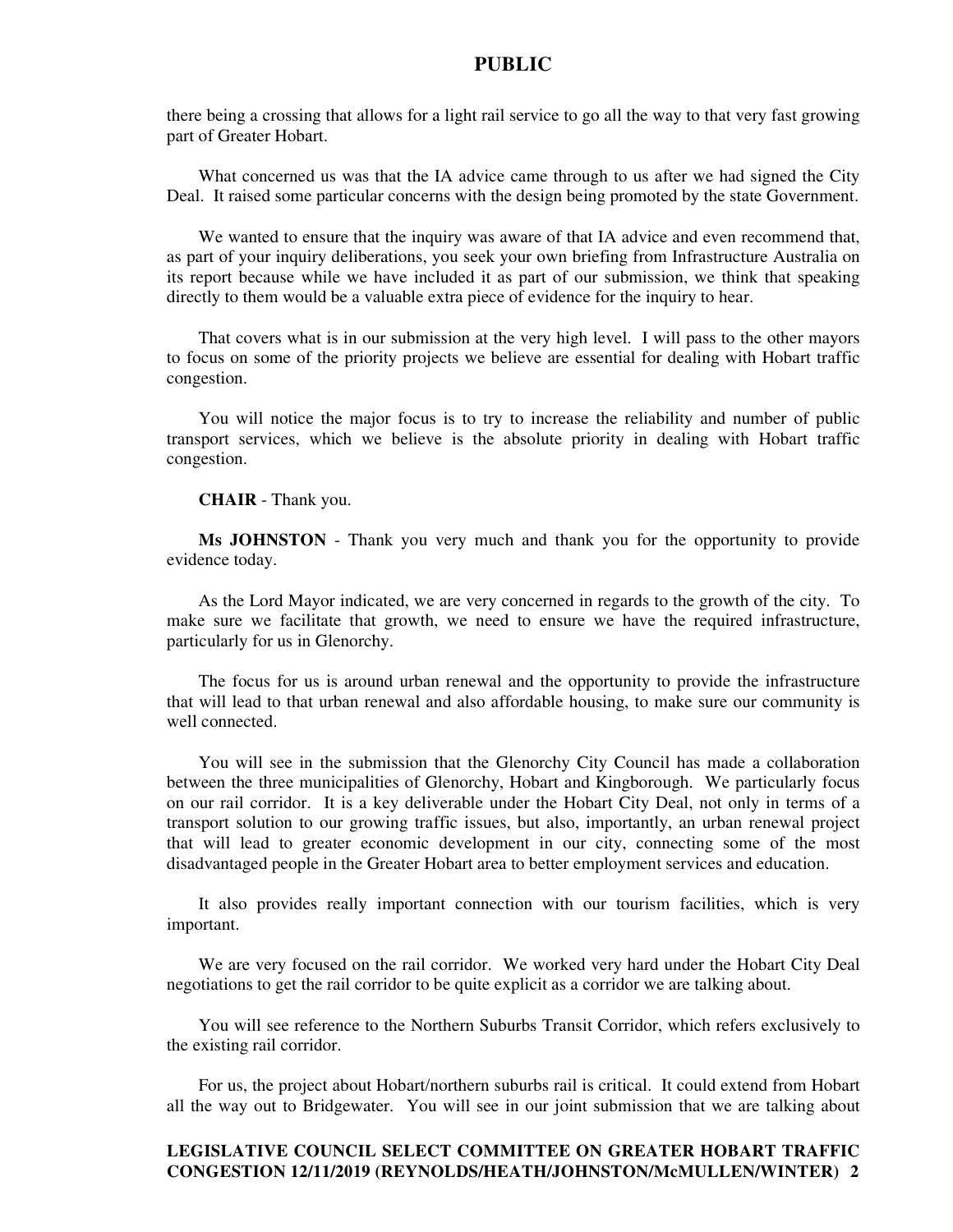there being a crossing that allows for a light rail service to go all the way to that very fast growing part of Greater Hobart.

What concerned us was that the IA advice came through to us after we had signed the City Deal. It raised some particular concerns with the design being promoted by the state Government.

We wanted to ensure that the inquiry was aware of that IA advice and even recommend that, as part of your inquiry deliberations, you seek your own briefing from Infrastructure Australia on its report because while we have included it as part of our submission, we think that speaking directly to them would be a valuable extra piece of evidence for the inquiry to hear.

That covers what is in our submission at the very high level. I will pass to the other mayors to focus on some of the priority projects we believe are essential for dealing with Hobart traffic congestion.

You will notice the major focus is to try to increase the reliability and number of public transport services, which we believe is the absolute priority in dealing with Hobart traffic congestion.

**CHAIR** - Thank you.

**Ms JOHNSTON** - Thank you very much and thank you for the opportunity to provide evidence today.

As the Lord Mayor indicated, we are very concerned in regards to the growth of the city. To make sure we facilitate that growth, we need to ensure we have the required infrastructure, particularly for us in Glenorchy.

The focus for us is around urban renewal and the opportunity to provide the infrastructure that will lead to that urban renewal and also affordable housing, to make sure our community is well connected.

You will see in the submission that the Glenorchy City Council has made a collaboration between the three municipalities of Glenorchy, Hobart and Kingborough. We particularly focus on our rail corridor. It is a key deliverable under the Hobart City Deal, not only in terms of a transport solution to our growing traffic issues, but also, importantly, an urban renewal project that will lead to greater economic development in our city, connecting some of the most disadvantaged people in the Greater Hobart area to better employment services and education.

It also provides really important connection with our tourism facilities, which is very important.

We are very focused on the rail corridor. We worked very hard under the Hobart City Deal negotiations to get the rail corridor to be quite explicit as a corridor we are talking about.

You will see reference to the Northern Suburbs Transit Corridor, which refers exclusively to the existing rail corridor.

For us, the project about Hobart/northern suburbs rail is critical. It could extend from Hobart all the way out to Bridgewater. You will see in our joint submission that we are talking about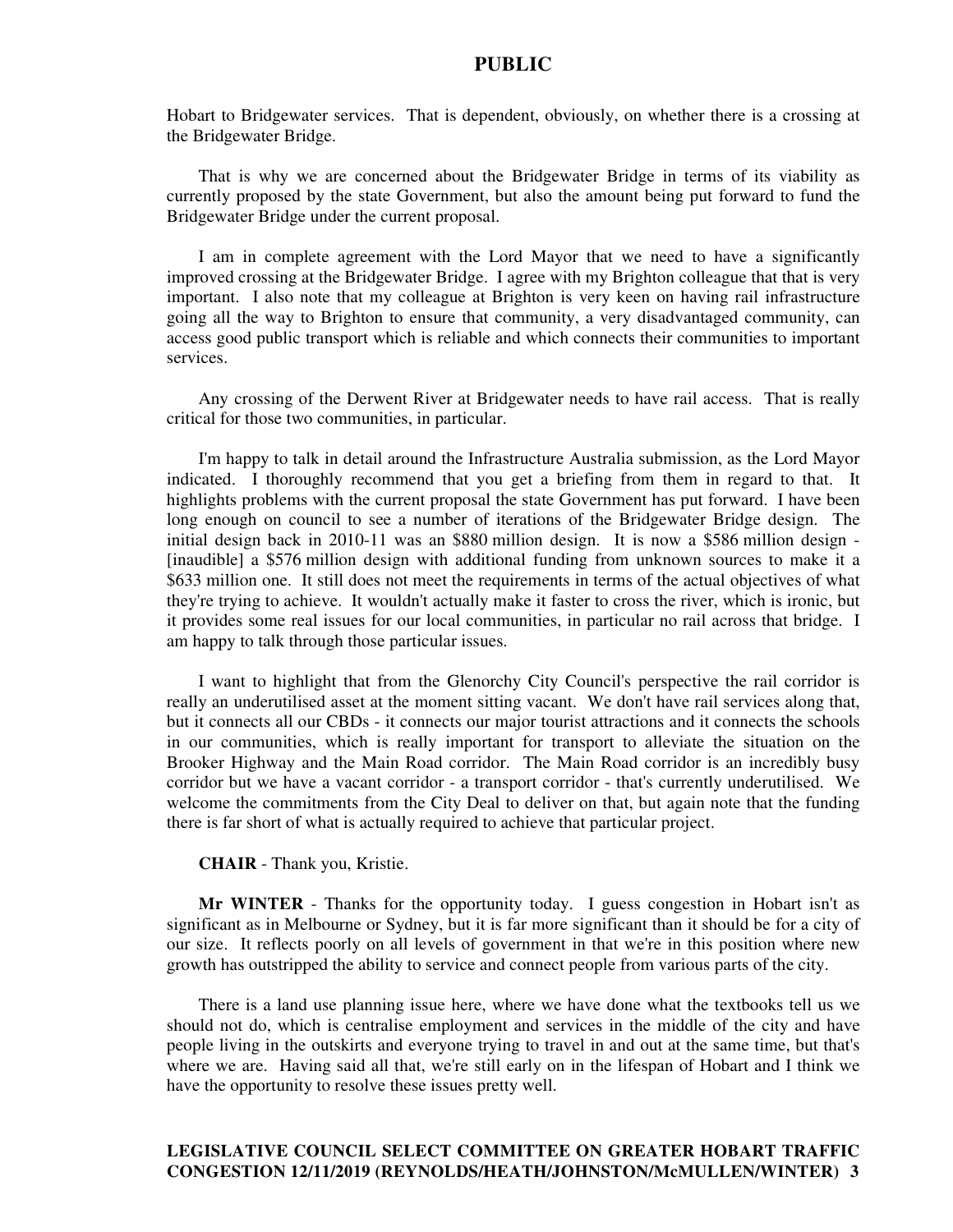Hobart to Bridgewater services. That is dependent, obviously, on whether there is a crossing at the Bridgewater Bridge.

That is why we are concerned about the Bridgewater Bridge in terms of its viability as currently proposed by the state Government, but also the amount being put forward to fund the Bridgewater Bridge under the current proposal.

I am in complete agreement with the Lord Mayor that we need to have a significantly improved crossing at the Bridgewater Bridge. I agree with my Brighton colleague that that is very important. I also note that my colleague at Brighton is very keen on having rail infrastructure going all the way to Brighton to ensure that community, a very disadvantaged community, can access good public transport which is reliable and which connects their communities to important services.

Any crossing of the Derwent River at Bridgewater needs to have rail access. That is really critical for those two communities, in particular.

I'm happy to talk in detail around the Infrastructure Australia submission, as the Lord Mayor indicated. I thoroughly recommend that you get a briefing from them in regard to that. It highlights problems with the current proposal the state Government has put forward. I have been long enough on council to see a number of iterations of the Bridgewater Bridge design. The initial design back in 2010-11 was an \$880 million design. It is now a \$586 million design - [inaudible] a \$576 million design with additional funding from unknown sources to make it a \$633 million one. It still does not meet the requirements in terms of the actual objectives of what they're trying to achieve. It wouldn't actually make it faster to cross the river, which is ironic, but it provides some real issues for our local communities, in particular no rail across that bridge. I am happy to talk through those particular issues.

I want to highlight that from the Glenorchy City Council's perspective the rail corridor is really an underutilised asset at the moment sitting vacant. We don't have rail services along that, but it connects all our CBDs - it connects our major tourist attractions and it connects the schools in our communities, which is really important for transport to alleviate the situation on the Brooker Highway and the Main Road corridor. The Main Road corridor is an incredibly busy corridor but we have a vacant corridor - a transport corridor - that's currently underutilised. We welcome the commitments from the City Deal to deliver on that, but again note that the funding there is far short of what is actually required to achieve that particular project.

**CHAIR** - Thank you, Kristie.

**Mr WINTER** - Thanks for the opportunity today. I guess congestion in Hobart isn't as significant as in Melbourne or Sydney, but it is far more significant than it should be for a city of our size. It reflects poorly on all levels of government in that we're in this position where new growth has outstripped the ability to service and connect people from various parts of the city.

There is a land use planning issue here, where we have done what the textbooks tell us we should not do, which is centralise employment and services in the middle of the city and have people living in the outskirts and everyone trying to travel in and out at the same time, but that's where we are. Having said all that, we're still early on in the lifespan of Hobart and I think we have the opportunity to resolve these issues pretty well.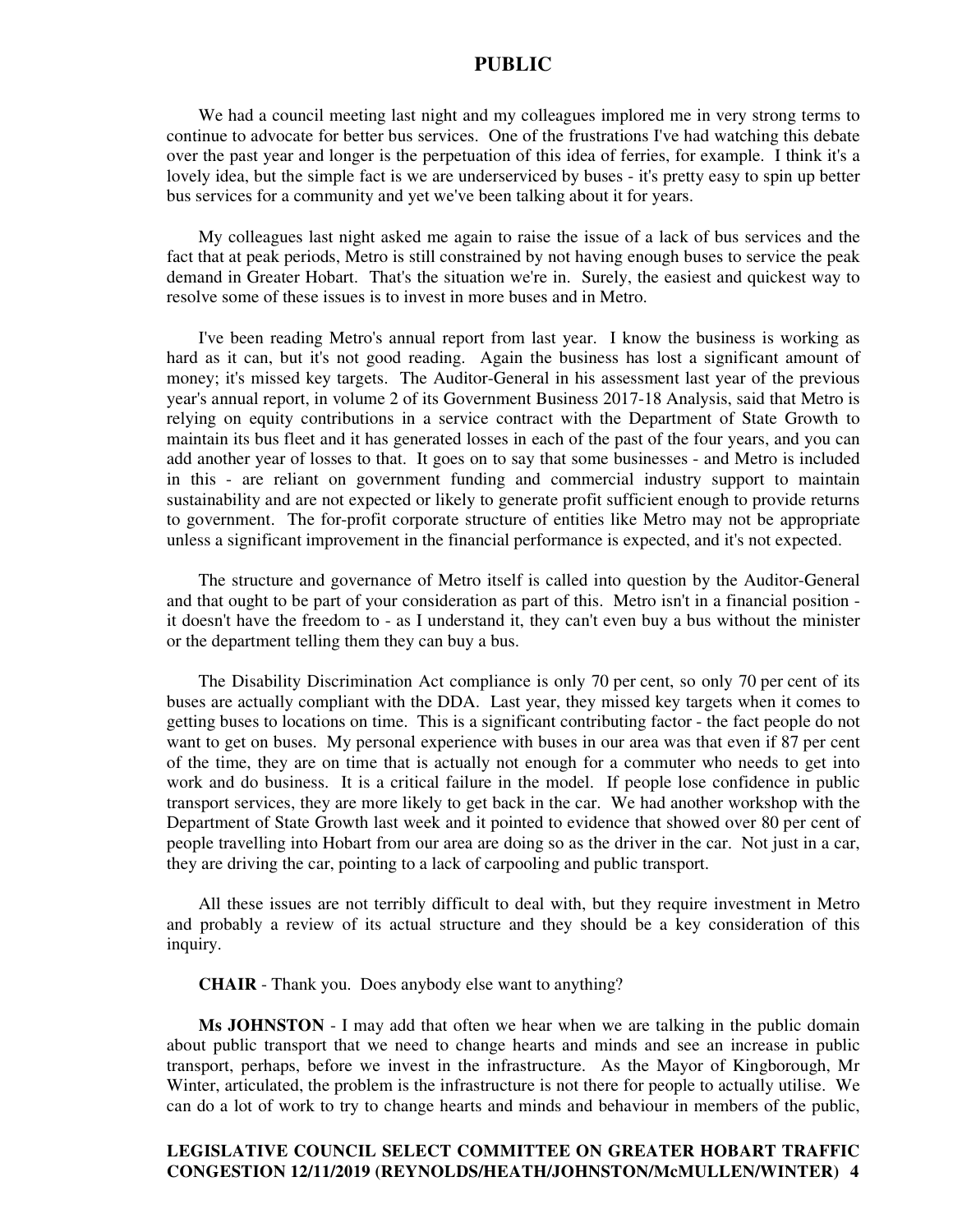We had a council meeting last night and my colleagues implored me in very strong terms to continue to advocate for better bus services. One of the frustrations I've had watching this debate over the past year and longer is the perpetuation of this idea of ferries, for example. I think it's a lovely idea, but the simple fact is we are underserviced by buses - it's pretty easy to spin up better bus services for a community and yet we've been talking about it for years.

My colleagues last night asked me again to raise the issue of a lack of bus services and the fact that at peak periods, Metro is still constrained by not having enough buses to service the peak demand in Greater Hobart. That's the situation we're in. Surely, the easiest and quickest way to resolve some of these issues is to invest in more buses and in Metro.

I've been reading Metro's annual report from last year. I know the business is working as hard as it can, but it's not good reading. Again the business has lost a significant amount of money; it's missed key targets. The Auditor-General in his assessment last year of the previous year's annual report, in volume 2 of its Government Business 2017-18 Analysis, said that Metro is relying on equity contributions in a service contract with the Department of State Growth to maintain its bus fleet and it has generated losses in each of the past of the four years, and you can add another year of losses to that. It goes on to say that some businesses - and Metro is included in this - are reliant on government funding and commercial industry support to maintain sustainability and are not expected or likely to generate profit sufficient enough to provide returns to government. The for-profit corporate structure of entities like Metro may not be appropriate unless a significant improvement in the financial performance is expected, and it's not expected.

The structure and governance of Metro itself is called into question by the Auditor-General and that ought to be part of your consideration as part of this. Metro isn't in a financial position it doesn't have the freedom to - as I understand it, they can't even buy a bus without the minister or the department telling them they can buy a bus.

The Disability Discrimination Act compliance is only 70 per cent, so only 70 per cent of its buses are actually compliant with the DDA. Last year, they missed key targets when it comes to getting buses to locations on time. This is a significant contributing factor - the fact people do not want to get on buses. My personal experience with buses in our area was that even if 87 per cent of the time, they are on time that is actually not enough for a commuter who needs to get into work and do business. It is a critical failure in the model. If people lose confidence in public transport services, they are more likely to get back in the car. We had another workshop with the Department of State Growth last week and it pointed to evidence that showed over 80 per cent of people travelling into Hobart from our area are doing so as the driver in the car. Not just in a car, they are driving the car, pointing to a lack of carpooling and public transport.

All these issues are not terribly difficult to deal with, but they require investment in Metro and probably a review of its actual structure and they should be a key consideration of this inquiry.

**CHAIR** - Thank you. Does anybody else want to anything?

**Ms JOHNSTON** - I may add that often we hear when we are talking in the public domain about public transport that we need to change hearts and minds and see an increase in public transport, perhaps, before we invest in the infrastructure. As the Mayor of Kingborough, Mr Winter, articulated, the problem is the infrastructure is not there for people to actually utilise. We can do a lot of work to try to change hearts and minds and behaviour in members of the public,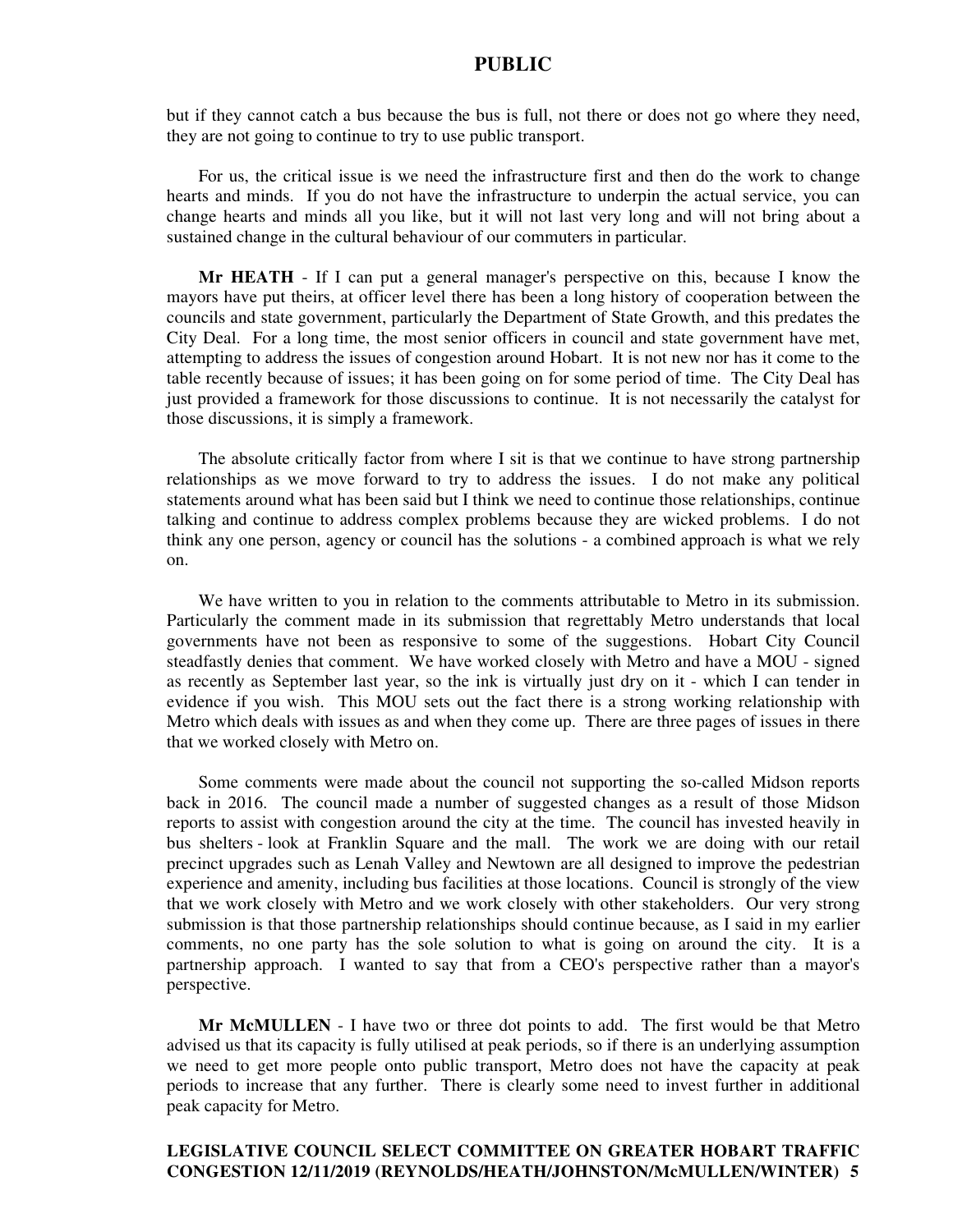but if they cannot catch a bus because the bus is full, not there or does not go where they need, they are not going to continue to try to use public transport.

For us, the critical issue is we need the infrastructure first and then do the work to change hearts and minds. If you do not have the infrastructure to underpin the actual service, you can change hearts and minds all you like, but it will not last very long and will not bring about a sustained change in the cultural behaviour of our commuters in particular.

**Mr HEATH** - If I can put a general manager's perspective on this, because I know the mayors have put theirs, at officer level there has been a long history of cooperation between the councils and state government, particularly the Department of State Growth, and this predates the City Deal. For a long time, the most senior officers in council and state government have met, attempting to address the issues of congestion around Hobart. It is not new nor has it come to the table recently because of issues; it has been going on for some period of time. The City Deal has just provided a framework for those discussions to continue. It is not necessarily the catalyst for those discussions, it is simply a framework.

The absolute critically factor from where I sit is that we continue to have strong partnership relationships as we move forward to try to address the issues. I do not make any political statements around what has been said but I think we need to continue those relationships, continue talking and continue to address complex problems because they are wicked problems. I do not think any one person, agency or council has the solutions - a combined approach is what we rely on.

We have written to you in relation to the comments attributable to Metro in its submission. Particularly the comment made in its submission that regrettably Metro understands that local governments have not been as responsive to some of the suggestions. Hobart City Council steadfastly denies that comment. We have worked closely with Metro and have a MOU - signed as recently as September last year, so the ink is virtually just dry on it - which I can tender in evidence if you wish. This MOU sets out the fact there is a strong working relationship with Metro which deals with issues as and when they come up. There are three pages of issues in there that we worked closely with Metro on.

Some comments were made about the council not supporting the so-called Midson reports back in 2016. The council made a number of suggested changes as a result of those Midson reports to assist with congestion around the city at the time. The council has invested heavily in bus shelters - look at Franklin Square and the mall. The work we are doing with our retail precinct upgrades such as Lenah Valley and Newtown are all designed to improve the pedestrian experience and amenity, including bus facilities at those locations. Council is strongly of the view that we work closely with Metro and we work closely with other stakeholders. Our very strong submission is that those partnership relationships should continue because, as I said in my earlier comments, no one party has the sole solution to what is going on around the city. It is a partnership approach. I wanted to say that from a CEO's perspective rather than a mayor's perspective.

**Mr McMULLEN** - I have two or three dot points to add. The first would be that Metro advised us that its capacity is fully utilised at peak periods, so if there is an underlying assumption we need to get more people onto public transport, Metro does not have the capacity at peak periods to increase that any further. There is clearly some need to invest further in additional peak capacity for Metro.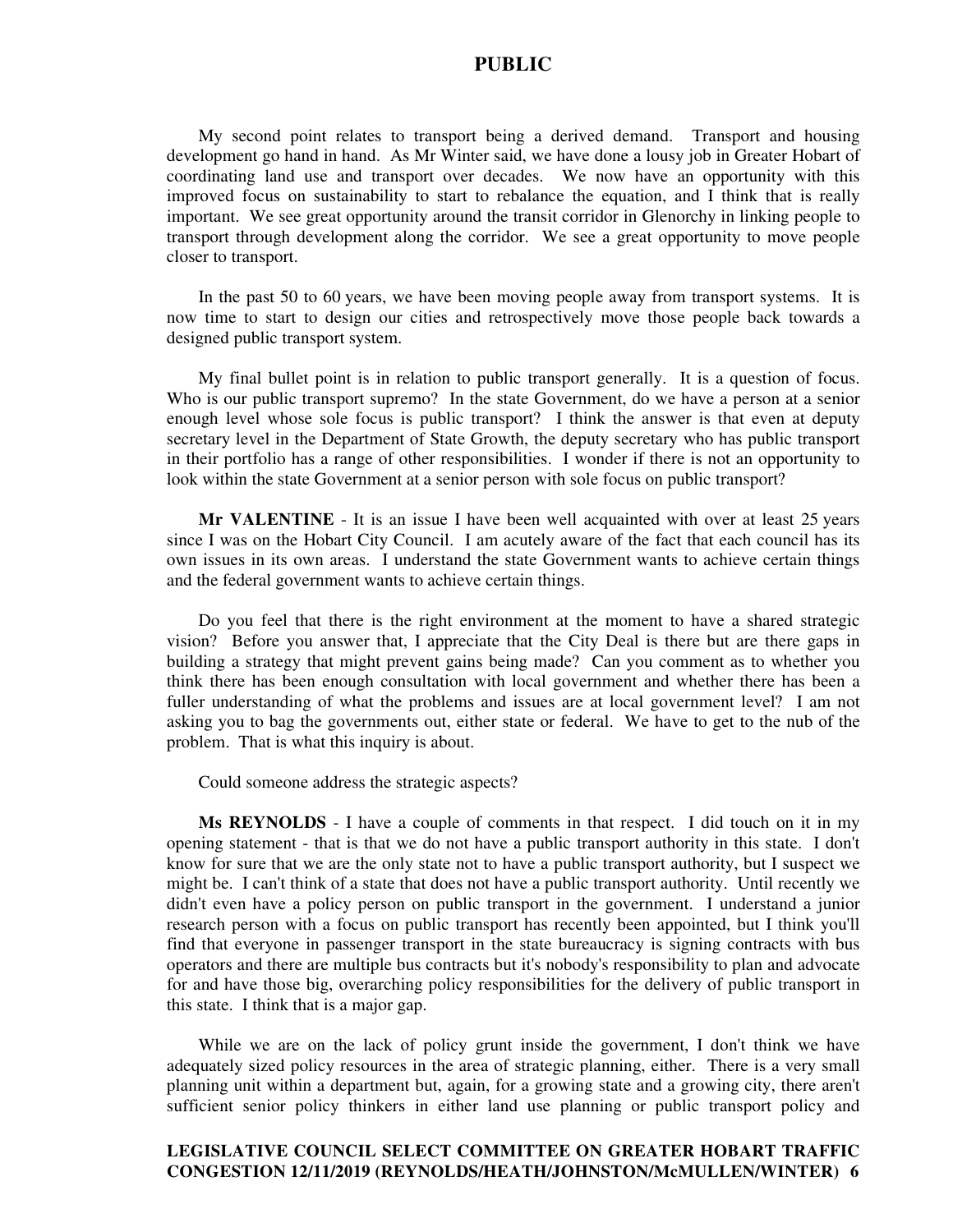My second point relates to transport being a derived demand. Transport and housing development go hand in hand. As Mr Winter said, we have done a lousy job in Greater Hobart of coordinating land use and transport over decades. We now have an opportunity with this improved focus on sustainability to start to rebalance the equation, and I think that is really important. We see great opportunity around the transit corridor in Glenorchy in linking people to transport through development along the corridor. We see a great opportunity to move people closer to transport.

In the past 50 to 60 years, we have been moving people away from transport systems. It is now time to start to design our cities and retrospectively move those people back towards a designed public transport system.

My final bullet point is in relation to public transport generally. It is a question of focus. Who is our public transport supremo? In the state Government, do we have a person at a senior enough level whose sole focus is public transport? I think the answer is that even at deputy secretary level in the Department of State Growth, the deputy secretary who has public transport in their portfolio has a range of other responsibilities. I wonder if there is not an opportunity to look within the state Government at a senior person with sole focus on public transport?

**Mr VALENTINE** - It is an issue I have been well acquainted with over at least 25 years since I was on the Hobart City Council. I am acutely aware of the fact that each council has its own issues in its own areas. I understand the state Government wants to achieve certain things and the federal government wants to achieve certain things.

Do you feel that there is the right environment at the moment to have a shared strategic vision? Before you answer that, I appreciate that the City Deal is there but are there gaps in building a strategy that might prevent gains being made? Can you comment as to whether you think there has been enough consultation with local government and whether there has been a fuller understanding of what the problems and issues are at local government level? I am not asking you to bag the governments out, either state or federal. We have to get to the nub of the problem. That is what this inquiry is about.

Could someone address the strategic aspects?

**Ms REYNOLDS** - I have a couple of comments in that respect. I did touch on it in my opening statement - that is that we do not have a public transport authority in this state. I don't know for sure that we are the only state not to have a public transport authority, but I suspect we might be. I can't think of a state that does not have a public transport authority. Until recently we didn't even have a policy person on public transport in the government. I understand a junior research person with a focus on public transport has recently been appointed, but I think you'll find that everyone in passenger transport in the state bureaucracy is signing contracts with bus operators and there are multiple bus contracts but it's nobody's responsibility to plan and advocate for and have those big, overarching policy responsibilities for the delivery of public transport in this state. I think that is a major gap.

While we are on the lack of policy grunt inside the government, I don't think we have adequately sized policy resources in the area of strategic planning, either. There is a very small planning unit within a department but, again, for a growing state and a growing city, there aren't sufficient senior policy thinkers in either land use planning or public transport policy and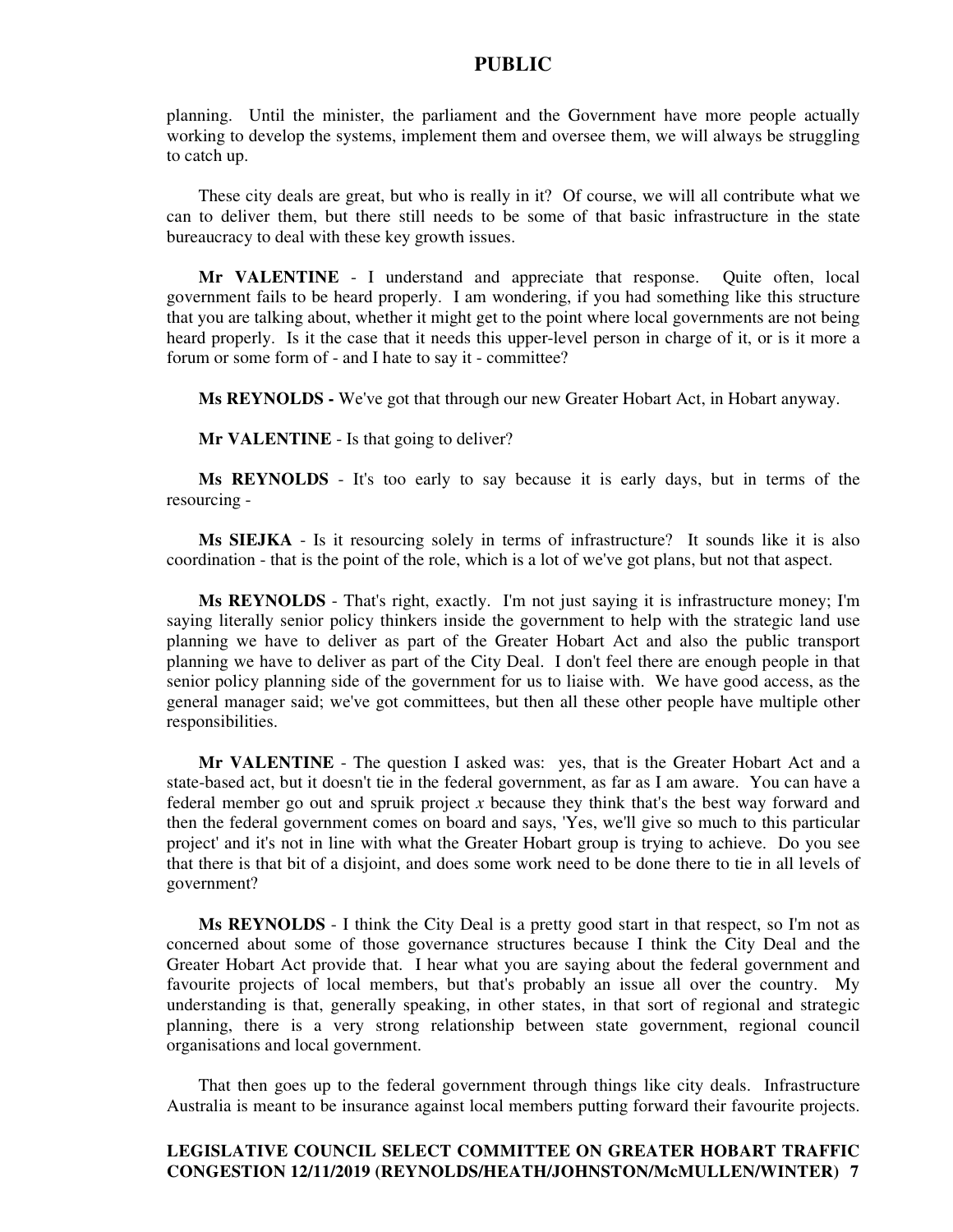planning. Until the minister, the parliament and the Government have more people actually working to develop the systems, implement them and oversee them, we will always be struggling to catch up.

These city deals are great, but who is really in it? Of course, we will all contribute what we can to deliver them, but there still needs to be some of that basic infrastructure in the state bureaucracy to deal with these key growth issues.

**Mr VALENTINE** - I understand and appreciate that response. Quite often, local government fails to be heard properly. I am wondering, if you had something like this structure that you are talking about, whether it might get to the point where local governments are not being heard properly. Is it the case that it needs this upper-level person in charge of it, or is it more a forum or some form of - and I hate to say it - committee?

**Ms REYNOLDS -** We've got that through our new Greater Hobart Act, in Hobart anyway.

**Mr VALENTINE** - Is that going to deliver?

**Ms REYNOLDS** - It's too early to say because it is early days, but in terms of the resourcing -

**Ms SIEJKA** - Is it resourcing solely in terms of infrastructure? It sounds like it is also coordination - that is the point of the role, which is a lot of we've got plans, but not that aspect.

**Ms REYNOLDS** - That's right, exactly. I'm not just saying it is infrastructure money; I'm saying literally senior policy thinkers inside the government to help with the strategic land use planning we have to deliver as part of the Greater Hobart Act and also the public transport planning we have to deliver as part of the City Deal. I don't feel there are enough people in that senior policy planning side of the government for us to liaise with. We have good access, as the general manager said; we've got committees, but then all these other people have multiple other responsibilities.

**Mr VALENTINE** - The question I asked was: yes, that is the Greater Hobart Act and a state-based act, but it doesn't tie in the federal government, as far as I am aware. You can have a federal member go out and spruik project *x* because they think that's the best way forward and then the federal government comes on board and says, 'Yes, we'll give so much to this particular project' and it's not in line with what the Greater Hobart group is trying to achieve. Do you see that there is that bit of a disjoint, and does some work need to be done there to tie in all levels of government?

**Ms REYNOLDS** - I think the City Deal is a pretty good start in that respect, so I'm not as concerned about some of those governance structures because I think the City Deal and the Greater Hobart Act provide that. I hear what you are saying about the federal government and favourite projects of local members, but that's probably an issue all over the country. My understanding is that, generally speaking, in other states, in that sort of regional and strategic planning, there is a very strong relationship between state government, regional council organisations and local government.

That then goes up to the federal government through things like city deals. Infrastructure Australia is meant to be insurance against local members putting forward their favourite projects.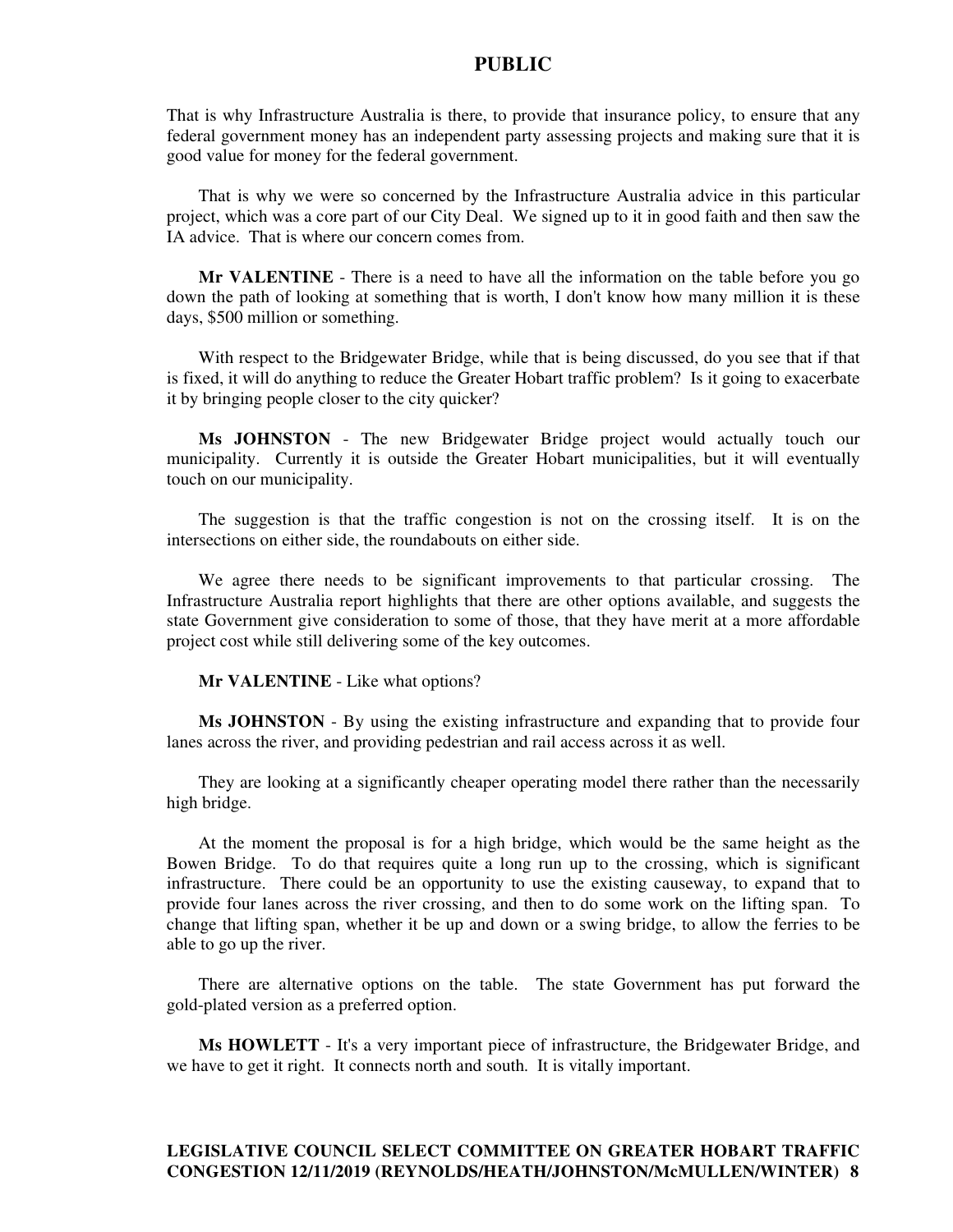That is why Infrastructure Australia is there, to provide that insurance policy, to ensure that any federal government money has an independent party assessing projects and making sure that it is good value for money for the federal government.

That is why we were so concerned by the Infrastructure Australia advice in this particular project, which was a core part of our City Deal. We signed up to it in good faith and then saw the IA advice. That is where our concern comes from.

**Mr VALENTINE** - There is a need to have all the information on the table before you go down the path of looking at something that is worth, I don't know how many million it is these days, \$500 million or something.

With respect to the Bridgewater Bridge, while that is being discussed, do you see that if that is fixed, it will do anything to reduce the Greater Hobart traffic problem? Is it going to exacerbate it by bringing people closer to the city quicker?

**Ms JOHNSTON** - The new Bridgewater Bridge project would actually touch our municipality. Currently it is outside the Greater Hobart municipalities, but it will eventually touch on our municipality.

The suggestion is that the traffic congestion is not on the crossing itself. It is on the intersections on either side, the roundabouts on either side.

We agree there needs to be significant improvements to that particular crossing. The Infrastructure Australia report highlights that there are other options available, and suggests the state Government give consideration to some of those, that they have merit at a more affordable project cost while still delivering some of the key outcomes.

**Mr VALENTINE** - Like what options?

**Ms JOHNSTON** - By using the existing infrastructure and expanding that to provide four lanes across the river, and providing pedestrian and rail access across it as well.

They are looking at a significantly cheaper operating model there rather than the necessarily high bridge.

At the moment the proposal is for a high bridge, which would be the same height as the Bowen Bridge. To do that requires quite a long run up to the crossing, which is significant infrastructure. There could be an opportunity to use the existing causeway, to expand that to provide four lanes across the river crossing, and then to do some work on the lifting span. To change that lifting span, whether it be up and down or a swing bridge, to allow the ferries to be able to go up the river.

There are alternative options on the table. The state Government has put forward the gold-plated version as a preferred option.

**Ms HOWLETT** - It's a very important piece of infrastructure, the Bridgewater Bridge, and we have to get it right. It connects north and south. It is vitally important.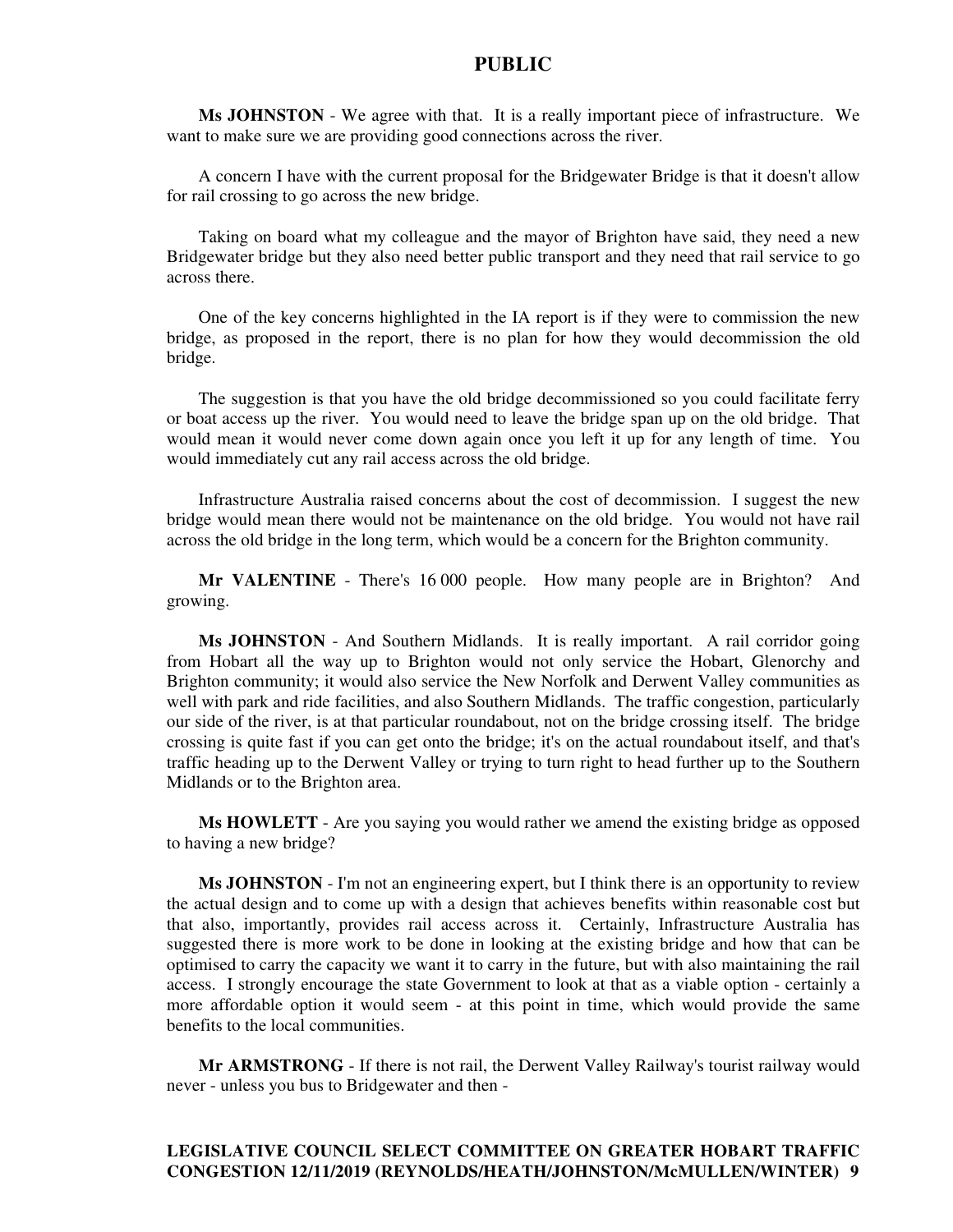**Ms JOHNSTON** - We agree with that. It is a really important piece of infrastructure. We want to make sure we are providing good connections across the river.

A concern I have with the current proposal for the Bridgewater Bridge is that it doesn't allow for rail crossing to go across the new bridge.

Taking on board what my colleague and the mayor of Brighton have said, they need a new Bridgewater bridge but they also need better public transport and they need that rail service to go across there.

One of the key concerns highlighted in the IA report is if they were to commission the new bridge, as proposed in the report, there is no plan for how they would decommission the old bridge.

The suggestion is that you have the old bridge decommissioned so you could facilitate ferry or boat access up the river. You would need to leave the bridge span up on the old bridge. That would mean it would never come down again once you left it up for any length of time. You would immediately cut any rail access across the old bridge.

Infrastructure Australia raised concerns about the cost of decommission. I suggest the new bridge would mean there would not be maintenance on the old bridge. You would not have rail across the old bridge in the long term, which would be a concern for the Brighton community.

**Mr VALENTINE** - There's 16 000 people. How many people are in Brighton? And growing.

**Ms JOHNSTON** - And Southern Midlands. It is really important. A rail corridor going from Hobart all the way up to Brighton would not only service the Hobart, Glenorchy and Brighton community; it would also service the New Norfolk and Derwent Valley communities as well with park and ride facilities, and also Southern Midlands. The traffic congestion, particularly our side of the river, is at that particular roundabout, not on the bridge crossing itself. The bridge crossing is quite fast if you can get onto the bridge; it's on the actual roundabout itself, and that's traffic heading up to the Derwent Valley or trying to turn right to head further up to the Southern Midlands or to the Brighton area.

**Ms HOWLETT** - Are you saying you would rather we amend the existing bridge as opposed to having a new bridge?

**Ms JOHNSTON** - I'm not an engineering expert, but I think there is an opportunity to review the actual design and to come up with a design that achieves benefits within reasonable cost but that also, importantly, provides rail access across it. Certainly, Infrastructure Australia has suggested there is more work to be done in looking at the existing bridge and how that can be optimised to carry the capacity we want it to carry in the future, but with also maintaining the rail access. I strongly encourage the state Government to look at that as a viable option - certainly a more affordable option it would seem - at this point in time, which would provide the same benefits to the local communities.

**Mr ARMSTRONG** - If there is not rail, the Derwent Valley Railway's tourist railway would never - unless you bus to Bridgewater and then -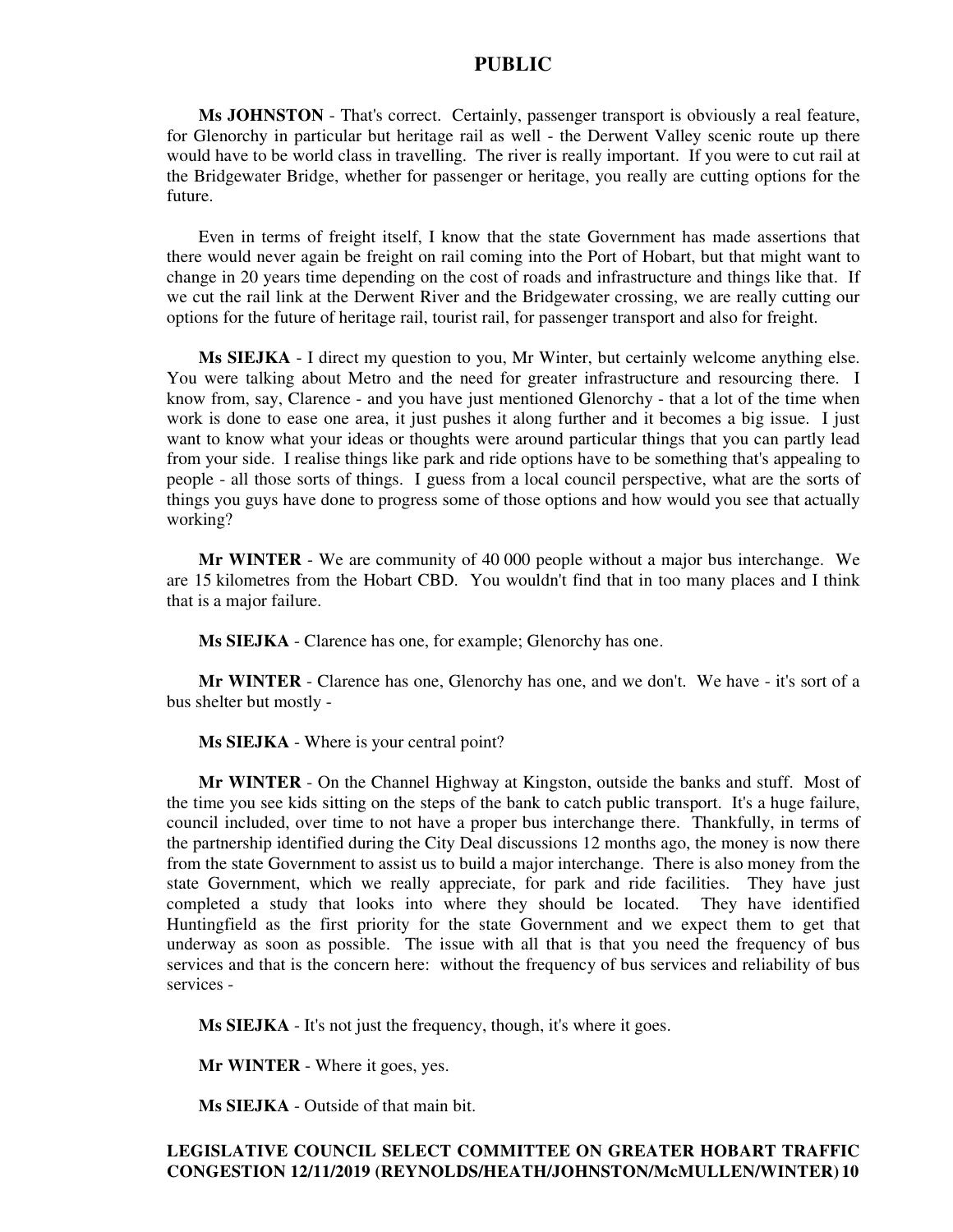**Ms JOHNSTON** - That's correct. Certainly, passenger transport is obviously a real feature, for Glenorchy in particular but heritage rail as well - the Derwent Valley scenic route up there would have to be world class in travelling. The river is really important. If you were to cut rail at the Bridgewater Bridge, whether for passenger or heritage, you really are cutting options for the future.

Even in terms of freight itself, I know that the state Government has made assertions that there would never again be freight on rail coming into the Port of Hobart, but that might want to change in 20 years time depending on the cost of roads and infrastructure and things like that. If we cut the rail link at the Derwent River and the Bridgewater crossing, we are really cutting our options for the future of heritage rail, tourist rail, for passenger transport and also for freight.

**Ms SIEJKA** - I direct my question to you, Mr Winter, but certainly welcome anything else. You were talking about Metro and the need for greater infrastructure and resourcing there. I know from, say, Clarence - and you have just mentioned Glenorchy - that a lot of the time when work is done to ease one area, it just pushes it along further and it becomes a big issue. I just want to know what your ideas or thoughts were around particular things that you can partly lead from your side. I realise things like park and ride options have to be something that's appealing to people - all those sorts of things. I guess from a local council perspective, what are the sorts of things you guys have done to progress some of those options and how would you see that actually working?

**Mr WINTER** - We are community of 40 000 people without a major bus interchange. We are 15 kilometres from the Hobart CBD. You wouldn't find that in too many places and I think that is a major failure.

**Ms SIEJKA** - Clarence has one, for example; Glenorchy has one.

**Mr WINTER** - Clarence has one, Glenorchy has one, and we don't. We have - it's sort of a bus shelter but mostly -

**Ms SIEJKA** - Where is your central point?

**Mr WINTER** - On the Channel Highway at Kingston, outside the banks and stuff. Most of the time you see kids sitting on the steps of the bank to catch public transport. It's a huge failure, council included, over time to not have a proper bus interchange there. Thankfully, in terms of the partnership identified during the City Deal discussions 12 months ago, the money is now there from the state Government to assist us to build a major interchange. There is also money from the state Government, which we really appreciate, for park and ride facilities. They have just completed a study that looks into where they should be located. They have identified Huntingfield as the first priority for the state Government and we expect them to get that underway as soon as possible. The issue with all that is that you need the frequency of bus services and that is the concern here: without the frequency of bus services and reliability of bus services -

**Ms SIEJKA** - It's not just the frequency, though, it's where it goes.

**Mr WINTER** - Where it goes, yes.

**Ms SIEJKA** - Outside of that main bit.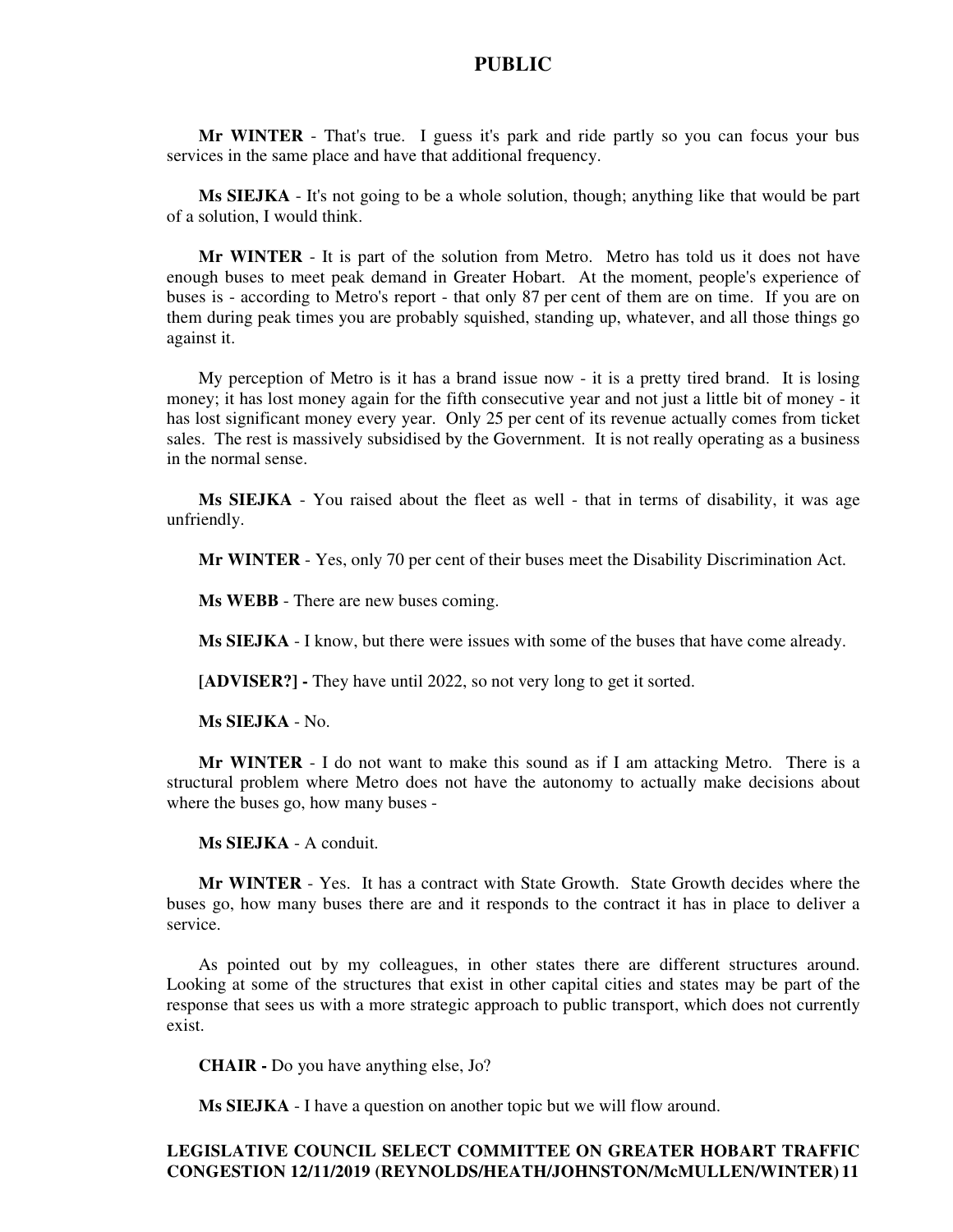**Mr WINTER** - That's true. I guess it's park and ride partly so you can focus your bus services in the same place and have that additional frequency.

**Ms SIEJKA** - It's not going to be a whole solution, though; anything like that would be part of a solution, I would think.

**Mr WINTER** - It is part of the solution from Metro. Metro has told us it does not have enough buses to meet peak demand in Greater Hobart. At the moment, people's experience of buses is - according to Metro's report - that only 87 per cent of them are on time. If you are on them during peak times you are probably squished, standing up, whatever, and all those things go against it.

My perception of Metro is it has a brand issue now - it is a pretty tired brand. It is losing money; it has lost money again for the fifth consecutive year and not just a little bit of money - it has lost significant money every year. Only 25 per cent of its revenue actually comes from ticket sales. The rest is massively subsidised by the Government. It is not really operating as a business in the normal sense.

**Ms SIEJKA** - You raised about the fleet as well - that in terms of disability, it was age unfriendly.

**Mr WINTER** - Yes, only 70 per cent of their buses meet the Disability Discrimination Act.

**Ms WEBB** - There are new buses coming.

**Ms SIEJKA** - I know, but there were issues with some of the buses that have come already.

**[ADVISER?] -** They have until 2022, so not very long to get it sorted.

**Ms SIEJKA** - No.

**Mr WINTER** - I do not want to make this sound as if I am attacking Metro. There is a structural problem where Metro does not have the autonomy to actually make decisions about where the buses go, how many buses -

**Ms SIEJKA** - A conduit.

**Mr WINTER** - Yes. It has a contract with State Growth. State Growth decides where the buses go, how many buses there are and it responds to the contract it has in place to deliver a service.

As pointed out by my colleagues, in other states there are different structures around. Looking at some of the structures that exist in other capital cities and states may be part of the response that sees us with a more strategic approach to public transport, which does not currently exist.

**CHAIR -** Do you have anything else, Jo?

**Ms SIEJKA** - I have a question on another topic but we will flow around.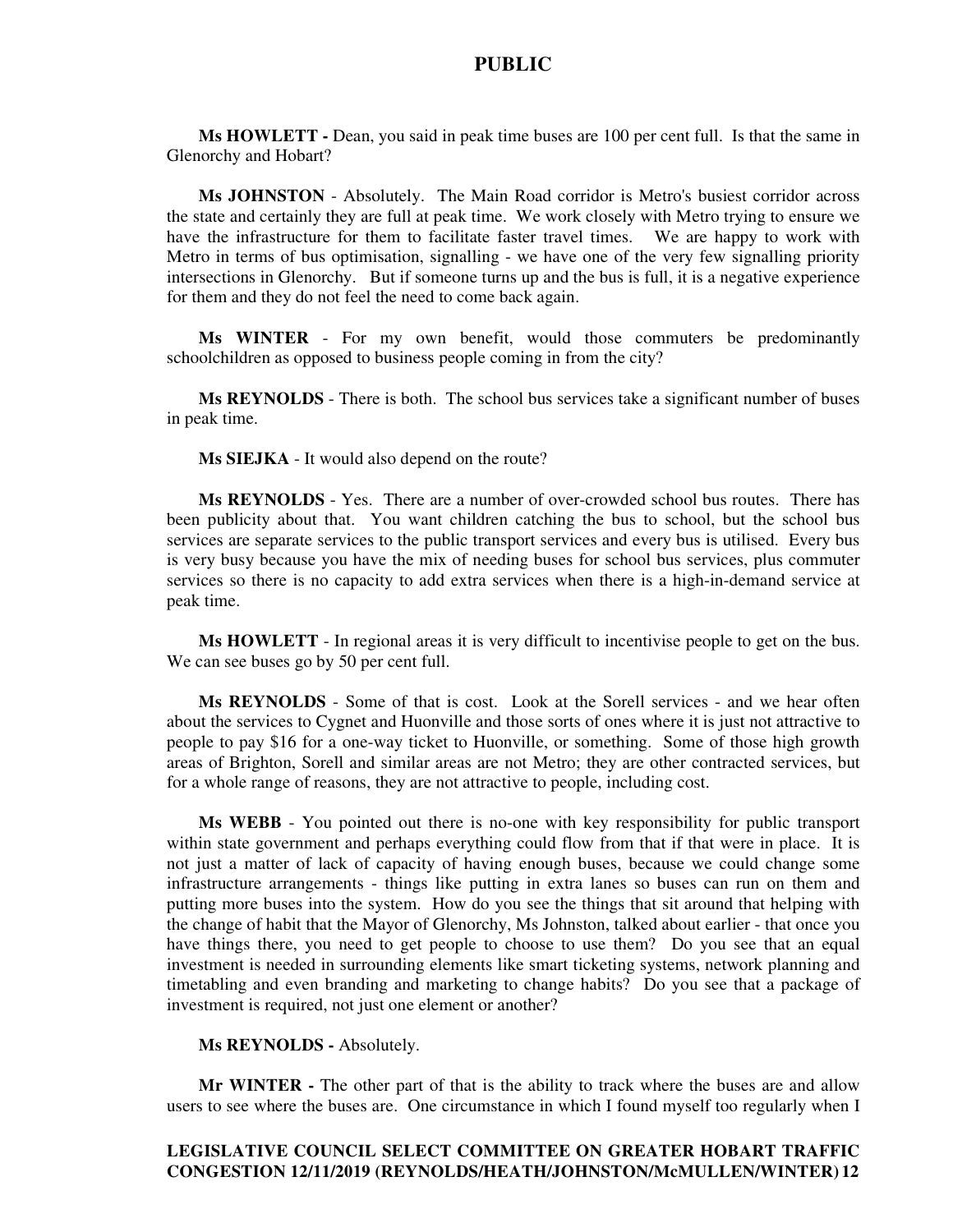**Ms HOWLETT -** Dean, you said in peak time buses are 100 per cent full. Is that the same in Glenorchy and Hobart?

**Ms JOHNSTON** - Absolutely. The Main Road corridor is Metro's busiest corridor across the state and certainly they are full at peak time. We work closely with Metro trying to ensure we have the infrastructure for them to facilitate faster travel times. We are happy to work with Metro in terms of bus optimisation, signalling - we have one of the very few signalling priority intersections in Glenorchy. But if someone turns up and the bus is full, it is a negative experience for them and they do not feel the need to come back again.

**Ms WINTER** - For my own benefit, would those commuters be predominantly schoolchildren as opposed to business people coming in from the city?

**Ms REYNOLDS** - There is both. The school bus services take a significant number of buses in peak time.

**Ms SIEJKA** - It would also depend on the route?

**Ms REYNOLDS** - Yes. There are a number of over-crowded school bus routes. There has been publicity about that. You want children catching the bus to school, but the school bus services are separate services to the public transport services and every bus is utilised. Every bus is very busy because you have the mix of needing buses for school bus services, plus commuter services so there is no capacity to add extra services when there is a high-in-demand service at peak time.

**Ms HOWLETT** - In regional areas it is very difficult to incentivise people to get on the bus. We can see buses go by 50 per cent full.

**Ms REYNOLDS** - Some of that is cost. Look at the Sorell services - and we hear often about the services to Cygnet and Huonville and those sorts of ones where it is just not attractive to people to pay \$16 for a one-way ticket to Huonville, or something. Some of those high growth areas of Brighton, Sorell and similar areas are not Metro; they are other contracted services, but for a whole range of reasons, they are not attractive to people, including cost.

**Ms WEBB** - You pointed out there is no-one with key responsibility for public transport within state government and perhaps everything could flow from that if that were in place. It is not just a matter of lack of capacity of having enough buses, because we could change some infrastructure arrangements - things like putting in extra lanes so buses can run on them and putting more buses into the system. How do you see the things that sit around that helping with the change of habit that the Mayor of Glenorchy, Ms Johnston, talked about earlier - that once you have things there, you need to get people to choose to use them? Do you see that an equal investment is needed in surrounding elements like smart ticketing systems, network planning and timetabling and even branding and marketing to change habits? Do you see that a package of investment is required, not just one element or another?

#### **Ms REYNOLDS -** Absolutely.

**Mr WINTER -** The other part of that is the ability to track where the buses are and allow users to see where the buses are. One circumstance in which I found myself too regularly when I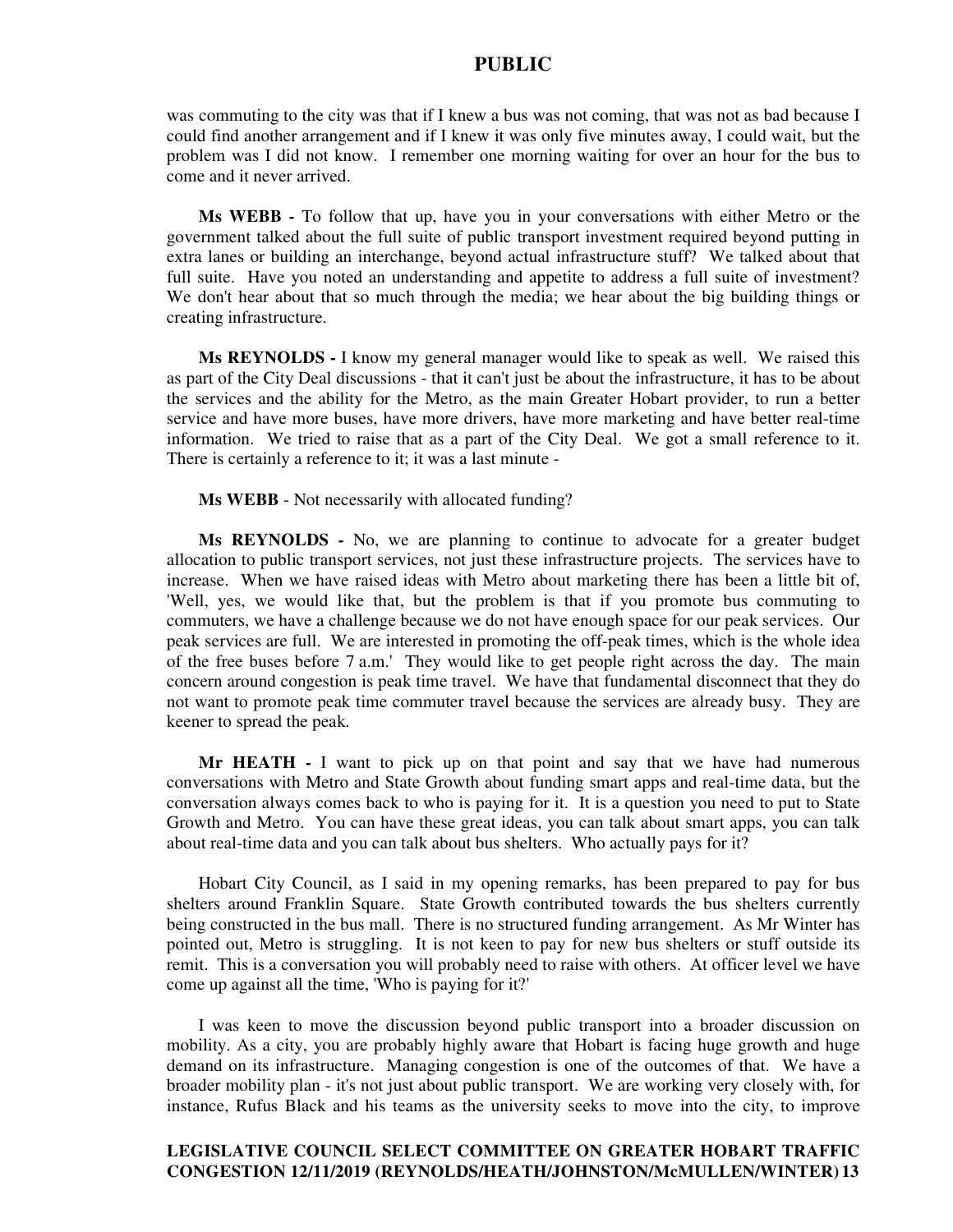was commuting to the city was that if I knew a bus was not coming, that was not as bad because I could find another arrangement and if I knew it was only five minutes away, I could wait, but the problem was I did not know. I remember one morning waiting for over an hour for the bus to come and it never arrived.

**Ms WEBB -** To follow that up, have you in your conversations with either Metro or the government talked about the full suite of public transport investment required beyond putting in extra lanes or building an interchange, beyond actual infrastructure stuff? We talked about that full suite. Have you noted an understanding and appetite to address a full suite of investment? We don't hear about that so much through the media; we hear about the big building things or creating infrastructure.

**Ms REYNOLDS -** I know my general manager would like to speak as well. We raised this as part of the City Deal discussions - that it can't just be about the infrastructure, it has to be about the services and the ability for the Metro, as the main Greater Hobart provider, to run a better service and have more buses, have more drivers, have more marketing and have better real-time information. We tried to raise that as a part of the City Deal. We got a small reference to it. There is certainly a reference to it; it was a last minute -

**Ms WEBB** - Not necessarily with allocated funding?

**Ms REYNOLDS -** No, we are planning to continue to advocate for a greater budget allocation to public transport services, not just these infrastructure projects. The services have to increase. When we have raised ideas with Metro about marketing there has been a little bit of, 'Well, yes, we would like that, but the problem is that if you promote bus commuting to commuters, we have a challenge because we do not have enough space for our peak services. Our peak services are full. We are interested in promoting the off-peak times, which is the whole idea of the free buses before 7 a.m.' They would like to get people right across the day. The main concern around congestion is peak time travel. We have that fundamental disconnect that they do not want to promote peak time commuter travel because the services are already busy. They are keener to spread the peak.

**Mr HEATH -** I want to pick up on that point and say that we have had numerous conversations with Metro and State Growth about funding smart apps and real-time data, but the conversation always comes back to who is paying for it. It is a question you need to put to State Growth and Metro. You can have these great ideas, you can talk about smart apps, you can talk about real-time data and you can talk about bus shelters. Who actually pays for it?

Hobart City Council, as I said in my opening remarks, has been prepared to pay for bus shelters around Franklin Square. State Growth contributed towards the bus shelters currently being constructed in the bus mall. There is no structured funding arrangement. As Mr Winter has pointed out, Metro is struggling. It is not keen to pay for new bus shelters or stuff outside its remit. This is a conversation you will probably need to raise with others. At officer level we have come up against all the time, 'Who is paying for it?'

I was keen to move the discussion beyond public transport into a broader discussion on mobility. As a city, you are probably highly aware that Hobart is facing huge growth and huge demand on its infrastructure. Managing congestion is one of the outcomes of that. We have a broader mobility plan - it's not just about public transport. We are working very closely with, for instance, Rufus Black and his teams as the university seeks to move into the city, to improve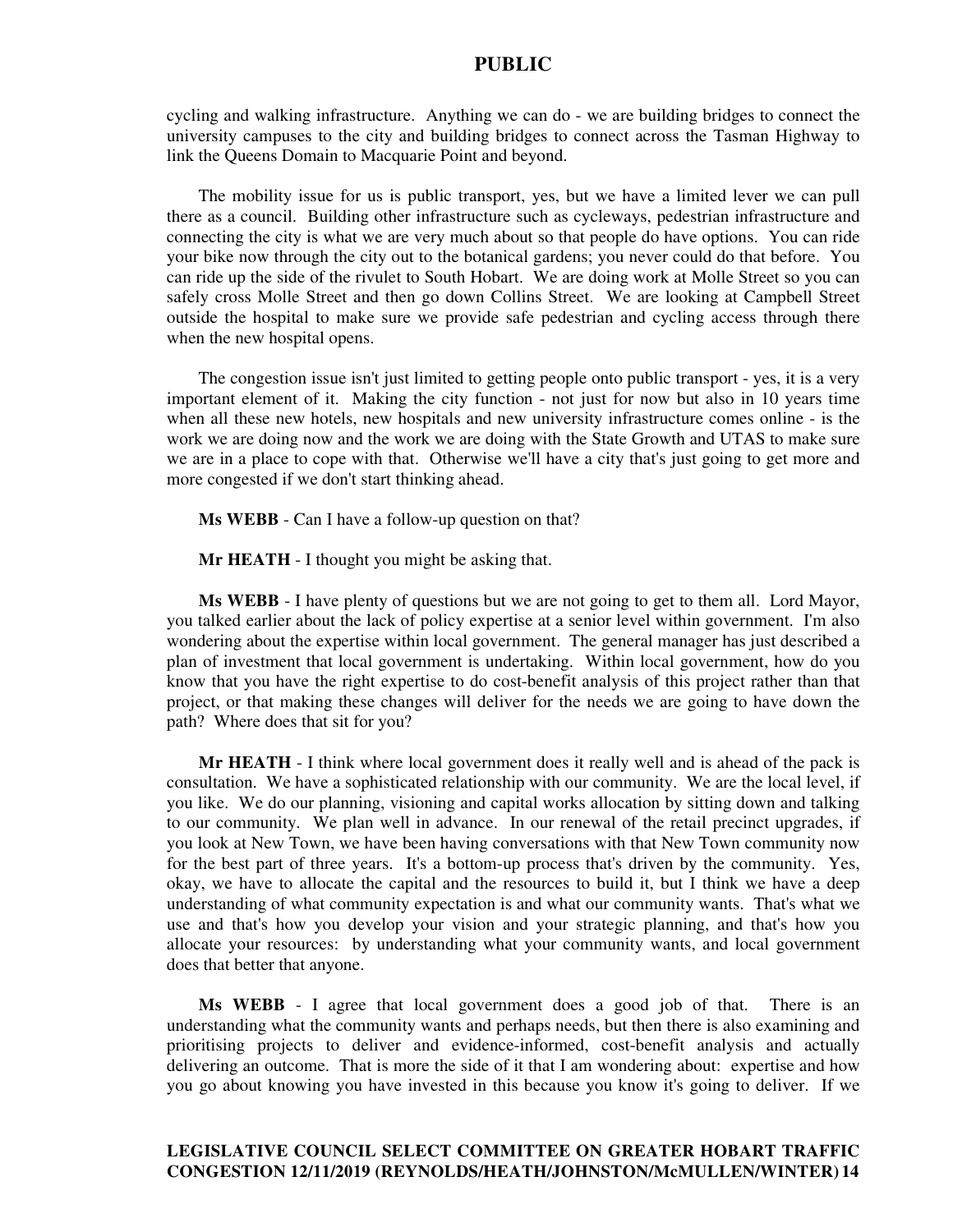cycling and walking infrastructure. Anything we can do - we are building bridges to connect the university campuses to the city and building bridges to connect across the Tasman Highway to link the Queens Domain to Macquarie Point and beyond.

The mobility issue for us is public transport, yes, but we have a limited lever we can pull there as a council. Building other infrastructure such as cycleways, pedestrian infrastructure and connecting the city is what we are very much about so that people do have options. You can ride your bike now through the city out to the botanical gardens; you never could do that before. You can ride up the side of the rivulet to South Hobart. We are doing work at Molle Street so you can safely cross Molle Street and then go down Collins Street. We are looking at Campbell Street outside the hospital to make sure we provide safe pedestrian and cycling access through there when the new hospital opens.

The congestion issue isn't just limited to getting people onto public transport - yes, it is a very important element of it. Making the city function - not just for now but also in 10 years time when all these new hotels, new hospitals and new university infrastructure comes online - is the work we are doing now and the work we are doing with the State Growth and UTAS to make sure we are in a place to cope with that. Otherwise we'll have a city that's just going to get more and more congested if we don't start thinking ahead.

**Ms WEBB** - Can I have a follow-up question on that?

**Mr HEATH** - I thought you might be asking that.

**Ms WEBB** - I have plenty of questions but we are not going to get to them all. Lord Mayor, you talked earlier about the lack of policy expertise at a senior level within government. I'm also wondering about the expertise within local government. The general manager has just described a plan of investment that local government is undertaking. Within local government, how do you know that you have the right expertise to do cost-benefit analysis of this project rather than that project, or that making these changes will deliver for the needs we are going to have down the path? Where does that sit for you?

**Mr HEATH** - I think where local government does it really well and is ahead of the pack is consultation. We have a sophisticated relationship with our community. We are the local level, if you like. We do our planning, visioning and capital works allocation by sitting down and talking to our community. We plan well in advance. In our renewal of the retail precinct upgrades, if you look at New Town, we have been having conversations with that New Town community now for the best part of three years. It's a bottom-up process that's driven by the community. Yes, okay, we have to allocate the capital and the resources to build it, but I think we have a deep understanding of what community expectation is and what our community wants. That's what we use and that's how you develop your vision and your strategic planning, and that's how you allocate your resources: by understanding what your community wants, and local government does that better that anyone.

**Ms WEBB** - I agree that local government does a good job of that. There is an understanding what the community wants and perhaps needs, but then there is also examining and prioritising projects to deliver and evidence-informed, cost-benefit analysis and actually delivering an outcome. That is more the side of it that I am wondering about: expertise and how you go about knowing you have invested in this because you know it's going to deliver. If we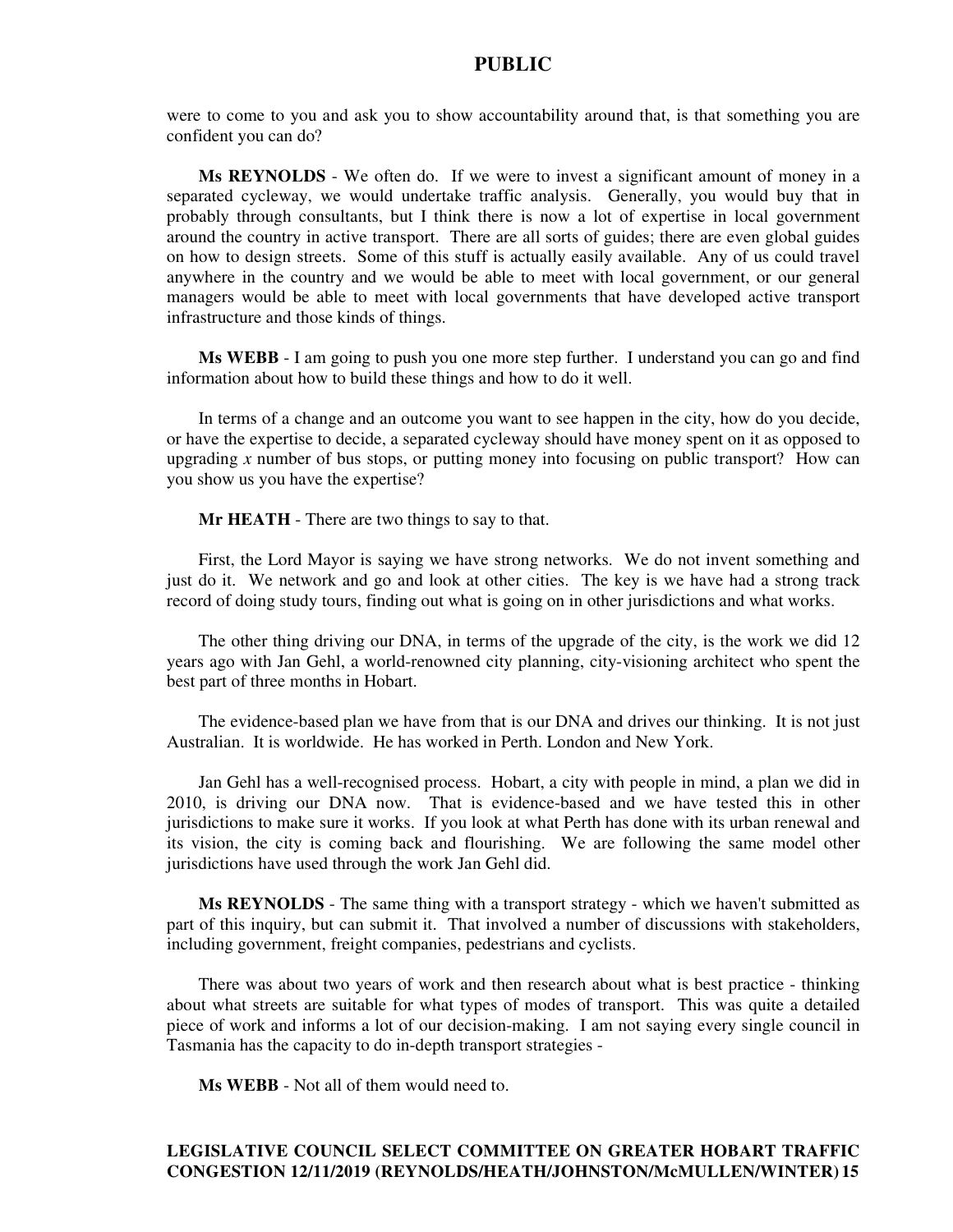were to come to you and ask you to show accountability around that, is that something you are confident you can do?

**Ms REYNOLDS** - We often do. If we were to invest a significant amount of money in a separated cycleway, we would undertake traffic analysis. Generally, you would buy that in probably through consultants, but I think there is now a lot of expertise in local government around the country in active transport. There are all sorts of guides; there are even global guides on how to design streets. Some of this stuff is actually easily available. Any of us could travel anywhere in the country and we would be able to meet with local government, or our general managers would be able to meet with local governments that have developed active transport infrastructure and those kinds of things.

**Ms WEBB** - I am going to push you one more step further. I understand you can go and find information about how to build these things and how to do it well.

In terms of a change and an outcome you want to see happen in the city, how do you decide, or have the expertise to decide, a separated cycleway should have money spent on it as opposed to upgrading *x* number of bus stops, or putting money into focusing on public transport? How can you show us you have the expertise?

**Mr HEATH** - There are two things to say to that.

First, the Lord Mayor is saying we have strong networks. We do not invent something and just do it. We network and go and look at other cities. The key is we have had a strong track record of doing study tours, finding out what is going on in other jurisdictions and what works.

The other thing driving our DNA, in terms of the upgrade of the city, is the work we did 12 years ago with Jan Gehl, a world-renowned city planning, city-visioning architect who spent the best part of three months in Hobart.

The evidence-based plan we have from that is our DNA and drives our thinking. It is not just Australian. It is worldwide. He has worked in Perth. London and New York.

Jan Gehl has a well-recognised process. Hobart, a city with people in mind, a plan we did in 2010, is driving our DNA now. That is evidence-based and we have tested this in other jurisdictions to make sure it works. If you look at what Perth has done with its urban renewal and its vision, the city is coming back and flourishing. We are following the same model other jurisdictions have used through the work Jan Gehl did.

**Ms REYNOLDS** - The same thing with a transport strategy - which we haven't submitted as part of this inquiry, but can submit it. That involved a number of discussions with stakeholders, including government, freight companies, pedestrians and cyclists.

There was about two years of work and then research about what is best practice - thinking about what streets are suitable for what types of modes of transport. This was quite a detailed piece of work and informs a lot of our decision-making. I am not saying every single council in Tasmania has the capacity to do in-depth transport strategies -

**Ms WEBB** - Not all of them would need to.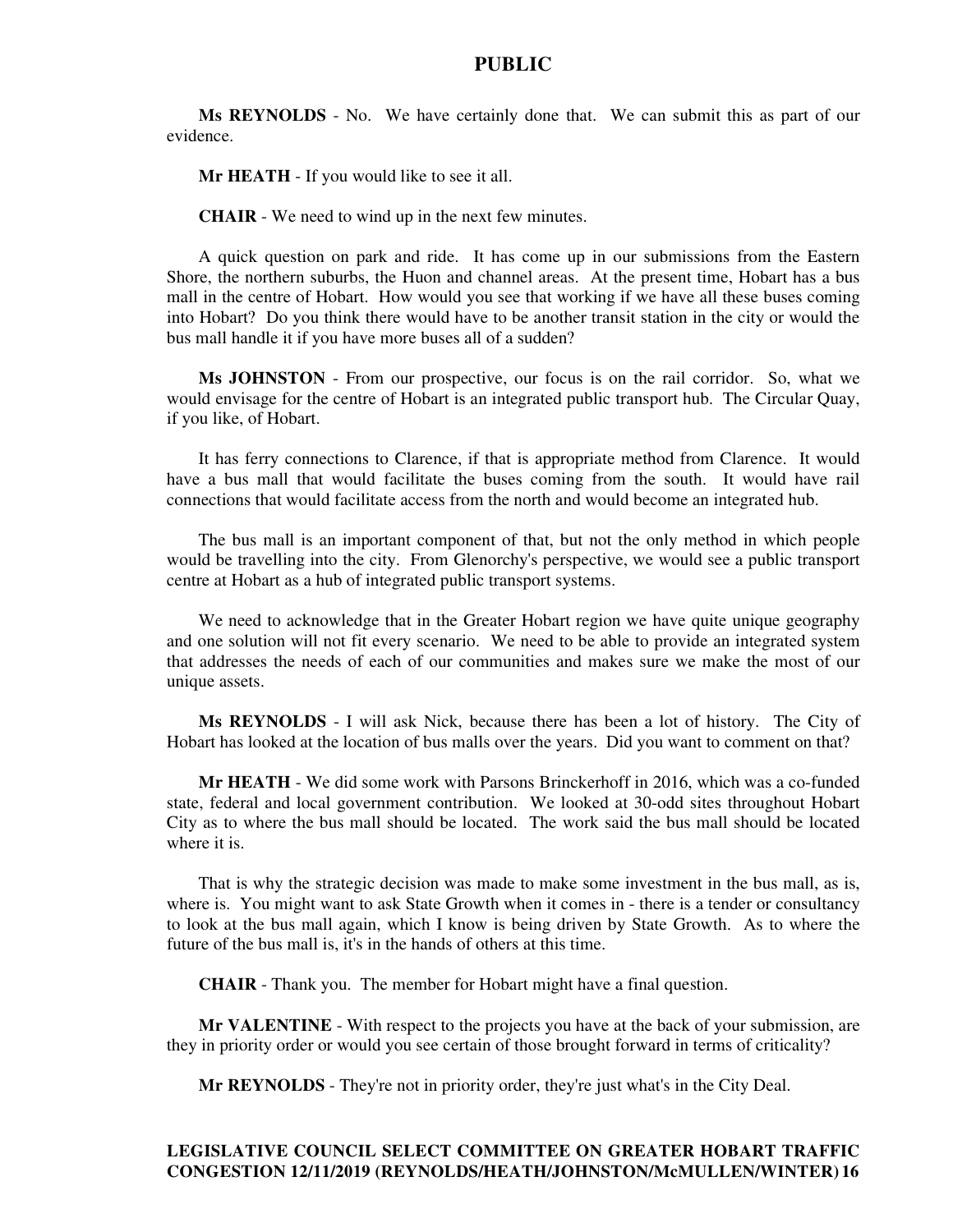**Ms REYNOLDS** - No. We have certainly done that. We can submit this as part of our evidence.

**Mr HEATH** - If you would like to see it all.

**CHAIR** - We need to wind up in the next few minutes.

A quick question on park and ride. It has come up in our submissions from the Eastern Shore, the northern suburbs, the Huon and channel areas. At the present time, Hobart has a bus mall in the centre of Hobart. How would you see that working if we have all these buses coming into Hobart? Do you think there would have to be another transit station in the city or would the bus mall handle it if you have more buses all of a sudden?

**Ms JOHNSTON** - From our prospective, our focus is on the rail corridor. So, what we would envisage for the centre of Hobart is an integrated public transport hub. The Circular Quay, if you like, of Hobart.

It has ferry connections to Clarence, if that is appropriate method from Clarence. It would have a bus mall that would facilitate the buses coming from the south. It would have rail connections that would facilitate access from the north and would become an integrated hub.

The bus mall is an important component of that, but not the only method in which people would be travelling into the city. From Glenorchy's perspective, we would see a public transport centre at Hobart as a hub of integrated public transport systems.

We need to acknowledge that in the Greater Hobart region we have quite unique geography and one solution will not fit every scenario. We need to be able to provide an integrated system that addresses the needs of each of our communities and makes sure we make the most of our unique assets.

**Ms REYNOLDS** - I will ask Nick, because there has been a lot of history. The City of Hobart has looked at the location of bus malls over the years. Did you want to comment on that?

**Mr HEATH** - We did some work with Parsons Brinckerhoff in 2016, which was a co-funded state, federal and local government contribution. We looked at 30-odd sites throughout Hobart City as to where the bus mall should be located. The work said the bus mall should be located where it is.

That is why the strategic decision was made to make some investment in the bus mall, as is, where is. You might want to ask State Growth when it comes in - there is a tender or consultancy to look at the bus mall again, which I know is being driven by State Growth. As to where the future of the bus mall is, it's in the hands of others at this time.

**CHAIR** - Thank you. The member for Hobart might have a final question.

**Mr VALENTINE** - With respect to the projects you have at the back of your submission, are they in priority order or would you see certain of those brought forward in terms of criticality?

**Mr REYNOLDS** - They're not in priority order, they're just what's in the City Deal.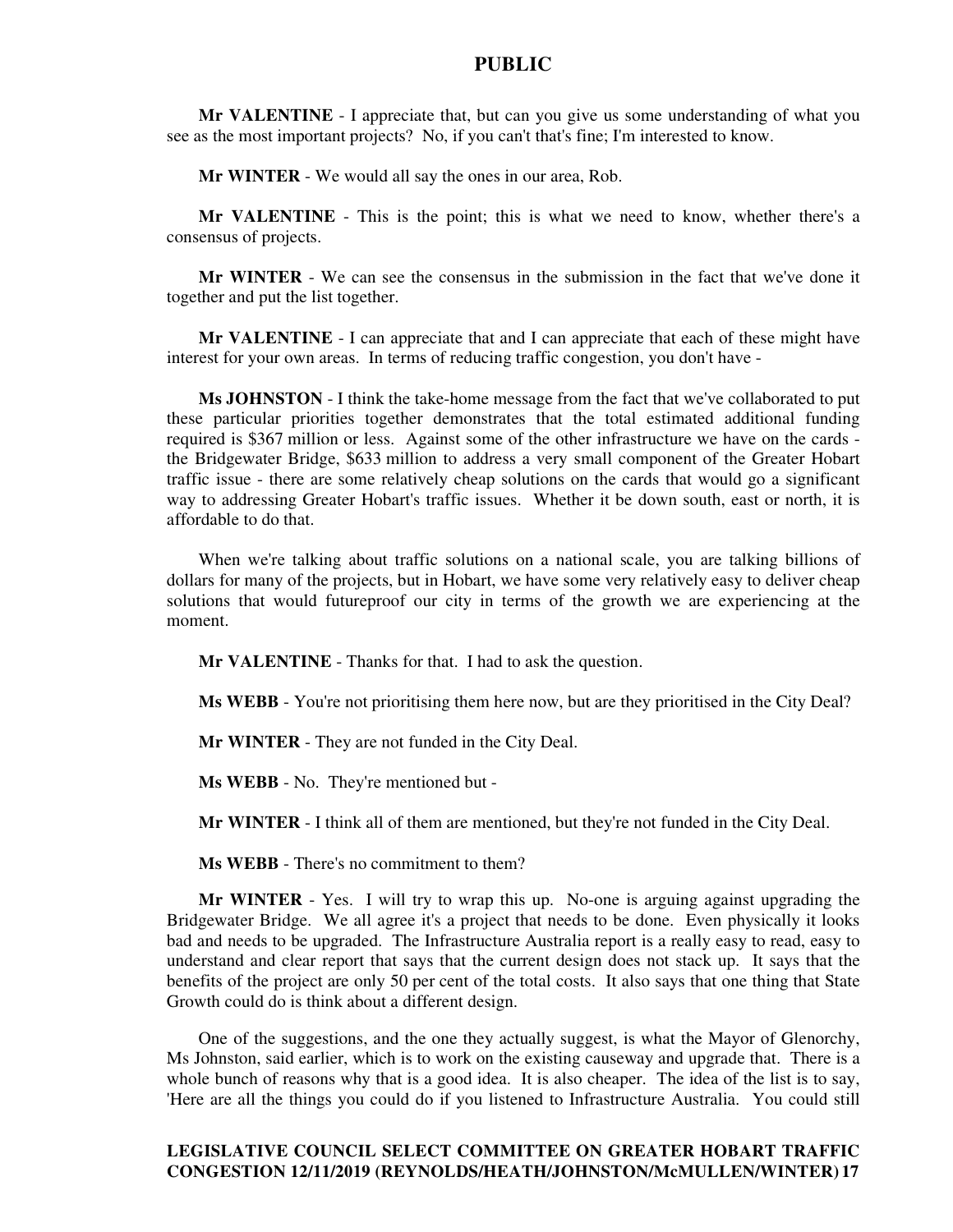**Mr VALENTINE** - I appreciate that, but can you give us some understanding of what you see as the most important projects? No, if you can't that's fine; I'm interested to know.

**Mr WINTER** - We would all say the ones in our area, Rob.

**Mr VALENTINE** - This is the point; this is what we need to know, whether there's a consensus of projects.

**Mr WINTER** - We can see the consensus in the submission in the fact that we've done it together and put the list together.

**Mr VALENTINE** - I can appreciate that and I can appreciate that each of these might have interest for your own areas. In terms of reducing traffic congestion, you don't have -

**Ms JOHNSTON** - I think the take-home message from the fact that we've collaborated to put these particular priorities together demonstrates that the total estimated additional funding required is \$367 million or less. Against some of the other infrastructure we have on the cards the Bridgewater Bridge, \$633 million to address a very small component of the Greater Hobart traffic issue - there are some relatively cheap solutions on the cards that would go a significant way to addressing Greater Hobart's traffic issues. Whether it be down south, east or north, it is affordable to do that.

When we're talking about traffic solutions on a national scale, you are talking billions of dollars for many of the projects, but in Hobart, we have some very relatively easy to deliver cheap solutions that would futureproof our city in terms of the growth we are experiencing at the moment.

**Mr VALENTINE** - Thanks for that. I had to ask the question.

**Ms WEBB** - You're not prioritising them here now, but are they prioritised in the City Deal?

**Mr WINTER** - They are not funded in the City Deal.

**Ms WEBB** - No. They're mentioned but -

**Mr WINTER** - I think all of them are mentioned, but they're not funded in the City Deal.

**Ms WEBB** - There's no commitment to them?

**Mr WINTER** - Yes. I will try to wrap this up. No-one is arguing against upgrading the Bridgewater Bridge. We all agree it's a project that needs to be done. Even physically it looks bad and needs to be upgraded. The Infrastructure Australia report is a really easy to read, easy to understand and clear report that says that the current design does not stack up. It says that the benefits of the project are only 50 per cent of the total costs. It also says that one thing that State Growth could do is think about a different design.

One of the suggestions, and the one they actually suggest, is what the Mayor of Glenorchy, Ms Johnston, said earlier, which is to work on the existing causeway and upgrade that. There is a whole bunch of reasons why that is a good idea. It is also cheaper. The idea of the list is to say, 'Here are all the things you could do if you listened to Infrastructure Australia. You could still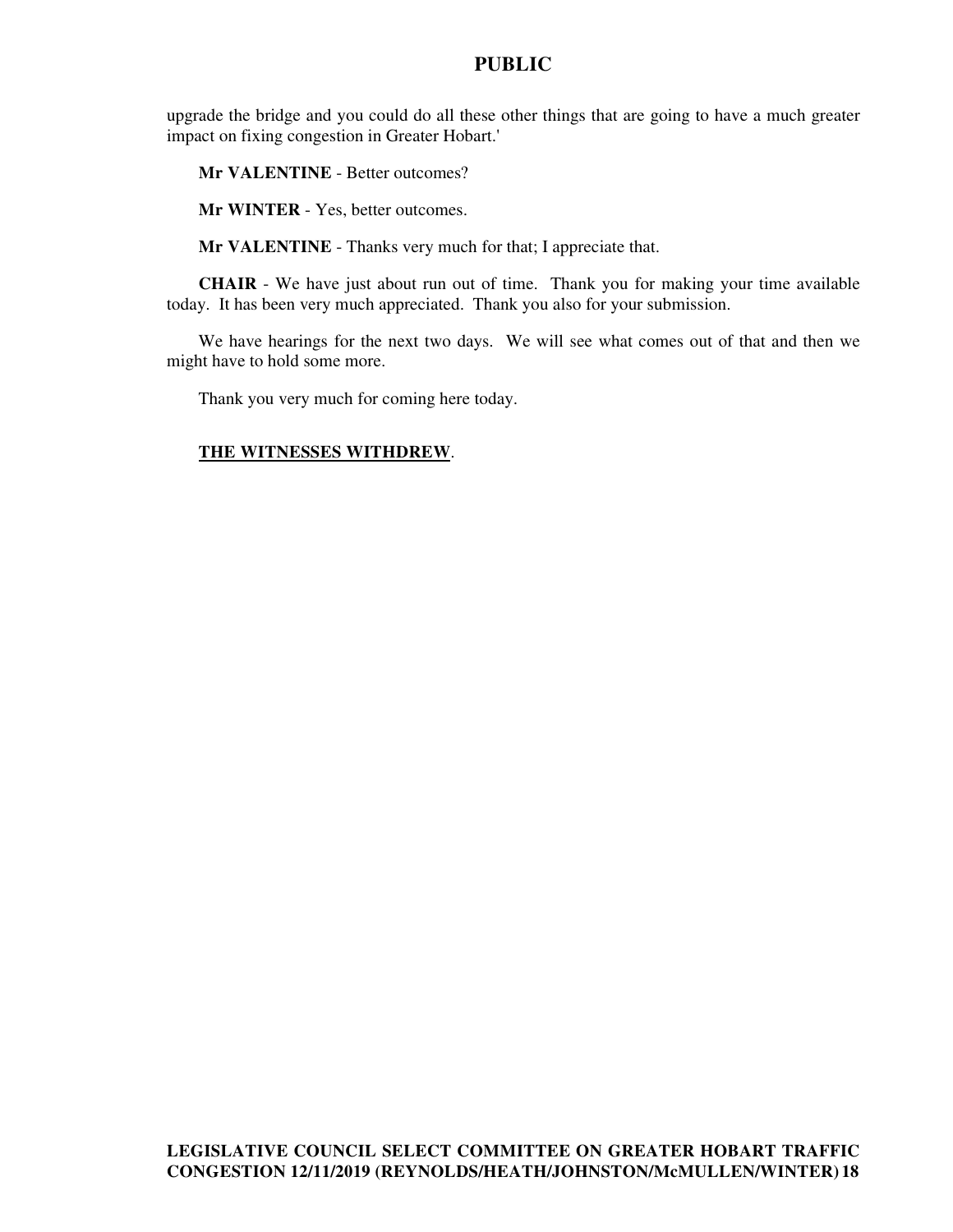upgrade the bridge and you could do all these other things that are going to have a much greater impact on fixing congestion in Greater Hobart.'

**Mr VALENTINE** - Better outcomes?

**Mr WINTER** - Yes, better outcomes.

**Mr VALENTINE** - Thanks very much for that; I appreciate that.

**CHAIR** - We have just about run out of time. Thank you for making your time available today. It has been very much appreciated. Thank you also for your submission.

We have hearings for the next two days. We will see what comes out of that and then we might have to hold some more.

Thank you very much for coming here today.

### **THE WITNESSES WITHDREW**.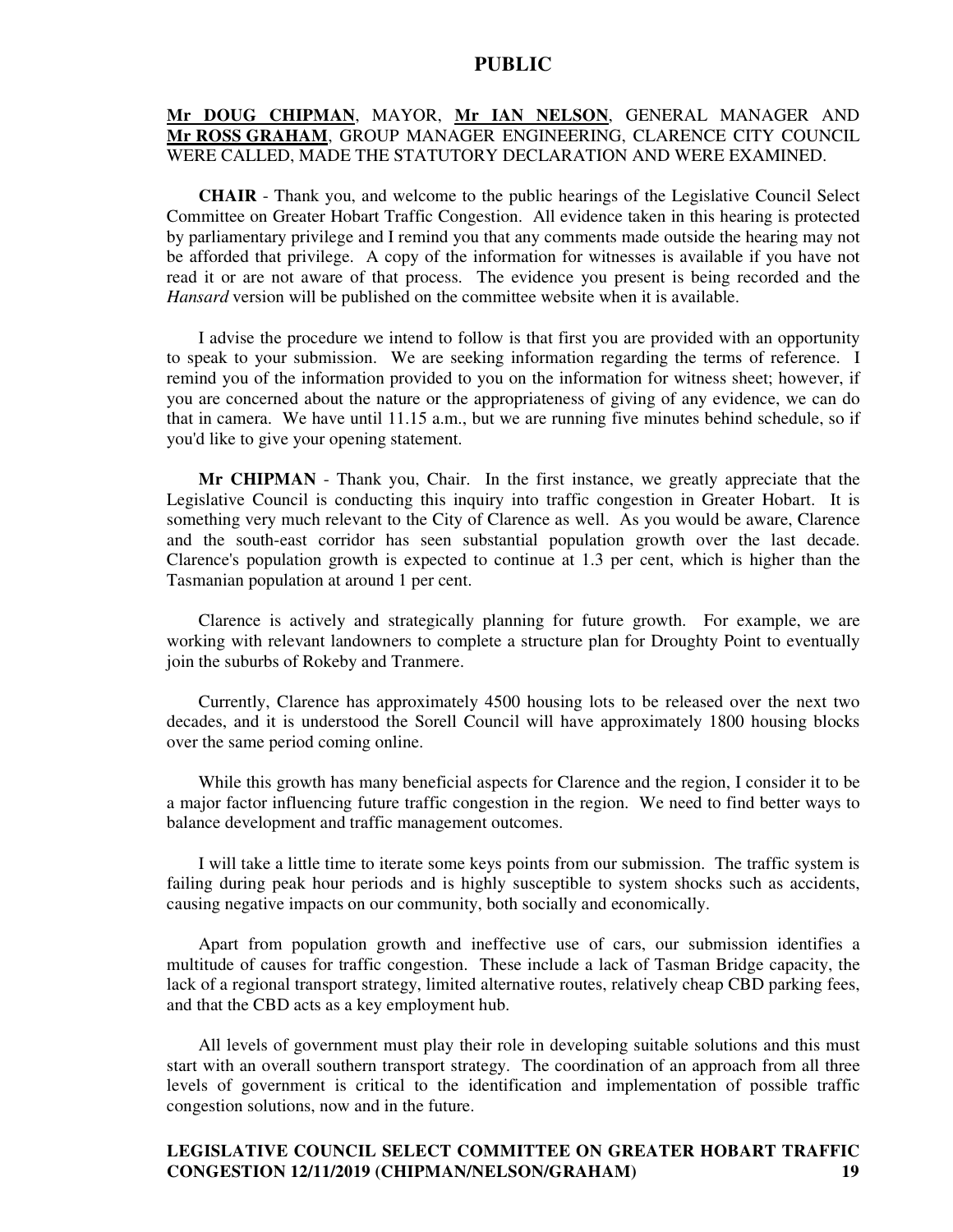## **Mr DOUG CHIPMAN**, MAYOR, **Mr IAN NELSON**, GENERAL MANAGER AND **Mr ROSS GRAHAM**, GROUP MANAGER ENGINEERING, CLARENCE CITY COUNCIL WERE CALLED, MADE THE STATUTORY DECLARATION AND WERE EXAMINED.

**CHAIR** - Thank you, and welcome to the public hearings of the Legislative Council Select Committee on Greater Hobart Traffic Congestion. All evidence taken in this hearing is protected by parliamentary privilege and I remind you that any comments made outside the hearing may not be afforded that privilege. A copy of the information for witnesses is available if you have not read it or are not aware of that process. The evidence you present is being recorded and the *Hansard* version will be published on the committee website when it is available.

I advise the procedure we intend to follow is that first you are provided with an opportunity to speak to your submission. We are seeking information regarding the terms of reference. I remind you of the information provided to you on the information for witness sheet; however, if you are concerned about the nature or the appropriateness of giving of any evidence, we can do that in camera. We have until 11.15 a.m., but we are running five minutes behind schedule, so if you'd like to give your opening statement.

**Mr CHIPMAN** - Thank you, Chair. In the first instance, we greatly appreciate that the Legislative Council is conducting this inquiry into traffic congestion in Greater Hobart. It is something very much relevant to the City of Clarence as well. As you would be aware, Clarence and the south-east corridor has seen substantial population growth over the last decade. Clarence's population growth is expected to continue at 1.3 per cent, which is higher than the Tasmanian population at around 1 per cent.

Clarence is actively and strategically planning for future growth. For example, we are working with relevant landowners to complete a structure plan for Droughty Point to eventually join the suburbs of Rokeby and Tranmere.

Currently, Clarence has approximately 4500 housing lots to be released over the next two decades, and it is understood the Sorell Council will have approximately 1800 housing blocks over the same period coming online.

While this growth has many beneficial aspects for Clarence and the region, I consider it to be a major factor influencing future traffic congestion in the region. We need to find better ways to balance development and traffic management outcomes.

I will take a little time to iterate some keys points from our submission. The traffic system is failing during peak hour periods and is highly susceptible to system shocks such as accidents, causing negative impacts on our community, both socially and economically.

Apart from population growth and ineffective use of cars, our submission identifies a multitude of causes for traffic congestion. These include a lack of Tasman Bridge capacity, the lack of a regional transport strategy, limited alternative routes, relatively cheap CBD parking fees, and that the CBD acts as a key employment hub.

All levels of government must play their role in developing suitable solutions and this must start with an overall southern transport strategy. The coordination of an approach from all three levels of government is critical to the identification and implementation of possible traffic congestion solutions, now and in the future.

### **LEGISLATIVE COUNCIL SELECT COMMITTEE ON GREATER HOBART TRAFFIC CONGESTION 12/11/2019 (CHIPMAN/NELSON/GRAHAM) 19**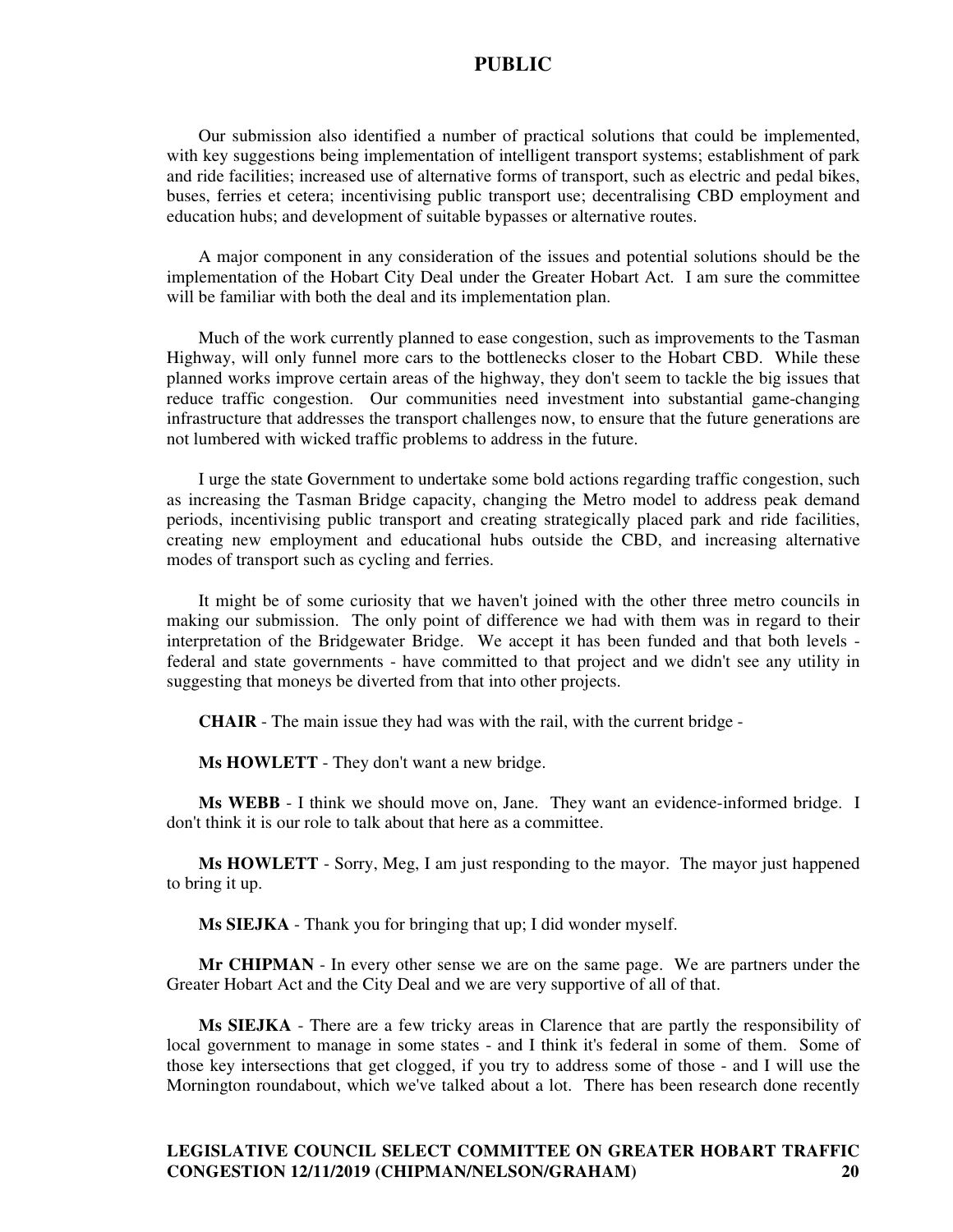Our submission also identified a number of practical solutions that could be implemented, with key suggestions being implementation of intelligent transport systems; establishment of park and ride facilities; increased use of alternative forms of transport, such as electric and pedal bikes, buses, ferries et cetera; incentivising public transport use; decentralising CBD employment and education hubs; and development of suitable bypasses or alternative routes.

A major component in any consideration of the issues and potential solutions should be the implementation of the Hobart City Deal under the Greater Hobart Act. I am sure the committee will be familiar with both the deal and its implementation plan.

Much of the work currently planned to ease congestion, such as improvements to the Tasman Highway, will only funnel more cars to the bottlenecks closer to the Hobart CBD. While these planned works improve certain areas of the highway, they don't seem to tackle the big issues that reduce traffic congestion. Our communities need investment into substantial game-changing infrastructure that addresses the transport challenges now, to ensure that the future generations are not lumbered with wicked traffic problems to address in the future.

I urge the state Government to undertake some bold actions regarding traffic congestion, such as increasing the Tasman Bridge capacity, changing the Metro model to address peak demand periods, incentivising public transport and creating strategically placed park and ride facilities, creating new employment and educational hubs outside the CBD, and increasing alternative modes of transport such as cycling and ferries.

It might be of some curiosity that we haven't joined with the other three metro councils in making our submission. The only point of difference we had with them was in regard to their interpretation of the Bridgewater Bridge. We accept it has been funded and that both levels federal and state governments - have committed to that project and we didn't see any utility in suggesting that moneys be diverted from that into other projects.

**CHAIR** - The main issue they had was with the rail, with the current bridge -

**Ms HOWLETT** - They don't want a new bridge.

**Ms WEBB** - I think we should move on, Jane. They want an evidence-informed bridge. I don't think it is our role to talk about that here as a committee.

**Ms HOWLETT** - Sorry, Meg, I am just responding to the mayor. The mayor just happened to bring it up.

**Ms SIEJKA** - Thank you for bringing that up; I did wonder myself.

**Mr CHIPMAN** - In every other sense we are on the same page. We are partners under the Greater Hobart Act and the City Deal and we are very supportive of all of that.

**Ms SIEJKA** - There are a few tricky areas in Clarence that are partly the responsibility of local government to manage in some states - and I think it's federal in some of them. Some of those key intersections that get clogged, if you try to address some of those - and I will use the Mornington roundabout, which we've talked about a lot. There has been research done recently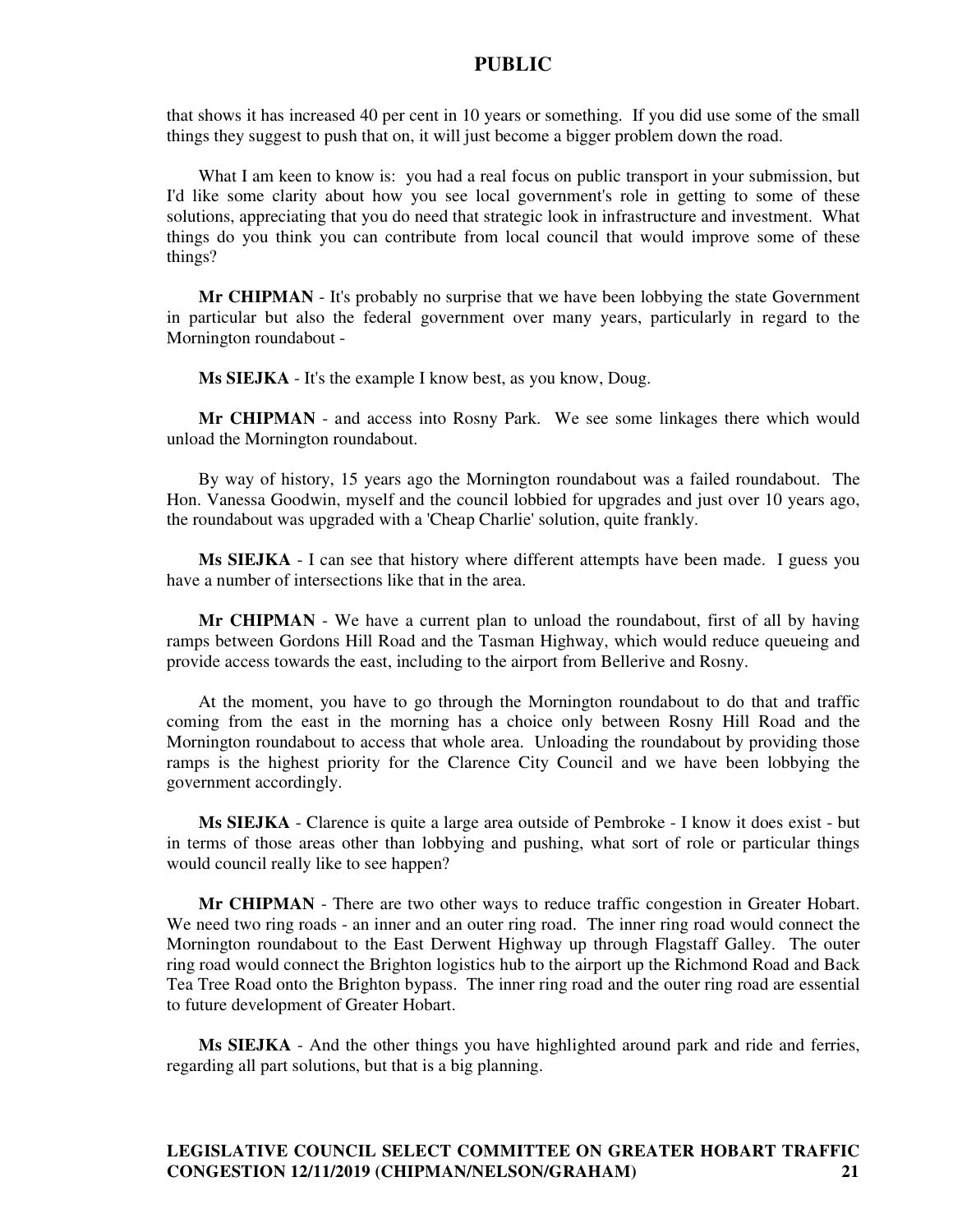that shows it has increased 40 per cent in 10 years or something. If you did use some of the small things they suggest to push that on, it will just become a bigger problem down the road.

What I am keen to know is: you had a real focus on public transport in your submission, but I'd like some clarity about how you see local government's role in getting to some of these solutions, appreciating that you do need that strategic look in infrastructure and investment. What things do you think you can contribute from local council that would improve some of these things?

**Mr CHIPMAN** - It's probably no surprise that we have been lobbying the state Government in particular but also the federal government over many years, particularly in regard to the Mornington roundabout -

**Ms SIEJKA** - It's the example I know best, as you know, Doug.

**Mr CHIPMAN** - and access into Rosny Park. We see some linkages there which would unload the Mornington roundabout.

By way of history, 15 years ago the Mornington roundabout was a failed roundabout. The Hon. Vanessa Goodwin, myself and the council lobbied for upgrades and just over 10 years ago, the roundabout was upgraded with a 'Cheap Charlie' solution, quite frankly.

**Ms SIEJKA** - I can see that history where different attempts have been made. I guess you have a number of intersections like that in the area.

**Mr CHIPMAN** - We have a current plan to unload the roundabout, first of all by having ramps between Gordons Hill Road and the Tasman Highway, which would reduce queueing and provide access towards the east, including to the airport from Bellerive and Rosny.

At the moment, you have to go through the Mornington roundabout to do that and traffic coming from the east in the morning has a choice only between Rosny Hill Road and the Mornington roundabout to access that whole area. Unloading the roundabout by providing those ramps is the highest priority for the Clarence City Council and we have been lobbying the government accordingly.

**Ms SIEJKA** - Clarence is quite a large area outside of Pembroke - I know it does exist - but in terms of those areas other than lobbying and pushing, what sort of role or particular things would council really like to see happen?

**Mr CHIPMAN** - There are two other ways to reduce traffic congestion in Greater Hobart. We need two ring roads - an inner and an outer ring road. The inner ring road would connect the Mornington roundabout to the East Derwent Highway up through Flagstaff Galley. The outer ring road would connect the Brighton logistics hub to the airport up the Richmond Road and Back Tea Tree Road onto the Brighton bypass. The inner ring road and the outer ring road are essential to future development of Greater Hobart.

**Ms SIEJKA** - And the other things you have highlighted around park and ride and ferries, regarding all part solutions, but that is a big planning.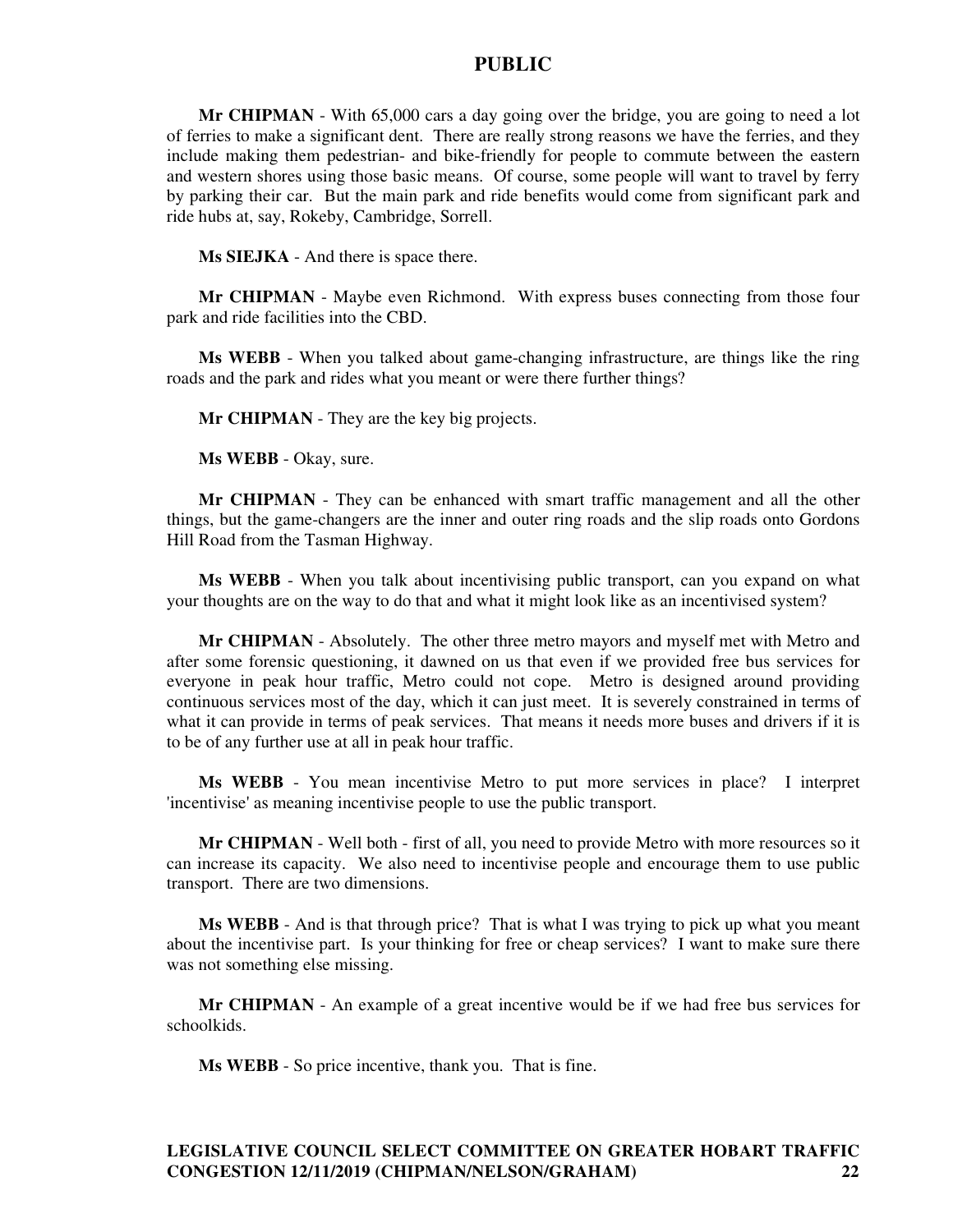**Mr CHIPMAN** - With 65,000 cars a day going over the bridge, you are going to need a lot of ferries to make a significant dent. There are really strong reasons we have the ferries, and they include making them pedestrian- and bike-friendly for people to commute between the eastern and western shores using those basic means. Of course, some people will want to travel by ferry by parking their car. But the main park and ride benefits would come from significant park and ride hubs at, say, Rokeby, Cambridge, Sorrell.

**Ms SIEJKA** - And there is space there.

**Mr CHIPMAN** - Maybe even Richmond. With express buses connecting from those four park and ride facilities into the CBD.

**Ms WEBB** - When you talked about game-changing infrastructure, are things like the ring roads and the park and rides what you meant or were there further things?

**Mr CHIPMAN** - They are the key big projects.

**Ms WEBB** - Okay, sure.

**Mr CHIPMAN** - They can be enhanced with smart traffic management and all the other things, but the game-changers are the inner and outer ring roads and the slip roads onto Gordons Hill Road from the Tasman Highway.

**Ms WEBB** - When you talk about incentivising public transport, can you expand on what your thoughts are on the way to do that and what it might look like as an incentivised system?

**Mr CHIPMAN** - Absolutely. The other three metro mayors and myself met with Metro and after some forensic questioning, it dawned on us that even if we provided free bus services for everyone in peak hour traffic, Metro could not cope. Metro is designed around providing continuous services most of the day, which it can just meet. It is severely constrained in terms of what it can provide in terms of peak services. That means it needs more buses and drivers if it is to be of any further use at all in peak hour traffic.

**Ms WEBB** - You mean incentivise Metro to put more services in place? I interpret 'incentivise' as meaning incentivise people to use the public transport.

**Mr CHIPMAN** - Well both - first of all, you need to provide Metro with more resources so it can increase its capacity. We also need to incentivise people and encourage them to use public transport. There are two dimensions.

**Ms WEBB** - And is that through price? That is what I was trying to pick up what you meant about the incentivise part. Is your thinking for free or cheap services? I want to make sure there was not something else missing.

**Mr CHIPMAN** - An example of a great incentive would be if we had free bus services for schoolkids.

**Ms WEBB** - So price incentive, thank you. That is fine.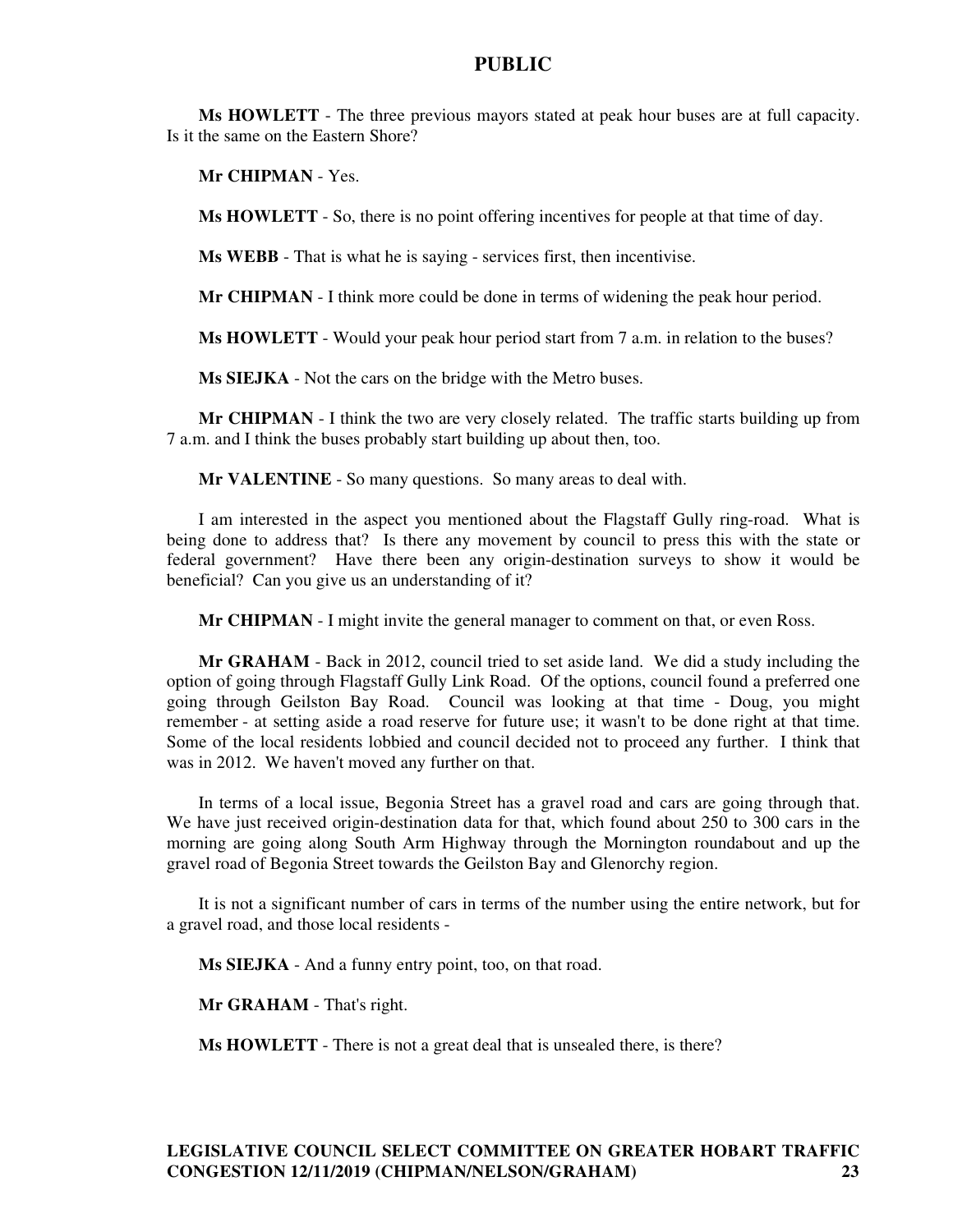**Ms HOWLETT** - The three previous mayors stated at peak hour buses are at full capacity. Is it the same on the Eastern Shore?

**Mr CHIPMAN** - Yes.

**Ms HOWLETT** - So, there is no point offering incentives for people at that time of day.

**Ms WEBB** - That is what he is saying - services first, then incentivise.

**Mr CHIPMAN** - I think more could be done in terms of widening the peak hour period.

**Ms HOWLETT** - Would your peak hour period start from 7 a.m. in relation to the buses?

**Ms SIEJKA** - Not the cars on the bridge with the Metro buses.

**Mr CHIPMAN** - I think the two are very closely related. The traffic starts building up from 7 a.m. and I think the buses probably start building up about then, too.

**Mr VALENTINE** - So many questions. So many areas to deal with.

I am interested in the aspect you mentioned about the Flagstaff Gully ring-road. What is being done to address that? Is there any movement by council to press this with the state or federal government? Have there been any origin-destination surveys to show it would be beneficial? Can you give us an understanding of it?

**Mr CHIPMAN** - I might invite the general manager to comment on that, or even Ross.

**Mr GRAHAM** - Back in 2012, council tried to set aside land. We did a study including the option of going through Flagstaff Gully Link Road. Of the options, council found a preferred one going through Geilston Bay Road. Council was looking at that time - Doug, you might remember - at setting aside a road reserve for future use; it wasn't to be done right at that time. Some of the local residents lobbied and council decided not to proceed any further. I think that was in 2012. We haven't moved any further on that.

In terms of a local issue, Begonia Street has a gravel road and cars are going through that. We have just received origin-destination data for that, which found about 250 to 300 cars in the morning are going along South Arm Highway through the Mornington roundabout and up the gravel road of Begonia Street towards the Geilston Bay and Glenorchy region.

It is not a significant number of cars in terms of the number using the entire network, but for a gravel road, and those local residents -

**Ms SIEJKA** - And a funny entry point, too, on that road.

**Mr GRAHAM** - That's right.

**Ms HOWLETT** - There is not a great deal that is unsealed there, is there?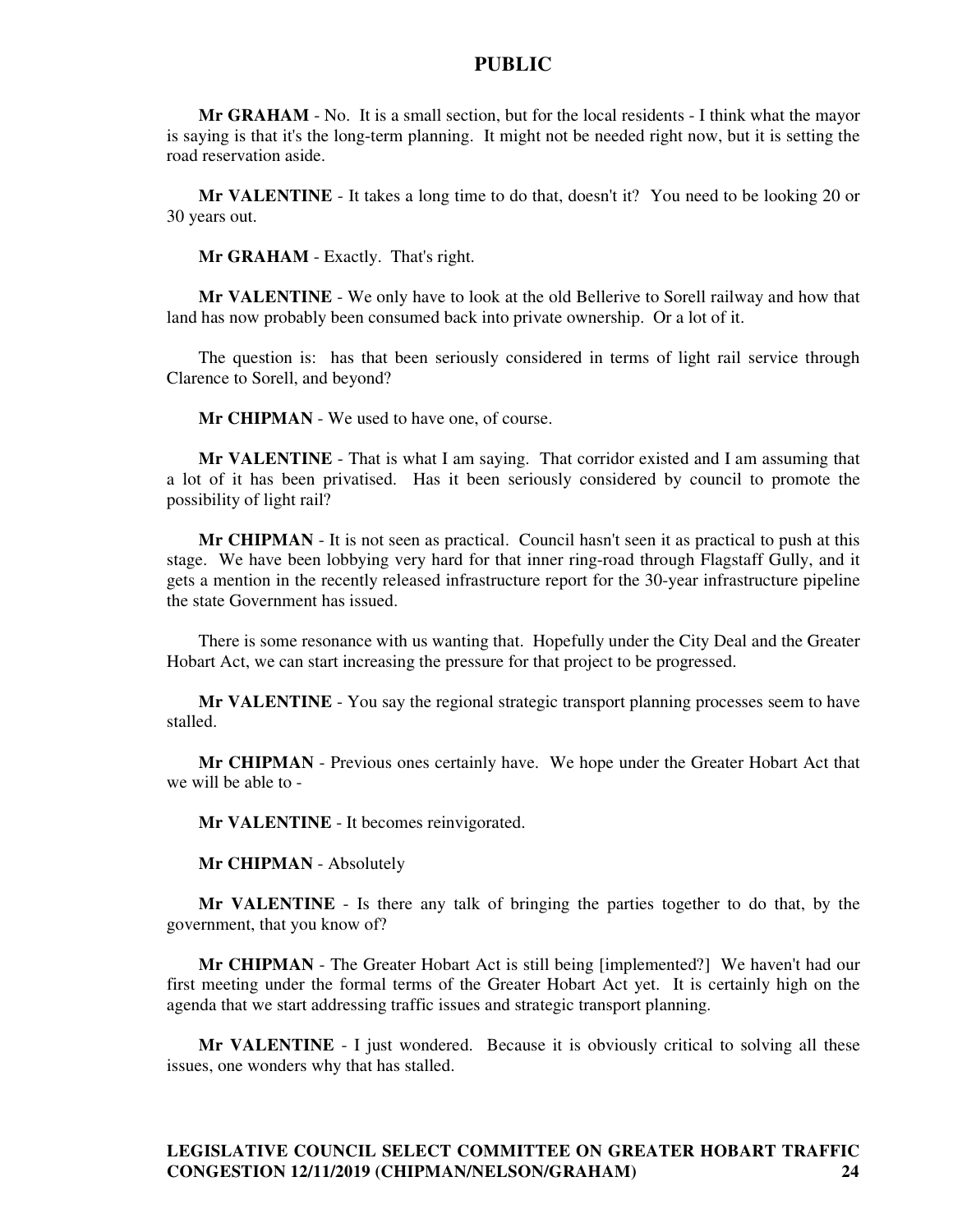**Mr GRAHAM** - No. It is a small section, but for the local residents - I think what the mayor is saying is that it's the long-term planning. It might not be needed right now, but it is setting the road reservation aside.

**Mr VALENTINE** - It takes a long time to do that, doesn't it? You need to be looking 20 or 30 years out.

**Mr GRAHAM** - Exactly. That's right.

**Mr VALENTINE** - We only have to look at the old Bellerive to Sorell railway and how that land has now probably been consumed back into private ownership. Or a lot of it.

The question is: has that been seriously considered in terms of light rail service through Clarence to Sorell, and beyond?

**Mr CHIPMAN** - We used to have one, of course.

**Mr VALENTINE** - That is what I am saying. That corridor existed and I am assuming that a lot of it has been privatised. Has it been seriously considered by council to promote the possibility of light rail?

**Mr CHIPMAN** - It is not seen as practical. Council hasn't seen it as practical to push at this stage. We have been lobbying very hard for that inner ring-road through Flagstaff Gully, and it gets a mention in the recently released infrastructure report for the 30-year infrastructure pipeline the state Government has issued.

There is some resonance with us wanting that. Hopefully under the City Deal and the Greater Hobart Act, we can start increasing the pressure for that project to be progressed.

**Mr VALENTINE** - You say the regional strategic transport planning processes seem to have stalled.

**Mr CHIPMAN** - Previous ones certainly have. We hope under the Greater Hobart Act that we will be able to -

**Mr VALENTINE** - It becomes reinvigorated.

**Mr CHIPMAN** - Absolutely

**Mr VALENTINE** - Is there any talk of bringing the parties together to do that, by the government, that you know of?

**Mr CHIPMAN** - The Greater Hobart Act is still being [implemented?] We haven't had our first meeting under the formal terms of the Greater Hobart Act yet. It is certainly high on the agenda that we start addressing traffic issues and strategic transport planning.

**Mr VALENTINE** - I just wondered. Because it is obviously critical to solving all these issues, one wonders why that has stalled.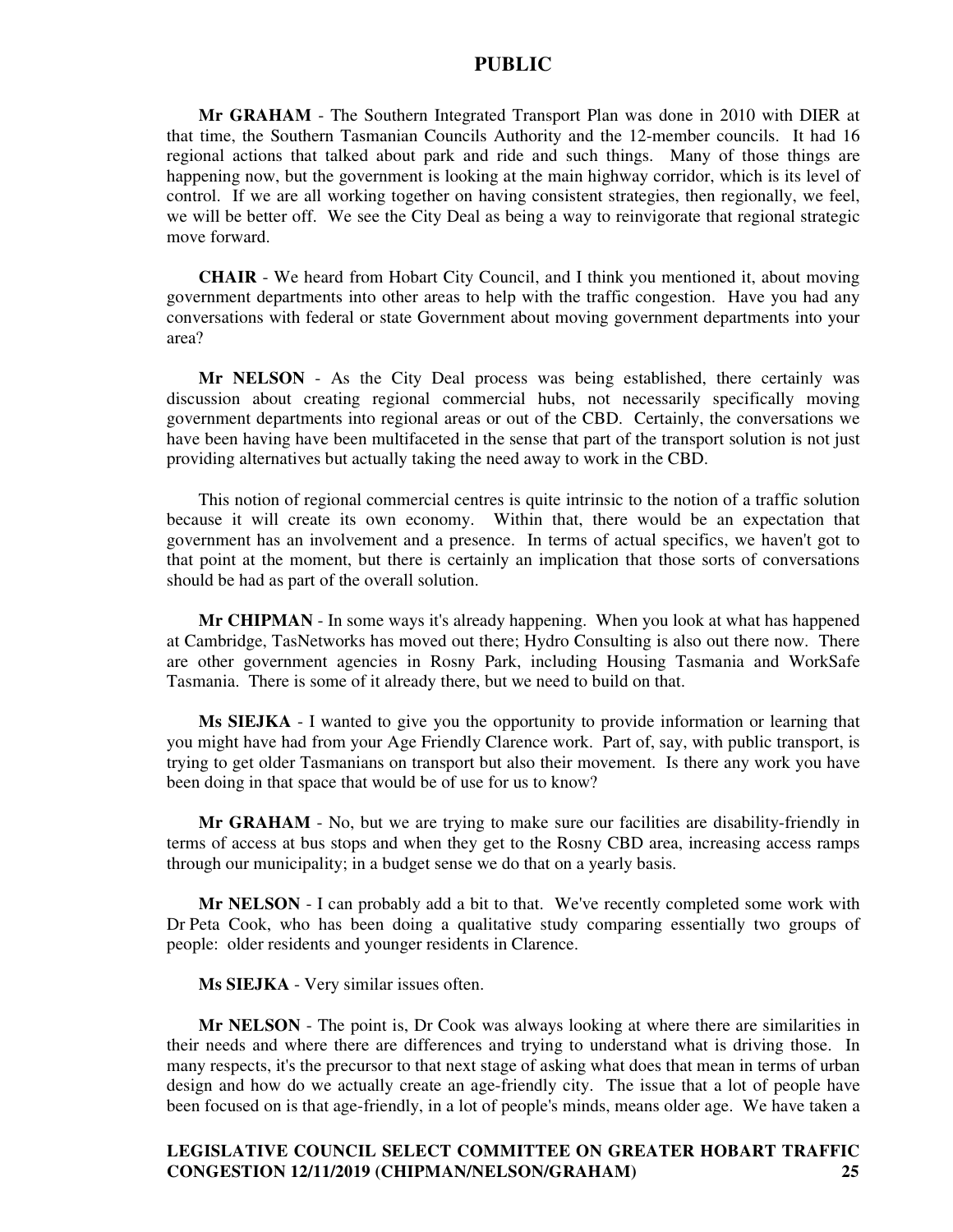**Mr GRAHAM** - The Southern Integrated Transport Plan was done in 2010 with DIER at that time, the Southern Tasmanian Councils Authority and the 12-member councils. It had 16 regional actions that talked about park and ride and such things. Many of those things are happening now, but the government is looking at the main highway corridor, which is its level of control. If we are all working together on having consistent strategies, then regionally, we feel, we will be better off. We see the City Deal as being a way to reinvigorate that regional strategic move forward.

**CHAIR** - We heard from Hobart City Council, and I think you mentioned it, about moving government departments into other areas to help with the traffic congestion. Have you had any conversations with federal or state Government about moving government departments into your area?

**Mr NELSON** - As the City Deal process was being established, there certainly was discussion about creating regional commercial hubs, not necessarily specifically moving government departments into regional areas or out of the CBD. Certainly, the conversations we have been having have been multifaceted in the sense that part of the transport solution is not just providing alternatives but actually taking the need away to work in the CBD.

This notion of regional commercial centres is quite intrinsic to the notion of a traffic solution because it will create its own economy. Within that, there would be an expectation that government has an involvement and a presence. In terms of actual specifics, we haven't got to that point at the moment, but there is certainly an implication that those sorts of conversations should be had as part of the overall solution.

**Mr CHIPMAN** - In some ways it's already happening. When you look at what has happened at Cambridge, TasNetworks has moved out there; Hydro Consulting is also out there now. There are other government agencies in Rosny Park, including Housing Tasmania and WorkSafe Tasmania. There is some of it already there, but we need to build on that.

**Ms SIEJKA** - I wanted to give you the opportunity to provide information or learning that you might have had from your Age Friendly Clarence work. Part of, say, with public transport, is trying to get older Tasmanians on transport but also their movement. Is there any work you have been doing in that space that would be of use for us to know?

**Mr GRAHAM** - No, but we are trying to make sure our facilities are disability-friendly in terms of access at bus stops and when they get to the Rosny CBD area, increasing access ramps through our municipality; in a budget sense we do that on a yearly basis.

**Mr NELSON** - I can probably add a bit to that. We've recently completed some work with Dr Peta Cook, who has been doing a qualitative study comparing essentially two groups of people: older residents and younger residents in Clarence.

**Ms SIEJKA** - Very similar issues often.

**Mr NELSON** - The point is, Dr Cook was always looking at where there are similarities in their needs and where there are differences and trying to understand what is driving those. In many respects, it's the precursor to that next stage of asking what does that mean in terms of urban design and how do we actually create an age-friendly city. The issue that a lot of people have been focused on is that age-friendly, in a lot of people's minds, means older age. We have taken a

## **LEGISLATIVE COUNCIL SELECT COMMITTEE ON GREATER HOBART TRAFFIC CONGESTION 12/11/2019 (CHIPMAN/NELSON/GRAHAM) 25**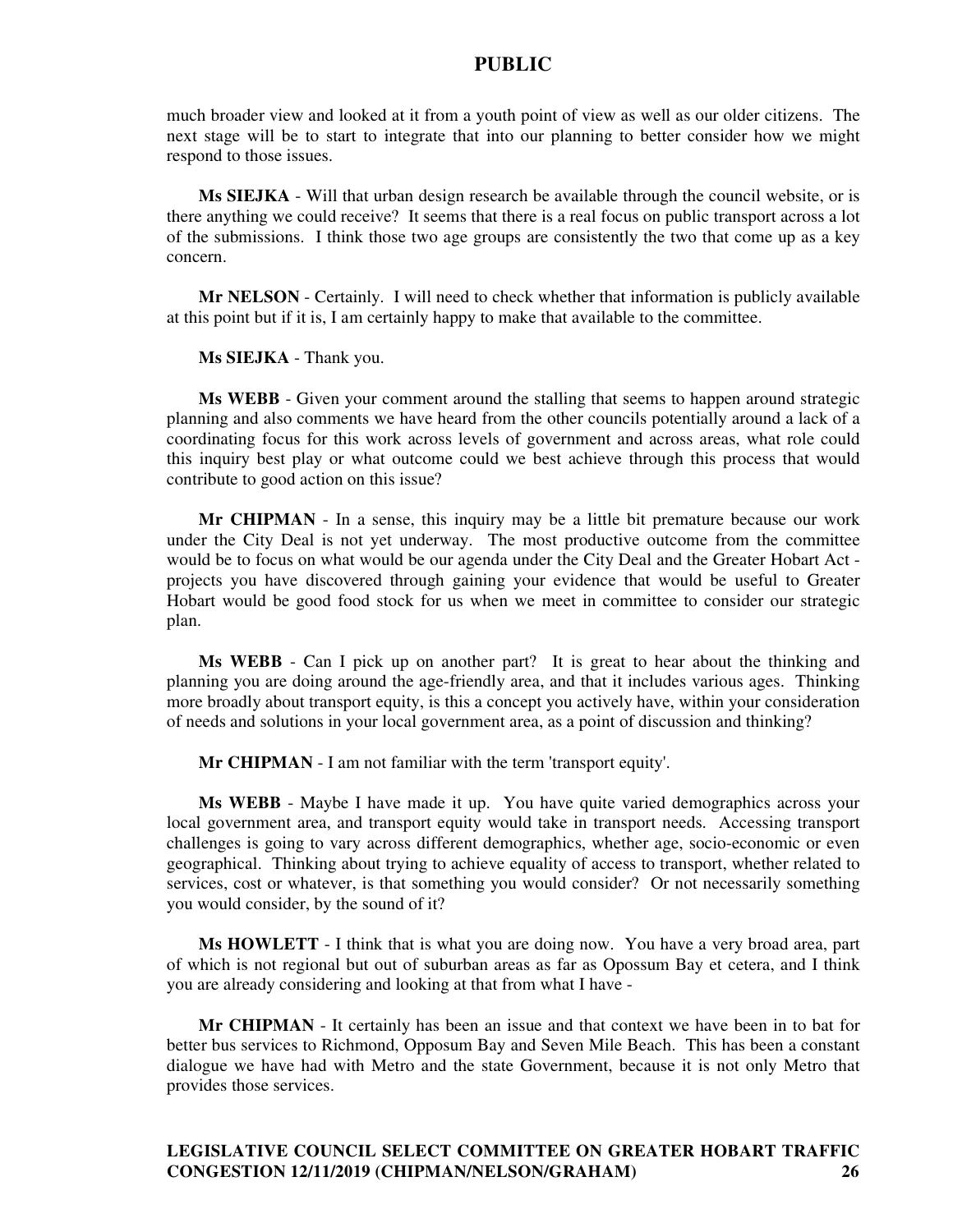much broader view and looked at it from a youth point of view as well as our older citizens. The next stage will be to start to integrate that into our planning to better consider how we might respond to those issues.

**Ms SIEJKA** - Will that urban design research be available through the council website, or is there anything we could receive? It seems that there is a real focus on public transport across a lot of the submissions. I think those two age groups are consistently the two that come up as a key concern.

**Mr NELSON** - Certainly. I will need to check whether that information is publicly available at this point but if it is, I am certainly happy to make that available to the committee.

**Ms SIEJKA** - Thank you.

**Ms WEBB** - Given your comment around the stalling that seems to happen around strategic planning and also comments we have heard from the other councils potentially around a lack of a coordinating focus for this work across levels of government and across areas, what role could this inquiry best play or what outcome could we best achieve through this process that would contribute to good action on this issue?

**Mr CHIPMAN** - In a sense, this inquiry may be a little bit premature because our work under the City Deal is not yet underway. The most productive outcome from the committee would be to focus on what would be our agenda under the City Deal and the Greater Hobart Act projects you have discovered through gaining your evidence that would be useful to Greater Hobart would be good food stock for us when we meet in committee to consider our strategic plan.

**Ms WEBB** - Can I pick up on another part? It is great to hear about the thinking and planning you are doing around the age-friendly area, and that it includes various ages. Thinking more broadly about transport equity, is this a concept you actively have, within your consideration of needs and solutions in your local government area, as a point of discussion and thinking?

**Mr CHIPMAN** - I am not familiar with the term 'transport equity'.

**Ms WEBB** - Maybe I have made it up. You have quite varied demographics across your local government area, and transport equity would take in transport needs. Accessing transport challenges is going to vary across different demographics, whether age, socio-economic or even geographical. Thinking about trying to achieve equality of access to transport, whether related to services, cost or whatever, is that something you would consider? Or not necessarily something you would consider, by the sound of it?

**Ms HOWLETT** - I think that is what you are doing now. You have a very broad area, part of which is not regional but out of suburban areas as far as Opossum Bay et cetera, and I think you are already considering and looking at that from what I have -

**Mr CHIPMAN** - It certainly has been an issue and that context we have been in to bat for better bus services to Richmond, Opposum Bay and Seven Mile Beach. This has been a constant dialogue we have had with Metro and the state Government, because it is not only Metro that provides those services.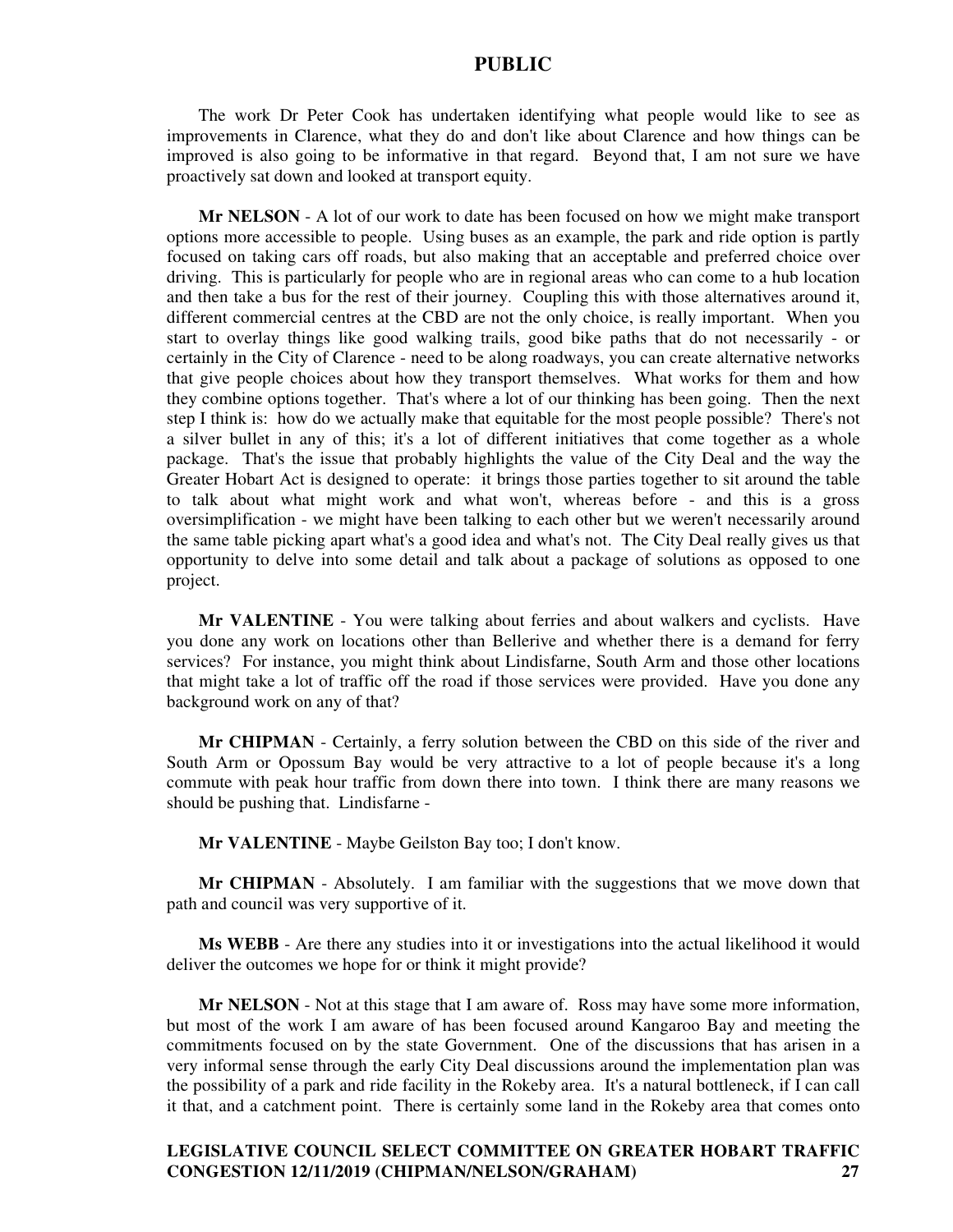The work Dr Peter Cook has undertaken identifying what people would like to see as improvements in Clarence, what they do and don't like about Clarence and how things can be improved is also going to be informative in that regard. Beyond that, I am not sure we have proactively sat down and looked at transport equity.

**Mr NELSON** - A lot of our work to date has been focused on how we might make transport options more accessible to people. Using buses as an example, the park and ride option is partly focused on taking cars off roads, but also making that an acceptable and preferred choice over driving. This is particularly for people who are in regional areas who can come to a hub location and then take a bus for the rest of their journey. Coupling this with those alternatives around it, different commercial centres at the CBD are not the only choice, is really important. When you start to overlay things like good walking trails, good bike paths that do not necessarily - or certainly in the City of Clarence - need to be along roadways, you can create alternative networks that give people choices about how they transport themselves. What works for them and how they combine options together. That's where a lot of our thinking has been going. Then the next step I think is: how do we actually make that equitable for the most people possible? There's not a silver bullet in any of this; it's a lot of different initiatives that come together as a whole package. That's the issue that probably highlights the value of the City Deal and the way the Greater Hobart Act is designed to operate: it brings those parties together to sit around the table to talk about what might work and what won't, whereas before - and this is a gross oversimplification - we might have been talking to each other but we weren't necessarily around the same table picking apart what's a good idea and what's not. The City Deal really gives us that opportunity to delve into some detail and talk about a package of solutions as opposed to one project.

**Mr VALENTINE** - You were talking about ferries and about walkers and cyclists. Have you done any work on locations other than Bellerive and whether there is a demand for ferry services? For instance, you might think about Lindisfarne, South Arm and those other locations that might take a lot of traffic off the road if those services were provided. Have you done any background work on any of that?

**Mr CHIPMAN** - Certainly, a ferry solution between the CBD on this side of the river and South Arm or Opossum Bay would be very attractive to a lot of people because it's a long commute with peak hour traffic from down there into town. I think there are many reasons we should be pushing that. Lindisfarne -

**Mr VALENTINE** - Maybe Geilston Bay too; I don't know.

**Mr CHIPMAN** - Absolutely. I am familiar with the suggestions that we move down that path and council was very supportive of it.

**Ms WEBB** - Are there any studies into it or investigations into the actual likelihood it would deliver the outcomes we hope for or think it might provide?

**Mr NELSON** - Not at this stage that I am aware of. Ross may have some more information, but most of the work I am aware of has been focused around Kangaroo Bay and meeting the commitments focused on by the state Government. One of the discussions that has arisen in a very informal sense through the early City Deal discussions around the implementation plan was the possibility of a park and ride facility in the Rokeby area. It's a natural bottleneck, if I can call it that, and a catchment point. There is certainly some land in the Rokeby area that comes onto

## **LEGISLATIVE COUNCIL SELECT COMMITTEE ON GREATER HOBART TRAFFIC CONGESTION 12/11/2019 (CHIPMAN/NELSON/GRAHAM) 27**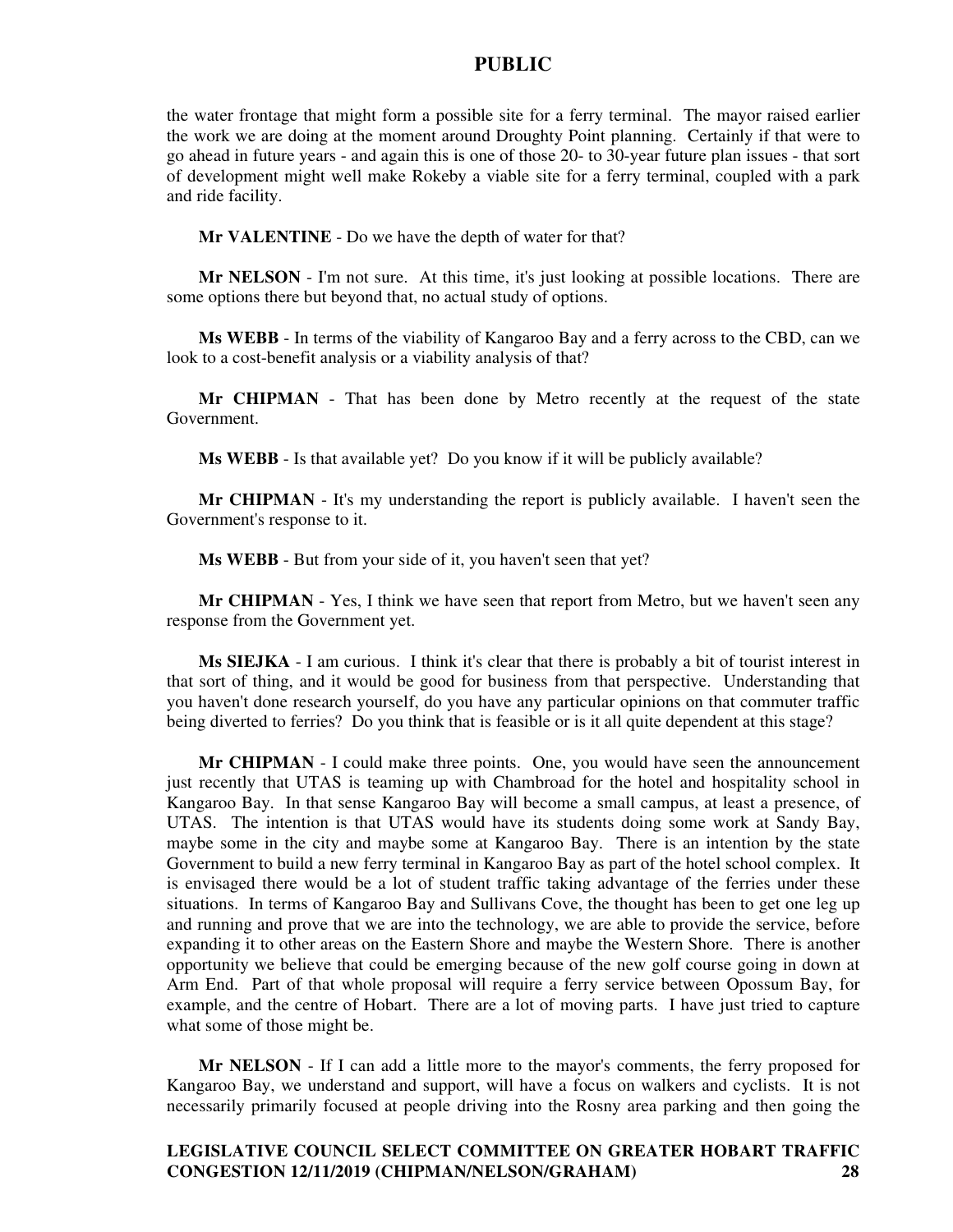the water frontage that might form a possible site for a ferry terminal. The mayor raised earlier the work we are doing at the moment around Droughty Point planning. Certainly if that were to go ahead in future years - and again this is one of those 20- to 30-year future plan issues - that sort of development might well make Rokeby a viable site for a ferry terminal, coupled with a park and ride facility.

**Mr VALENTINE** - Do we have the depth of water for that?

**Mr NELSON** - I'm not sure. At this time, it's just looking at possible locations. There are some options there but beyond that, no actual study of options.

**Ms WEBB** - In terms of the viability of Kangaroo Bay and a ferry across to the CBD, can we look to a cost-benefit analysis or a viability analysis of that?

**Mr CHIPMAN** - That has been done by Metro recently at the request of the state Government.

**Ms WEBB** - Is that available yet? Do you know if it will be publicly available?

**Mr CHIPMAN** - It's my understanding the report is publicly available. I haven't seen the Government's response to it.

**Ms WEBB** - But from your side of it, you haven't seen that yet?

**Mr CHIPMAN** - Yes, I think we have seen that report from Metro, but we haven't seen any response from the Government yet.

**Ms SIEJKA** - I am curious. I think it's clear that there is probably a bit of tourist interest in that sort of thing, and it would be good for business from that perspective. Understanding that you haven't done research yourself, do you have any particular opinions on that commuter traffic being diverted to ferries? Do you think that is feasible or is it all quite dependent at this stage?

**Mr CHIPMAN** - I could make three points. One, you would have seen the announcement just recently that UTAS is teaming up with Chambroad for the hotel and hospitality school in Kangaroo Bay. In that sense Kangaroo Bay will become a small campus, at least a presence, of UTAS. The intention is that UTAS would have its students doing some work at Sandy Bay, maybe some in the city and maybe some at Kangaroo Bay. There is an intention by the state Government to build a new ferry terminal in Kangaroo Bay as part of the hotel school complex. It is envisaged there would be a lot of student traffic taking advantage of the ferries under these situations. In terms of Kangaroo Bay and Sullivans Cove, the thought has been to get one leg up and running and prove that we are into the technology, we are able to provide the service, before expanding it to other areas on the Eastern Shore and maybe the Western Shore. There is another opportunity we believe that could be emerging because of the new golf course going in down at Arm End. Part of that whole proposal will require a ferry service between Opossum Bay, for example, and the centre of Hobart. There are a lot of moving parts. I have just tried to capture what some of those might be.

**Mr NELSON** - If I can add a little more to the mayor's comments, the ferry proposed for Kangaroo Bay, we understand and support, will have a focus on walkers and cyclists. It is not necessarily primarily focused at people driving into the Rosny area parking and then going the

## **LEGISLATIVE COUNCIL SELECT COMMITTEE ON GREATER HOBART TRAFFIC CONGESTION 12/11/2019 (CHIPMAN/NELSON/GRAHAM) 28**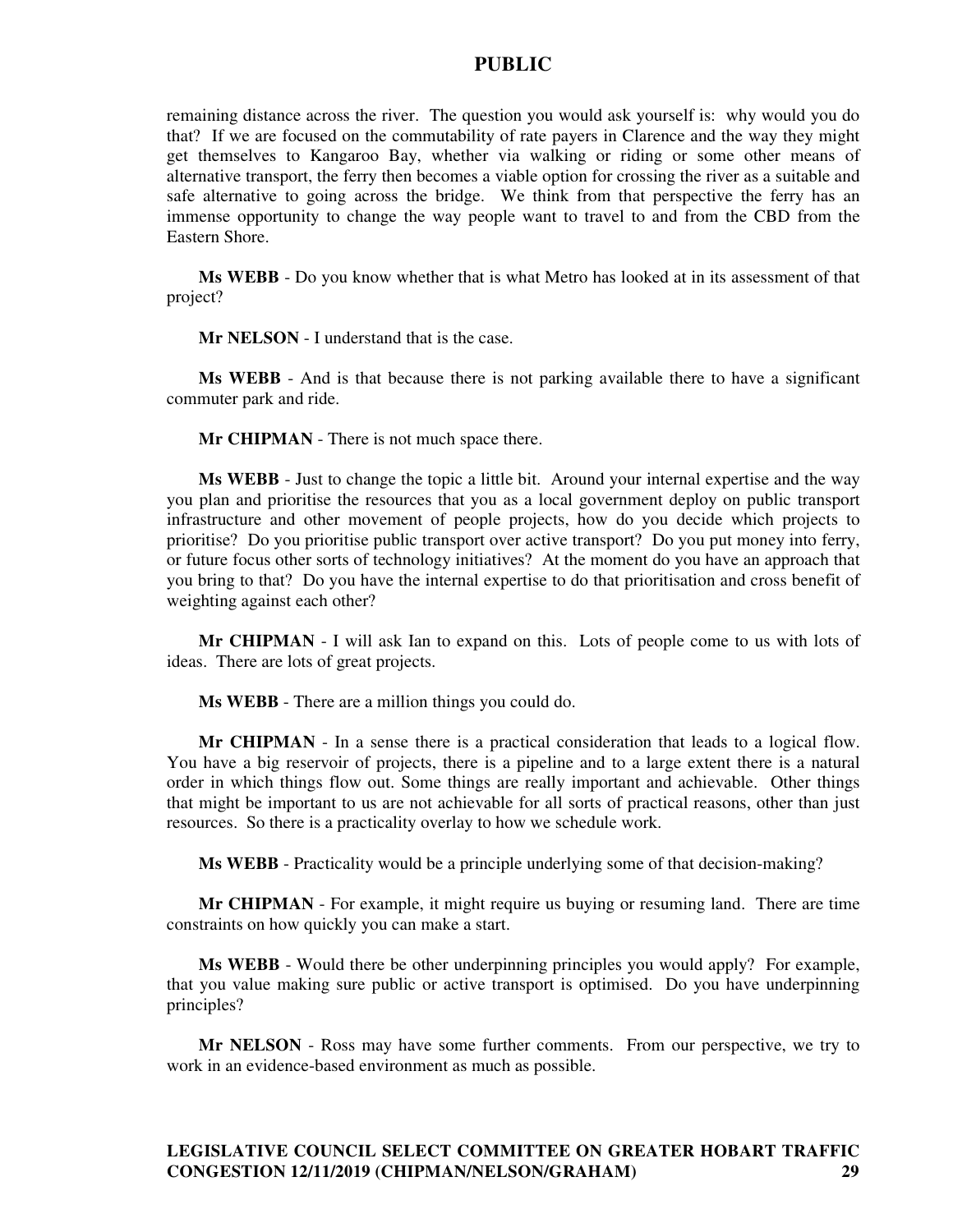remaining distance across the river. The question you would ask yourself is: why would you do that? If we are focused on the commutability of rate payers in Clarence and the way they might get themselves to Kangaroo Bay, whether via walking or riding or some other means of alternative transport, the ferry then becomes a viable option for crossing the river as a suitable and safe alternative to going across the bridge. We think from that perspective the ferry has an immense opportunity to change the way people want to travel to and from the CBD from the Eastern Shore.

**Ms WEBB** - Do you know whether that is what Metro has looked at in its assessment of that project?

**Mr NELSON** - I understand that is the case.

**Ms WEBB** - And is that because there is not parking available there to have a significant commuter park and ride.

**Mr CHIPMAN** - There is not much space there.

**Ms WEBB** - Just to change the topic a little bit. Around your internal expertise and the way you plan and prioritise the resources that you as a local government deploy on public transport infrastructure and other movement of people projects, how do you decide which projects to prioritise? Do you prioritise public transport over active transport? Do you put money into ferry, or future focus other sorts of technology initiatives? At the moment do you have an approach that you bring to that? Do you have the internal expertise to do that prioritisation and cross benefit of weighting against each other?

**Mr CHIPMAN** - I will ask Ian to expand on this. Lots of people come to us with lots of ideas. There are lots of great projects.

**Ms WEBB** - There are a million things you could do.

**Mr CHIPMAN** - In a sense there is a practical consideration that leads to a logical flow. You have a big reservoir of projects, there is a pipeline and to a large extent there is a natural order in which things flow out. Some things are really important and achievable. Other things that might be important to us are not achievable for all sorts of practical reasons, other than just resources. So there is a practicality overlay to how we schedule work.

**Ms WEBB** - Practicality would be a principle underlying some of that decision-making?

**Mr CHIPMAN** - For example, it might require us buying or resuming land. There are time constraints on how quickly you can make a start.

**Ms WEBB** - Would there be other underpinning principles you would apply? For example, that you value making sure public or active transport is optimised. Do you have underpinning principles?

**Mr NELSON** - Ross may have some further comments. From our perspective, we try to work in an evidence-based environment as much as possible.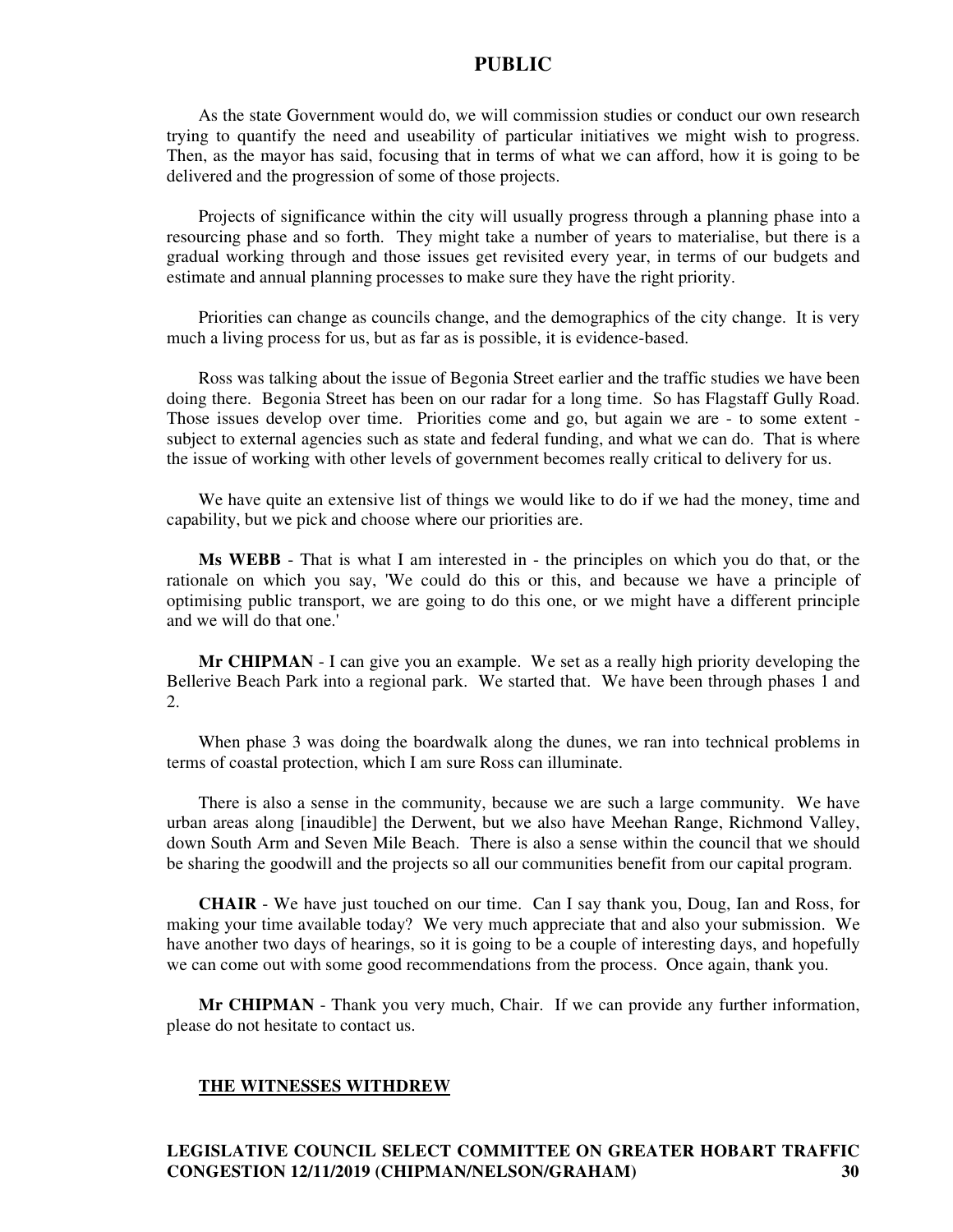As the state Government would do, we will commission studies or conduct our own research trying to quantify the need and useability of particular initiatives we might wish to progress. Then, as the mayor has said, focusing that in terms of what we can afford, how it is going to be delivered and the progression of some of those projects.

Projects of significance within the city will usually progress through a planning phase into a resourcing phase and so forth. They might take a number of years to materialise, but there is a gradual working through and those issues get revisited every year, in terms of our budgets and estimate and annual planning processes to make sure they have the right priority.

Priorities can change as councils change, and the demographics of the city change. It is very much a living process for us, but as far as is possible, it is evidence-based.

Ross was talking about the issue of Begonia Street earlier and the traffic studies we have been doing there. Begonia Street has been on our radar for a long time. So has Flagstaff Gully Road. Those issues develop over time. Priorities come and go, but again we are - to some extent subject to external agencies such as state and federal funding, and what we can do. That is where the issue of working with other levels of government becomes really critical to delivery for us.

We have quite an extensive list of things we would like to do if we had the money, time and capability, but we pick and choose where our priorities are.

**Ms WEBB** - That is what I am interested in - the principles on which you do that, or the rationale on which you say, 'We could do this or this, and because we have a principle of optimising public transport, we are going to do this one, or we might have a different principle and we will do that one.'

**Mr CHIPMAN** - I can give you an example. We set as a really high priority developing the Bellerive Beach Park into a regional park. We started that. We have been through phases 1 and 2.

When phase 3 was doing the boardwalk along the dunes, we ran into technical problems in terms of coastal protection, which I am sure Ross can illuminate.

There is also a sense in the community, because we are such a large community. We have urban areas along [inaudible] the Derwent, but we also have Meehan Range, Richmond Valley, down South Arm and Seven Mile Beach. There is also a sense within the council that we should be sharing the goodwill and the projects so all our communities benefit from our capital program.

**CHAIR** - We have just touched on our time. Can I say thank you, Doug, Ian and Ross, for making your time available today? We very much appreciate that and also your submission. We have another two days of hearings, so it is going to be a couple of interesting days, and hopefully we can come out with some good recommendations from the process. Once again, thank you.

**Mr CHIPMAN** - Thank you very much, Chair. If we can provide any further information, please do not hesitate to contact us.

#### **THE WITNESSES WITHDREW**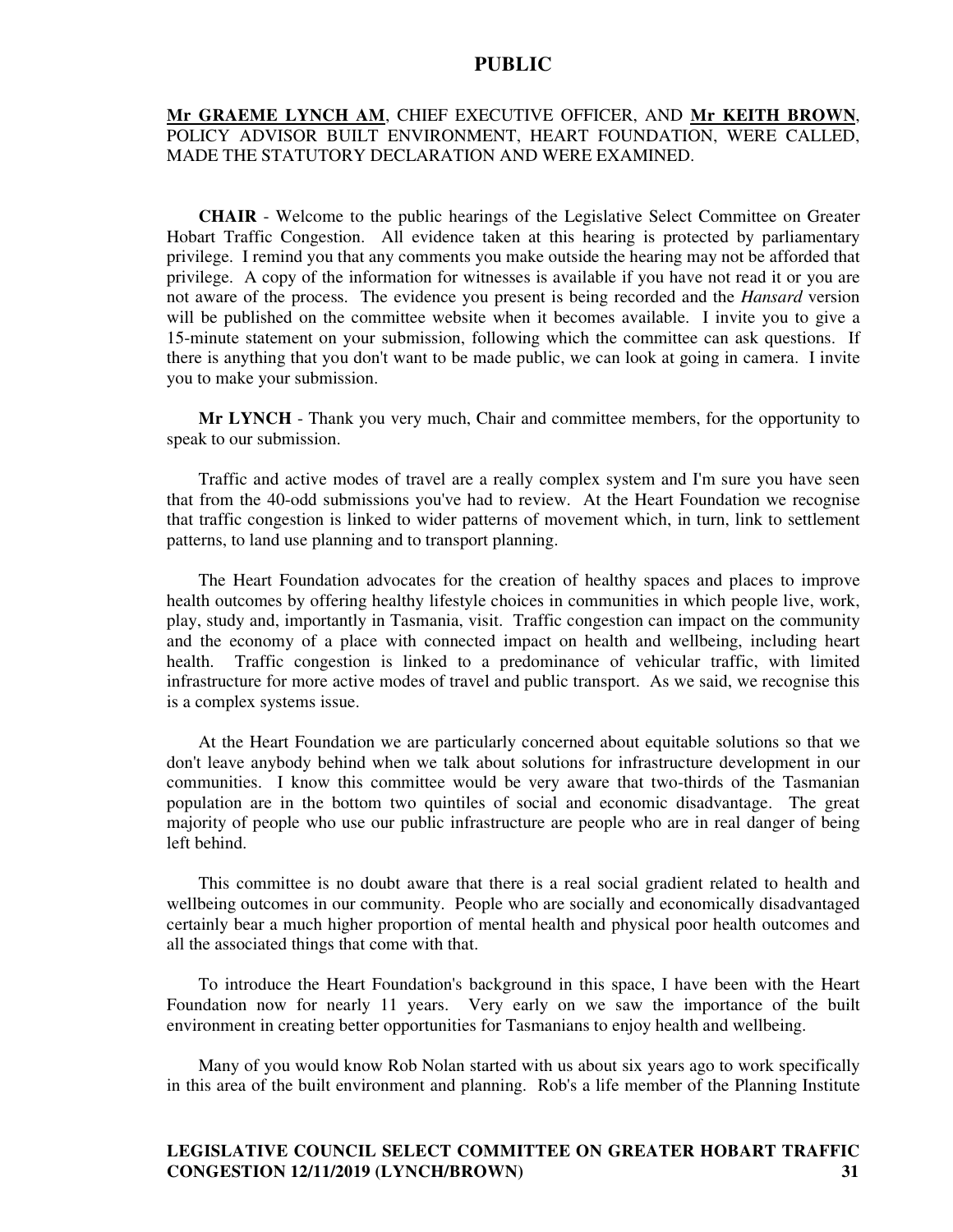### **Mr GRAEME LYNCH AM**, CHIEF EXECUTIVE OFFICER, AND **Mr KEITH BROWN**, POLICY ADVISOR BUILT ENVIRONMENT, HEART FOUNDATION, WERE CALLED, MADE THE STATUTORY DECLARATION AND WERE EXAMINED.

**CHAIR** - Welcome to the public hearings of the Legislative Select Committee on Greater Hobart Traffic Congestion. All evidence taken at this hearing is protected by parliamentary privilege. I remind you that any comments you make outside the hearing may not be afforded that privilege. A copy of the information for witnesses is available if you have not read it or you are not aware of the process. The evidence you present is being recorded and the *Hansard* version will be published on the committee website when it becomes available. I invite you to give a 15-minute statement on your submission, following which the committee can ask questions. If there is anything that you don't want to be made public, we can look at going in camera. I invite you to make your submission.

**Mr LYNCH** - Thank you very much, Chair and committee members, for the opportunity to speak to our submission.

Traffic and active modes of travel are a really complex system and I'm sure you have seen that from the 40-odd submissions you've had to review. At the Heart Foundation we recognise that traffic congestion is linked to wider patterns of movement which, in turn, link to settlement patterns, to land use planning and to transport planning.

The Heart Foundation advocates for the creation of healthy spaces and places to improve health outcomes by offering healthy lifestyle choices in communities in which people live, work, play, study and, importantly in Tasmania, visit. Traffic congestion can impact on the community and the economy of a place with connected impact on health and wellbeing, including heart health. Traffic congestion is linked to a predominance of vehicular traffic, with limited infrastructure for more active modes of travel and public transport. As we said, we recognise this is a complex systems issue.

At the Heart Foundation we are particularly concerned about equitable solutions so that we don't leave anybody behind when we talk about solutions for infrastructure development in our communities. I know this committee would be very aware that two-thirds of the Tasmanian population are in the bottom two quintiles of social and economic disadvantage. The great majority of people who use our public infrastructure are people who are in real danger of being left behind.

This committee is no doubt aware that there is a real social gradient related to health and wellbeing outcomes in our community. People who are socially and economically disadvantaged certainly bear a much higher proportion of mental health and physical poor health outcomes and all the associated things that come with that.

To introduce the Heart Foundation's background in this space, I have been with the Heart Foundation now for nearly 11 years. Very early on we saw the importance of the built environment in creating better opportunities for Tasmanians to enjoy health and wellbeing.

Many of you would know Rob Nolan started with us about six years ago to work specifically in this area of the built environment and planning. Rob's a life member of the Planning Institute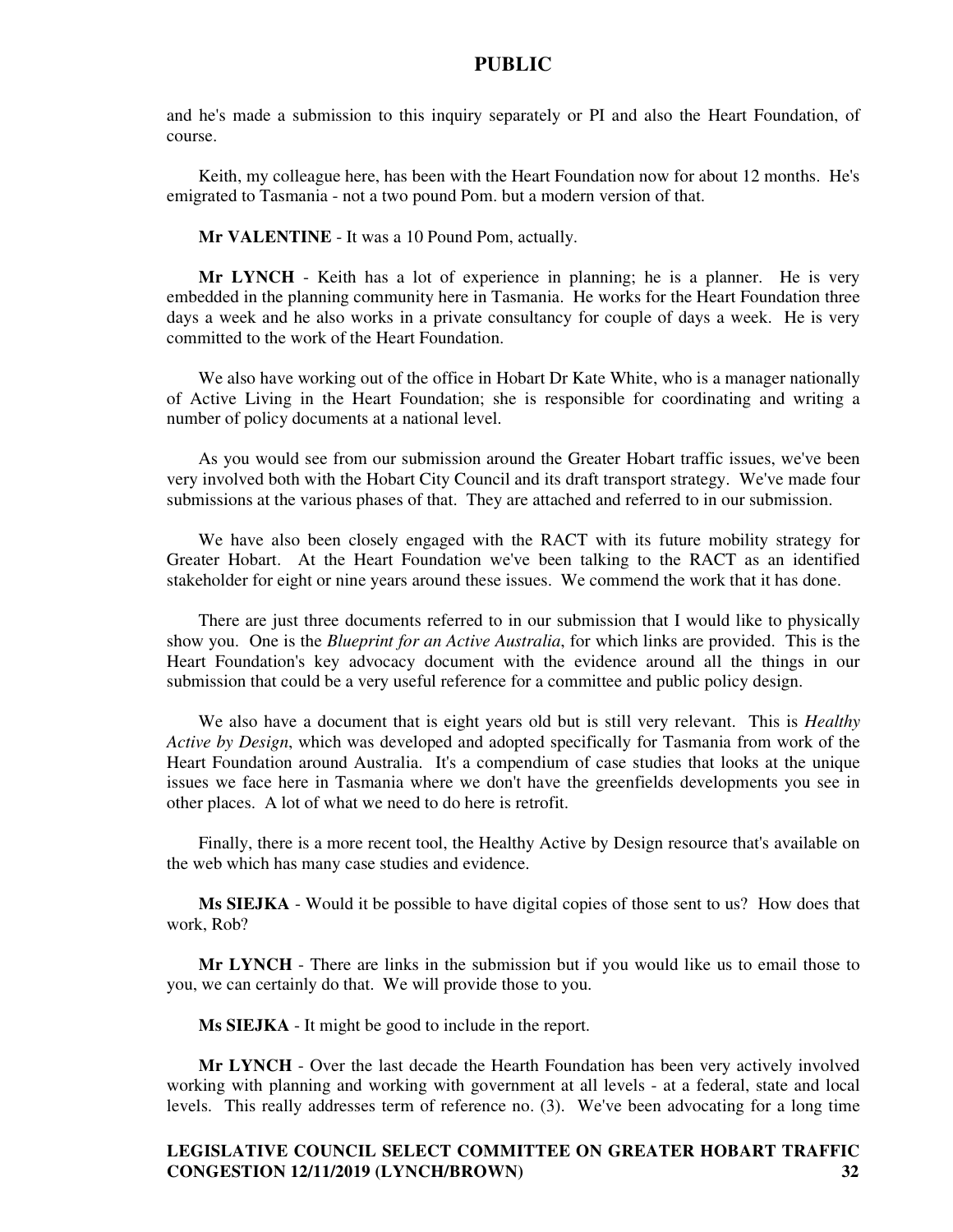and he's made a submission to this inquiry separately or PI and also the Heart Foundation, of course.

Keith, my colleague here, has been with the Heart Foundation now for about 12 months. He's emigrated to Tasmania - not a two pound Pom. but a modern version of that.

**Mr VALENTINE** - It was a 10 Pound Pom, actually.

**Mr LYNCH** - Keith has a lot of experience in planning; he is a planner. He is very embedded in the planning community here in Tasmania. He works for the Heart Foundation three days a week and he also works in a private consultancy for couple of days a week. He is very committed to the work of the Heart Foundation.

We also have working out of the office in Hobart Dr Kate White, who is a manager nationally of Active Living in the Heart Foundation; she is responsible for coordinating and writing a number of policy documents at a national level.

As you would see from our submission around the Greater Hobart traffic issues, we've been very involved both with the Hobart City Council and its draft transport strategy. We've made four submissions at the various phases of that. They are attached and referred to in our submission.

We have also been closely engaged with the RACT with its future mobility strategy for Greater Hobart. At the Heart Foundation we've been talking to the RACT as an identified stakeholder for eight or nine years around these issues. We commend the work that it has done.

There are just three documents referred to in our submission that I would like to physically show you. One is the *Blueprint for an Active Australia*, for which links are provided. This is the Heart Foundation's key advocacy document with the evidence around all the things in our submission that could be a very useful reference for a committee and public policy design.

We also have a document that is eight years old but is still very relevant. This is *Healthy Active by Design*, which was developed and adopted specifically for Tasmania from work of the Heart Foundation around Australia. It's a compendium of case studies that looks at the unique issues we face here in Tasmania where we don't have the greenfields developments you see in other places. A lot of what we need to do here is retrofit.

Finally, there is a more recent tool, the Healthy Active by Design resource that's available on the web which has many case studies and evidence.

**Ms SIEJKA** - Would it be possible to have digital copies of those sent to us? How does that work, Rob?

**Mr LYNCH** - There are links in the submission but if you would like us to email those to you, we can certainly do that. We will provide those to you.

**Ms SIEJKA** - It might be good to include in the report.

**Mr LYNCH** - Over the last decade the Hearth Foundation has been very actively involved working with planning and working with government at all levels - at a federal, state and local levels. This really addresses term of reference no. (3). We've been advocating for a long time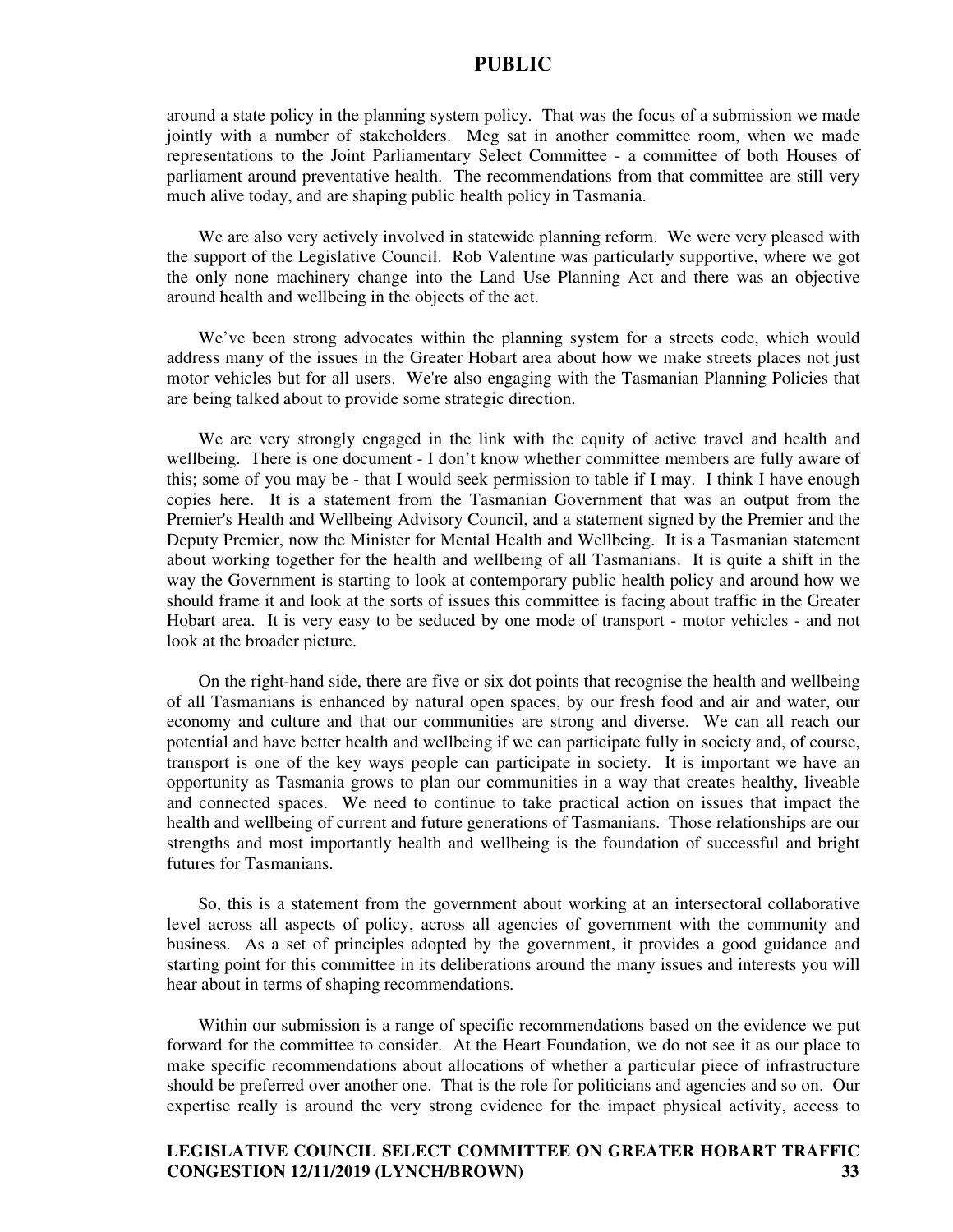around a state policy in the planning system policy. That was the focus of a submission we made jointly with a number of stakeholders. Meg sat in another committee room, when we made representations to the Joint Parliamentary Select Committee - a committee of both Houses of parliament around preventative health. The recommendations from that committee are still very much alive today, and are shaping public health policy in Tasmania.

We are also very actively involved in statewide planning reform. We were very pleased with the support of the Legislative Council. Rob Valentine was particularly supportive, where we got the only none machinery change into the Land Use Planning Act and there was an objective around health and wellbeing in the objects of the act.

We've been strong advocates within the planning system for a streets code, which would address many of the issues in the Greater Hobart area about how we make streets places not just motor vehicles but for all users. We're also engaging with the Tasmanian Planning Policies that are being talked about to provide some strategic direction.

We are very strongly engaged in the link with the equity of active travel and health and wellbeing. There is one document - I don't know whether committee members are fully aware of this; some of you may be - that I would seek permission to table if I may. I think I have enough copies here. It is a statement from the Tasmanian Government that was an output from the Premier's Health and Wellbeing Advisory Council, and a statement signed by the Premier and the Deputy Premier, now the Minister for Mental Health and Wellbeing. It is a Tasmanian statement about working together for the health and wellbeing of all Tasmanians. It is quite a shift in the way the Government is starting to look at contemporary public health policy and around how we should frame it and look at the sorts of issues this committee is facing about traffic in the Greater Hobart area. It is very easy to be seduced by one mode of transport - motor vehicles - and not look at the broader picture.

On the right-hand side, there are five or six dot points that recognise the health and wellbeing of all Tasmanians is enhanced by natural open spaces, by our fresh food and air and water, our economy and culture and that our communities are strong and diverse. We can all reach our potential and have better health and wellbeing if we can participate fully in society and, of course, transport is one of the key ways people can participate in society. It is important we have an opportunity as Tasmania grows to plan our communities in a way that creates healthy, liveable and connected spaces. We need to continue to take practical action on issues that impact the health and wellbeing of current and future generations of Tasmanians. Those relationships are our strengths and most importantly health and wellbeing is the foundation of successful and bright futures for Tasmanians.

So, this is a statement from the government about working at an intersectoral collaborative level across all aspects of policy, across all agencies of government with the community and business. As a set of principles adopted by the government, it provides a good guidance and starting point for this committee in its deliberations around the many issues and interests you will hear about in terms of shaping recommendations.

Within our submission is a range of specific recommendations based on the evidence we put forward for the committee to consider. At the Heart Foundation, we do not see it as our place to make specific recommendations about allocations of whether a particular piece of infrastructure should be preferred over another one. That is the role for politicians and agencies and so on. Our expertise really is around the very strong evidence for the impact physical activity, access to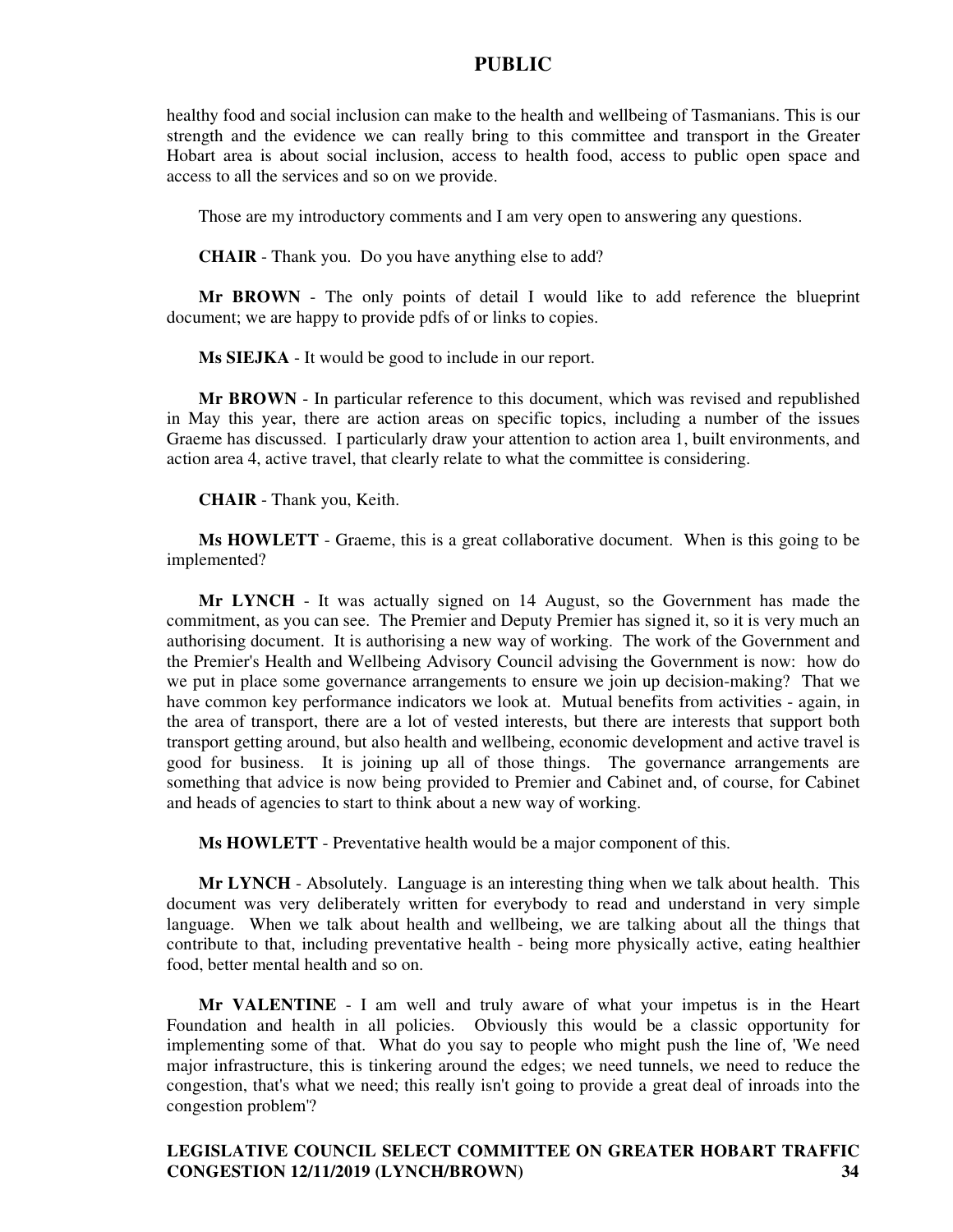healthy food and social inclusion can make to the health and wellbeing of Tasmanians. This is our strength and the evidence we can really bring to this committee and transport in the Greater Hobart area is about social inclusion, access to health food, access to public open space and access to all the services and so on we provide.

Those are my introductory comments and I am very open to answering any questions.

**CHAIR** - Thank you. Do you have anything else to add?

**Mr BROWN** - The only points of detail I would like to add reference the blueprint document; we are happy to provide pdfs of or links to copies.

**Ms SIEJKA** - It would be good to include in our report.

**Mr BROWN** - In particular reference to this document, which was revised and republished in May this year, there are action areas on specific topics, including a number of the issues Graeme has discussed. I particularly draw your attention to action area 1, built environments, and action area 4, active travel, that clearly relate to what the committee is considering.

**CHAIR** - Thank you, Keith.

**Ms HOWLETT** - Graeme, this is a great collaborative document. When is this going to be implemented?

**Mr LYNCH** - It was actually signed on 14 August, so the Government has made the commitment, as you can see. The Premier and Deputy Premier has signed it, so it is very much an authorising document. It is authorising a new way of working. The work of the Government and the Premier's Health and Wellbeing Advisory Council advising the Government is now: how do we put in place some governance arrangements to ensure we join up decision-making? That we have common key performance indicators we look at. Mutual benefits from activities - again, in the area of transport, there are a lot of vested interests, but there are interests that support both transport getting around, but also health and wellbeing, economic development and active travel is good for business. It is joining up all of those things. The governance arrangements are something that advice is now being provided to Premier and Cabinet and, of course, for Cabinet and heads of agencies to start to think about a new way of working.

**Ms HOWLETT** - Preventative health would be a major component of this.

**Mr LYNCH** - Absolutely. Language is an interesting thing when we talk about health. This document was very deliberately written for everybody to read and understand in very simple language. When we talk about health and wellbeing, we are talking about all the things that contribute to that, including preventative health - being more physically active, eating healthier food, better mental health and so on.

**Mr VALENTINE** - I am well and truly aware of what your impetus is in the Heart Foundation and health in all policies. Obviously this would be a classic opportunity for implementing some of that. What do you say to people who might push the line of, 'We need major infrastructure, this is tinkering around the edges; we need tunnels, we need to reduce the congestion, that's what we need; this really isn't going to provide a great deal of inroads into the congestion problem'?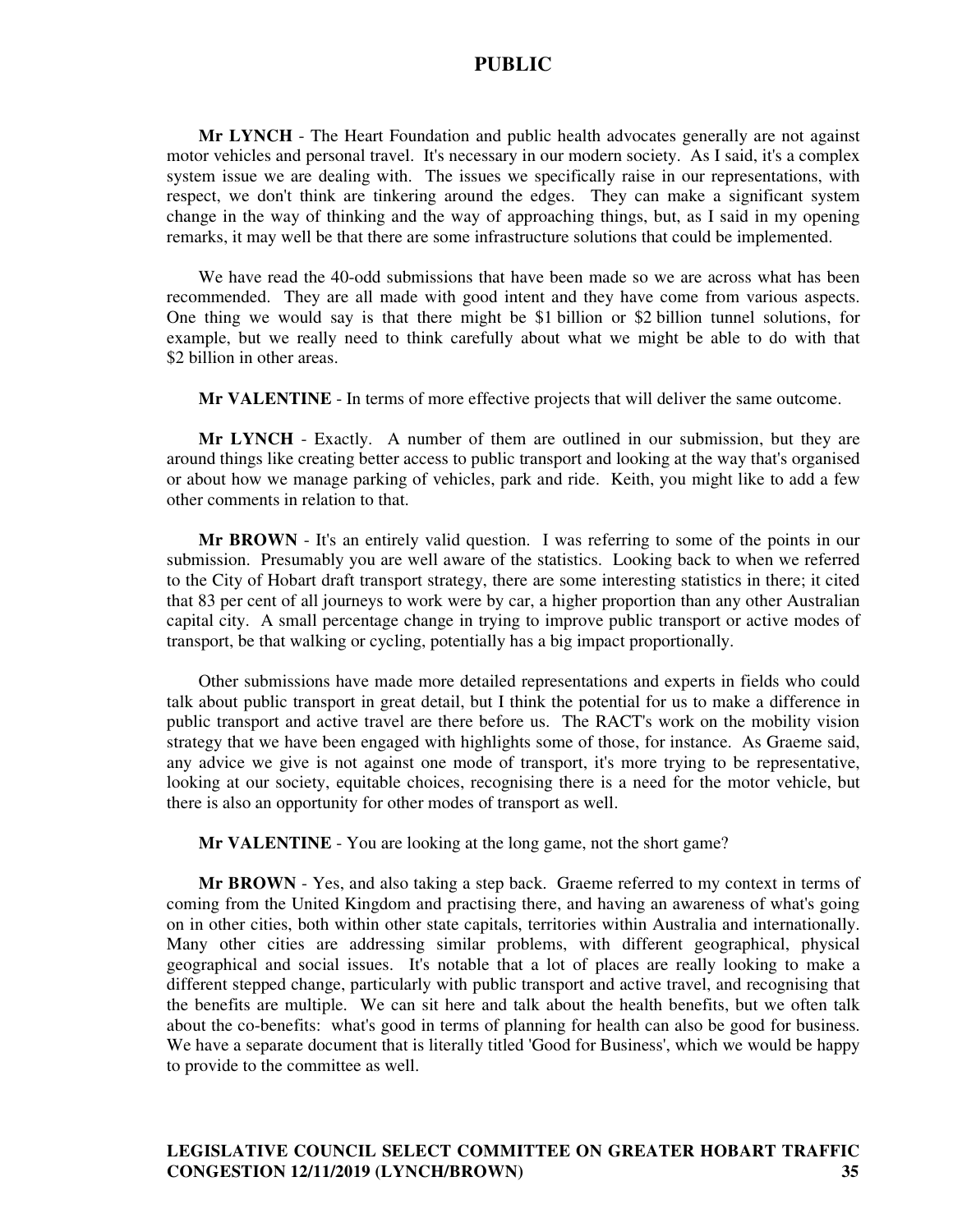**Mr LYNCH** - The Heart Foundation and public health advocates generally are not against motor vehicles and personal travel. It's necessary in our modern society. As I said, it's a complex system issue we are dealing with. The issues we specifically raise in our representations, with respect, we don't think are tinkering around the edges. They can make a significant system change in the way of thinking and the way of approaching things, but, as I said in my opening remarks, it may well be that there are some infrastructure solutions that could be implemented.

We have read the 40-odd submissions that have been made so we are across what has been recommended. They are all made with good intent and they have come from various aspects. One thing we would say is that there might be \$1 billion or \$2 billion tunnel solutions, for example, but we really need to think carefully about what we might be able to do with that \$2 billion in other areas.

**Mr VALENTINE** - In terms of more effective projects that will deliver the same outcome.

**Mr LYNCH** - Exactly. A number of them are outlined in our submission, but they are around things like creating better access to public transport and looking at the way that's organised or about how we manage parking of vehicles, park and ride. Keith, you might like to add a few other comments in relation to that.

**Mr BROWN** - It's an entirely valid question. I was referring to some of the points in our submission. Presumably you are well aware of the statistics. Looking back to when we referred to the City of Hobart draft transport strategy, there are some interesting statistics in there; it cited that 83 per cent of all journeys to work were by car, a higher proportion than any other Australian capital city. A small percentage change in trying to improve public transport or active modes of transport, be that walking or cycling, potentially has a big impact proportionally.

Other submissions have made more detailed representations and experts in fields who could talk about public transport in great detail, but I think the potential for us to make a difference in public transport and active travel are there before us. The RACT's work on the mobility vision strategy that we have been engaged with highlights some of those, for instance. As Graeme said, any advice we give is not against one mode of transport, it's more trying to be representative, looking at our society, equitable choices, recognising there is a need for the motor vehicle, but there is also an opportunity for other modes of transport as well.

**Mr VALENTINE** - You are looking at the long game, not the short game?

**Mr BROWN** - Yes, and also taking a step back. Graeme referred to my context in terms of coming from the United Kingdom and practising there, and having an awareness of what's going on in other cities, both within other state capitals, territories within Australia and internationally. Many other cities are addressing similar problems, with different geographical, physical geographical and social issues. It's notable that a lot of places are really looking to make a different stepped change, particularly with public transport and active travel, and recognising that the benefits are multiple. We can sit here and talk about the health benefits, but we often talk about the co-benefits: what's good in terms of planning for health can also be good for business. We have a separate document that is literally titled 'Good for Business', which we would be happy to provide to the committee as well.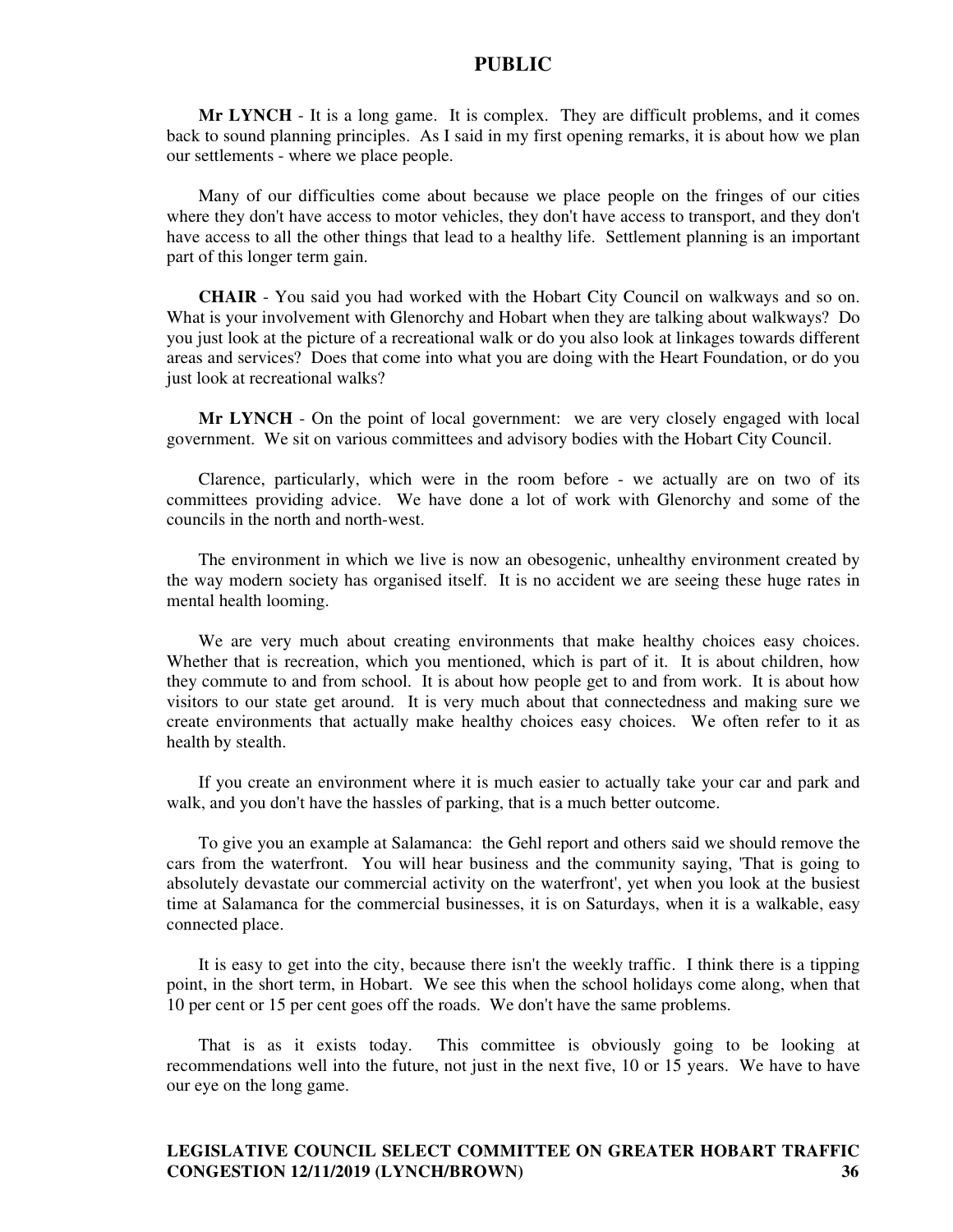**Mr LYNCH** - It is a long game. It is complex. They are difficult problems, and it comes back to sound planning principles. As I said in my first opening remarks, it is about how we plan our settlements - where we place people.

Many of our difficulties come about because we place people on the fringes of our cities where they don't have access to motor vehicles, they don't have access to transport, and they don't have access to all the other things that lead to a healthy life. Settlement planning is an important part of this longer term gain.

**CHAIR** - You said you had worked with the Hobart City Council on walkways and so on. What is your involvement with Glenorchy and Hobart when they are talking about walkways? Do you just look at the picture of a recreational walk or do you also look at linkages towards different areas and services? Does that come into what you are doing with the Heart Foundation, or do you just look at recreational walks?

**Mr LYNCH** - On the point of local government: we are very closely engaged with local government. We sit on various committees and advisory bodies with the Hobart City Council.

Clarence, particularly, which were in the room before - we actually are on two of its committees providing advice. We have done a lot of work with Glenorchy and some of the councils in the north and north-west.

The environment in which we live is now an obesogenic, unhealthy environment created by the way modern society has organised itself. It is no accident we are seeing these huge rates in mental health looming.

We are very much about creating environments that make healthy choices easy choices. Whether that is recreation, which you mentioned, which is part of it. It is about children, how they commute to and from school. It is about how people get to and from work. It is about how visitors to our state get around. It is very much about that connectedness and making sure we create environments that actually make healthy choices easy choices. We often refer to it as health by stealth.

If you create an environment where it is much easier to actually take your car and park and walk, and you don't have the hassles of parking, that is a much better outcome.

To give you an example at Salamanca: the Gehl report and others said we should remove the cars from the waterfront. You will hear business and the community saying, 'That is going to absolutely devastate our commercial activity on the waterfront', yet when you look at the busiest time at Salamanca for the commercial businesses, it is on Saturdays, when it is a walkable, easy connected place.

It is easy to get into the city, because there isn't the weekly traffic. I think there is a tipping point, in the short term, in Hobart. We see this when the school holidays come along, when that 10 per cent or 15 per cent goes off the roads. We don't have the same problems.

That is as it exists today. This committee is obviously going to be looking at recommendations well into the future, not just in the next five, 10 or 15 years. We have to have our eye on the long game.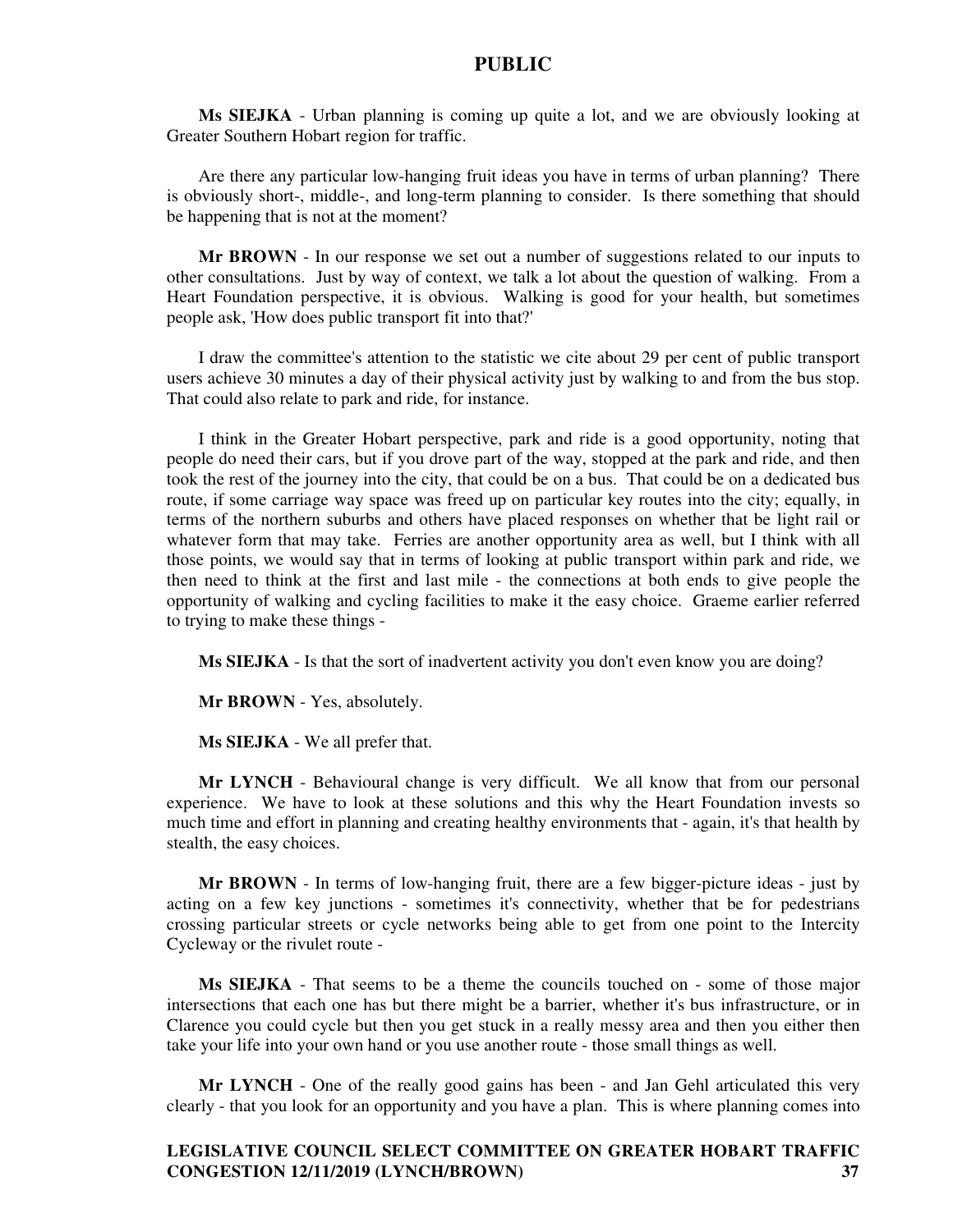**Ms SIEJKA** - Urban planning is coming up quite a lot, and we are obviously looking at Greater Southern Hobart region for traffic.

Are there any particular low-hanging fruit ideas you have in terms of urban planning? There is obviously short-, middle-, and long-term planning to consider. Is there something that should be happening that is not at the moment?

**Mr BROWN** - In our response we set out a number of suggestions related to our inputs to other consultations. Just by way of context, we talk a lot about the question of walking. From a Heart Foundation perspective, it is obvious. Walking is good for your health, but sometimes people ask, 'How does public transport fit into that?'

I draw the committee's attention to the statistic we cite about 29 per cent of public transport users achieve 30 minutes a day of their physical activity just by walking to and from the bus stop. That could also relate to park and ride, for instance.

I think in the Greater Hobart perspective, park and ride is a good opportunity, noting that people do need their cars, but if you drove part of the way, stopped at the park and ride, and then took the rest of the journey into the city, that could be on a bus. That could be on a dedicated bus route, if some carriage way space was freed up on particular key routes into the city; equally, in terms of the northern suburbs and others have placed responses on whether that be light rail or whatever form that may take. Ferries are another opportunity area as well, but I think with all those points, we would say that in terms of looking at public transport within park and ride, we then need to think at the first and last mile - the connections at both ends to give people the opportunity of walking and cycling facilities to make it the easy choice. Graeme earlier referred to trying to make these things -

**Ms SIEJKA** - Is that the sort of inadvertent activity you don't even know you are doing?

**Mr BROWN** - Yes, absolutely.

**Ms SIEJKA** - We all prefer that.

**Mr LYNCH** - Behavioural change is very difficult. We all know that from our personal experience. We have to look at these solutions and this why the Heart Foundation invests so much time and effort in planning and creating healthy environments that - again, it's that health by stealth, the easy choices.

**Mr BROWN** - In terms of low-hanging fruit, there are a few bigger-picture ideas - just by acting on a few key junctions - sometimes it's connectivity, whether that be for pedestrians crossing particular streets or cycle networks being able to get from one point to the Intercity Cycleway or the rivulet route -

**Ms SIEJKA** - That seems to be a theme the councils touched on - some of those major intersections that each one has but there might be a barrier, whether it's bus infrastructure, or in Clarence you could cycle but then you get stuck in a really messy area and then you either then take your life into your own hand or you use another route - those small things as well.

**Mr LYNCH** - One of the really good gains has been - and Jan Gehl articulated this very clearly - that you look for an opportunity and you have a plan. This is where planning comes into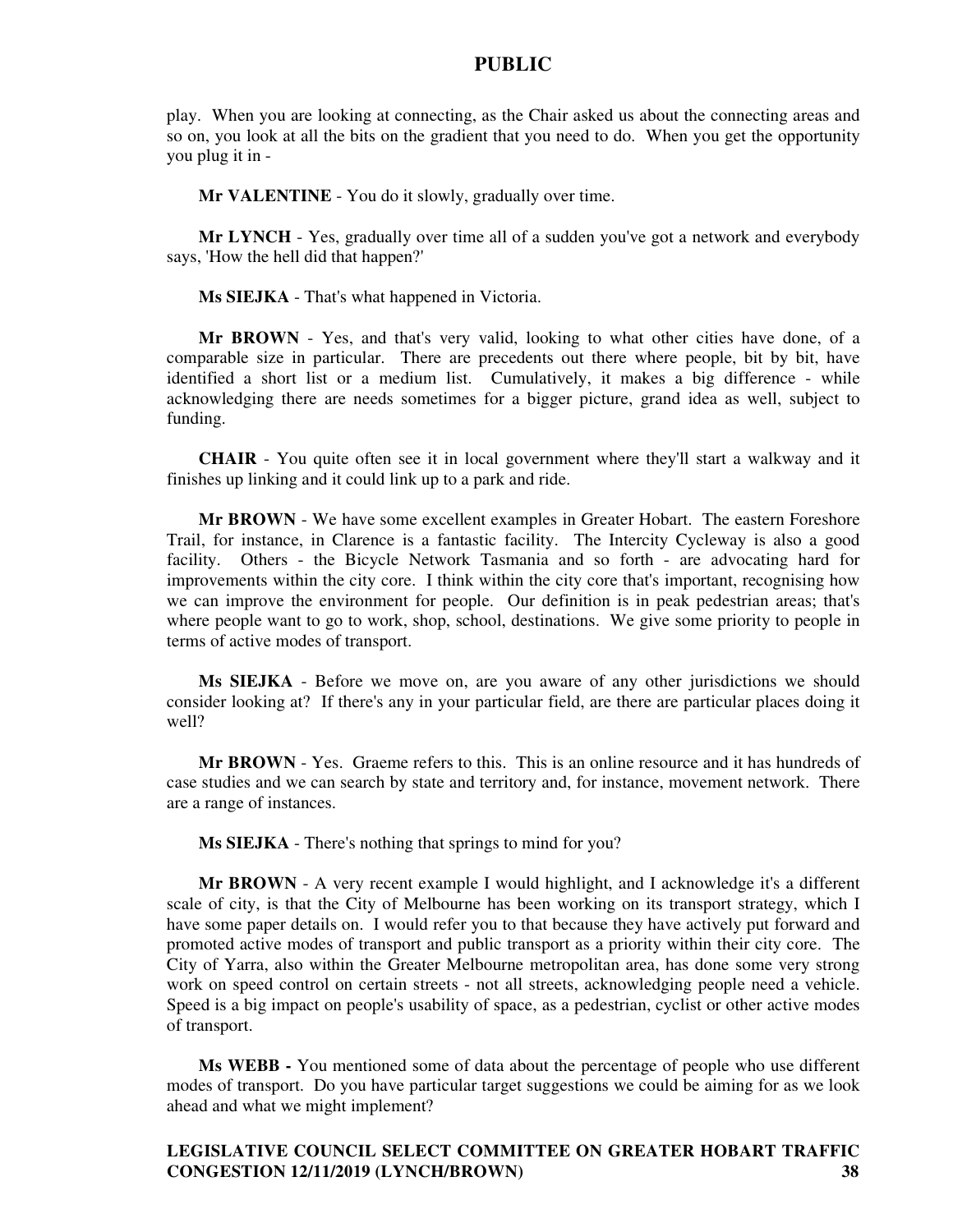play. When you are looking at connecting, as the Chair asked us about the connecting areas and so on, you look at all the bits on the gradient that you need to do. When you get the opportunity you plug it in -

**Mr VALENTINE** - You do it slowly, gradually over time.

**Mr LYNCH** - Yes, gradually over time all of a sudden you've got a network and everybody says, 'How the hell did that happen?'

**Ms SIEJKA** - That's what happened in Victoria.

**Mr BROWN** - Yes, and that's very valid, looking to what other cities have done, of a comparable size in particular. There are precedents out there where people, bit by bit, have identified a short list or a medium list. Cumulatively, it makes a big difference - while acknowledging there are needs sometimes for a bigger picture, grand idea as well, subject to funding.

**CHAIR** - You quite often see it in local government where they'll start a walkway and it finishes up linking and it could link up to a park and ride.

**Mr BROWN** - We have some excellent examples in Greater Hobart. The eastern Foreshore Trail, for instance, in Clarence is a fantastic facility. The Intercity Cycleway is also a good facility. Others - the Bicycle Network Tasmania and so forth - are advocating hard for improvements within the city core. I think within the city core that's important, recognising how we can improve the environment for people. Our definition is in peak pedestrian areas; that's where people want to go to work, shop, school, destinations. We give some priority to people in terms of active modes of transport.

**Ms SIEJKA** - Before we move on, are you aware of any other jurisdictions we should consider looking at? If there's any in your particular field, are there are particular places doing it well?

**Mr BROWN** - Yes. Graeme refers to this. This is an online resource and it has hundreds of case studies and we can search by state and territory and, for instance, movement network. There are a range of instances.

**Ms SIEJKA** - There's nothing that springs to mind for you?

**Mr BROWN** - A very recent example I would highlight, and I acknowledge it's a different scale of city, is that the City of Melbourne has been working on its transport strategy, which I have some paper details on. I would refer you to that because they have actively put forward and promoted active modes of transport and public transport as a priority within their city core. The City of Yarra, also within the Greater Melbourne metropolitan area, has done some very strong work on speed control on certain streets - not all streets, acknowledging people need a vehicle. Speed is a big impact on people's usability of space, as a pedestrian, cyclist or other active modes of transport.

**Ms WEBB -** You mentioned some of data about the percentage of people who use different modes of transport. Do you have particular target suggestions we could be aiming for as we look ahead and what we might implement?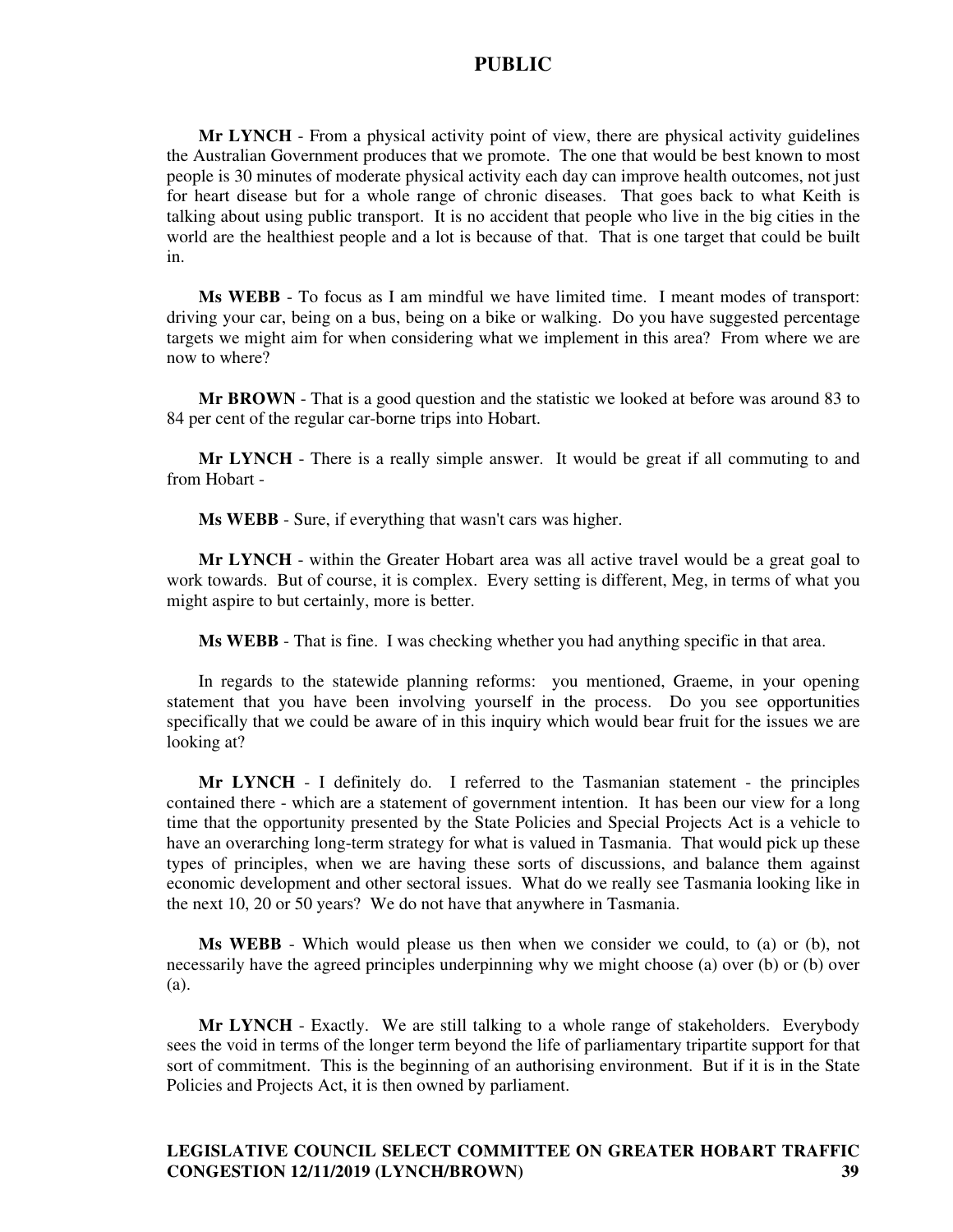**Mr LYNCH** - From a physical activity point of view, there are physical activity guidelines the Australian Government produces that we promote. The one that would be best known to most people is 30 minutes of moderate physical activity each day can improve health outcomes, not just for heart disease but for a whole range of chronic diseases. That goes back to what Keith is talking about using public transport. It is no accident that people who live in the big cities in the world are the healthiest people and a lot is because of that. That is one target that could be built in.

**Ms WEBB** - To focus as I am mindful we have limited time. I meant modes of transport: driving your car, being on a bus, being on a bike or walking. Do you have suggested percentage targets we might aim for when considering what we implement in this area? From where we are now to where?

**Mr BROWN** - That is a good question and the statistic we looked at before was around 83 to 84 per cent of the regular car-borne trips into Hobart.

**Mr LYNCH** - There is a really simple answer. It would be great if all commuting to and from Hobart -

**Ms WEBB** - Sure, if everything that wasn't cars was higher.

**Mr LYNCH** - within the Greater Hobart area was all active travel would be a great goal to work towards. But of course, it is complex. Every setting is different, Meg, in terms of what you might aspire to but certainly, more is better.

**Ms WEBB** - That is fine. I was checking whether you had anything specific in that area.

In regards to the statewide planning reforms: you mentioned, Graeme, in your opening statement that you have been involving yourself in the process. Do you see opportunities specifically that we could be aware of in this inquiry which would bear fruit for the issues we are looking at?

**Mr LYNCH** - I definitely do. I referred to the Tasmanian statement - the principles contained there - which are a statement of government intention. It has been our view for a long time that the opportunity presented by the State Policies and Special Projects Act is a vehicle to have an overarching long-term strategy for what is valued in Tasmania. That would pick up these types of principles, when we are having these sorts of discussions, and balance them against economic development and other sectoral issues. What do we really see Tasmania looking like in the next 10, 20 or 50 years? We do not have that anywhere in Tasmania.

**Ms WEBB** - Which would please us then when we consider we could, to (a) or (b), not necessarily have the agreed principles underpinning why we might choose (a) over (b) or (b) over (a).

**Mr LYNCH** - Exactly. We are still talking to a whole range of stakeholders. Everybody sees the void in terms of the longer term beyond the life of parliamentary tripartite support for that sort of commitment. This is the beginning of an authorising environment. But if it is in the State Policies and Projects Act, it is then owned by parliament.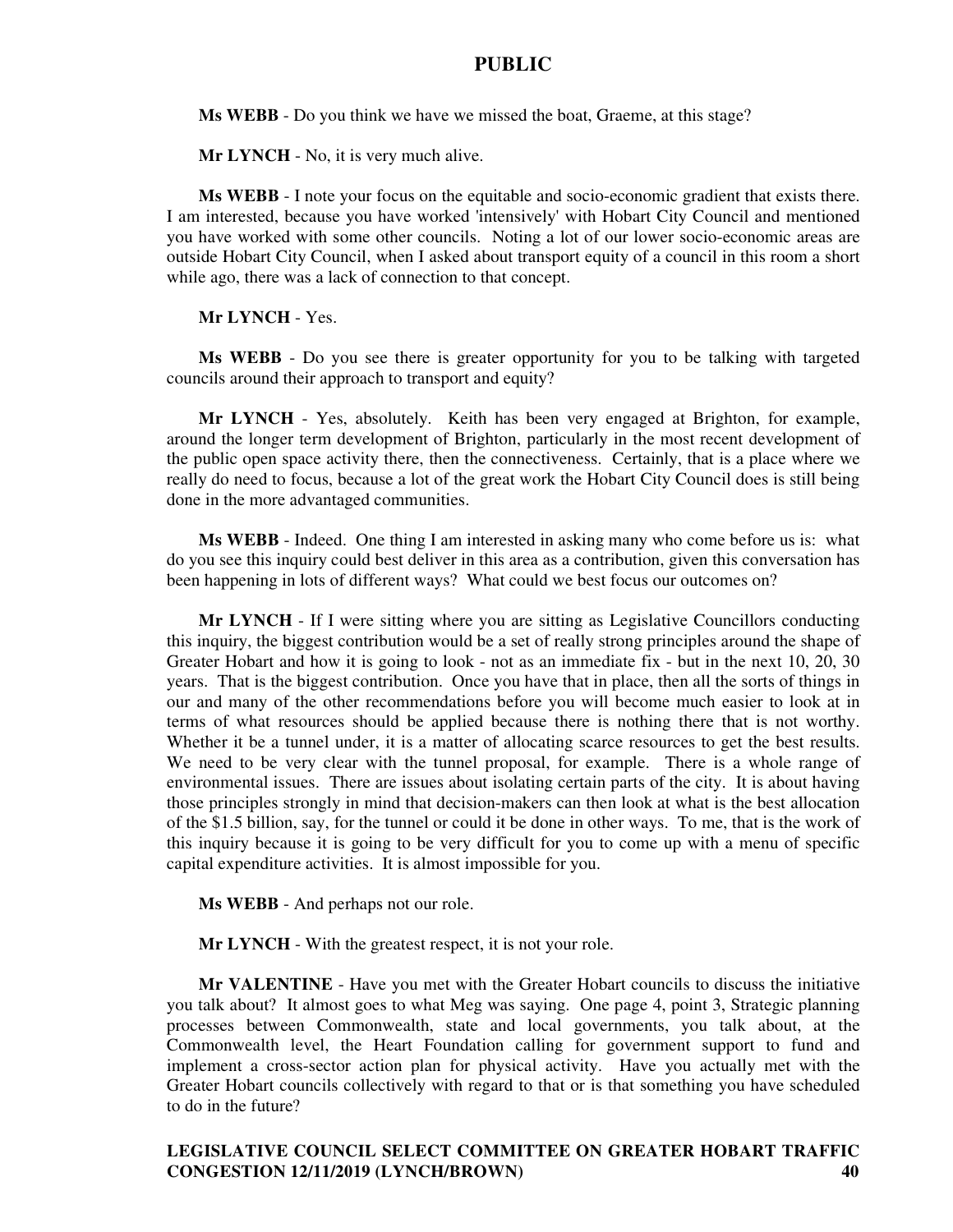**Ms WEBB** - Do you think we have we missed the boat, Graeme, at this stage?

**Mr LYNCH** - No, it is very much alive.

**Ms WEBB** - I note your focus on the equitable and socio-economic gradient that exists there. I am interested, because you have worked 'intensively' with Hobart City Council and mentioned you have worked with some other councils. Noting a lot of our lower socio-economic areas are outside Hobart City Council, when I asked about transport equity of a council in this room a short while ago, there was a lack of connection to that concept.

**Mr LYNCH** - Yes.

**Ms WEBB** - Do you see there is greater opportunity for you to be talking with targeted councils around their approach to transport and equity?

**Mr LYNCH** - Yes, absolutely. Keith has been very engaged at Brighton, for example, around the longer term development of Brighton, particularly in the most recent development of the public open space activity there, then the connectiveness. Certainly, that is a place where we really do need to focus, because a lot of the great work the Hobart City Council does is still being done in the more advantaged communities.

**Ms WEBB** - Indeed. One thing I am interested in asking many who come before us is: what do you see this inquiry could best deliver in this area as a contribution, given this conversation has been happening in lots of different ways? What could we best focus our outcomes on?

**Mr LYNCH** - If I were sitting where you are sitting as Legislative Councillors conducting this inquiry, the biggest contribution would be a set of really strong principles around the shape of Greater Hobart and how it is going to look - not as an immediate fix - but in the next 10, 20, 30 years. That is the biggest contribution. Once you have that in place, then all the sorts of things in our and many of the other recommendations before you will become much easier to look at in terms of what resources should be applied because there is nothing there that is not worthy. Whether it be a tunnel under, it is a matter of allocating scarce resources to get the best results. We need to be very clear with the tunnel proposal, for example. There is a whole range of environmental issues. There are issues about isolating certain parts of the city. It is about having those principles strongly in mind that decision-makers can then look at what is the best allocation of the \$1.5 billion, say, for the tunnel or could it be done in other ways. To me, that is the work of this inquiry because it is going to be very difficult for you to come up with a menu of specific capital expenditure activities. It is almost impossible for you.

**Ms WEBB** - And perhaps not our role.

**Mr LYNCH** - With the greatest respect, it is not your role.

**Mr VALENTINE** - Have you met with the Greater Hobart councils to discuss the initiative you talk about? It almost goes to what Meg was saying. One page 4, point 3, Strategic planning processes between Commonwealth, state and local governments, you talk about, at the Commonwealth level, the Heart Foundation calling for government support to fund and implement a cross-sector action plan for physical activity. Have you actually met with the Greater Hobart councils collectively with regard to that or is that something you have scheduled to do in the future?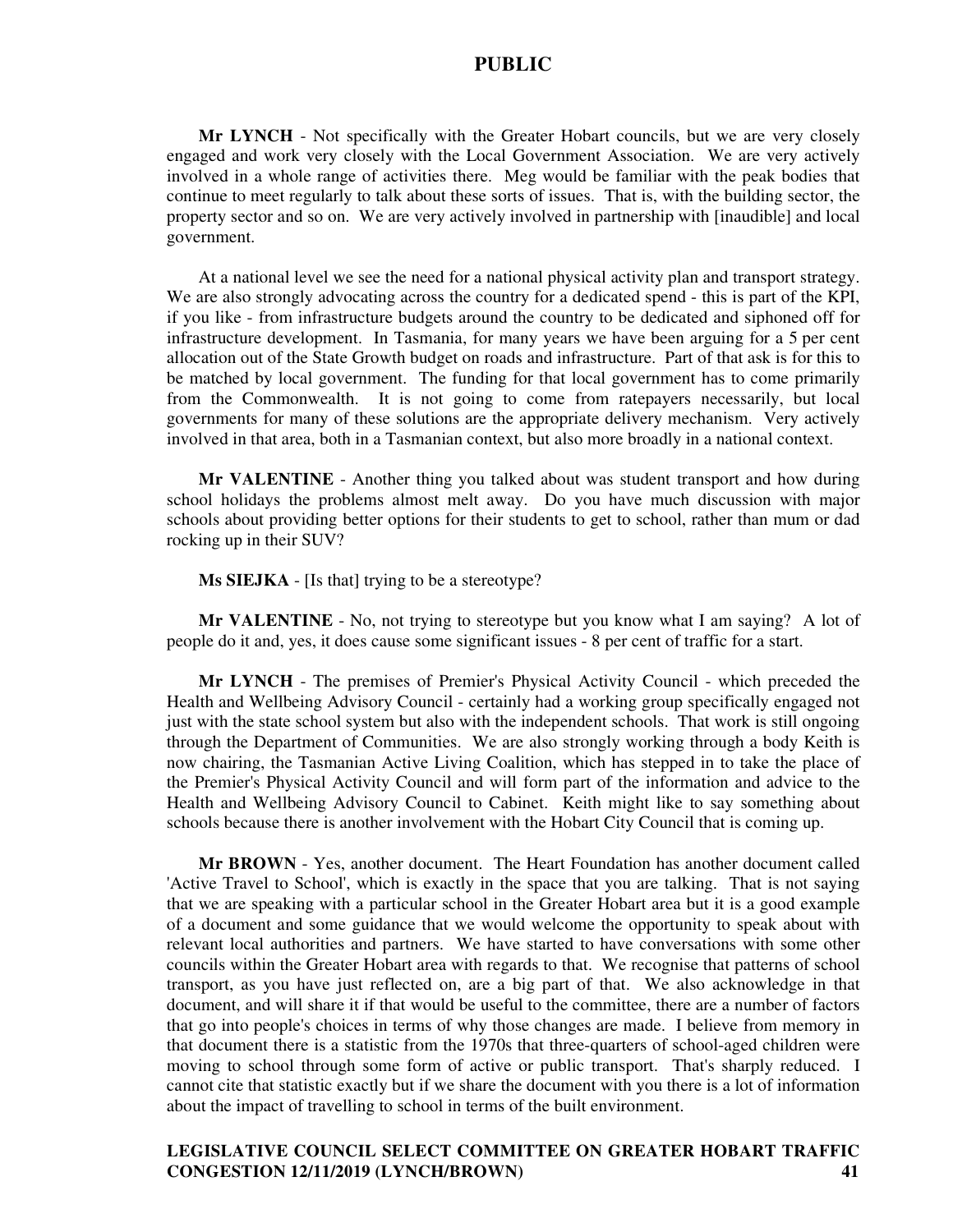**Mr LYNCH** - Not specifically with the Greater Hobart councils, but we are very closely engaged and work very closely with the Local Government Association. We are very actively involved in a whole range of activities there. Meg would be familiar with the peak bodies that continue to meet regularly to talk about these sorts of issues. That is, with the building sector, the property sector and so on. We are very actively involved in partnership with [inaudible] and local government.

At a national level we see the need for a national physical activity plan and transport strategy. We are also strongly advocating across the country for a dedicated spend - this is part of the KPI, if you like - from infrastructure budgets around the country to be dedicated and siphoned off for infrastructure development. In Tasmania, for many years we have been arguing for a 5 per cent allocation out of the State Growth budget on roads and infrastructure. Part of that ask is for this to be matched by local government. The funding for that local government has to come primarily from the Commonwealth. It is not going to come from ratepayers necessarily, but local governments for many of these solutions are the appropriate delivery mechanism. Very actively involved in that area, both in a Tasmanian context, but also more broadly in a national context.

**Mr VALENTINE** - Another thing you talked about was student transport and how during school holidays the problems almost melt away. Do you have much discussion with major schools about providing better options for their students to get to school, rather than mum or dad rocking up in their SUV?

**Ms SIEJKA** - [Is that] trying to be a stereotype?

**Mr VALENTINE** - No, not trying to stereotype but you know what I am saying? A lot of people do it and, yes, it does cause some significant issues - 8 per cent of traffic for a start.

**Mr LYNCH** - The premises of Premier's Physical Activity Council - which preceded the Health and Wellbeing Advisory Council - certainly had a working group specifically engaged not just with the state school system but also with the independent schools. That work is still ongoing through the Department of Communities. We are also strongly working through a body Keith is now chairing, the Tasmanian Active Living Coalition, which has stepped in to take the place of the Premier's Physical Activity Council and will form part of the information and advice to the Health and Wellbeing Advisory Council to Cabinet. Keith might like to say something about schools because there is another involvement with the Hobart City Council that is coming up.

**Mr BROWN** - Yes, another document. The Heart Foundation has another document called 'Active Travel to School', which is exactly in the space that you are talking. That is not saying that we are speaking with a particular school in the Greater Hobart area but it is a good example of a document and some guidance that we would welcome the opportunity to speak about with relevant local authorities and partners. We have started to have conversations with some other councils within the Greater Hobart area with regards to that. We recognise that patterns of school transport, as you have just reflected on, are a big part of that. We also acknowledge in that document, and will share it if that would be useful to the committee, there are a number of factors that go into people's choices in terms of why those changes are made. I believe from memory in that document there is a statistic from the 1970s that three-quarters of school-aged children were moving to school through some form of active or public transport. That's sharply reduced. I cannot cite that statistic exactly but if we share the document with you there is a lot of information about the impact of travelling to school in terms of the built environment.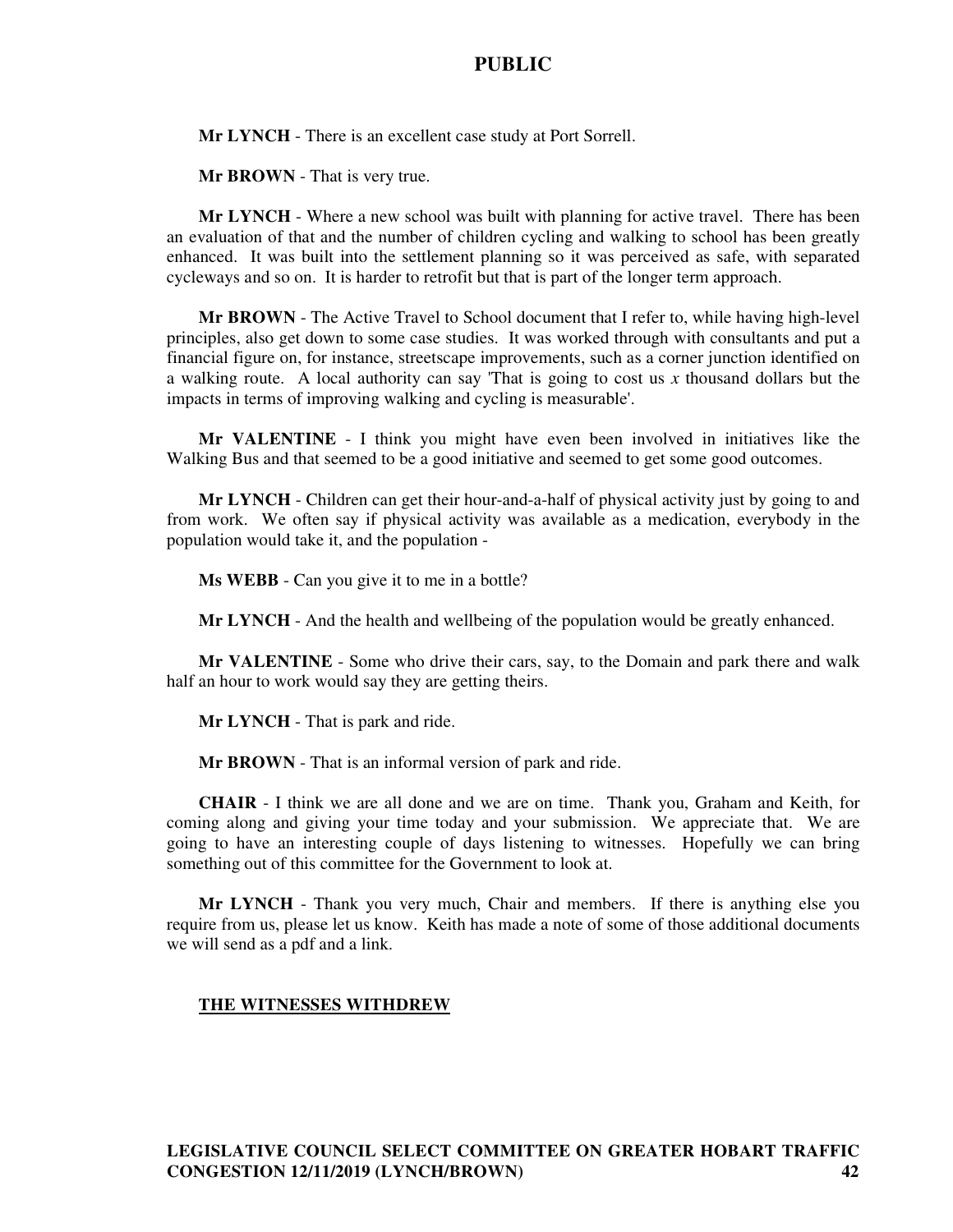**Mr LYNCH** - There is an excellent case study at Port Sorrell.

**Mr BROWN** - That is very true.

**Mr LYNCH** - Where a new school was built with planning for active travel. There has been an evaluation of that and the number of children cycling and walking to school has been greatly enhanced. It was built into the settlement planning so it was perceived as safe, with separated cycleways and so on. It is harder to retrofit but that is part of the longer term approach.

**Mr BROWN** - The Active Travel to School document that I refer to, while having high-level principles, also get down to some case studies. It was worked through with consultants and put a financial figure on, for instance, streetscape improvements, such as a corner junction identified on a walking route. A local authority can say 'That is going to cost us *x* thousand dollars but the impacts in terms of improving walking and cycling is measurable'.

**Mr VALENTINE** - I think you might have even been involved in initiatives like the Walking Bus and that seemed to be a good initiative and seemed to get some good outcomes.

**Mr LYNCH** - Children can get their hour-and-a-half of physical activity just by going to and from work. We often say if physical activity was available as a medication, everybody in the population would take it, and the population -

**Ms WEBB** - Can you give it to me in a bottle?

**Mr LYNCH** - And the health and wellbeing of the population would be greatly enhanced.

**Mr VALENTINE** - Some who drive their cars, say, to the Domain and park there and walk half an hour to work would say they are getting theirs.

**Mr LYNCH** - That is park and ride.

**Mr BROWN** - That is an informal version of park and ride.

**CHAIR** - I think we are all done and we are on time. Thank you, Graham and Keith, for coming along and giving your time today and your submission. We appreciate that. We are going to have an interesting couple of days listening to witnesses. Hopefully we can bring something out of this committee for the Government to look at.

**Mr LYNCH** - Thank you very much, Chair and members. If there is anything else you require from us, please let us know. Keith has made a note of some of those additional documents we will send as a pdf and a link.

#### **THE WITNESSES WITHDREW**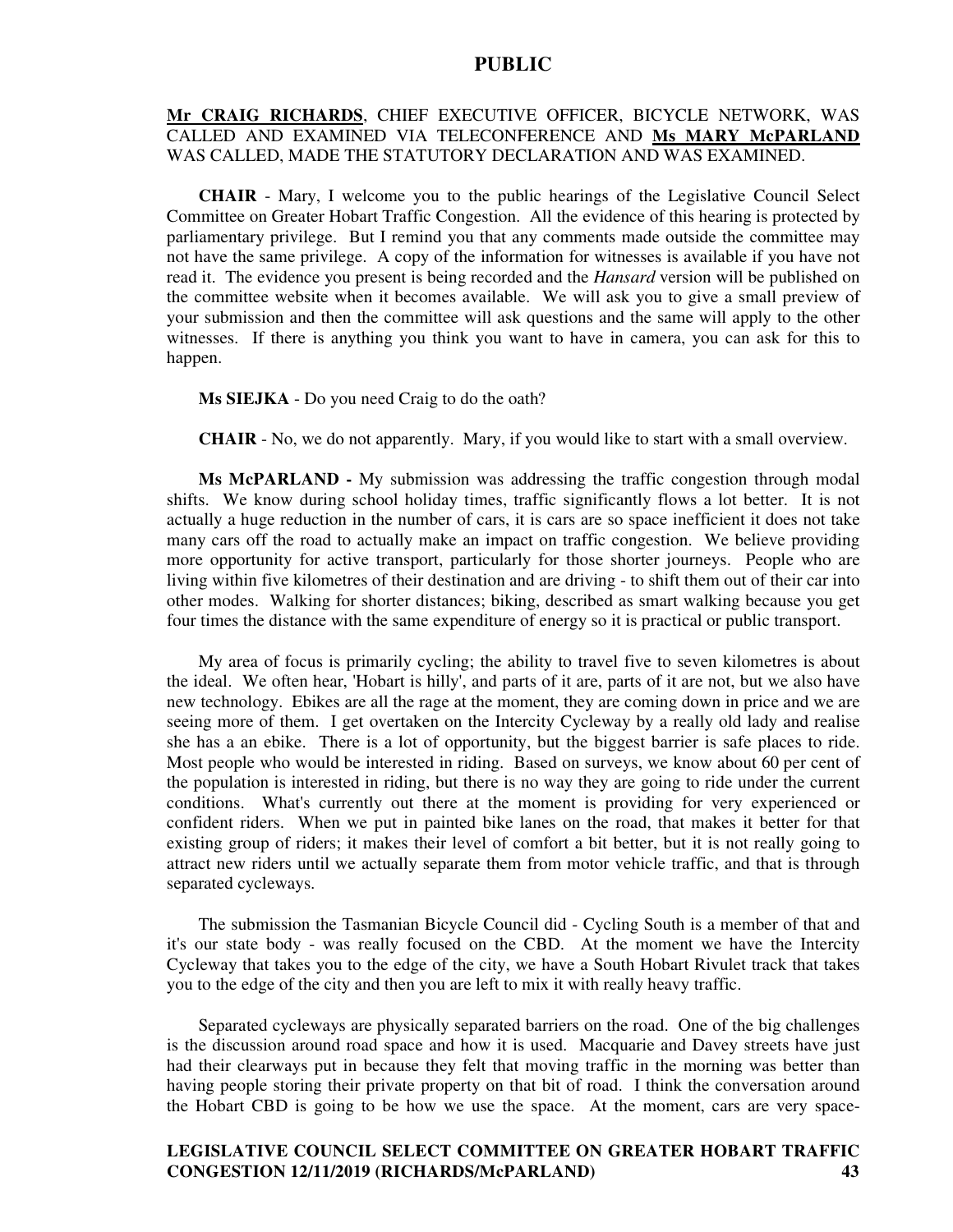### **Mr CRAIG RICHARDS**, CHIEF EXECUTIVE OFFICER, BICYCLE NETWORK, WAS CALLED AND EXAMINED VIA TELECONFERENCE AND **Ms MARY McPARLAND** WAS CALLED, MADE THE STATUTORY DECLARATION AND WAS EXAMINED.

**CHAIR** - Mary, I welcome you to the public hearings of the Legislative Council Select Committee on Greater Hobart Traffic Congestion. All the evidence of this hearing is protected by parliamentary privilege. But I remind you that any comments made outside the committee may not have the same privilege. A copy of the information for witnesses is available if you have not read it. The evidence you present is being recorded and the *Hansard* version will be published on the committee website when it becomes available. We will ask you to give a small preview of your submission and then the committee will ask questions and the same will apply to the other witnesses. If there is anything you think you want to have in camera, you can ask for this to happen.

**Ms SIEJKA** - Do you need Craig to do the oath?

**CHAIR** - No, we do not apparently. Mary, if you would like to start with a small overview.

**Ms McPARLAND -** My submission was addressing the traffic congestion through modal shifts. We know during school holiday times, traffic significantly flows a lot better. It is not actually a huge reduction in the number of cars, it is cars are so space inefficient it does not take many cars off the road to actually make an impact on traffic congestion. We believe providing more opportunity for active transport, particularly for those shorter journeys. People who are living within five kilometres of their destination and are driving - to shift them out of their car into other modes. Walking for shorter distances; biking, described as smart walking because you get four times the distance with the same expenditure of energy so it is practical or public transport.

My area of focus is primarily cycling; the ability to travel five to seven kilometres is about the ideal. We often hear, 'Hobart is hilly', and parts of it are, parts of it are not, but we also have new technology. Ebikes are all the rage at the moment, they are coming down in price and we are seeing more of them. I get overtaken on the Intercity Cycleway by a really old lady and realise she has a an ebike. There is a lot of opportunity, but the biggest barrier is safe places to ride. Most people who would be interested in riding. Based on surveys, we know about 60 per cent of the population is interested in riding, but there is no way they are going to ride under the current conditions. What's currently out there at the moment is providing for very experienced or confident riders. When we put in painted bike lanes on the road, that makes it better for that existing group of riders; it makes their level of comfort a bit better, but it is not really going to attract new riders until we actually separate them from motor vehicle traffic, and that is through separated cycleways.

The submission the Tasmanian Bicycle Council did - Cycling South is a member of that and it's our state body - was really focused on the CBD. At the moment we have the Intercity Cycleway that takes you to the edge of the city, we have a South Hobart Rivulet track that takes you to the edge of the city and then you are left to mix it with really heavy traffic.

Separated cycleways are physically separated barriers on the road. One of the big challenges is the discussion around road space and how it is used. Macquarie and Davey streets have just had their clearways put in because they felt that moving traffic in the morning was better than having people storing their private property on that bit of road. I think the conversation around the Hobart CBD is going to be how we use the space. At the moment, cars are very space-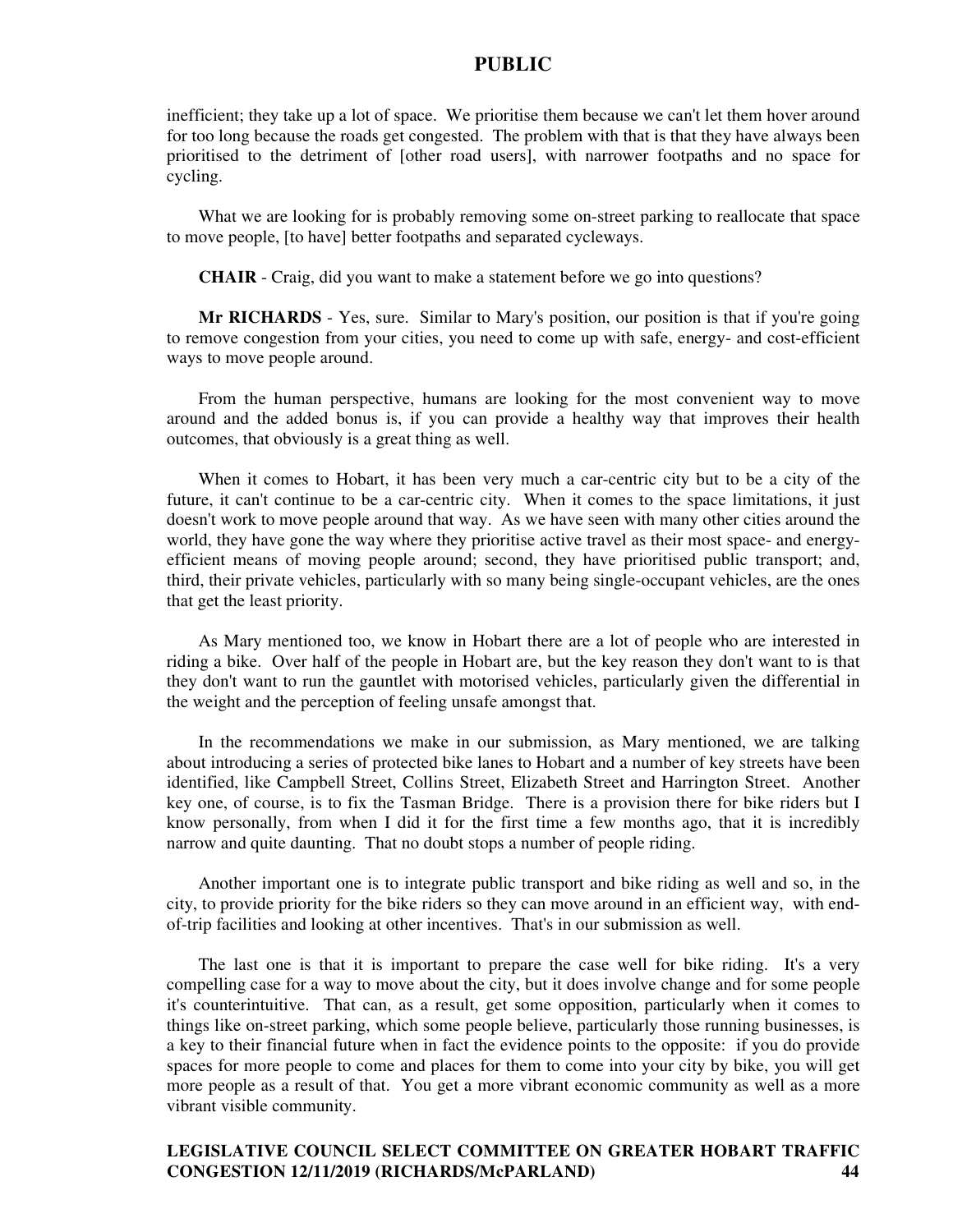inefficient; they take up a lot of space. We prioritise them because we can't let them hover around for too long because the roads get congested. The problem with that is that they have always been prioritised to the detriment of [other road users], with narrower footpaths and no space for cycling.

What we are looking for is probably removing some on-street parking to reallocate that space to move people, [to have] better footpaths and separated cycleways.

**CHAIR** - Craig, did you want to make a statement before we go into questions?

**Mr RICHARDS** - Yes, sure. Similar to Mary's position, our position is that if you're going to remove congestion from your cities, you need to come up with safe, energy- and cost-efficient ways to move people around.

From the human perspective, humans are looking for the most convenient way to move around and the added bonus is, if you can provide a healthy way that improves their health outcomes, that obviously is a great thing as well.

When it comes to Hobart, it has been very much a car-centric city but to be a city of the future, it can't continue to be a car-centric city. When it comes to the space limitations, it just doesn't work to move people around that way. As we have seen with many other cities around the world, they have gone the way where they prioritise active travel as their most space- and energyefficient means of moving people around; second, they have prioritised public transport; and, third, their private vehicles, particularly with so many being single-occupant vehicles, are the ones that get the least priority.

As Mary mentioned too, we know in Hobart there are a lot of people who are interested in riding a bike. Over half of the people in Hobart are, but the key reason they don't want to is that they don't want to run the gauntlet with motorised vehicles, particularly given the differential in the weight and the perception of feeling unsafe amongst that.

In the recommendations we make in our submission, as Mary mentioned, we are talking about introducing a series of protected bike lanes to Hobart and a number of key streets have been identified, like Campbell Street, Collins Street, Elizabeth Street and Harrington Street. Another key one, of course, is to fix the Tasman Bridge. There is a provision there for bike riders but I know personally, from when I did it for the first time a few months ago, that it is incredibly narrow and quite daunting. That no doubt stops a number of people riding.

Another important one is to integrate public transport and bike riding as well and so, in the city, to provide priority for the bike riders so they can move around in an efficient way, with endof-trip facilities and looking at other incentives. That's in our submission as well.

The last one is that it is important to prepare the case well for bike riding. It's a very compelling case for a way to move about the city, but it does involve change and for some people it's counterintuitive. That can, as a result, get some opposition, particularly when it comes to things like on-street parking, which some people believe, particularly those running businesses, is a key to their financial future when in fact the evidence points to the opposite: if you do provide spaces for more people to come and places for them to come into your city by bike, you will get more people as a result of that. You get a more vibrant economic community as well as a more vibrant visible community.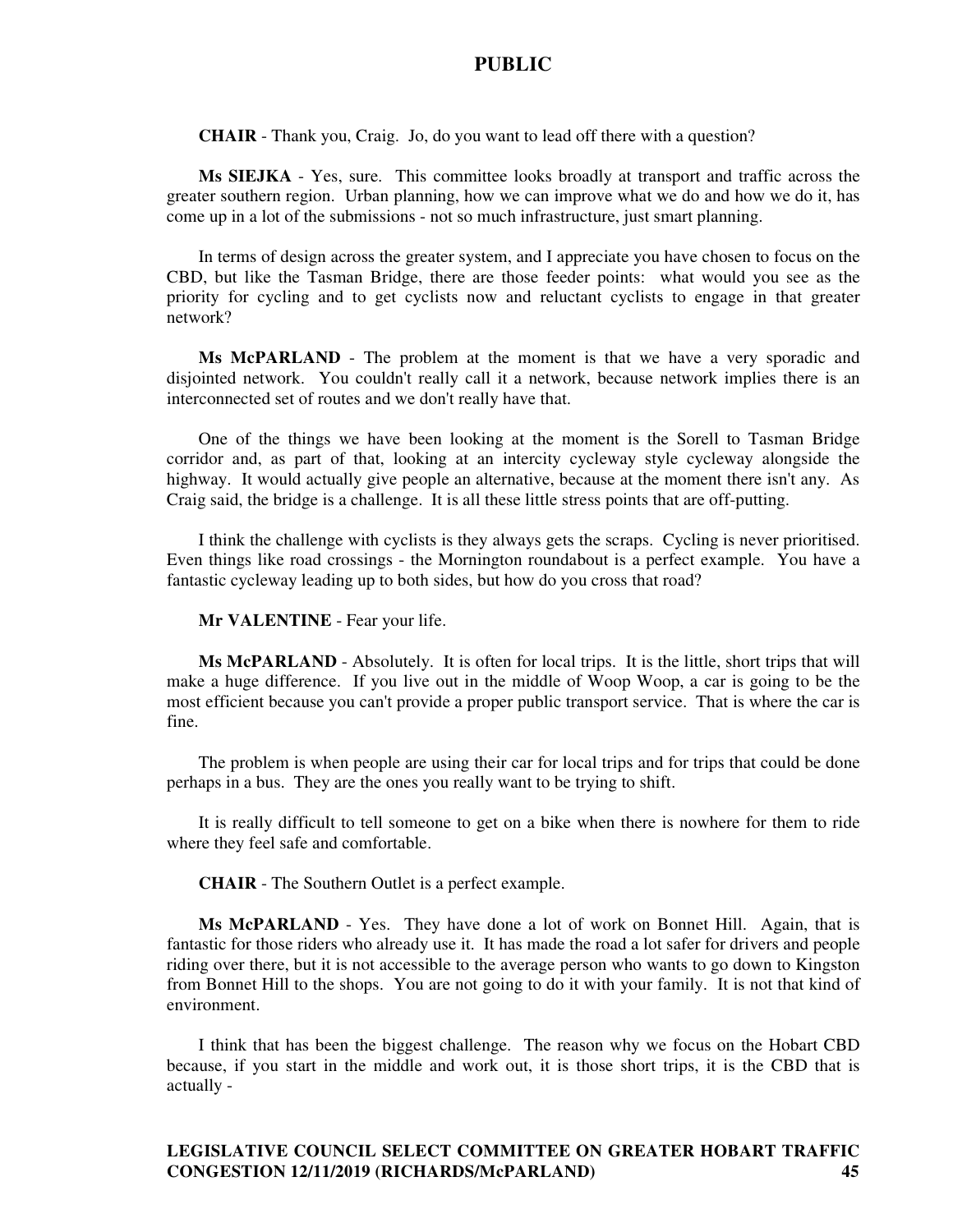**CHAIR** - Thank you, Craig. Jo, do you want to lead off there with a question?

**Ms SIEJKA** - Yes, sure. This committee looks broadly at transport and traffic across the greater southern region. Urban planning, how we can improve what we do and how we do it, has come up in a lot of the submissions - not so much infrastructure, just smart planning.

In terms of design across the greater system, and I appreciate you have chosen to focus on the CBD, but like the Tasman Bridge, there are those feeder points: what would you see as the priority for cycling and to get cyclists now and reluctant cyclists to engage in that greater network?

**Ms McPARLAND** - The problem at the moment is that we have a very sporadic and disjointed network. You couldn't really call it a network, because network implies there is an interconnected set of routes and we don't really have that.

One of the things we have been looking at the moment is the Sorell to Tasman Bridge corridor and, as part of that, looking at an intercity cycleway style cycleway alongside the highway. It would actually give people an alternative, because at the moment there isn't any. As Craig said, the bridge is a challenge. It is all these little stress points that are off-putting.

I think the challenge with cyclists is they always gets the scraps. Cycling is never prioritised. Even things like road crossings - the Mornington roundabout is a perfect example. You have a fantastic cycleway leading up to both sides, but how do you cross that road?

**Mr VALENTINE** - Fear your life.

**Ms McPARLAND** - Absolutely. It is often for local trips. It is the little, short trips that will make a huge difference. If you live out in the middle of Woop Woop, a car is going to be the most efficient because you can't provide a proper public transport service. That is where the car is fine.

The problem is when people are using their car for local trips and for trips that could be done perhaps in a bus. They are the ones you really want to be trying to shift.

It is really difficult to tell someone to get on a bike when there is nowhere for them to ride where they feel safe and comfortable.

**CHAIR** - The Southern Outlet is a perfect example.

**Ms McPARLAND** - Yes. They have done a lot of work on Bonnet Hill. Again, that is fantastic for those riders who already use it. It has made the road a lot safer for drivers and people riding over there, but it is not accessible to the average person who wants to go down to Kingston from Bonnet Hill to the shops. You are not going to do it with your family. It is not that kind of environment.

I think that has been the biggest challenge. The reason why we focus on the Hobart CBD because, if you start in the middle and work out, it is those short trips, it is the CBD that is actually -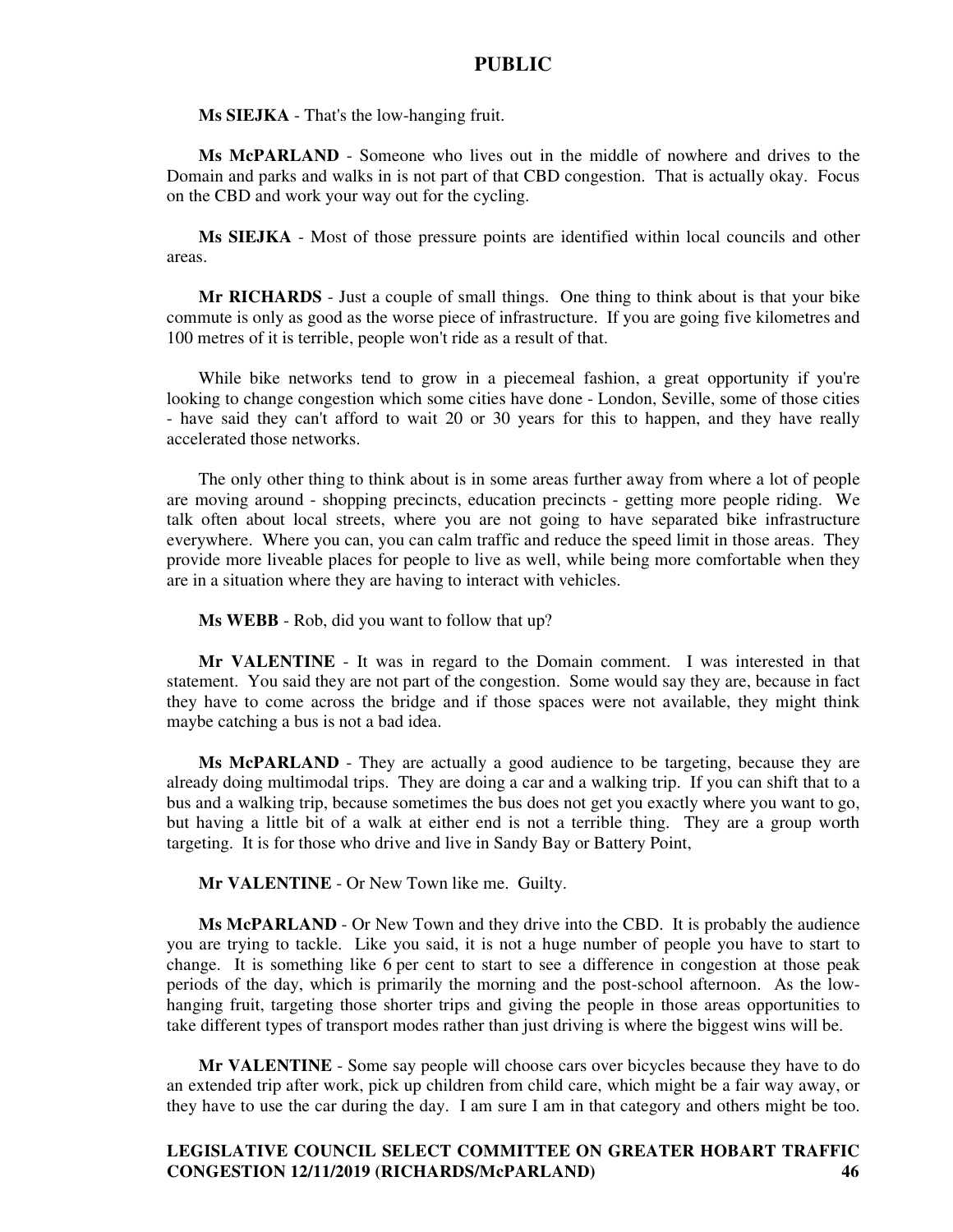**Ms SIEJKA** - That's the low-hanging fruit.

**Ms McPARLAND** - Someone who lives out in the middle of nowhere and drives to the Domain and parks and walks in is not part of that CBD congestion. That is actually okay. Focus on the CBD and work your way out for the cycling.

**Ms SIEJKA** - Most of those pressure points are identified within local councils and other areas.

**Mr RICHARDS** - Just a couple of small things. One thing to think about is that your bike commute is only as good as the worse piece of infrastructure. If you are going five kilometres and 100 metres of it is terrible, people won't ride as a result of that.

While bike networks tend to grow in a piecemeal fashion, a great opportunity if you're looking to change congestion which some cities have done - London, Seville, some of those cities - have said they can't afford to wait 20 or 30 years for this to happen, and they have really accelerated those networks.

The only other thing to think about is in some areas further away from where a lot of people are moving around - shopping precincts, education precincts - getting more people riding. We talk often about local streets, where you are not going to have separated bike infrastructure everywhere. Where you can, you can calm traffic and reduce the speed limit in those areas. They provide more liveable places for people to live as well, while being more comfortable when they are in a situation where they are having to interact with vehicles.

**Ms WEBB** - Rob, did you want to follow that up?

**Mr VALENTINE** - It was in regard to the Domain comment. I was interested in that statement. You said they are not part of the congestion. Some would say they are, because in fact they have to come across the bridge and if those spaces were not available, they might think maybe catching a bus is not a bad idea.

**Ms McPARLAND** - They are actually a good audience to be targeting, because they are already doing multimodal trips. They are doing a car and a walking trip. If you can shift that to a bus and a walking trip, because sometimes the bus does not get you exactly where you want to go, but having a little bit of a walk at either end is not a terrible thing. They are a group worth targeting. It is for those who drive and live in Sandy Bay or Battery Point,

**Mr VALENTINE** - Or New Town like me. Guilty.

**Ms McPARLAND** - Or New Town and they drive into the CBD. It is probably the audience you are trying to tackle. Like you said, it is not a huge number of people you have to start to change. It is something like 6 per cent to start to see a difference in congestion at those peak periods of the day, which is primarily the morning and the post-school afternoon. As the lowhanging fruit, targeting those shorter trips and giving the people in those areas opportunities to take different types of transport modes rather than just driving is where the biggest wins will be.

**Mr VALENTINE** - Some say people will choose cars over bicycles because they have to do an extended trip after work, pick up children from child care, which might be a fair way away, or they have to use the car during the day. I am sure I am in that category and others might be too.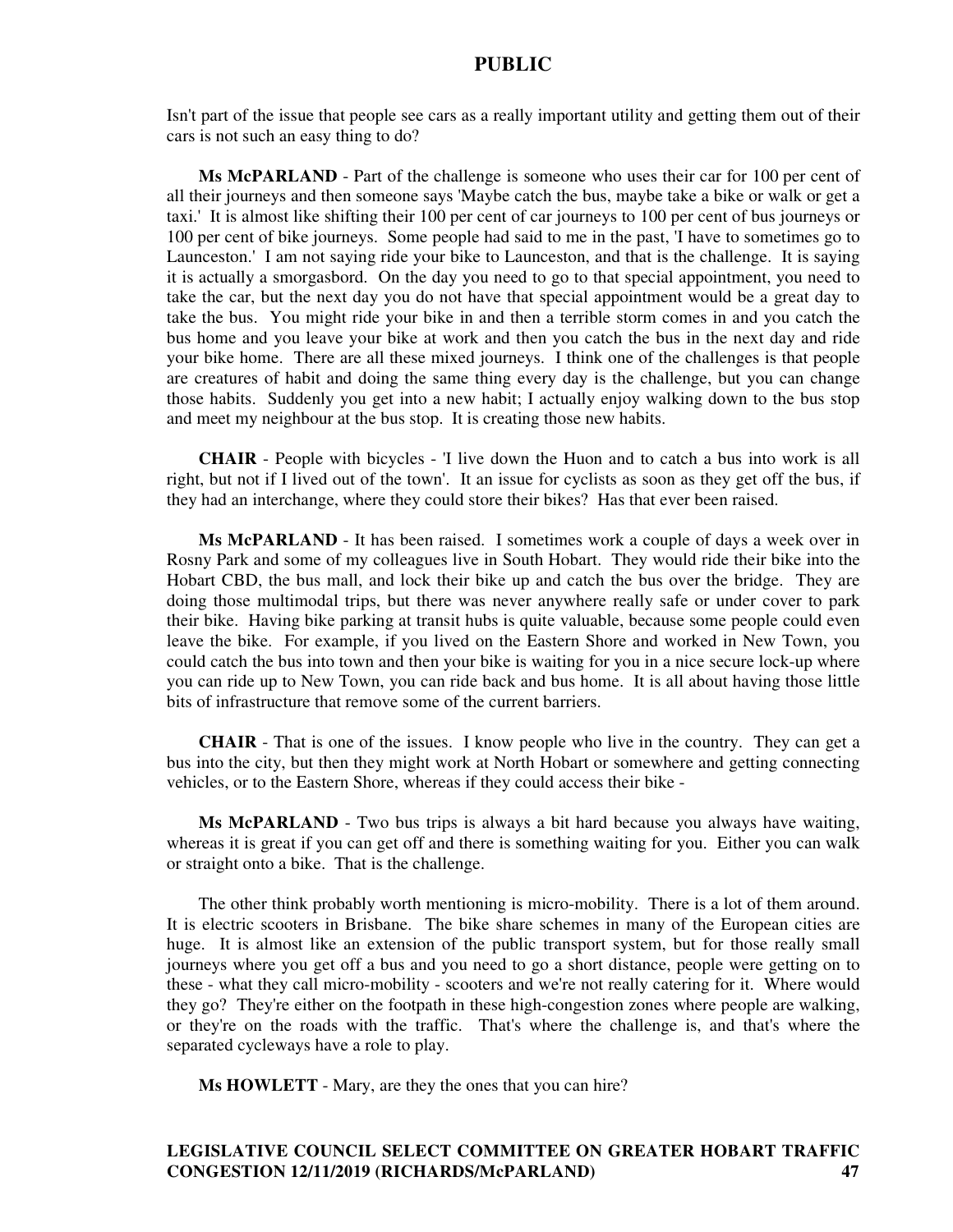Isn't part of the issue that people see cars as a really important utility and getting them out of their cars is not such an easy thing to do?

**Ms McPARLAND** - Part of the challenge is someone who uses their car for 100 per cent of all their journeys and then someone says 'Maybe catch the bus, maybe take a bike or walk or get a taxi.' It is almost like shifting their 100 per cent of car journeys to 100 per cent of bus journeys or 100 per cent of bike journeys. Some people had said to me in the past, 'I have to sometimes go to Launceston.' I am not saying ride your bike to Launceston, and that is the challenge. It is saying it is actually a smorgasbord. On the day you need to go to that special appointment, you need to take the car, but the next day you do not have that special appointment would be a great day to take the bus. You might ride your bike in and then a terrible storm comes in and you catch the bus home and you leave your bike at work and then you catch the bus in the next day and ride your bike home. There are all these mixed journeys. I think one of the challenges is that people are creatures of habit and doing the same thing every day is the challenge, but you can change those habits. Suddenly you get into a new habit; I actually enjoy walking down to the bus stop and meet my neighbour at the bus stop. It is creating those new habits.

**CHAIR** - People with bicycles - 'I live down the Huon and to catch a bus into work is all right, but not if I lived out of the town'. It an issue for cyclists as soon as they get off the bus, if they had an interchange, where they could store their bikes? Has that ever been raised.

**Ms McPARLAND** - It has been raised. I sometimes work a couple of days a week over in Rosny Park and some of my colleagues live in South Hobart. They would ride their bike into the Hobart CBD, the bus mall, and lock their bike up and catch the bus over the bridge. They are doing those multimodal trips, but there was never anywhere really safe or under cover to park their bike. Having bike parking at transit hubs is quite valuable, because some people could even leave the bike. For example, if you lived on the Eastern Shore and worked in New Town, you could catch the bus into town and then your bike is waiting for you in a nice secure lock-up where you can ride up to New Town, you can ride back and bus home. It is all about having those little bits of infrastructure that remove some of the current barriers.

**CHAIR** - That is one of the issues. I know people who live in the country. They can get a bus into the city, but then they might work at North Hobart or somewhere and getting connecting vehicles, or to the Eastern Shore, whereas if they could access their bike -

**Ms McPARLAND** - Two bus trips is always a bit hard because you always have waiting, whereas it is great if you can get off and there is something waiting for you. Either you can walk or straight onto a bike. That is the challenge.

The other think probably worth mentioning is micro-mobility. There is a lot of them around. It is electric scooters in Brisbane. The bike share schemes in many of the European cities are huge. It is almost like an extension of the public transport system, but for those really small journeys where you get off a bus and you need to go a short distance, people were getting on to these - what they call micro-mobility - scooters and we're not really catering for it. Where would they go? They're either on the footpath in these high-congestion zones where people are walking, or they're on the roads with the traffic. That's where the challenge is, and that's where the separated cycleways have a role to play.

**Ms HOWLETT** - Mary, are they the ones that you can hire?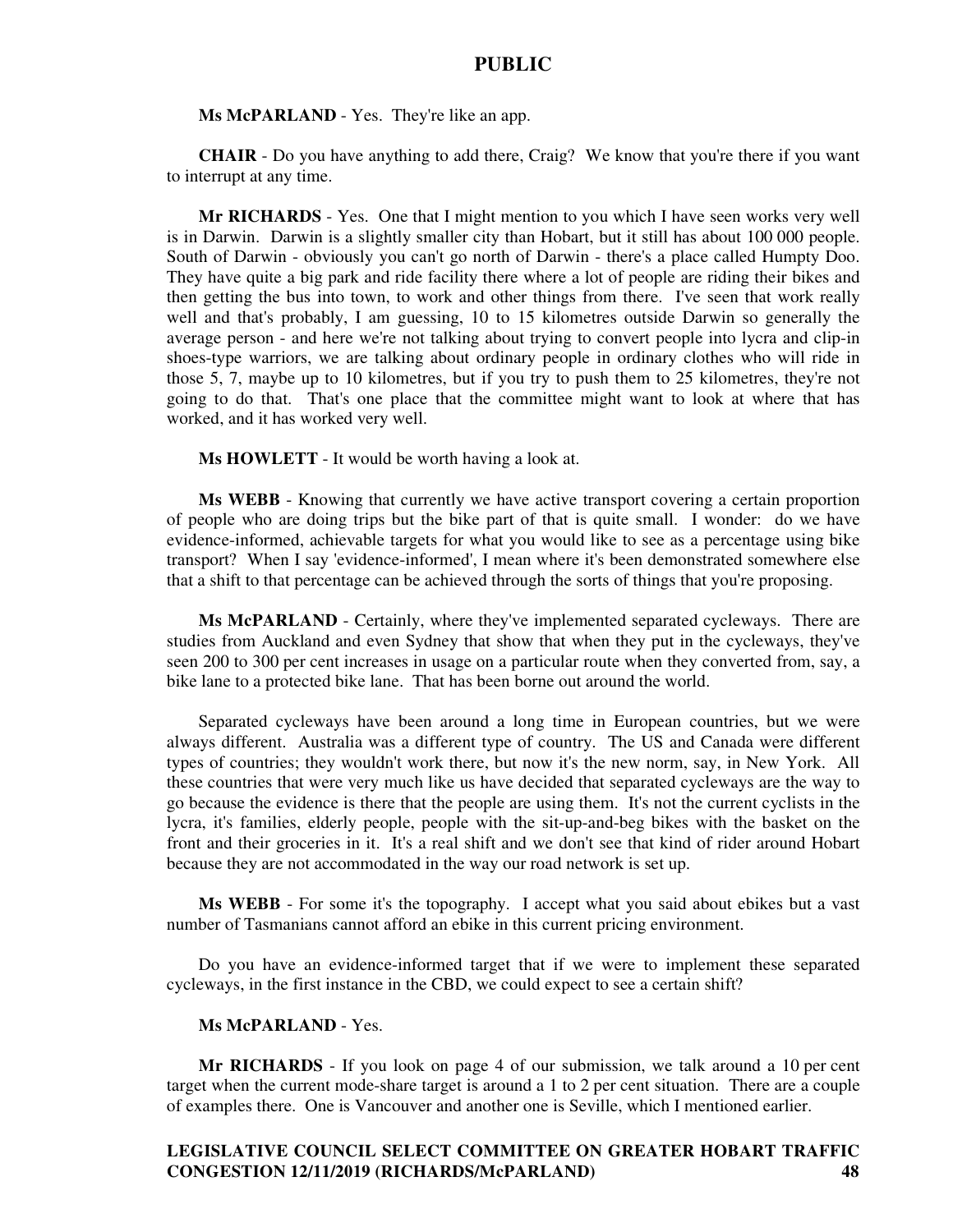**Ms McPARLAND** - Yes. They're like an app.

**CHAIR** - Do you have anything to add there, Craig? We know that you're there if you want to interrupt at any time.

**Mr RICHARDS** - Yes. One that I might mention to you which I have seen works very well is in Darwin. Darwin is a slightly smaller city than Hobart, but it still has about 100 000 people. South of Darwin - obviously you can't go north of Darwin - there's a place called Humpty Doo. They have quite a big park and ride facility there where a lot of people are riding their bikes and then getting the bus into town, to work and other things from there. I've seen that work really well and that's probably, I am guessing, 10 to 15 kilometres outside Darwin so generally the average person - and here we're not talking about trying to convert people into lycra and clip-in shoes-type warriors, we are talking about ordinary people in ordinary clothes who will ride in those 5, 7, maybe up to 10 kilometres, but if you try to push them to 25 kilometres, they're not going to do that. That's one place that the committee might want to look at where that has worked, and it has worked very well.

**Ms HOWLETT** - It would be worth having a look at.

**Ms WEBB** - Knowing that currently we have active transport covering a certain proportion of people who are doing trips but the bike part of that is quite small. I wonder: do we have evidence-informed, achievable targets for what you would like to see as a percentage using bike transport? When I say 'evidence-informed', I mean where it's been demonstrated somewhere else that a shift to that percentage can be achieved through the sorts of things that you're proposing.

**Ms McPARLAND** - Certainly, where they've implemented separated cycleways. There are studies from Auckland and even Sydney that show that when they put in the cycleways, they've seen 200 to 300 per cent increases in usage on a particular route when they converted from, say, a bike lane to a protected bike lane. That has been borne out around the world.

Separated cycleways have been around a long time in European countries, but we were always different. Australia was a different type of country. The US and Canada were different types of countries; they wouldn't work there, but now it's the new norm, say, in New York. All these countries that were very much like us have decided that separated cycleways are the way to go because the evidence is there that the people are using them. It's not the current cyclists in the lycra, it's families, elderly people, people with the sit-up-and-beg bikes with the basket on the front and their groceries in it. It's a real shift and we don't see that kind of rider around Hobart because they are not accommodated in the way our road network is set up.

**Ms WEBB** - For some it's the topography. I accept what you said about ebikes but a vast number of Tasmanians cannot afford an ebike in this current pricing environment.

Do you have an evidence-informed target that if we were to implement these separated cycleways, in the first instance in the CBD, we could expect to see a certain shift?

#### **Ms McPARLAND** - Yes.

**Mr RICHARDS** - If you look on page 4 of our submission, we talk around a 10 per cent target when the current mode-share target is around a 1 to 2 per cent situation. There are a couple of examples there. One is Vancouver and another one is Seville, which I mentioned earlier.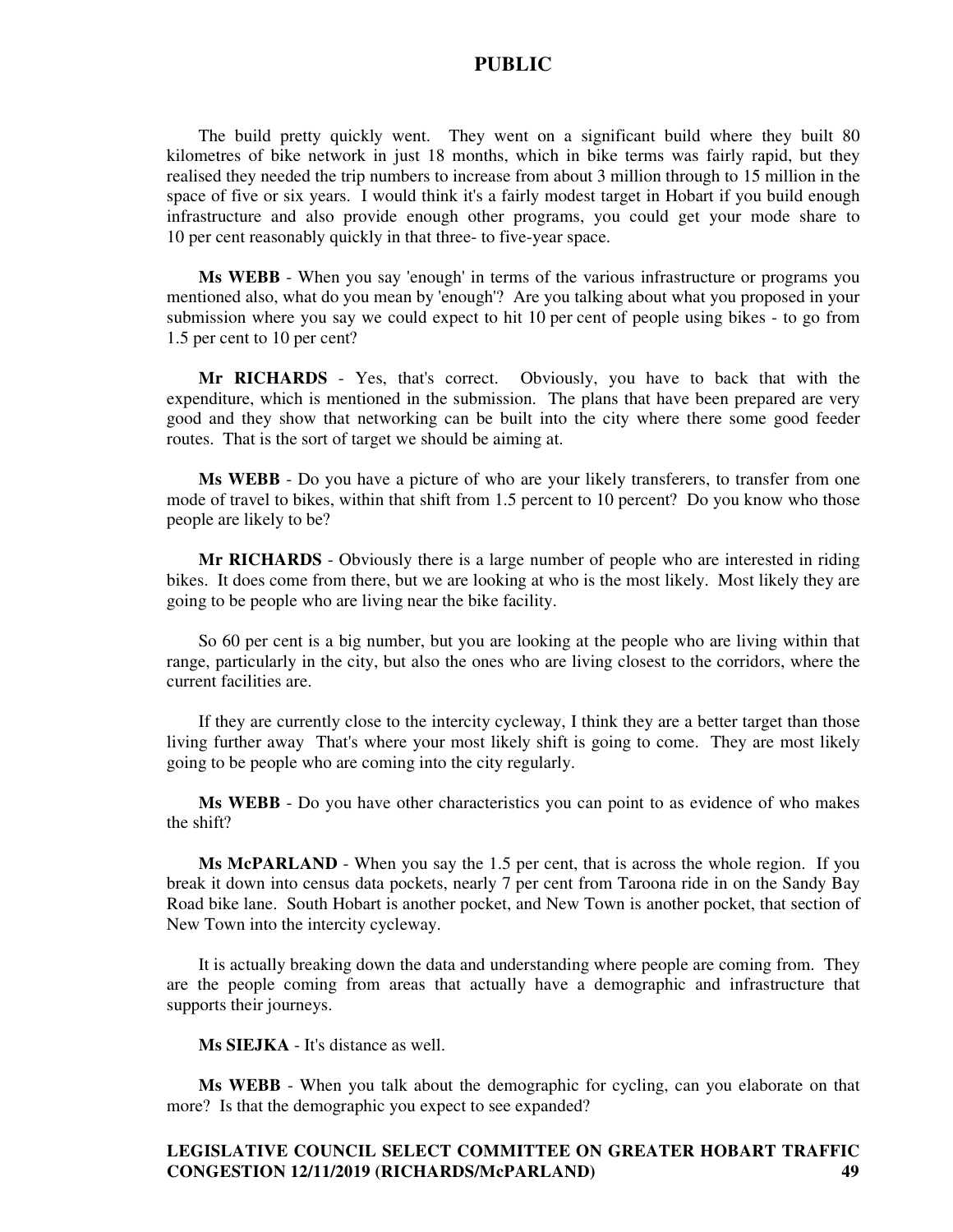The build pretty quickly went. They went on a significant build where they built 80 kilometres of bike network in just 18 months, which in bike terms was fairly rapid, but they realised they needed the trip numbers to increase from about 3 million through to 15 million in the space of five or six years. I would think it's a fairly modest target in Hobart if you build enough infrastructure and also provide enough other programs, you could get your mode share to 10 per cent reasonably quickly in that three- to five-year space.

**Ms WEBB** - When you say 'enough' in terms of the various infrastructure or programs you mentioned also, what do you mean by 'enough'? Are you talking about what you proposed in your submission where you say we could expect to hit 10 per cent of people using bikes - to go from 1.5 per cent to 10 per cent?

**Mr RICHARDS** - Yes, that's correct. Obviously, you have to back that with the expenditure, which is mentioned in the submission. The plans that have been prepared are very good and they show that networking can be built into the city where there some good feeder routes. That is the sort of target we should be aiming at.

**Ms WEBB** - Do you have a picture of who are your likely transferers, to transfer from one mode of travel to bikes, within that shift from 1.5 percent to 10 percent? Do you know who those people are likely to be?

**Mr RICHARDS** - Obviously there is a large number of people who are interested in riding bikes. It does come from there, but we are looking at who is the most likely. Most likely they are going to be people who are living near the bike facility.

So 60 per cent is a big number, but you are looking at the people who are living within that range, particularly in the city, but also the ones who are living closest to the corridors, where the current facilities are.

If they are currently close to the intercity cycleway, I think they are a better target than those living further away That's where your most likely shift is going to come. They are most likely going to be people who are coming into the city regularly.

**Ms WEBB** - Do you have other characteristics you can point to as evidence of who makes the shift?

**Ms McPARLAND** - When you say the 1.5 per cent, that is across the whole region. If you break it down into census data pockets, nearly 7 per cent from Taroona ride in on the Sandy Bay Road bike lane. South Hobart is another pocket, and New Town is another pocket, that section of New Town into the intercity cycleway.

It is actually breaking down the data and understanding where people are coming from. They are the people coming from areas that actually have a demographic and infrastructure that supports their journeys.

**Ms SIEJKA** - It's distance as well.

**Ms WEBB** - When you talk about the demographic for cycling, can you elaborate on that more? Is that the demographic you expect to see expanded?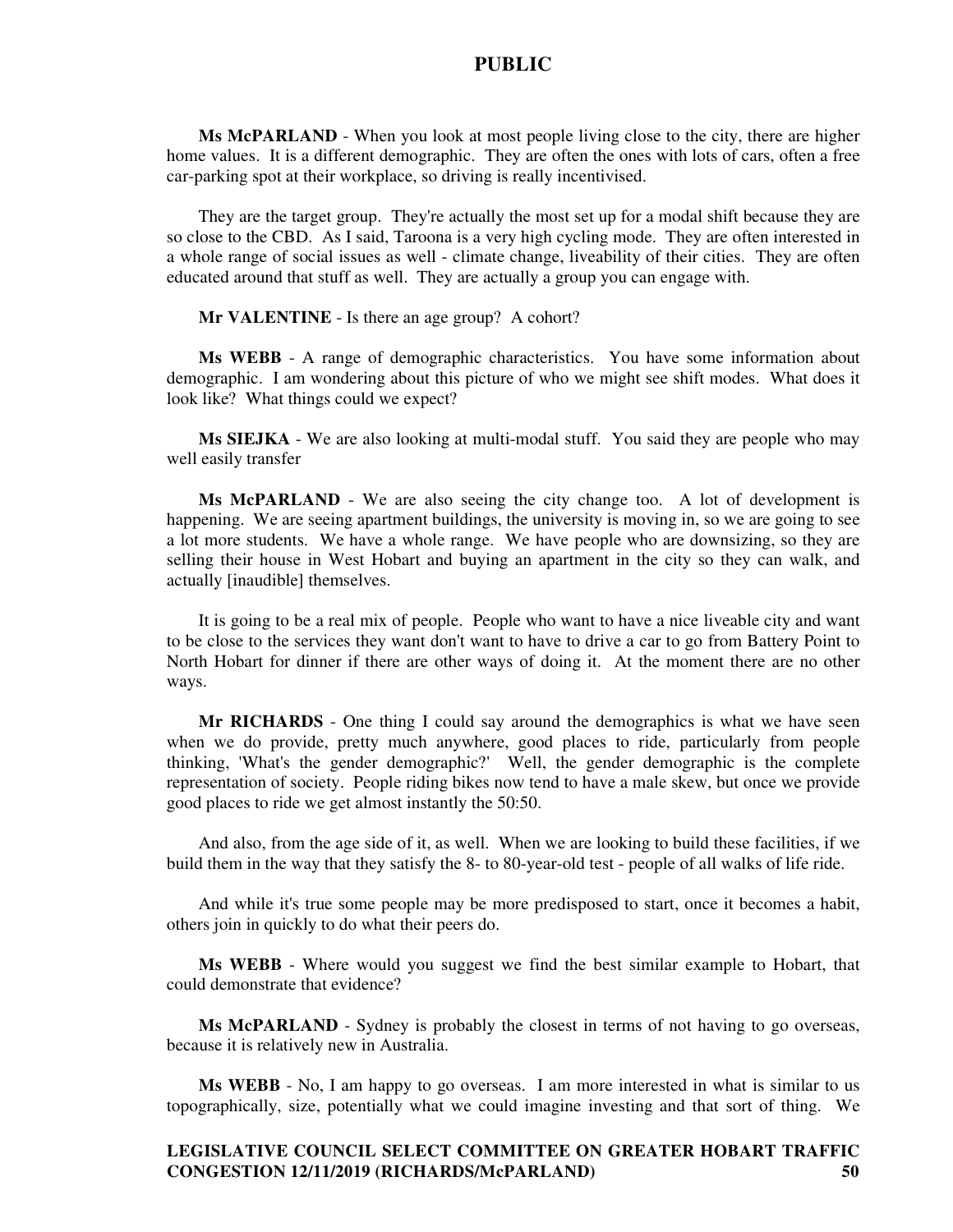**Ms McPARLAND** - When you look at most people living close to the city, there are higher home values. It is a different demographic. They are often the ones with lots of cars, often a free car-parking spot at their workplace, so driving is really incentivised.

They are the target group. They're actually the most set up for a modal shift because they are so close to the CBD. As I said, Taroona is a very high cycling mode. They are often interested in a whole range of social issues as well - climate change, liveability of their cities. They are often educated around that stuff as well. They are actually a group you can engage with.

**Mr VALENTINE** - Is there an age group? A cohort?

**Ms WEBB** - A range of demographic characteristics. You have some information about demographic. I am wondering about this picture of who we might see shift modes. What does it look like? What things could we expect?

**Ms SIEJKA** - We are also looking at multi-modal stuff. You said they are people who may well easily transfer

**Ms McPARLAND** - We are also seeing the city change too. A lot of development is happening. We are seeing apartment buildings, the university is moving in, so we are going to see a lot more students. We have a whole range. We have people who are downsizing, so they are selling their house in West Hobart and buying an apartment in the city so they can walk, and actually [inaudible] themselves.

It is going to be a real mix of people. People who want to have a nice liveable city and want to be close to the services they want don't want to have to drive a car to go from Battery Point to North Hobart for dinner if there are other ways of doing it. At the moment there are no other ways.

**Mr RICHARDS** - One thing I could say around the demographics is what we have seen when we do provide, pretty much anywhere, good places to ride, particularly from people thinking, 'What's the gender demographic?' Well, the gender demographic is the complete representation of society. People riding bikes now tend to have a male skew, but once we provide good places to ride we get almost instantly the 50:50.

And also, from the age side of it, as well. When we are looking to build these facilities, if we build them in the way that they satisfy the 8- to 80-year-old test - people of all walks of life ride.

And while it's true some people may be more predisposed to start, once it becomes a habit, others join in quickly to do what their peers do.

**Ms WEBB** - Where would you suggest we find the best similar example to Hobart, that could demonstrate that evidence?

**Ms McPARLAND** - Sydney is probably the closest in terms of not having to go overseas, because it is relatively new in Australia.

**Ms WEBB** - No, I am happy to go overseas. I am more interested in what is similar to us topographically, size, potentially what we could imagine investing and that sort of thing. We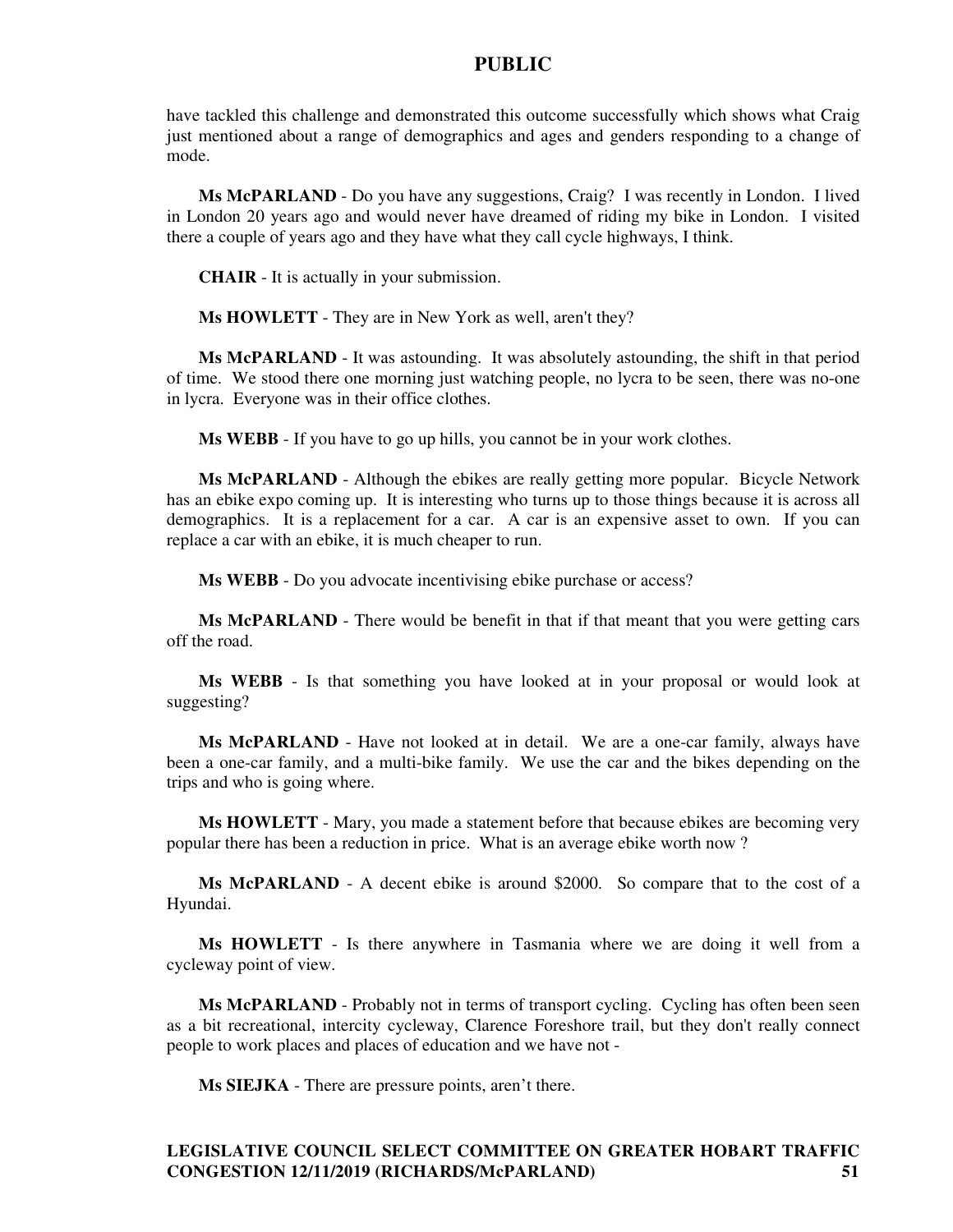have tackled this challenge and demonstrated this outcome successfully which shows what Craig just mentioned about a range of demographics and ages and genders responding to a change of mode.

**Ms McPARLAND** - Do you have any suggestions, Craig? I was recently in London. I lived in London 20 years ago and would never have dreamed of riding my bike in London. I visited there a couple of years ago and they have what they call cycle highways, I think.

**CHAIR** - It is actually in your submission.

**Ms HOWLETT** - They are in New York as well, aren't they?

**Ms McPARLAND** - It was astounding. It was absolutely astounding, the shift in that period of time. We stood there one morning just watching people, no lycra to be seen, there was no-one in lycra. Everyone was in their office clothes.

**Ms WEBB** - If you have to go up hills, you cannot be in your work clothes.

**Ms McPARLAND** - Although the ebikes are really getting more popular. Bicycle Network has an ebike expo coming up. It is interesting who turns up to those things because it is across all demographics. It is a replacement for a car. A car is an expensive asset to own. If you can replace a car with an ebike, it is much cheaper to run.

**Ms WEBB** - Do you advocate incentivising ebike purchase or access?

**Ms McPARLAND** - There would be benefit in that if that meant that you were getting cars off the road.

**Ms WEBB** - Is that something you have looked at in your proposal or would look at suggesting?

**Ms McPARLAND** - Have not looked at in detail. We are a one-car family, always have been a one-car family, and a multi-bike family. We use the car and the bikes depending on the trips and who is going where.

**Ms HOWLETT** - Mary, you made a statement before that because ebikes are becoming very popular there has been a reduction in price. What is an average ebike worth now ?

**Ms McPARLAND** - A decent ebike is around \$2000. So compare that to the cost of a Hyundai.

**Ms HOWLETT** - Is there anywhere in Tasmania where we are doing it well from a cycleway point of view.

**Ms McPARLAND** - Probably not in terms of transport cycling. Cycling has often been seen as a bit recreational, intercity cycleway, Clarence Foreshore trail, but they don't really connect people to work places and places of education and we have not -

**Ms SIEJKA** - There are pressure points, aren't there.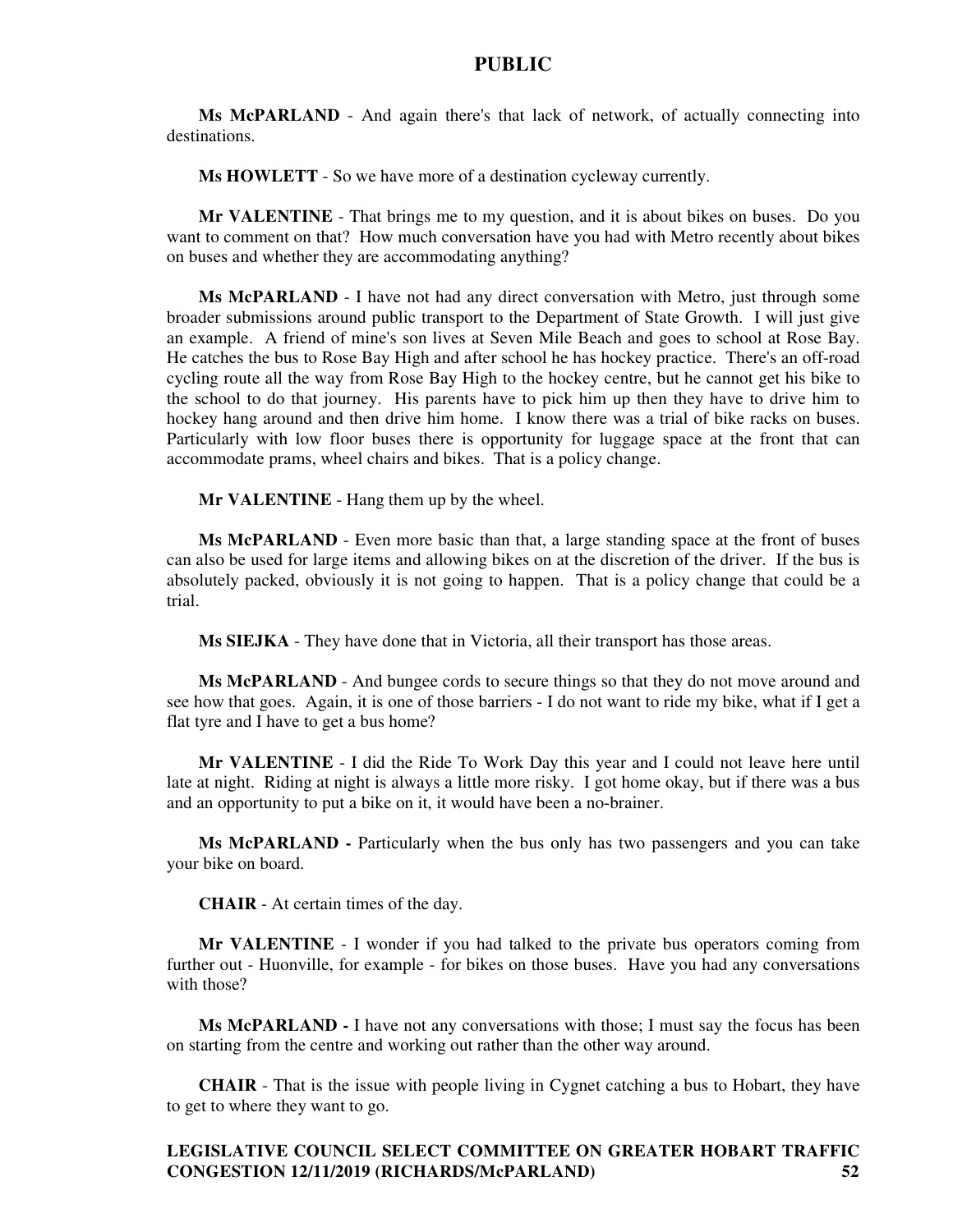**Ms McPARLAND** - And again there's that lack of network, of actually connecting into destinations.

**Ms HOWLETT** - So we have more of a destination cycleway currently.

**Mr VALENTINE** - That brings me to my question, and it is about bikes on buses. Do you want to comment on that? How much conversation have you had with Metro recently about bikes on buses and whether they are accommodating anything?

**Ms McPARLAND** - I have not had any direct conversation with Metro, just through some broader submissions around public transport to the Department of State Growth. I will just give an example. A friend of mine's son lives at Seven Mile Beach and goes to school at Rose Bay. He catches the bus to Rose Bay High and after school he has hockey practice. There's an off-road cycling route all the way from Rose Bay High to the hockey centre, but he cannot get his bike to the school to do that journey. His parents have to pick him up then they have to drive him to hockey hang around and then drive him home. I know there was a trial of bike racks on buses. Particularly with low floor buses there is opportunity for luggage space at the front that can accommodate prams, wheel chairs and bikes. That is a policy change.

**Mr VALENTINE** - Hang them up by the wheel.

**Ms McPARLAND** - Even more basic than that, a large standing space at the front of buses can also be used for large items and allowing bikes on at the discretion of the driver. If the bus is absolutely packed, obviously it is not going to happen. That is a policy change that could be a trial.

**Ms SIEJKA** - They have done that in Victoria, all their transport has those areas.

**Ms McPARLAND** - And bungee cords to secure things so that they do not move around and see how that goes. Again, it is one of those barriers - I do not want to ride my bike, what if I get a flat tyre and I have to get a bus home?

**Mr VALENTINE** - I did the Ride To Work Day this year and I could not leave here until late at night. Riding at night is always a little more risky. I got home okay, but if there was a bus and an opportunity to put a bike on it, it would have been a no-brainer.

**Ms McPARLAND -** Particularly when the bus only has two passengers and you can take your bike on board.

**CHAIR** - At certain times of the day.

**Mr VALENTINE** - I wonder if you had talked to the private bus operators coming from further out - Huonville, for example - for bikes on those buses. Have you had any conversations with those?

**Ms McPARLAND -** I have not any conversations with those; I must say the focus has been on starting from the centre and working out rather than the other way around.

**CHAIR** - That is the issue with people living in Cygnet catching a bus to Hobart, they have to get to where they want to go.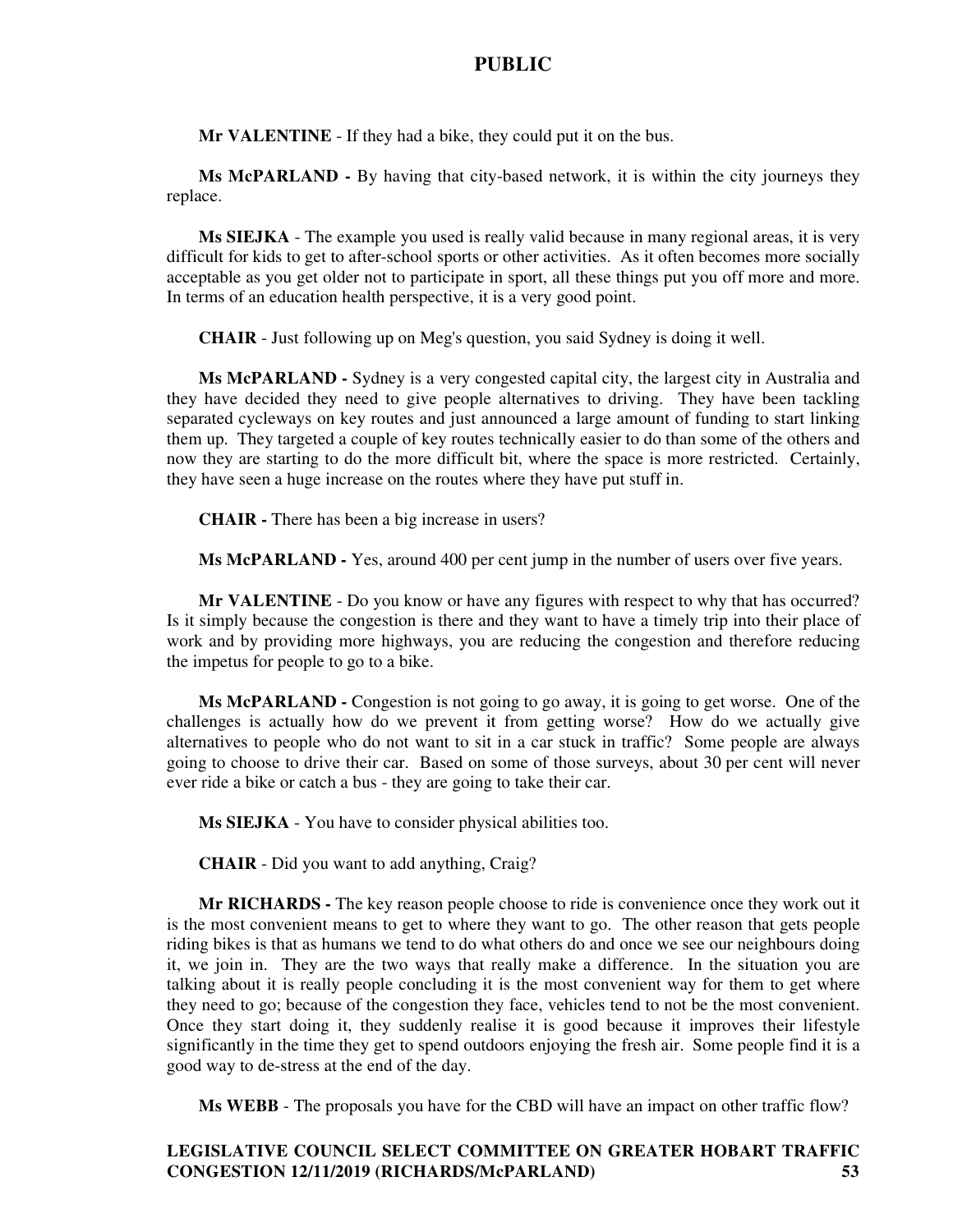**Mr VALENTINE** - If they had a bike, they could put it on the bus.

**Ms McPARLAND -** By having that city-based network, it is within the city journeys they replace.

**Ms SIEJKA** - The example you used is really valid because in many regional areas, it is very difficult for kids to get to after-school sports or other activities. As it often becomes more socially acceptable as you get older not to participate in sport, all these things put you off more and more. In terms of an education health perspective, it is a very good point.

**CHAIR** - Just following up on Meg's question, you said Sydney is doing it well.

**Ms McPARLAND -** Sydney is a very congested capital city, the largest city in Australia and they have decided they need to give people alternatives to driving. They have been tackling separated cycleways on key routes and just announced a large amount of funding to start linking them up. They targeted a couple of key routes technically easier to do than some of the others and now they are starting to do the more difficult bit, where the space is more restricted. Certainly, they have seen a huge increase on the routes where they have put stuff in.

**CHAIR -** There has been a big increase in users?

**Ms McPARLAND -** Yes, around 400 per cent jump in the number of users over five years.

**Mr VALENTINE** - Do you know or have any figures with respect to why that has occurred? Is it simply because the congestion is there and they want to have a timely trip into their place of work and by providing more highways, you are reducing the congestion and therefore reducing the impetus for people to go to a bike.

**Ms McPARLAND -** Congestion is not going to go away, it is going to get worse. One of the challenges is actually how do we prevent it from getting worse? How do we actually give alternatives to people who do not want to sit in a car stuck in traffic? Some people are always going to choose to drive their car. Based on some of those surveys, about 30 per cent will never ever ride a bike or catch a bus - they are going to take their car.

**Ms SIEJKA** - You have to consider physical abilities too.

**CHAIR** - Did you want to add anything, Craig?

**Mr RICHARDS -** The key reason people choose to ride is convenience once they work out it is the most convenient means to get to where they want to go. The other reason that gets people riding bikes is that as humans we tend to do what others do and once we see our neighbours doing it, we join in. They are the two ways that really make a difference. In the situation you are talking about it is really people concluding it is the most convenient way for them to get where they need to go; because of the congestion they face, vehicles tend to not be the most convenient. Once they start doing it, they suddenly realise it is good because it improves their lifestyle significantly in the time they get to spend outdoors enjoying the fresh air. Some people find it is a good way to de-stress at the end of the day.

**Ms WEBB** - The proposals you have for the CBD will have an impact on other traffic flow?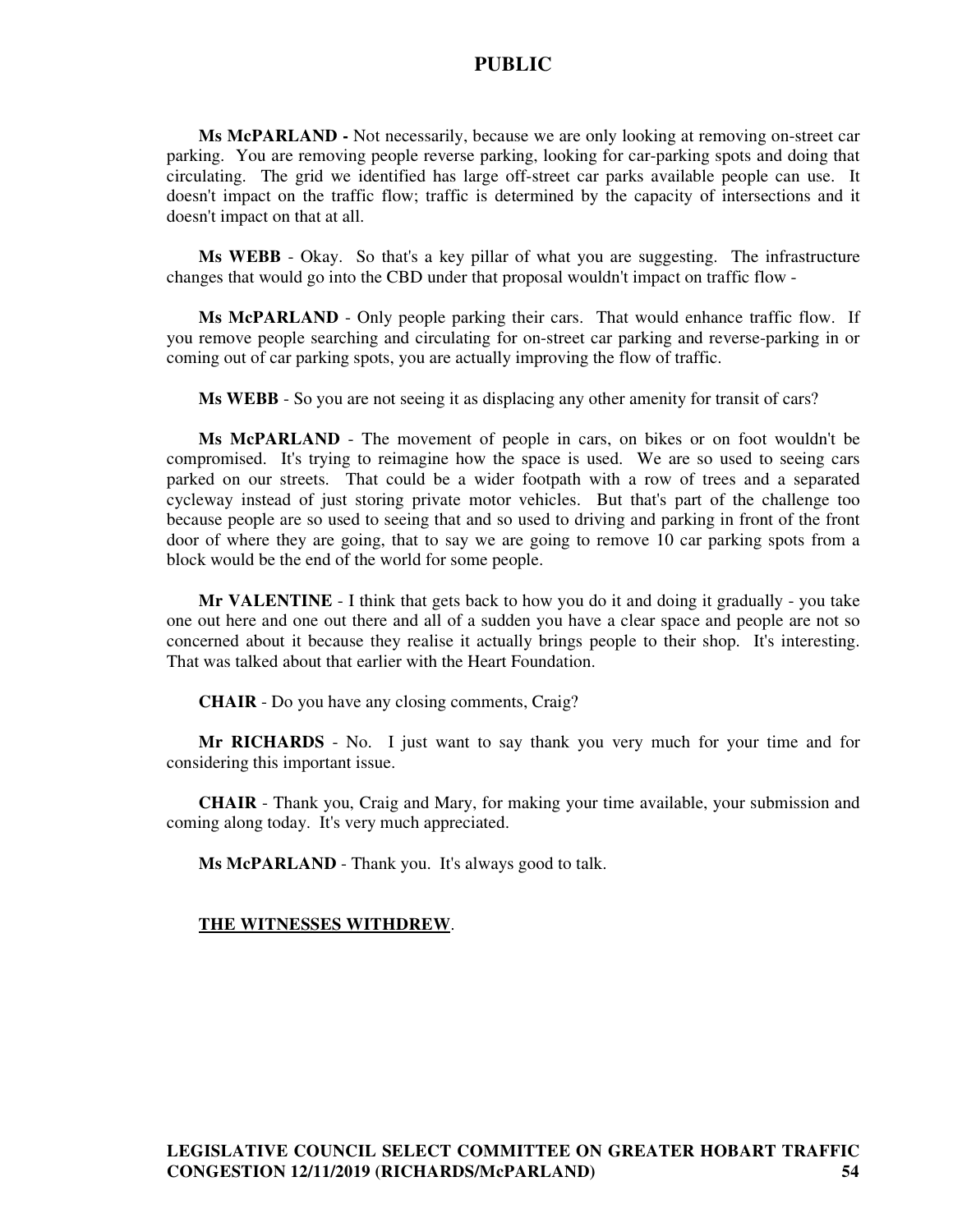**Ms McPARLAND -** Not necessarily, because we are only looking at removing on-street car parking. You are removing people reverse parking, looking for car-parking spots and doing that circulating. The grid we identified has large off-street car parks available people can use. It doesn't impact on the traffic flow; traffic is determined by the capacity of intersections and it doesn't impact on that at all.

**Ms WEBB** - Okay. So that's a key pillar of what you are suggesting. The infrastructure changes that would go into the CBD under that proposal wouldn't impact on traffic flow -

**Ms McPARLAND** - Only people parking their cars. That would enhance traffic flow. If you remove people searching and circulating for on-street car parking and reverse-parking in or coming out of car parking spots, you are actually improving the flow of traffic.

**Ms WEBB** - So you are not seeing it as displacing any other amenity for transit of cars?

**Ms McPARLAND** - The movement of people in cars, on bikes or on foot wouldn't be compromised. It's trying to reimagine how the space is used. We are so used to seeing cars parked on our streets. That could be a wider footpath with a row of trees and a separated cycleway instead of just storing private motor vehicles. But that's part of the challenge too because people are so used to seeing that and so used to driving and parking in front of the front door of where they are going, that to say we are going to remove 10 car parking spots from a block would be the end of the world for some people.

**Mr VALENTINE** - I think that gets back to how you do it and doing it gradually - you take one out here and one out there and all of a sudden you have a clear space and people are not so concerned about it because they realise it actually brings people to their shop. It's interesting. That was talked about that earlier with the Heart Foundation.

**CHAIR** - Do you have any closing comments, Craig?

**Mr RICHARDS** - No. I just want to say thank you very much for your time and for considering this important issue.

**CHAIR** - Thank you, Craig and Mary, for making your time available, your submission and coming along today. It's very much appreciated.

**Ms McPARLAND** - Thank you. It's always good to talk.

#### **THE WITNESSES WITHDREW**.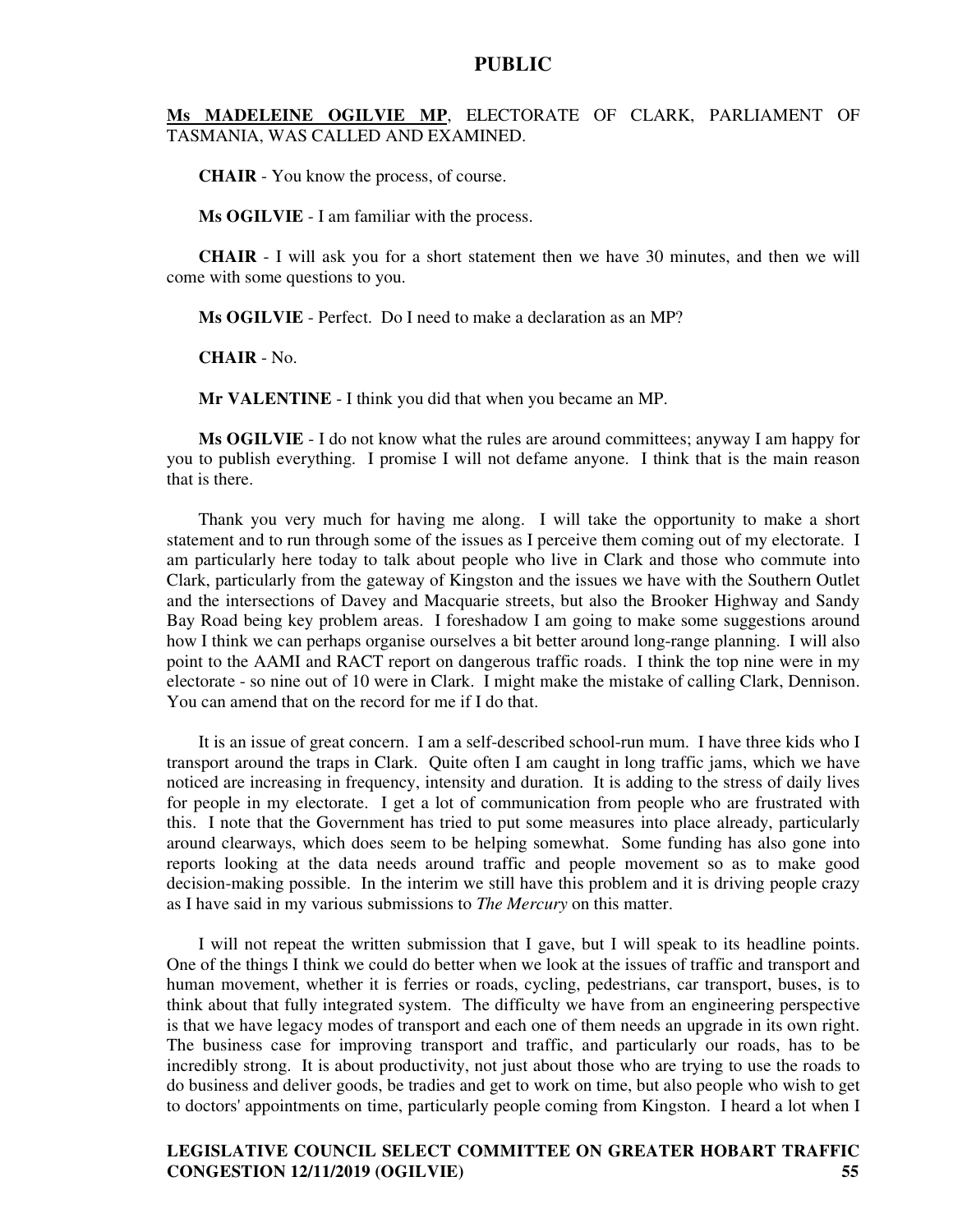#### **Ms MADELEINE OGILVIE MP**, ELECTORATE OF CLARK, PARLIAMENT OF TASMANIA, WAS CALLED AND EXAMINED.

**CHAIR** - You know the process, of course.

**Ms OGILVIE** - I am familiar with the process.

**CHAIR** - I will ask you for a short statement then we have 30 minutes, and then we will come with some questions to you.

**Ms OGILVIE** - Perfect. Do I need to make a declaration as an MP?

**CHAIR** - No.

**Mr VALENTINE** - I think you did that when you became an MP.

**Ms OGILVIE** - I do not know what the rules are around committees; anyway I am happy for you to publish everything. I promise I will not defame anyone. I think that is the main reason that is there.

Thank you very much for having me along. I will take the opportunity to make a short statement and to run through some of the issues as I perceive them coming out of my electorate. I am particularly here today to talk about people who live in Clark and those who commute into Clark, particularly from the gateway of Kingston and the issues we have with the Southern Outlet and the intersections of Davey and Macquarie streets, but also the Brooker Highway and Sandy Bay Road being key problem areas. I foreshadow I am going to make some suggestions around how I think we can perhaps organise ourselves a bit better around long-range planning. I will also point to the AAMI and RACT report on dangerous traffic roads. I think the top nine were in my electorate - so nine out of 10 were in Clark. I might make the mistake of calling Clark, Dennison. You can amend that on the record for me if I do that.

It is an issue of great concern. I am a self-described school-run mum. I have three kids who I transport around the traps in Clark. Quite often I am caught in long traffic jams, which we have noticed are increasing in frequency, intensity and duration. It is adding to the stress of daily lives for people in my electorate. I get a lot of communication from people who are frustrated with this. I note that the Government has tried to put some measures into place already, particularly around clearways, which does seem to be helping somewhat. Some funding has also gone into reports looking at the data needs around traffic and people movement so as to make good decision-making possible. In the interim we still have this problem and it is driving people crazy as I have said in my various submissions to *The Mercury* on this matter.

I will not repeat the written submission that I gave, but I will speak to its headline points. One of the things I think we could do better when we look at the issues of traffic and transport and human movement, whether it is ferries or roads, cycling, pedestrians, car transport, buses, is to think about that fully integrated system. The difficulty we have from an engineering perspective is that we have legacy modes of transport and each one of them needs an upgrade in its own right. The business case for improving transport and traffic, and particularly our roads, has to be incredibly strong. It is about productivity, not just about those who are trying to use the roads to do business and deliver goods, be tradies and get to work on time, but also people who wish to get to doctors' appointments on time, particularly people coming from Kingston. I heard a lot when I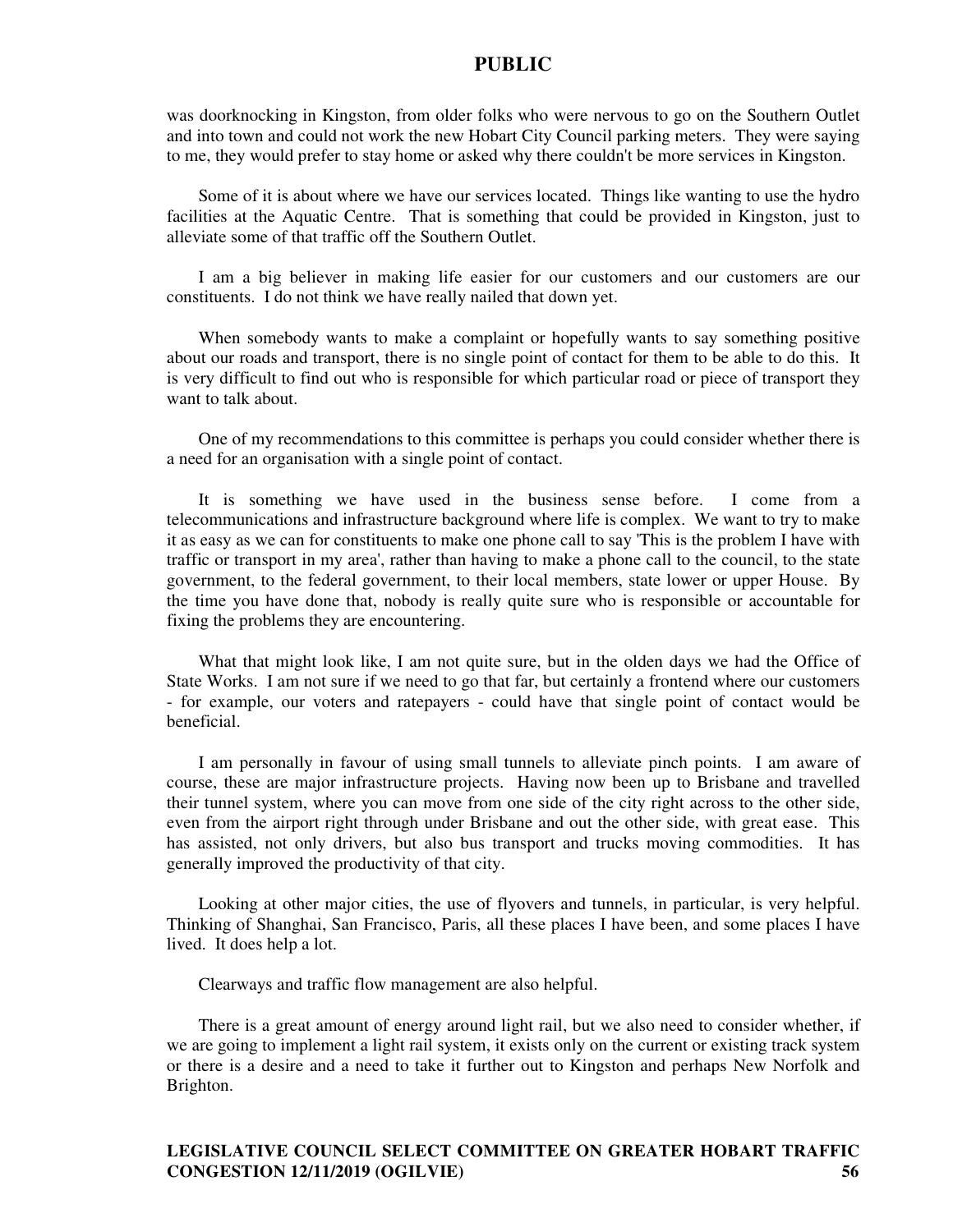was doorknocking in Kingston, from older folks who were nervous to go on the Southern Outlet and into town and could not work the new Hobart City Council parking meters. They were saying to me, they would prefer to stay home or asked why there couldn't be more services in Kingston.

Some of it is about where we have our services located. Things like wanting to use the hydro facilities at the Aquatic Centre. That is something that could be provided in Kingston, just to alleviate some of that traffic off the Southern Outlet.

I am a big believer in making life easier for our customers and our customers are our constituents. I do not think we have really nailed that down yet.

When somebody wants to make a complaint or hopefully wants to say something positive about our roads and transport, there is no single point of contact for them to be able to do this. It is very difficult to find out who is responsible for which particular road or piece of transport they want to talk about.

One of my recommendations to this committee is perhaps you could consider whether there is a need for an organisation with a single point of contact.

It is something we have used in the business sense before. I come from a telecommunications and infrastructure background where life is complex. We want to try to make it as easy as we can for constituents to make one phone call to say 'This is the problem I have with traffic or transport in my area', rather than having to make a phone call to the council, to the state government, to the federal government, to their local members, state lower or upper House. By the time you have done that, nobody is really quite sure who is responsible or accountable for fixing the problems they are encountering.

What that might look like, I am not quite sure, but in the olden days we had the Office of State Works. I am not sure if we need to go that far, but certainly a frontend where our customers - for example, our voters and ratepayers - could have that single point of contact would be beneficial.

I am personally in favour of using small tunnels to alleviate pinch points. I am aware of course, these are major infrastructure projects. Having now been up to Brisbane and travelled their tunnel system, where you can move from one side of the city right across to the other side, even from the airport right through under Brisbane and out the other side, with great ease. This has assisted, not only drivers, but also bus transport and trucks moving commodities. It has generally improved the productivity of that city.

Looking at other major cities, the use of flyovers and tunnels, in particular, is very helpful. Thinking of Shanghai, San Francisco, Paris, all these places I have been, and some places I have lived. It does help a lot.

Clearways and traffic flow management are also helpful.

There is a great amount of energy around light rail, but we also need to consider whether, if we are going to implement a light rail system, it exists only on the current or existing track system or there is a desire and a need to take it further out to Kingston and perhaps New Norfolk and Brighton.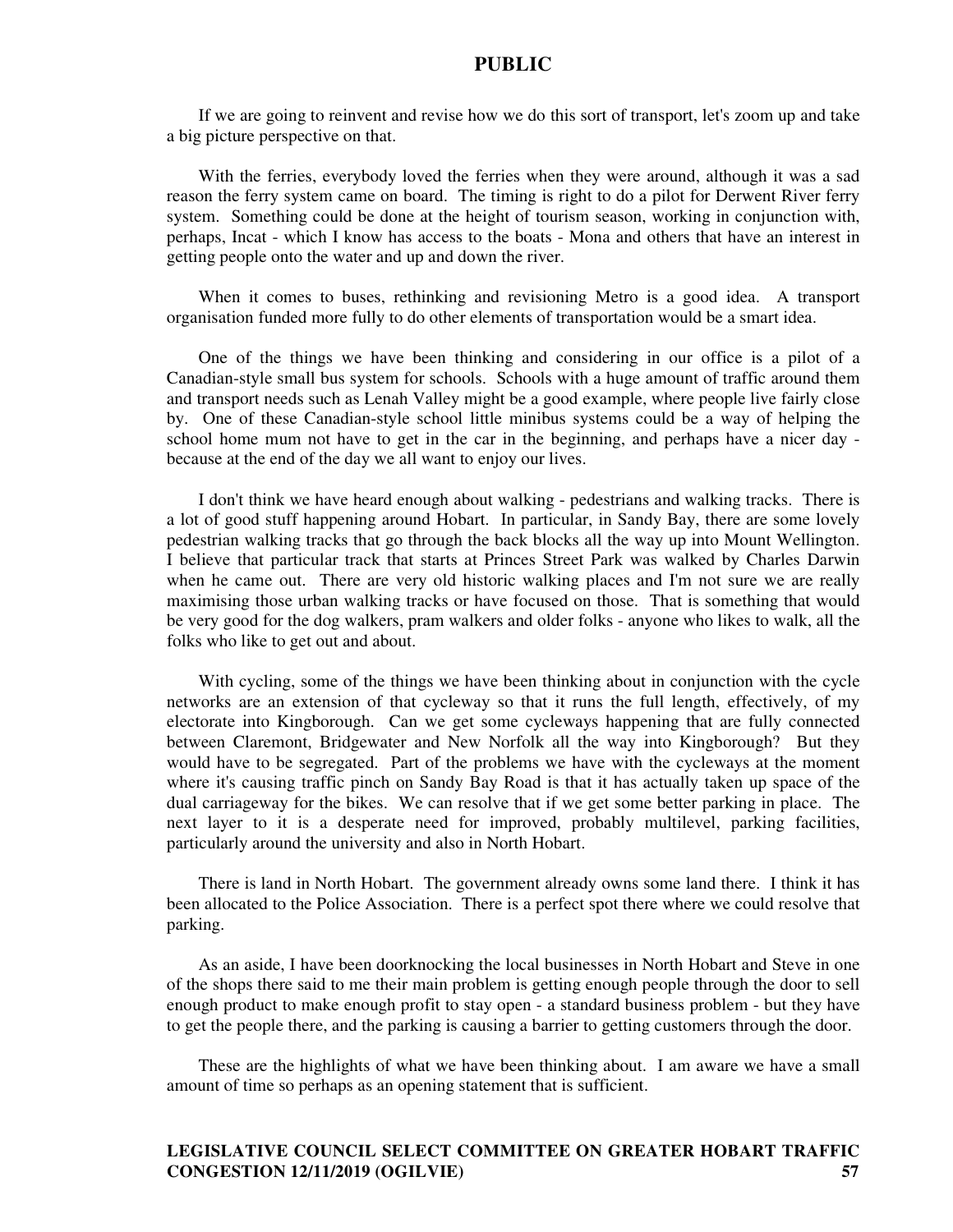If we are going to reinvent and revise how we do this sort of transport, let's zoom up and take a big picture perspective on that.

With the ferries, everybody loved the ferries when they were around, although it was a sad reason the ferry system came on board. The timing is right to do a pilot for Derwent River ferry system. Something could be done at the height of tourism season, working in conjunction with, perhaps, Incat - which I know has access to the boats - Mona and others that have an interest in getting people onto the water and up and down the river.

When it comes to buses, rethinking and revisioning Metro is a good idea. A transport organisation funded more fully to do other elements of transportation would be a smart idea.

One of the things we have been thinking and considering in our office is a pilot of a Canadian-style small bus system for schools. Schools with a huge amount of traffic around them and transport needs such as Lenah Valley might be a good example, where people live fairly close by. One of these Canadian-style school little minibus systems could be a way of helping the school home mum not have to get in the car in the beginning, and perhaps have a nicer day because at the end of the day we all want to enjoy our lives.

I don't think we have heard enough about walking - pedestrians and walking tracks. There is a lot of good stuff happening around Hobart. In particular, in Sandy Bay, there are some lovely pedestrian walking tracks that go through the back blocks all the way up into Mount Wellington. I believe that particular track that starts at Princes Street Park was walked by Charles Darwin when he came out. There are very old historic walking places and I'm not sure we are really maximising those urban walking tracks or have focused on those. That is something that would be very good for the dog walkers, pram walkers and older folks - anyone who likes to walk, all the folks who like to get out and about.

With cycling, some of the things we have been thinking about in conjunction with the cycle networks are an extension of that cycleway so that it runs the full length, effectively, of my electorate into Kingborough. Can we get some cycleways happening that are fully connected between Claremont, Bridgewater and New Norfolk all the way into Kingborough? But they would have to be segregated. Part of the problems we have with the cycleways at the moment where it's causing traffic pinch on Sandy Bay Road is that it has actually taken up space of the dual carriageway for the bikes. We can resolve that if we get some better parking in place. The next layer to it is a desperate need for improved, probably multilevel, parking facilities, particularly around the university and also in North Hobart.

There is land in North Hobart. The government already owns some land there. I think it has been allocated to the Police Association. There is a perfect spot there where we could resolve that parking.

As an aside, I have been doorknocking the local businesses in North Hobart and Steve in one of the shops there said to me their main problem is getting enough people through the door to sell enough product to make enough profit to stay open - a standard business problem - but they have to get the people there, and the parking is causing a barrier to getting customers through the door.

These are the highlights of what we have been thinking about. I am aware we have a small amount of time so perhaps as an opening statement that is sufficient.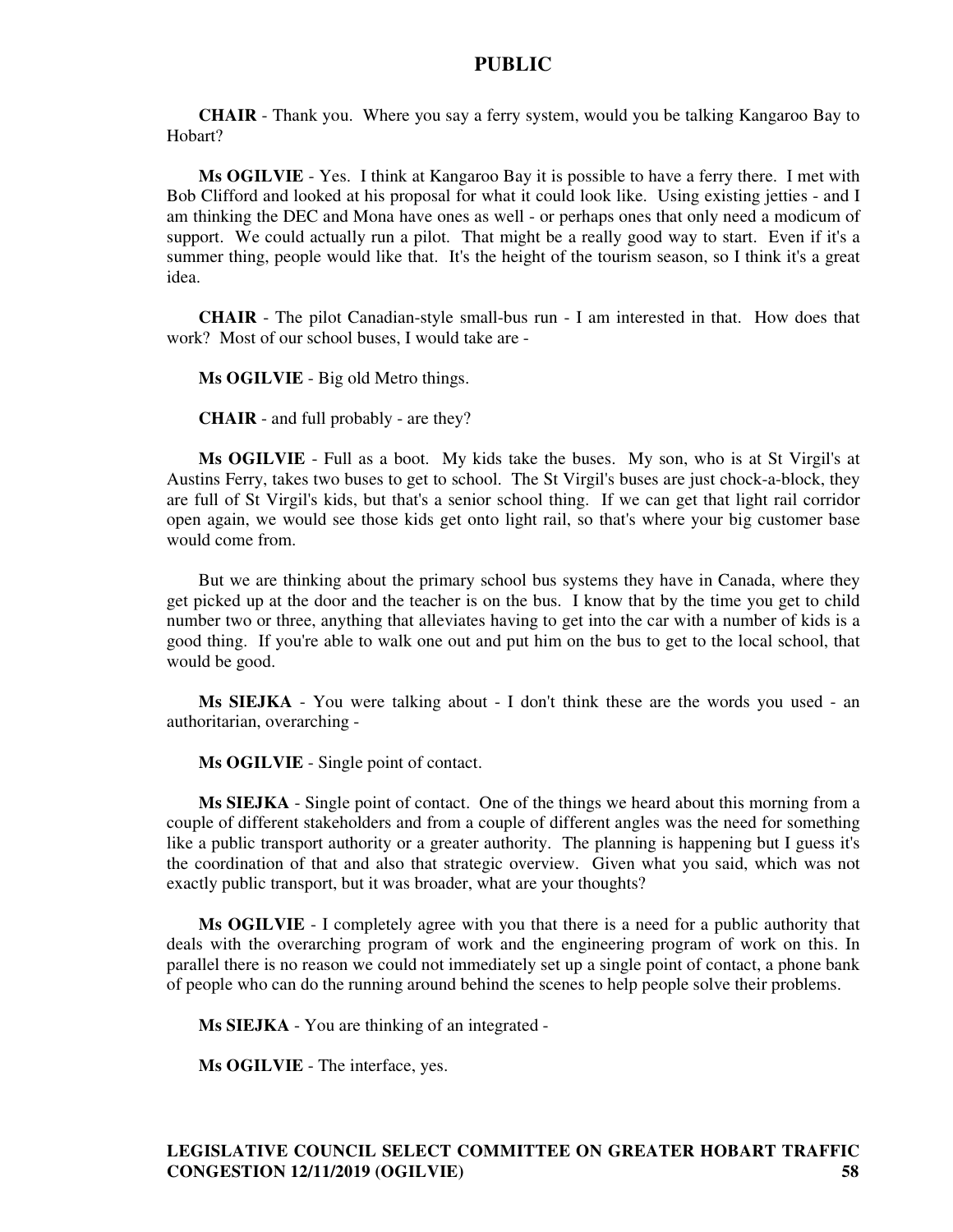**CHAIR** - Thank you. Where you say a ferry system, would you be talking Kangaroo Bay to Hobart?

**Ms OGILVIE** - Yes. I think at Kangaroo Bay it is possible to have a ferry there. I met with Bob Clifford and looked at his proposal for what it could look like. Using existing jetties - and I am thinking the DEC and Mona have ones as well - or perhaps ones that only need a modicum of support. We could actually run a pilot. That might be a really good way to start. Even if it's a summer thing, people would like that. It's the height of the tourism season, so I think it's a great idea.

**CHAIR** - The pilot Canadian-style small-bus run - I am interested in that. How does that work? Most of our school buses, I would take are -

**Ms OGILVIE** - Big old Metro things.

**CHAIR** - and full probably - are they?

**Ms OGILVIE** - Full as a boot. My kids take the buses. My son, who is at St Virgil's at Austins Ferry, takes two buses to get to school. The St Virgil's buses are just chock-a-block, they are full of St Virgil's kids, but that's a senior school thing. If we can get that light rail corridor open again, we would see those kids get onto light rail, so that's where your big customer base would come from.

But we are thinking about the primary school bus systems they have in Canada, where they get picked up at the door and the teacher is on the bus. I know that by the time you get to child number two or three, anything that alleviates having to get into the car with a number of kids is a good thing. If you're able to walk one out and put him on the bus to get to the local school, that would be good.

**Ms SIEJKA** - You were talking about - I don't think these are the words you used - an authoritarian, overarching -

**Ms OGILVIE** - Single point of contact.

**Ms SIEJKA** - Single point of contact. One of the things we heard about this morning from a couple of different stakeholders and from a couple of different angles was the need for something like a public transport authority or a greater authority. The planning is happening but I guess it's the coordination of that and also that strategic overview. Given what you said, which was not exactly public transport, but it was broader, what are your thoughts?

**Ms OGILVIE** - I completely agree with you that there is a need for a public authority that deals with the overarching program of work and the engineering program of work on this. In parallel there is no reason we could not immediately set up a single point of contact, a phone bank of people who can do the running around behind the scenes to help people solve their problems.

**Ms SIEJKA** - You are thinking of an integrated -

**Ms OGILVIE** - The interface, yes.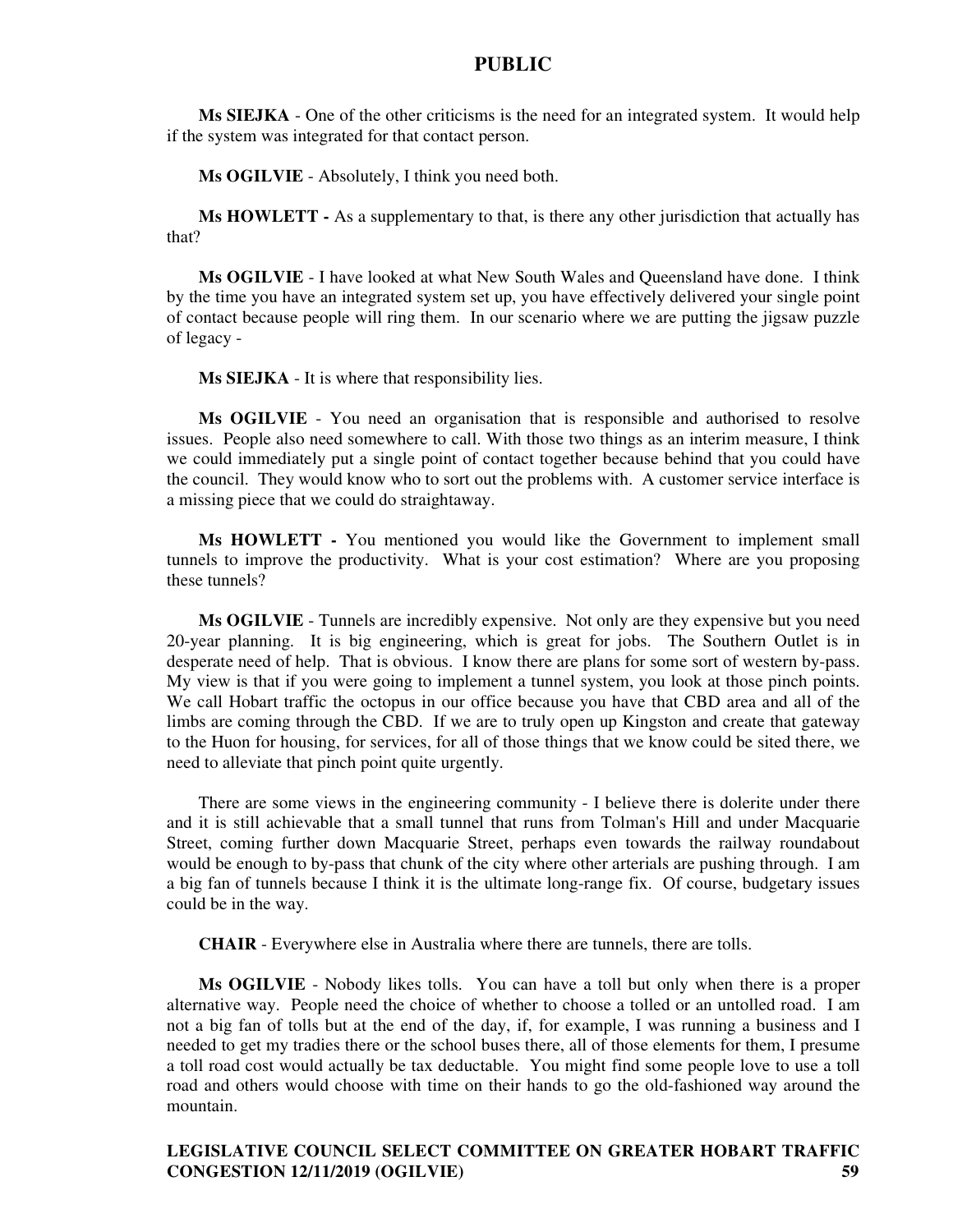**Ms SIEJKA** - One of the other criticisms is the need for an integrated system. It would help if the system was integrated for that contact person.

**Ms OGILVIE** - Absolutely, I think you need both.

**Ms HOWLETT -** As a supplementary to that, is there any other jurisdiction that actually has that?

**Ms OGILVIE** - I have looked at what New South Wales and Queensland have done. I think by the time you have an integrated system set up, you have effectively delivered your single point of contact because people will ring them. In our scenario where we are putting the jigsaw puzzle of legacy -

**Ms SIEJKA** - It is where that responsibility lies.

**Ms OGILVIE** - You need an organisation that is responsible and authorised to resolve issues. People also need somewhere to call. With those two things as an interim measure, I think we could immediately put a single point of contact together because behind that you could have the council. They would know who to sort out the problems with. A customer service interface is a missing piece that we could do straightaway.

**Ms HOWLETT -** You mentioned you would like the Government to implement small tunnels to improve the productivity. What is your cost estimation? Where are you proposing these tunnels?

**Ms OGILVIE** - Tunnels are incredibly expensive. Not only are they expensive but you need 20-year planning. It is big engineering, which is great for jobs. The Southern Outlet is in desperate need of help. That is obvious. I know there are plans for some sort of western by-pass. My view is that if you were going to implement a tunnel system, you look at those pinch points. We call Hobart traffic the octopus in our office because you have that CBD area and all of the limbs are coming through the CBD. If we are to truly open up Kingston and create that gateway to the Huon for housing, for services, for all of those things that we know could be sited there, we need to alleviate that pinch point quite urgently.

There are some views in the engineering community - I believe there is dolerite under there and it is still achievable that a small tunnel that runs from Tolman's Hill and under Macquarie Street, coming further down Macquarie Street, perhaps even towards the railway roundabout would be enough to by-pass that chunk of the city where other arterials are pushing through. I am a big fan of tunnels because I think it is the ultimate long-range fix. Of course, budgetary issues could be in the way.

**CHAIR** - Everywhere else in Australia where there are tunnels, there are tolls.

**Ms OGILVIE** - Nobody likes tolls. You can have a toll but only when there is a proper alternative way. People need the choice of whether to choose a tolled or an untolled road. I am not a big fan of tolls but at the end of the day, if, for example, I was running a business and I needed to get my tradies there or the school buses there, all of those elements for them, I presume a toll road cost would actually be tax deductable. You might find some people love to use a toll road and others would choose with time on their hands to go the old-fashioned way around the mountain.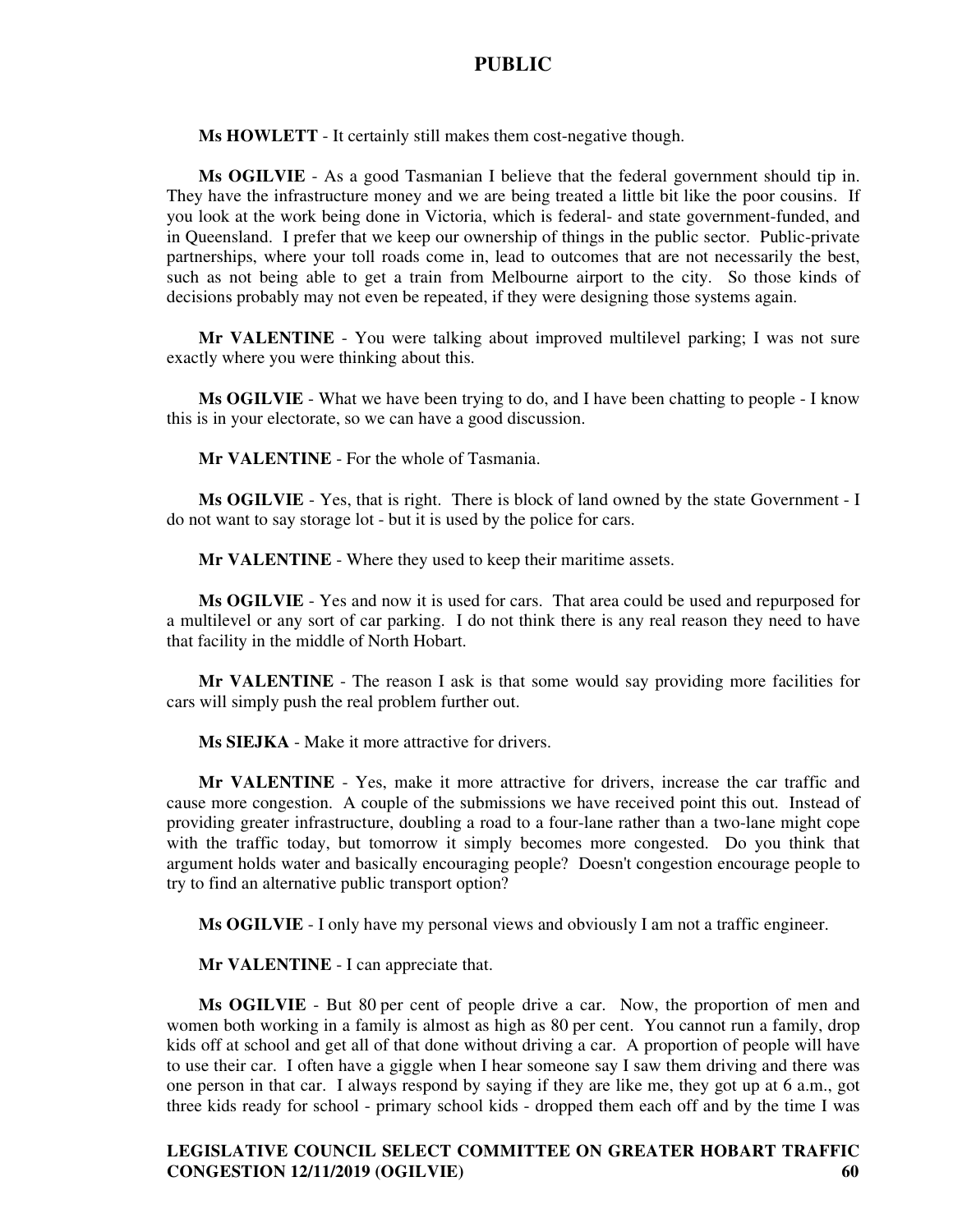**Ms HOWLETT** - It certainly still makes them cost-negative though.

**Ms OGILVIE** - As a good Tasmanian I believe that the federal government should tip in. They have the infrastructure money and we are being treated a little bit like the poor cousins. If you look at the work being done in Victoria, which is federal- and state government-funded, and in Queensland. I prefer that we keep our ownership of things in the public sector. Public-private partnerships, where your toll roads come in, lead to outcomes that are not necessarily the best, such as not being able to get a train from Melbourne airport to the city. So those kinds of decisions probably may not even be repeated, if they were designing those systems again.

**Mr VALENTINE** - You were talking about improved multilevel parking; I was not sure exactly where you were thinking about this.

**Ms OGILVIE** - What we have been trying to do, and I have been chatting to people - I know this is in your electorate, so we can have a good discussion.

**Mr VALENTINE** - For the whole of Tasmania.

**Ms OGILVIE** - Yes, that is right. There is block of land owned by the state Government - I do not want to say storage lot - but it is used by the police for cars.

**Mr VALENTINE** - Where they used to keep their maritime assets.

**Ms OGILVIE** - Yes and now it is used for cars. That area could be used and repurposed for a multilevel or any sort of car parking. I do not think there is any real reason they need to have that facility in the middle of North Hobart.

**Mr VALENTINE** - The reason I ask is that some would say providing more facilities for cars will simply push the real problem further out.

**Ms SIEJKA** - Make it more attractive for drivers.

**Mr VALENTINE** - Yes, make it more attractive for drivers, increase the car traffic and cause more congestion. A couple of the submissions we have received point this out. Instead of providing greater infrastructure, doubling a road to a four-lane rather than a two-lane might cope with the traffic today, but tomorrow it simply becomes more congested. Do you think that argument holds water and basically encouraging people? Doesn't congestion encourage people to try to find an alternative public transport option?

**Ms OGILVIE** - I only have my personal views and obviously I am not a traffic engineer.

**Mr VALENTINE** - I can appreciate that.

**Ms OGILVIE** - But 80 per cent of people drive a car. Now, the proportion of men and women both working in a family is almost as high as 80 per cent. You cannot run a family, drop kids off at school and get all of that done without driving a car. A proportion of people will have to use their car. I often have a giggle when I hear someone say I saw them driving and there was one person in that car. I always respond by saying if they are like me, they got up at 6 a.m., got three kids ready for school - primary school kids - dropped them each off and by the time I was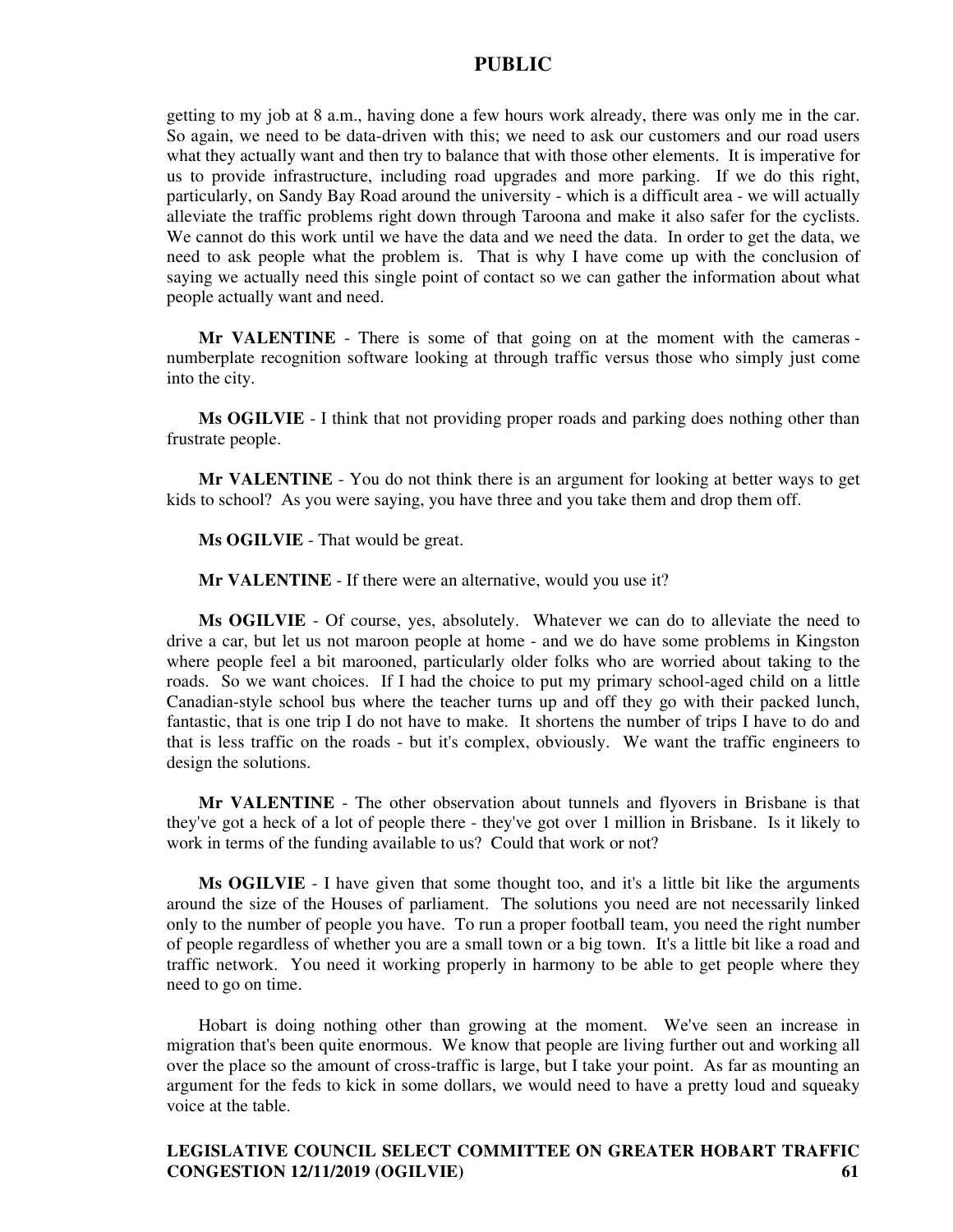getting to my job at 8 a.m., having done a few hours work already, there was only me in the car. So again, we need to be data-driven with this; we need to ask our customers and our road users what they actually want and then try to balance that with those other elements. It is imperative for us to provide infrastructure, including road upgrades and more parking. If we do this right, particularly, on Sandy Bay Road around the university - which is a difficult area - we will actually alleviate the traffic problems right down through Taroona and make it also safer for the cyclists. We cannot do this work until we have the data and we need the data. In order to get the data, we need to ask people what the problem is. That is why I have come up with the conclusion of saying we actually need this single point of contact so we can gather the information about what people actually want and need.

**Mr VALENTINE** - There is some of that going on at the moment with the cameras numberplate recognition software looking at through traffic versus those who simply just come into the city.

**Ms OGILVIE** - I think that not providing proper roads and parking does nothing other than frustrate people.

**Mr VALENTINE** - You do not think there is an argument for looking at better ways to get kids to school? As you were saying, you have three and you take them and drop them off.

**Ms OGILVIE** - That would be great.

**Mr VALENTINE** - If there were an alternative, would you use it?

**Ms OGILVIE** - Of course, yes, absolutely. Whatever we can do to alleviate the need to drive a car, but let us not maroon people at home - and we do have some problems in Kingston where people feel a bit marooned, particularly older folks who are worried about taking to the roads. So we want choices. If I had the choice to put my primary school-aged child on a little Canadian-style school bus where the teacher turns up and off they go with their packed lunch, fantastic, that is one trip I do not have to make. It shortens the number of trips I have to do and that is less traffic on the roads - but it's complex, obviously. We want the traffic engineers to design the solutions.

**Mr VALENTINE** - The other observation about tunnels and flyovers in Brisbane is that they've got a heck of a lot of people there - they've got over 1 million in Brisbane. Is it likely to work in terms of the funding available to us? Could that work or not?

**Ms OGILVIE** - I have given that some thought too, and it's a little bit like the arguments around the size of the Houses of parliament. The solutions you need are not necessarily linked only to the number of people you have. To run a proper football team, you need the right number of people regardless of whether you are a small town or a big town. It's a little bit like a road and traffic network. You need it working properly in harmony to be able to get people where they need to go on time.

Hobart is doing nothing other than growing at the moment. We've seen an increase in migration that's been quite enormous. We know that people are living further out and working all over the place so the amount of cross-traffic is large, but I take your point. As far as mounting an argument for the feds to kick in some dollars, we would need to have a pretty loud and squeaky voice at the table.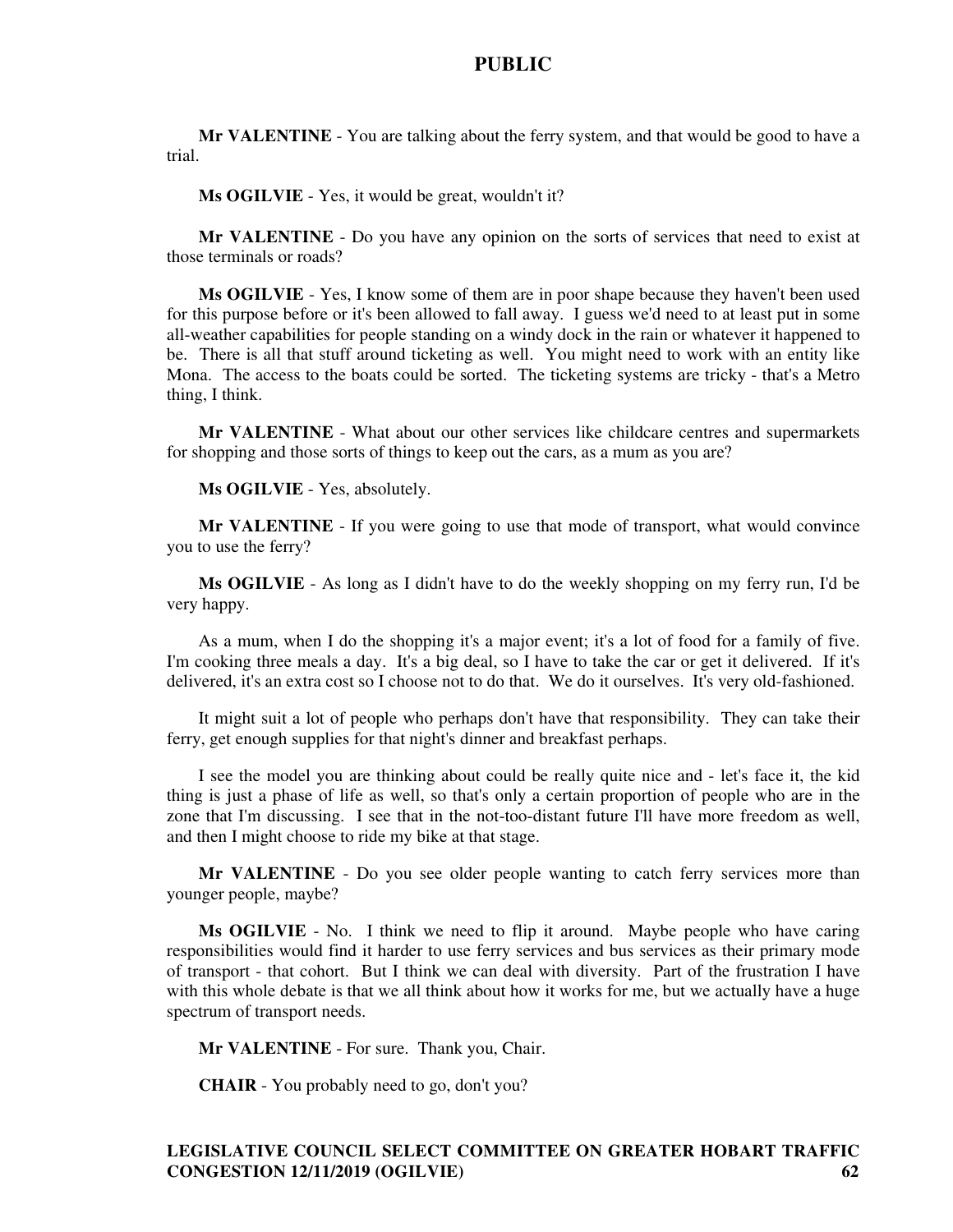**Mr VALENTINE** - You are talking about the ferry system, and that would be good to have a trial.

**Ms OGILVIE** - Yes, it would be great, wouldn't it?

**Mr VALENTINE** - Do you have any opinion on the sorts of services that need to exist at those terminals or roads?

**Ms OGILVIE** - Yes, I know some of them are in poor shape because they haven't been used for this purpose before or it's been allowed to fall away. I guess we'd need to at least put in some all-weather capabilities for people standing on a windy dock in the rain or whatever it happened to be. There is all that stuff around ticketing as well. You might need to work with an entity like Mona. The access to the boats could be sorted. The ticketing systems are tricky - that's a Metro thing, I think.

**Mr VALENTINE** - What about our other services like childcare centres and supermarkets for shopping and those sorts of things to keep out the cars, as a mum as you are?

**Ms OGILVIE** - Yes, absolutely.

**Mr VALENTINE** - If you were going to use that mode of transport, what would convince you to use the ferry?

**Ms OGILVIE** - As long as I didn't have to do the weekly shopping on my ferry run, I'd be very happy.

As a mum, when I do the shopping it's a major event; it's a lot of food for a family of five. I'm cooking three meals a day. It's a big deal, so I have to take the car or get it delivered. If it's delivered, it's an extra cost so I choose not to do that. We do it ourselves. It's very old-fashioned.

It might suit a lot of people who perhaps don't have that responsibility. They can take their ferry, get enough supplies for that night's dinner and breakfast perhaps.

I see the model you are thinking about could be really quite nice and - let's face it, the kid thing is just a phase of life as well, so that's only a certain proportion of people who are in the zone that I'm discussing. I see that in the not-too-distant future I'll have more freedom as well, and then I might choose to ride my bike at that stage.

**Mr VALENTINE** - Do you see older people wanting to catch ferry services more than younger people, maybe?

**Ms OGILVIE** - No. I think we need to flip it around. Maybe people who have caring responsibilities would find it harder to use ferry services and bus services as their primary mode of transport - that cohort. But I think we can deal with diversity. Part of the frustration I have with this whole debate is that we all think about how it works for me, but we actually have a huge spectrum of transport needs.

**Mr VALENTINE** - For sure. Thank you, Chair.

**CHAIR** - You probably need to go, don't you?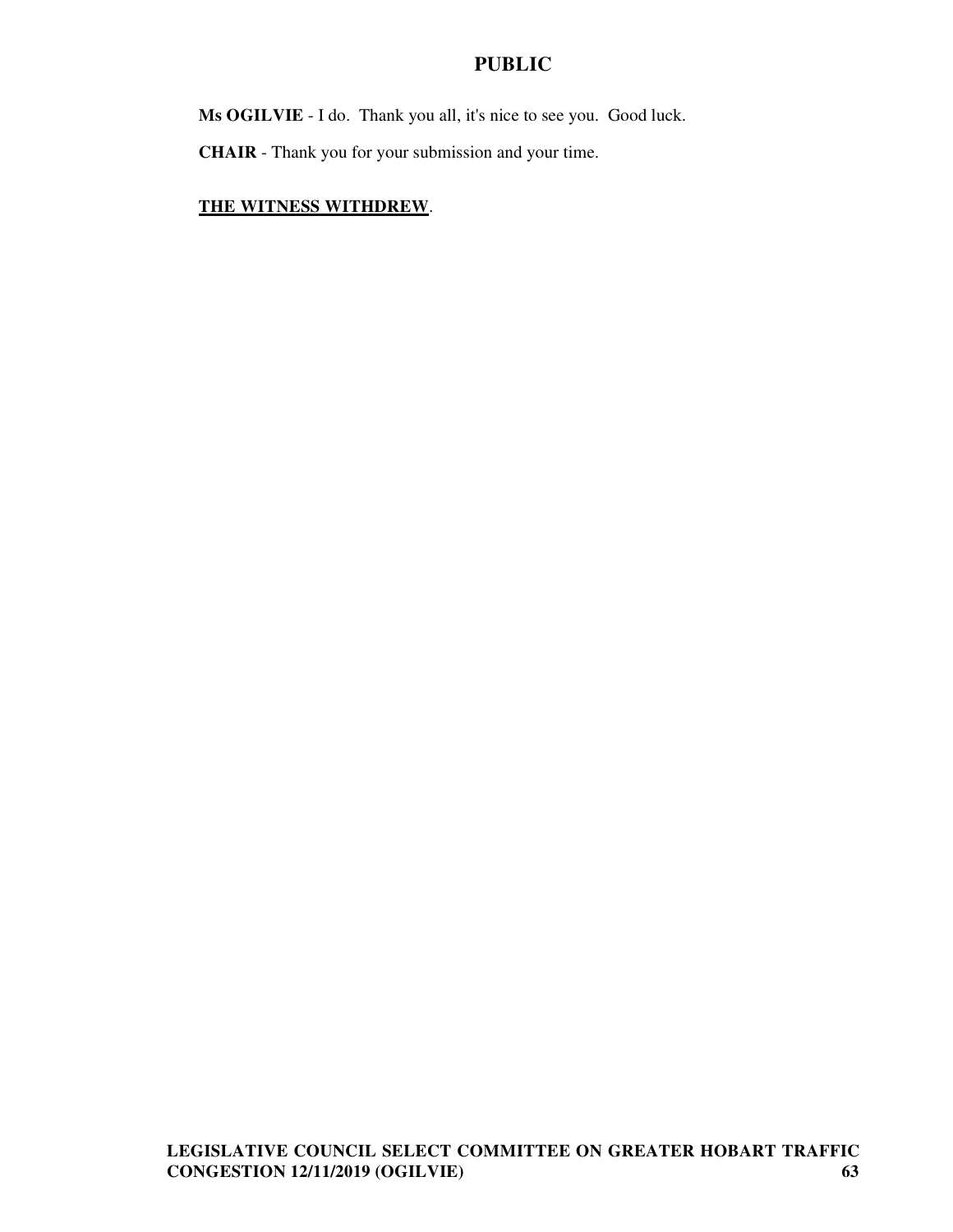**Ms OGILVIE** - I do. Thank you all, it's nice to see you. Good luck.

**CHAIR** - Thank you for your submission and your time.

# **THE WITNESS WITHDREW**.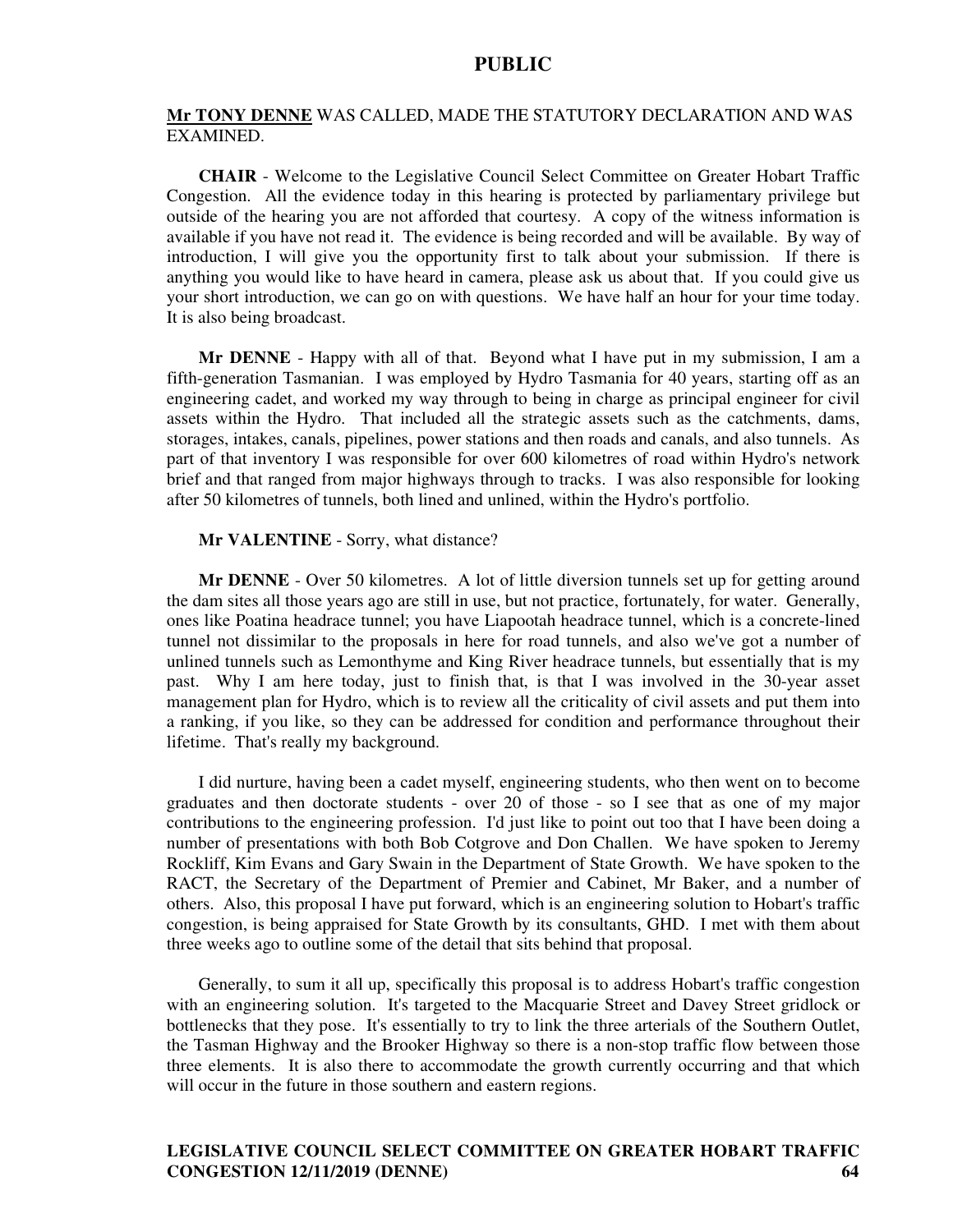#### **Mr TONY DENNE** WAS CALLED, MADE THE STATUTORY DECLARATION AND WAS EXAMINED.

**CHAIR** - Welcome to the Legislative Council Select Committee on Greater Hobart Traffic Congestion. All the evidence today in this hearing is protected by parliamentary privilege but outside of the hearing you are not afforded that courtesy. A copy of the witness information is available if you have not read it. The evidence is being recorded and will be available. By way of introduction, I will give you the opportunity first to talk about your submission. If there is anything you would like to have heard in camera, please ask us about that. If you could give us your short introduction, we can go on with questions. We have half an hour for your time today. It is also being broadcast.

**Mr DENNE** - Happy with all of that. Beyond what I have put in my submission, I am a fifth-generation Tasmanian. I was employed by Hydro Tasmania for 40 years, starting off as an engineering cadet, and worked my way through to being in charge as principal engineer for civil assets within the Hydro. That included all the strategic assets such as the catchments, dams, storages, intakes, canals, pipelines, power stations and then roads and canals, and also tunnels. As part of that inventory I was responsible for over 600 kilometres of road within Hydro's network brief and that ranged from major highways through to tracks. I was also responsible for looking after 50 kilometres of tunnels, both lined and unlined, within the Hydro's portfolio.

#### **Mr VALENTINE** - Sorry, what distance?

**Mr DENNE** - Over 50 kilometres. A lot of little diversion tunnels set up for getting around the dam sites all those years ago are still in use, but not practice, fortunately, for water. Generally, ones like Poatina headrace tunnel; you have Liapootah headrace tunnel, which is a concrete-lined tunnel not dissimilar to the proposals in here for road tunnels, and also we've got a number of unlined tunnels such as Lemonthyme and King River headrace tunnels, but essentially that is my past. Why I am here today, just to finish that, is that I was involved in the 30-year asset management plan for Hydro, which is to review all the criticality of civil assets and put them into a ranking, if you like, so they can be addressed for condition and performance throughout their lifetime. That's really my background.

I did nurture, having been a cadet myself, engineering students, who then went on to become graduates and then doctorate students - over 20 of those - so I see that as one of my major contributions to the engineering profession. I'd just like to point out too that I have been doing a number of presentations with both Bob Cotgrove and Don Challen. We have spoken to Jeremy Rockliff, Kim Evans and Gary Swain in the Department of State Growth. We have spoken to the RACT, the Secretary of the Department of Premier and Cabinet, Mr Baker, and a number of others. Also, this proposal I have put forward, which is an engineering solution to Hobart's traffic congestion, is being appraised for State Growth by its consultants, GHD. I met with them about three weeks ago to outline some of the detail that sits behind that proposal.

Generally, to sum it all up, specifically this proposal is to address Hobart's traffic congestion with an engineering solution. It's targeted to the Macquarie Street and Davey Street gridlock or bottlenecks that they pose. It's essentially to try to link the three arterials of the Southern Outlet, the Tasman Highway and the Brooker Highway so there is a non-stop traffic flow between those three elements. It is also there to accommodate the growth currently occurring and that which will occur in the future in those southern and eastern regions.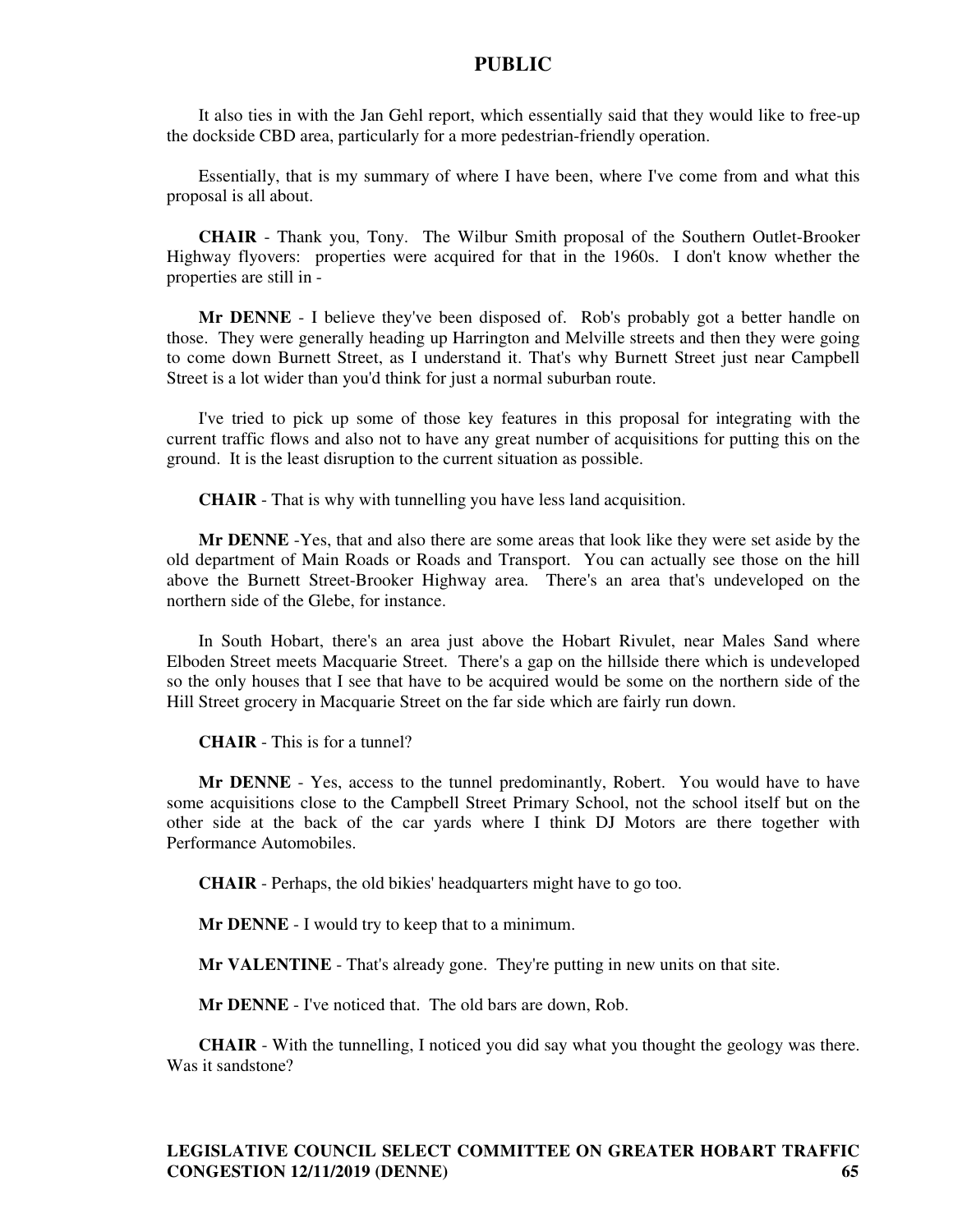It also ties in with the Jan Gehl report, which essentially said that they would like to free-up the dockside CBD area, particularly for a more pedestrian-friendly operation.

Essentially, that is my summary of where I have been, where I've come from and what this proposal is all about.

**CHAIR** - Thank you, Tony. The Wilbur Smith proposal of the Southern Outlet-Brooker Highway flyovers: properties were acquired for that in the 1960s. I don't know whether the properties are still in -

**Mr DENNE** - I believe they've been disposed of. Rob's probably got a better handle on those. They were generally heading up Harrington and Melville streets and then they were going to come down Burnett Street, as I understand it. That's why Burnett Street just near Campbell Street is a lot wider than you'd think for just a normal suburban route.

I've tried to pick up some of those key features in this proposal for integrating with the current traffic flows and also not to have any great number of acquisitions for putting this on the ground. It is the least disruption to the current situation as possible.

**CHAIR** - That is why with tunnelling you have less land acquisition.

**Mr DENNE** -Yes, that and also there are some areas that look like they were set aside by the old department of Main Roads or Roads and Transport. You can actually see those on the hill above the Burnett Street-Brooker Highway area. There's an area that's undeveloped on the northern side of the Glebe, for instance.

In South Hobart, there's an area just above the Hobart Rivulet, near Males Sand where Elboden Street meets Macquarie Street. There's a gap on the hillside there which is undeveloped so the only houses that I see that have to be acquired would be some on the northern side of the Hill Street grocery in Macquarie Street on the far side which are fairly run down.

**CHAIR** - This is for a tunnel?

**Mr DENNE** - Yes, access to the tunnel predominantly, Robert. You would have to have some acquisitions close to the Campbell Street Primary School, not the school itself but on the other side at the back of the car yards where I think DJ Motors are there together with Performance Automobiles.

**CHAIR** - Perhaps, the old bikies' headquarters might have to go too.

**Mr DENNE** - I would try to keep that to a minimum.

**Mr VALENTINE** - That's already gone. They're putting in new units on that site.

**Mr DENNE** - I've noticed that. The old bars are down, Rob.

**CHAIR** - With the tunnelling, I noticed you did say what you thought the geology was there. Was it sandstone?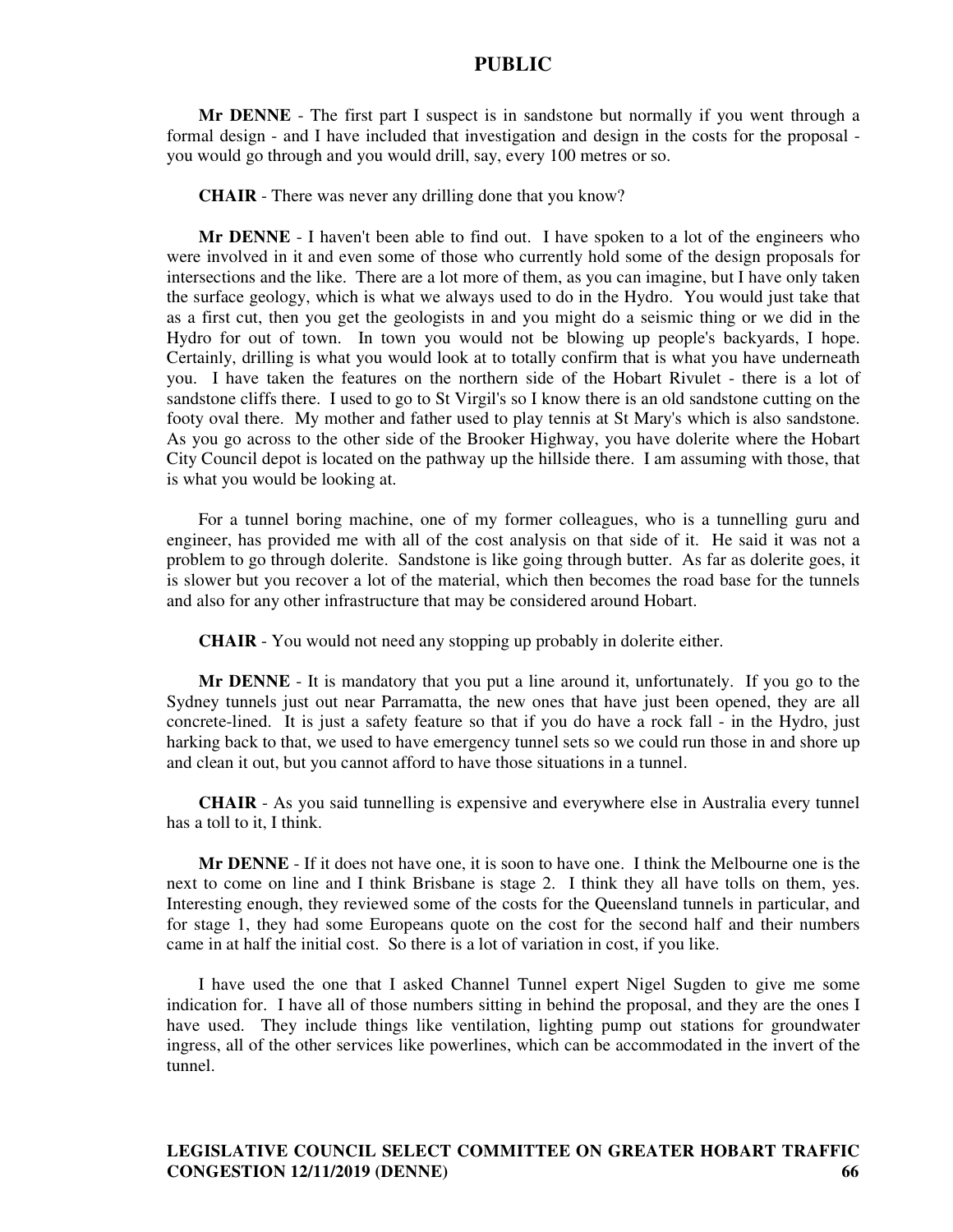**Mr DENNE** - The first part I suspect is in sandstone but normally if you went through a formal design - and I have included that investigation and design in the costs for the proposal you would go through and you would drill, say, every 100 metres or so.

**CHAIR** - There was never any drilling done that you know?

**Mr DENNE** - I haven't been able to find out. I have spoken to a lot of the engineers who were involved in it and even some of those who currently hold some of the design proposals for intersections and the like. There are a lot more of them, as you can imagine, but I have only taken the surface geology, which is what we always used to do in the Hydro. You would just take that as a first cut, then you get the geologists in and you might do a seismic thing or we did in the Hydro for out of town. In town you would not be blowing up people's backyards, I hope. Certainly, drilling is what you would look at to totally confirm that is what you have underneath you. I have taken the features on the northern side of the Hobart Rivulet - there is a lot of sandstone cliffs there. I used to go to St Virgil's so I know there is an old sandstone cutting on the footy oval there. My mother and father used to play tennis at St Mary's which is also sandstone. As you go across to the other side of the Brooker Highway, you have dolerite where the Hobart City Council depot is located on the pathway up the hillside there. I am assuming with those, that is what you would be looking at.

For a tunnel boring machine, one of my former colleagues, who is a tunnelling guru and engineer, has provided me with all of the cost analysis on that side of it. He said it was not a problem to go through dolerite. Sandstone is like going through butter. As far as dolerite goes, it is slower but you recover a lot of the material, which then becomes the road base for the tunnels and also for any other infrastructure that may be considered around Hobart.

**CHAIR** - You would not need any stopping up probably in dolerite either.

**Mr DENNE** - It is mandatory that you put a line around it, unfortunately. If you go to the Sydney tunnels just out near Parramatta, the new ones that have just been opened, they are all concrete-lined. It is just a safety feature so that if you do have a rock fall - in the Hydro, just harking back to that, we used to have emergency tunnel sets so we could run those in and shore up and clean it out, but you cannot afford to have those situations in a tunnel.

**CHAIR** - As you said tunnelling is expensive and everywhere else in Australia every tunnel has a toll to it, I think.

**Mr DENNE** - If it does not have one, it is soon to have one. I think the Melbourne one is the next to come on line and I think Brisbane is stage 2. I think they all have tolls on them, yes. Interesting enough, they reviewed some of the costs for the Queensland tunnels in particular, and for stage 1, they had some Europeans quote on the cost for the second half and their numbers came in at half the initial cost. So there is a lot of variation in cost, if you like.

I have used the one that I asked Channel Tunnel expert Nigel Sugden to give me some indication for. I have all of those numbers sitting in behind the proposal, and they are the ones I have used. They include things like ventilation, lighting pump out stations for groundwater ingress, all of the other services like powerlines, which can be accommodated in the invert of the tunnel.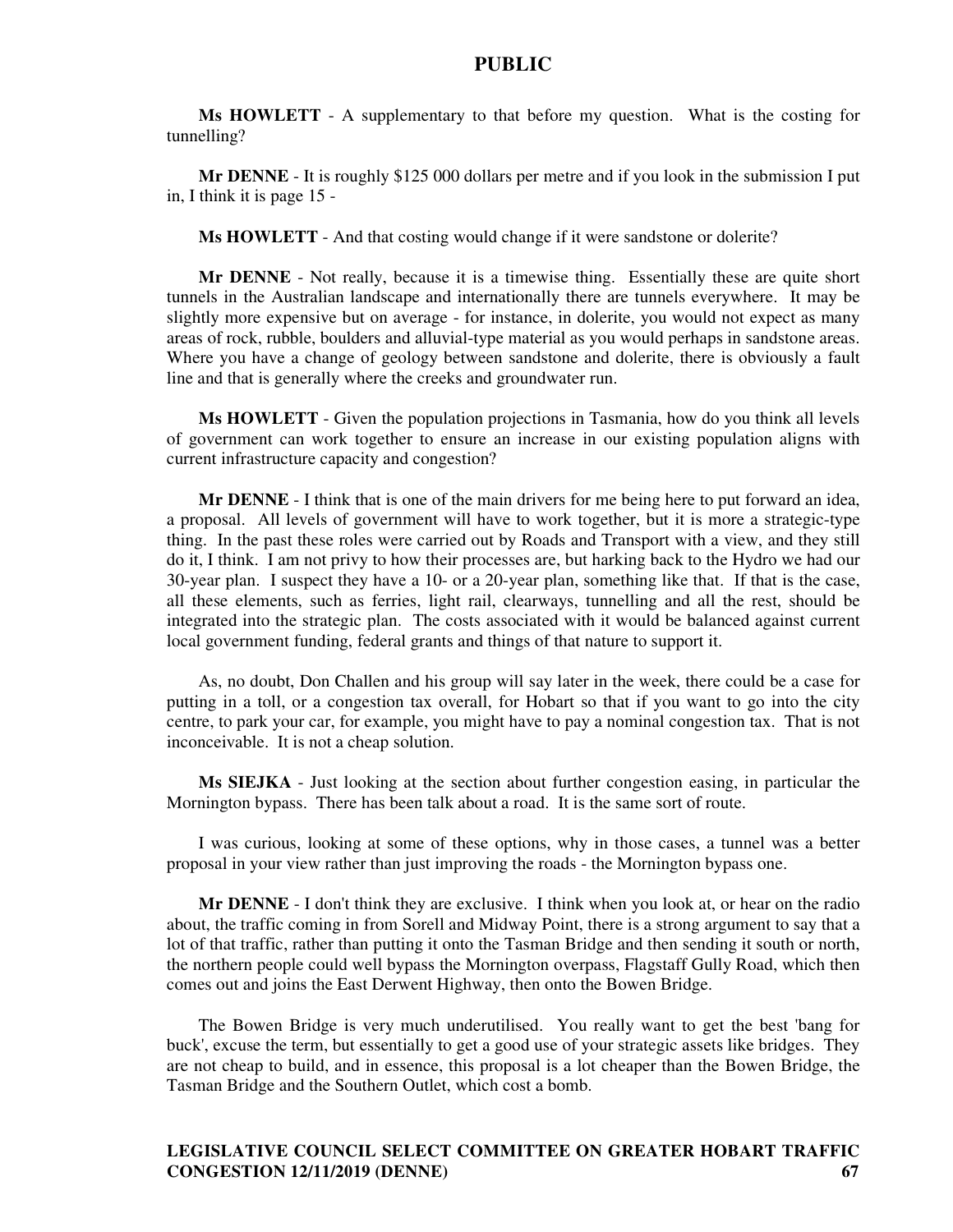**Ms HOWLETT** - A supplementary to that before my question. What is the costing for tunnelling?

**Mr DENNE** - It is roughly \$125 000 dollars per metre and if you look in the submission I put in, I think it is page 15 -

**Ms HOWLETT** - And that costing would change if it were sandstone or dolerite?

**Mr DENNE** - Not really, because it is a timewise thing. Essentially these are quite short tunnels in the Australian landscape and internationally there are tunnels everywhere. It may be slightly more expensive but on average - for instance, in dolerite, you would not expect as many areas of rock, rubble, boulders and alluvial-type material as you would perhaps in sandstone areas. Where you have a change of geology between sandstone and dolerite, there is obviously a fault line and that is generally where the creeks and groundwater run.

**Ms HOWLETT** - Given the population projections in Tasmania, how do you think all levels of government can work together to ensure an increase in our existing population aligns with current infrastructure capacity and congestion?

**Mr DENNE** - I think that is one of the main drivers for me being here to put forward an idea, a proposal. All levels of government will have to work together, but it is more a strategic-type thing. In the past these roles were carried out by Roads and Transport with a view, and they still do it, I think. I am not privy to how their processes are, but harking back to the Hydro we had our 30-year plan. I suspect they have a 10- or a 20-year plan, something like that. If that is the case, all these elements, such as ferries, light rail, clearways, tunnelling and all the rest, should be integrated into the strategic plan. The costs associated with it would be balanced against current local government funding, federal grants and things of that nature to support it.

As, no doubt, Don Challen and his group will say later in the week, there could be a case for putting in a toll, or a congestion tax overall, for Hobart so that if you want to go into the city centre, to park your car, for example, you might have to pay a nominal congestion tax. That is not inconceivable. It is not a cheap solution.

**Ms SIEJKA** - Just looking at the section about further congestion easing, in particular the Mornington bypass. There has been talk about a road. It is the same sort of route.

I was curious, looking at some of these options, why in those cases, a tunnel was a better proposal in your view rather than just improving the roads - the Mornington bypass one.

**Mr DENNE** - I don't think they are exclusive. I think when you look at, or hear on the radio about, the traffic coming in from Sorell and Midway Point, there is a strong argument to say that a lot of that traffic, rather than putting it onto the Tasman Bridge and then sending it south or north, the northern people could well bypass the Mornington overpass, Flagstaff Gully Road, which then comes out and joins the East Derwent Highway, then onto the Bowen Bridge.

The Bowen Bridge is very much underutilised. You really want to get the best 'bang for buck', excuse the term, but essentially to get a good use of your strategic assets like bridges. They are not cheap to build, and in essence, this proposal is a lot cheaper than the Bowen Bridge, the Tasman Bridge and the Southern Outlet, which cost a bomb.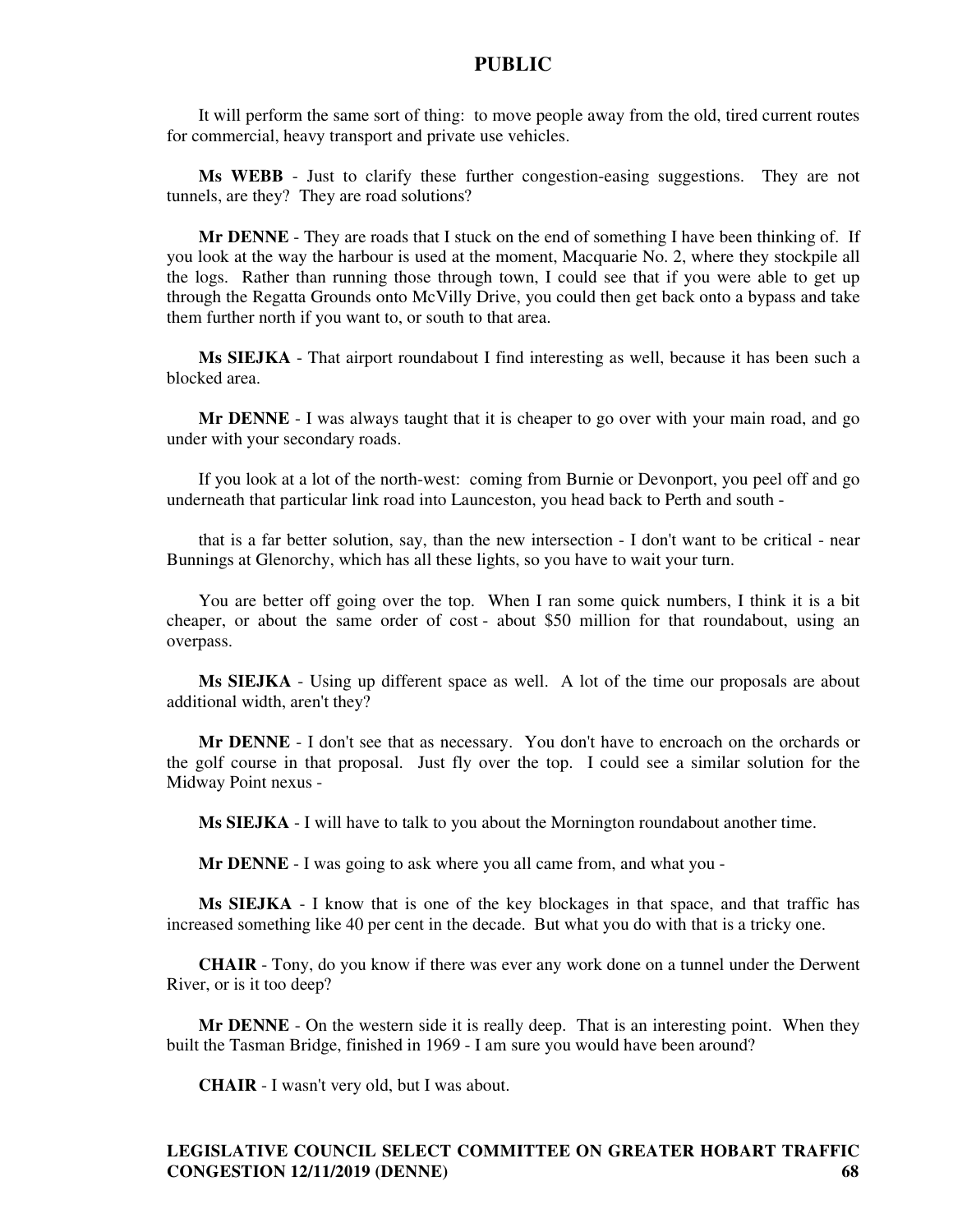It will perform the same sort of thing: to move people away from the old, tired current routes for commercial, heavy transport and private use vehicles.

**Ms WEBB** - Just to clarify these further congestion-easing suggestions. They are not tunnels, are they? They are road solutions?

**Mr DENNE** - They are roads that I stuck on the end of something I have been thinking of. If you look at the way the harbour is used at the moment, Macquarie No. 2, where they stockpile all the logs. Rather than running those through town, I could see that if you were able to get up through the Regatta Grounds onto McVilly Drive, you could then get back onto a bypass and take them further north if you want to, or south to that area.

**Ms SIEJKA** - That airport roundabout I find interesting as well, because it has been such a blocked area.

**Mr DENNE** - I was always taught that it is cheaper to go over with your main road, and go under with your secondary roads.

If you look at a lot of the north-west: coming from Burnie or Devonport, you peel off and go underneath that particular link road into Launceston, you head back to Perth and south -

that is a far better solution, say, than the new intersection - I don't want to be critical - near Bunnings at Glenorchy, which has all these lights, so you have to wait your turn.

You are better off going over the top. When I ran some quick numbers, I think it is a bit cheaper, or about the same order of cost - about \$50 million for that roundabout, using an overpass.

**Ms SIEJKA** - Using up different space as well. A lot of the time our proposals are about additional width, aren't they?

**Mr DENNE** - I don't see that as necessary. You don't have to encroach on the orchards or the golf course in that proposal. Just fly over the top. I could see a similar solution for the Midway Point nexus -

**Ms SIEJKA** - I will have to talk to you about the Mornington roundabout another time.

**Mr DENNE** - I was going to ask where you all came from, and what you -

**Ms SIEJKA** - I know that is one of the key blockages in that space, and that traffic has increased something like 40 per cent in the decade. But what you do with that is a tricky one.

**CHAIR** - Tony, do you know if there was ever any work done on a tunnel under the Derwent River, or is it too deep?

**Mr DENNE** - On the western side it is really deep. That is an interesting point. When they built the Tasman Bridge, finished in 1969 - I am sure you would have been around?

**CHAIR** - I wasn't very old, but I was about.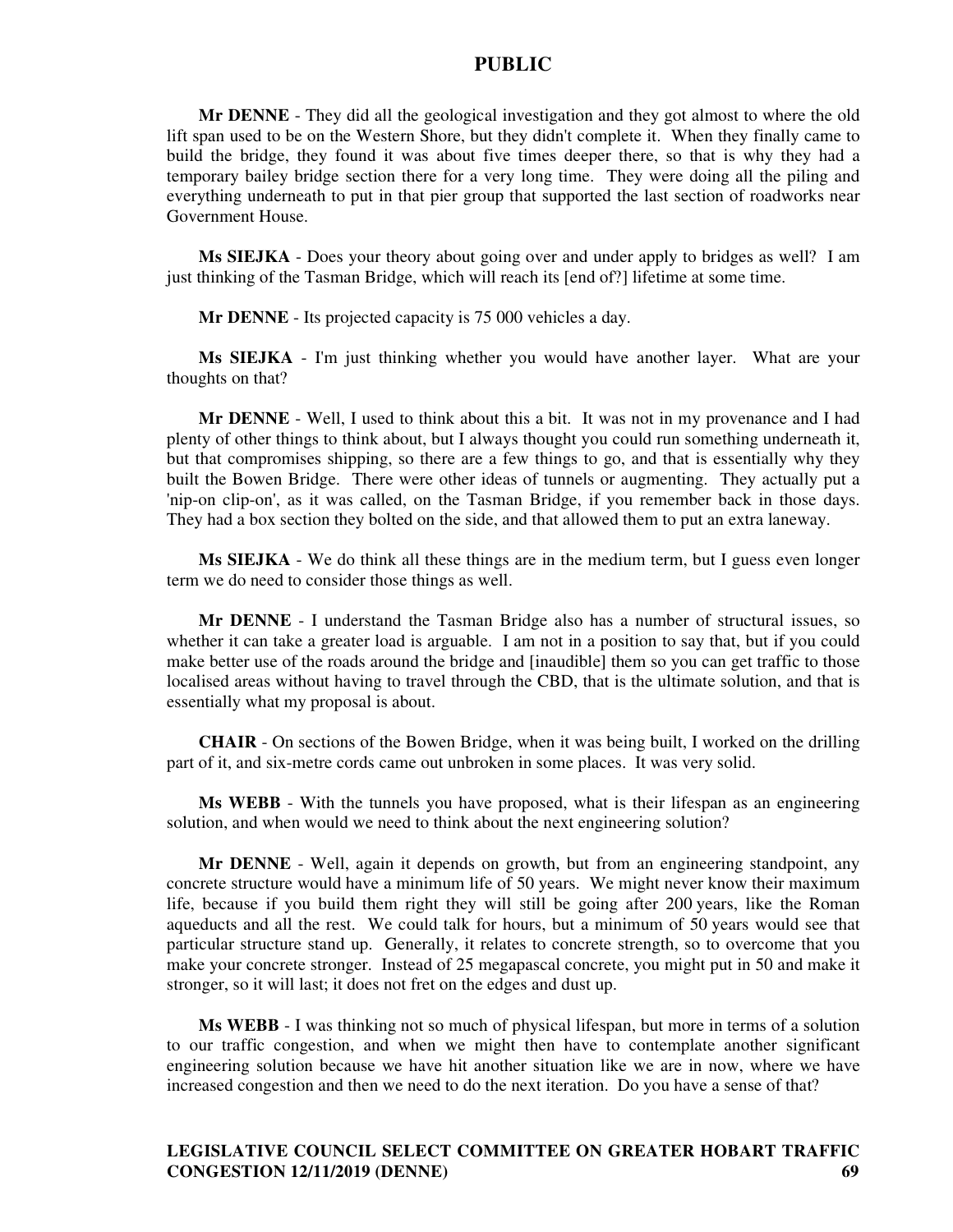**Mr DENNE** - They did all the geological investigation and they got almost to where the old lift span used to be on the Western Shore, but they didn't complete it. When they finally came to build the bridge, they found it was about five times deeper there, so that is why they had a temporary bailey bridge section there for a very long time. They were doing all the piling and everything underneath to put in that pier group that supported the last section of roadworks near Government House.

**Ms SIEJKA** - Does your theory about going over and under apply to bridges as well? I am just thinking of the Tasman Bridge, which will reach its [end of?] lifetime at some time.

**Mr DENNE** - Its projected capacity is 75 000 vehicles a day.

**Ms SIEJKA** - I'm just thinking whether you would have another layer. What are your thoughts on that?

**Mr DENNE** - Well, I used to think about this a bit. It was not in my provenance and I had plenty of other things to think about, but I always thought you could run something underneath it, but that compromises shipping, so there are a few things to go, and that is essentially why they built the Bowen Bridge. There were other ideas of tunnels or augmenting. They actually put a 'nip-on clip-on', as it was called, on the Tasman Bridge, if you remember back in those days. They had a box section they bolted on the side, and that allowed them to put an extra laneway.

**Ms SIEJKA** - We do think all these things are in the medium term, but I guess even longer term we do need to consider those things as well.

**Mr DENNE** - I understand the Tasman Bridge also has a number of structural issues, so whether it can take a greater load is arguable. I am not in a position to say that, but if you could make better use of the roads around the bridge and [inaudible] them so you can get traffic to those localised areas without having to travel through the CBD, that is the ultimate solution, and that is essentially what my proposal is about.

**CHAIR** - On sections of the Bowen Bridge, when it was being built, I worked on the drilling part of it, and six-metre cords came out unbroken in some places. It was very solid.

**Ms WEBB** - With the tunnels you have proposed, what is their lifespan as an engineering solution, and when would we need to think about the next engineering solution?

**Mr DENNE** - Well, again it depends on growth, but from an engineering standpoint, any concrete structure would have a minimum life of 50 years. We might never know their maximum life, because if you build them right they will still be going after 200 years, like the Roman aqueducts and all the rest. We could talk for hours, but a minimum of 50 years would see that particular structure stand up. Generally, it relates to concrete strength, so to overcome that you make your concrete stronger. Instead of 25 megapascal concrete, you might put in 50 and make it stronger, so it will last; it does not fret on the edges and dust up.

**Ms WEBB** - I was thinking not so much of physical lifespan, but more in terms of a solution to our traffic congestion, and when we might then have to contemplate another significant engineering solution because we have hit another situation like we are in now, where we have increased congestion and then we need to do the next iteration. Do you have a sense of that?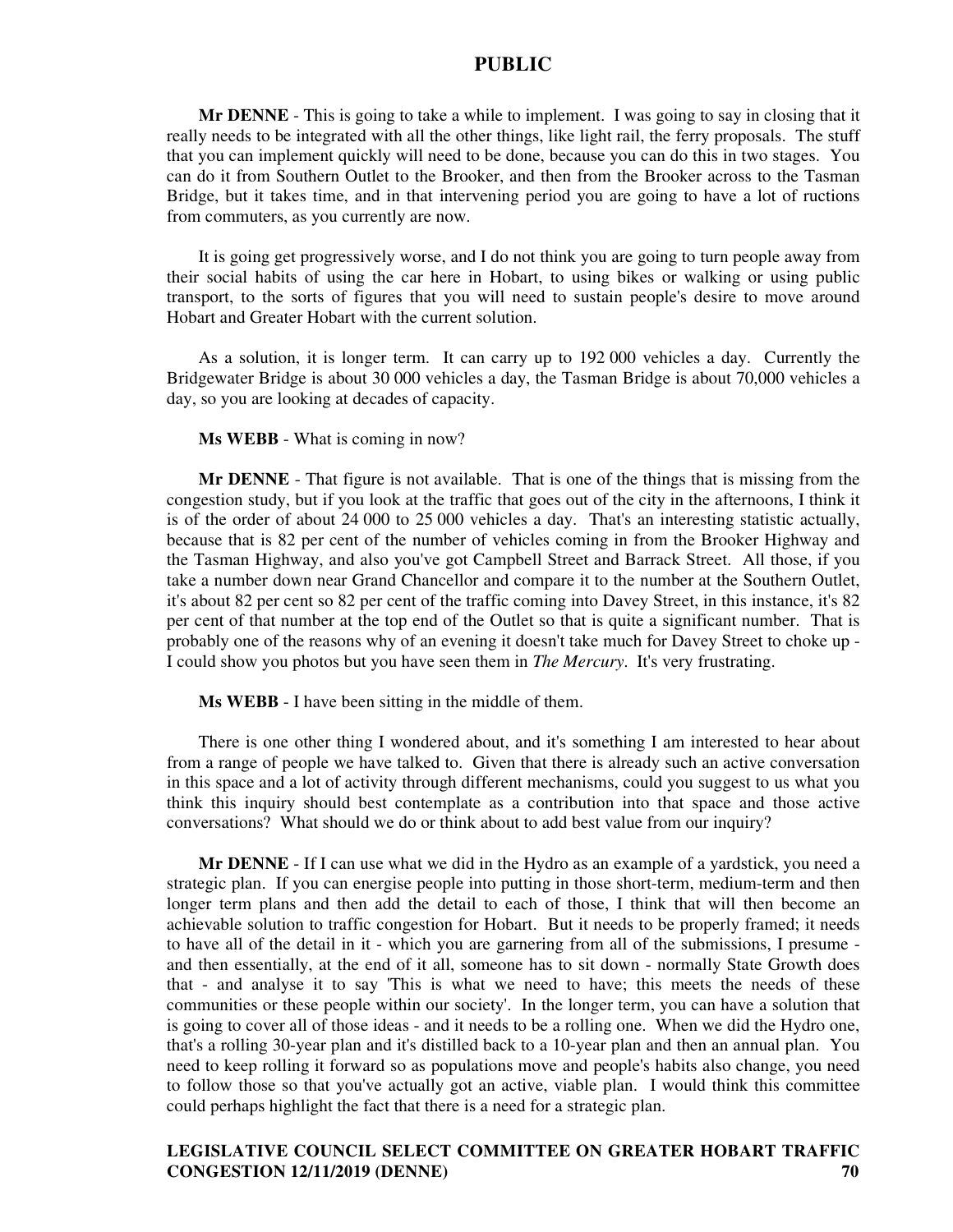**Mr DENNE** - This is going to take a while to implement. I was going to say in closing that it really needs to be integrated with all the other things, like light rail, the ferry proposals. The stuff that you can implement quickly will need to be done, because you can do this in two stages. You can do it from Southern Outlet to the Brooker, and then from the Brooker across to the Tasman Bridge, but it takes time, and in that intervening period you are going to have a lot of ructions from commuters, as you currently are now.

It is going get progressively worse, and I do not think you are going to turn people away from their social habits of using the car here in Hobart, to using bikes or walking or using public transport, to the sorts of figures that you will need to sustain people's desire to move around Hobart and Greater Hobart with the current solution.

As a solution, it is longer term. It can carry up to 192 000 vehicles a day. Currently the Bridgewater Bridge is about 30 000 vehicles a day, the Tasman Bridge is about 70,000 vehicles a day, so you are looking at decades of capacity.

#### **Ms WEBB** - What is coming in now?

**Mr DENNE** - That figure is not available. That is one of the things that is missing from the congestion study, but if you look at the traffic that goes out of the city in the afternoons, I think it is of the order of about 24 000 to 25 000 vehicles a day. That's an interesting statistic actually, because that is 82 per cent of the number of vehicles coming in from the Brooker Highway and the Tasman Highway, and also you've got Campbell Street and Barrack Street. All those, if you take a number down near Grand Chancellor and compare it to the number at the Southern Outlet, it's about 82 per cent so 82 per cent of the traffic coming into Davey Street, in this instance, it's 82 per cent of that number at the top end of the Outlet so that is quite a significant number. That is probably one of the reasons why of an evening it doesn't take much for Davey Street to choke up - I could show you photos but you have seen them in *The Mercury*. It's very frustrating.

**Ms WEBB** - I have been sitting in the middle of them.

There is one other thing I wondered about, and it's something I am interested to hear about from a range of people we have talked to. Given that there is already such an active conversation in this space and a lot of activity through different mechanisms, could you suggest to us what you think this inquiry should best contemplate as a contribution into that space and those active conversations? What should we do or think about to add best value from our inquiry?

**Mr DENNE** - If I can use what we did in the Hydro as an example of a yardstick, you need a strategic plan. If you can energise people into putting in those short-term, medium-term and then longer term plans and then add the detail to each of those, I think that will then become an achievable solution to traffic congestion for Hobart. But it needs to be properly framed; it needs to have all of the detail in it - which you are garnering from all of the submissions, I presume and then essentially, at the end of it all, someone has to sit down - normally State Growth does that - and analyse it to say 'This is what we need to have; this meets the needs of these communities or these people within our society'. In the longer term, you can have a solution that is going to cover all of those ideas - and it needs to be a rolling one. When we did the Hydro one, that's a rolling 30-year plan and it's distilled back to a 10-year plan and then an annual plan. You need to keep rolling it forward so as populations move and people's habits also change, you need to follow those so that you've actually got an active, viable plan. I would think this committee could perhaps highlight the fact that there is a need for a strategic plan.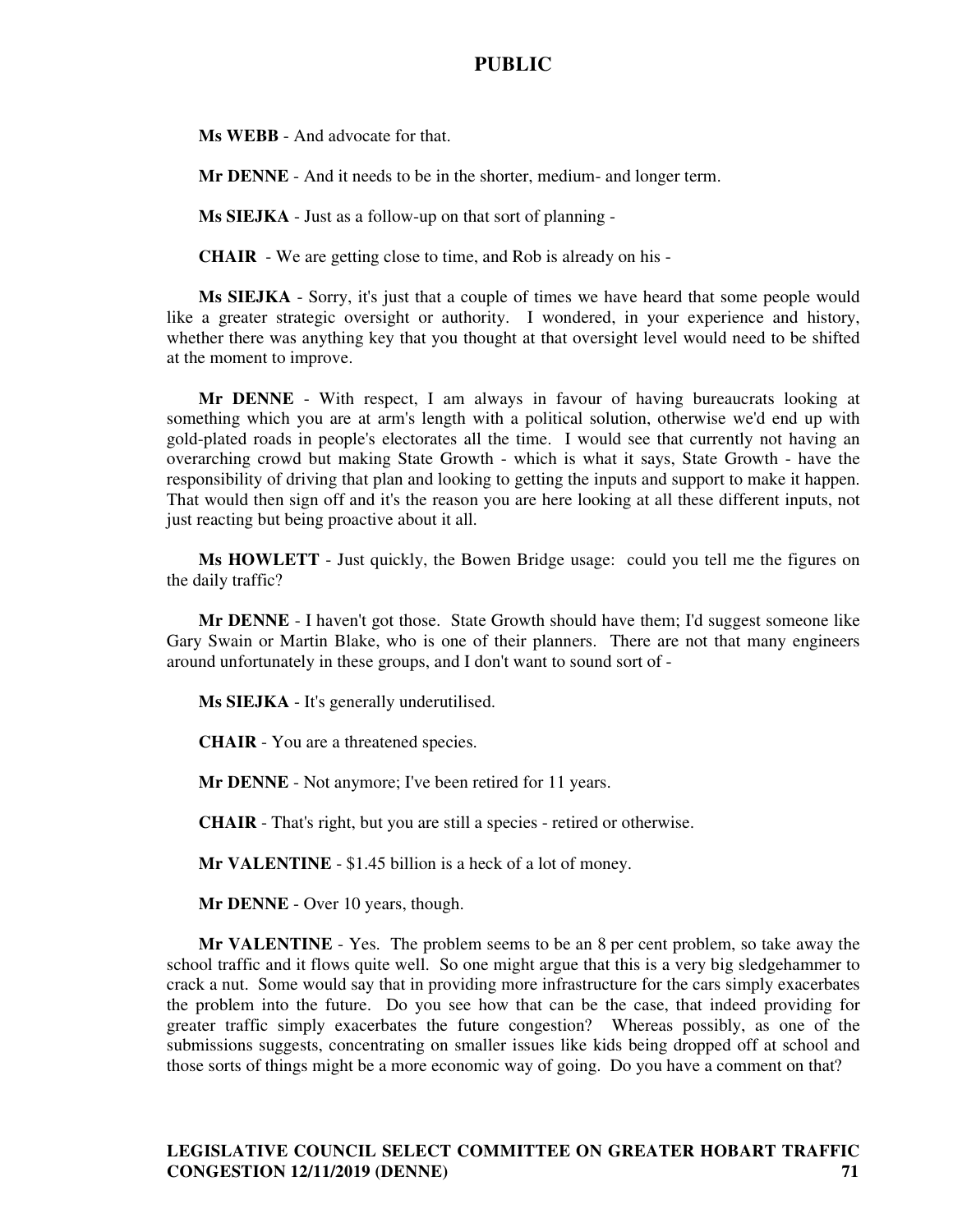**Ms WEBB** - And advocate for that.

**Mr DENNE** - And it needs to be in the shorter, medium- and longer term.

**Ms SIEJKA** - Just as a follow-up on that sort of planning -

**CHAIR** - We are getting close to time, and Rob is already on his -

**Ms SIEJKA** - Sorry, it's just that a couple of times we have heard that some people would like a greater strategic oversight or authority. I wondered, in your experience and history, whether there was anything key that you thought at that oversight level would need to be shifted at the moment to improve.

**Mr DENNE** - With respect, I am always in favour of having bureaucrats looking at something which you are at arm's length with a political solution, otherwise we'd end up with gold-plated roads in people's electorates all the time. I would see that currently not having an overarching crowd but making State Growth - which is what it says, State Growth - have the responsibility of driving that plan and looking to getting the inputs and support to make it happen. That would then sign off and it's the reason you are here looking at all these different inputs, not just reacting but being proactive about it all.

**Ms HOWLETT** - Just quickly, the Bowen Bridge usage: could you tell me the figures on the daily traffic?

**Mr DENNE** - I haven't got those. State Growth should have them; I'd suggest someone like Gary Swain or Martin Blake, who is one of their planners. There are not that many engineers around unfortunately in these groups, and I don't want to sound sort of -

**Ms SIEJKA** - It's generally underutilised.

**CHAIR** - You are a threatened species.

**Mr DENNE** - Not anymore; I've been retired for 11 years.

**CHAIR** - That's right, but you are still a species - retired or otherwise.

**Mr VALENTINE** - \$1.45 billion is a heck of a lot of money.

**Mr DENNE** - Over 10 years, though.

**Mr VALENTINE** - Yes. The problem seems to be an 8 per cent problem, so take away the school traffic and it flows quite well. So one might argue that this is a very big sledgehammer to crack a nut. Some would say that in providing more infrastructure for the cars simply exacerbates the problem into the future. Do you see how that can be the case, that indeed providing for greater traffic simply exacerbates the future congestion? Whereas possibly, as one of the submissions suggests, concentrating on smaller issues like kids being dropped off at school and those sorts of things might be a more economic way of going. Do you have a comment on that?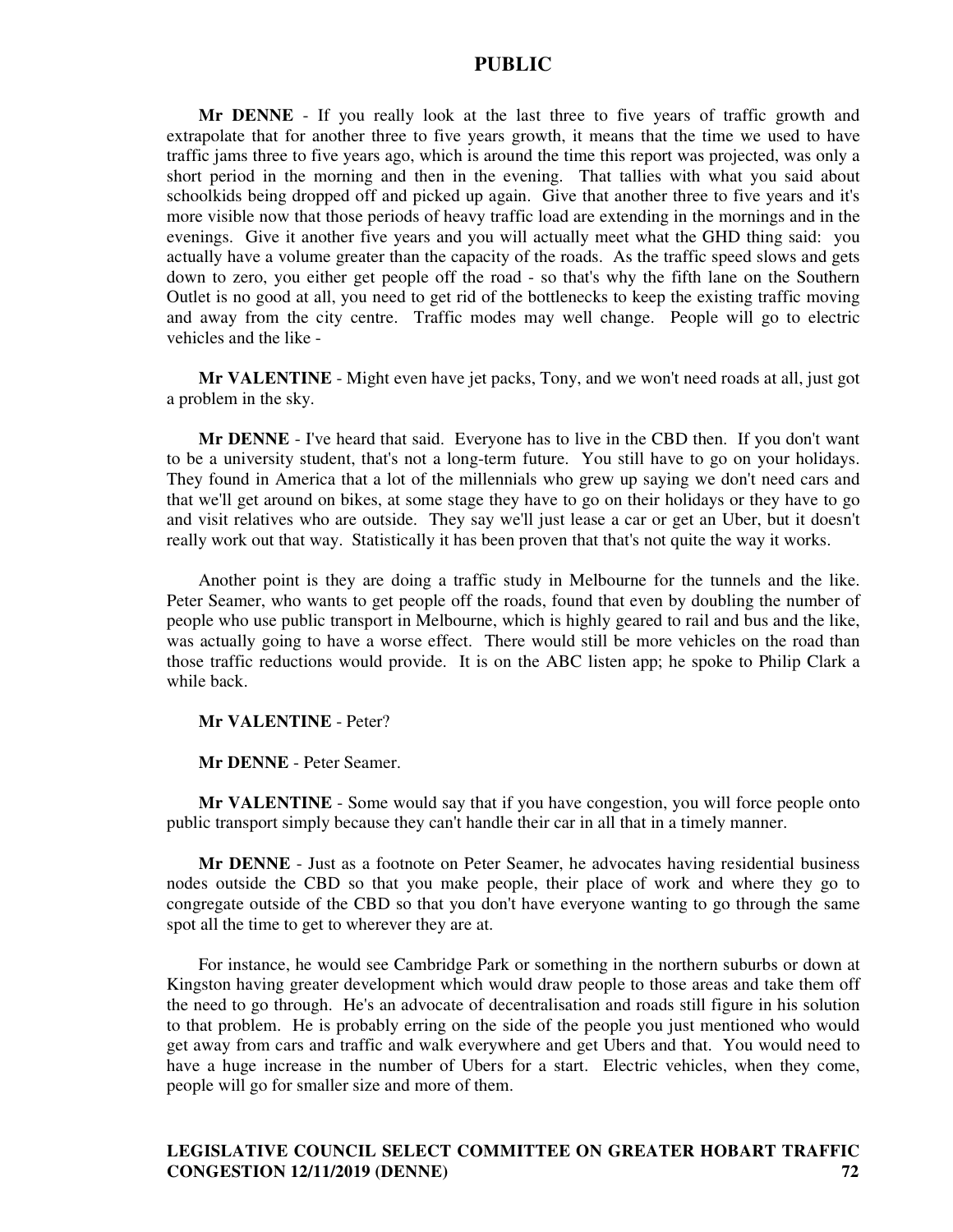**Mr DENNE** - If you really look at the last three to five years of traffic growth and extrapolate that for another three to five years growth, it means that the time we used to have traffic jams three to five years ago, which is around the time this report was projected, was only a short period in the morning and then in the evening. That tallies with what you said about schoolkids being dropped off and picked up again. Give that another three to five years and it's more visible now that those periods of heavy traffic load are extending in the mornings and in the evenings. Give it another five years and you will actually meet what the GHD thing said: you actually have a volume greater than the capacity of the roads. As the traffic speed slows and gets down to zero, you either get people off the road - so that's why the fifth lane on the Southern Outlet is no good at all, you need to get rid of the bottlenecks to keep the existing traffic moving and away from the city centre. Traffic modes may well change. People will go to electric vehicles and the like -

**Mr VALENTINE** - Might even have jet packs, Tony, and we won't need roads at all, just got a problem in the sky.

**Mr DENNE** - I've heard that said. Everyone has to live in the CBD then. If you don't want to be a university student, that's not a long-term future. You still have to go on your holidays. They found in America that a lot of the millennials who grew up saying we don't need cars and that we'll get around on bikes, at some stage they have to go on their holidays or they have to go and visit relatives who are outside. They say we'll just lease a car or get an Uber, but it doesn't really work out that way. Statistically it has been proven that that's not quite the way it works.

Another point is they are doing a traffic study in Melbourne for the tunnels and the like. Peter Seamer, who wants to get people off the roads, found that even by doubling the number of people who use public transport in Melbourne, which is highly geared to rail and bus and the like, was actually going to have a worse effect. There would still be more vehicles on the road than those traffic reductions would provide. It is on the ABC listen app; he spoke to Philip Clark a while back.

**Mr VALENTINE** - Peter?

**Mr DENNE** - Peter Seamer.

**Mr VALENTINE** - Some would say that if you have congestion, you will force people onto public transport simply because they can't handle their car in all that in a timely manner.

**Mr DENNE** - Just as a footnote on Peter Seamer, he advocates having residential business nodes outside the CBD so that you make people, their place of work and where they go to congregate outside of the CBD so that you don't have everyone wanting to go through the same spot all the time to get to wherever they are at.

For instance, he would see Cambridge Park or something in the northern suburbs or down at Kingston having greater development which would draw people to those areas and take them off the need to go through. He's an advocate of decentralisation and roads still figure in his solution to that problem. He is probably erring on the side of the people you just mentioned who would get away from cars and traffic and walk everywhere and get Ubers and that. You would need to have a huge increase in the number of Ubers for a start. Electric vehicles, when they come, people will go for smaller size and more of them.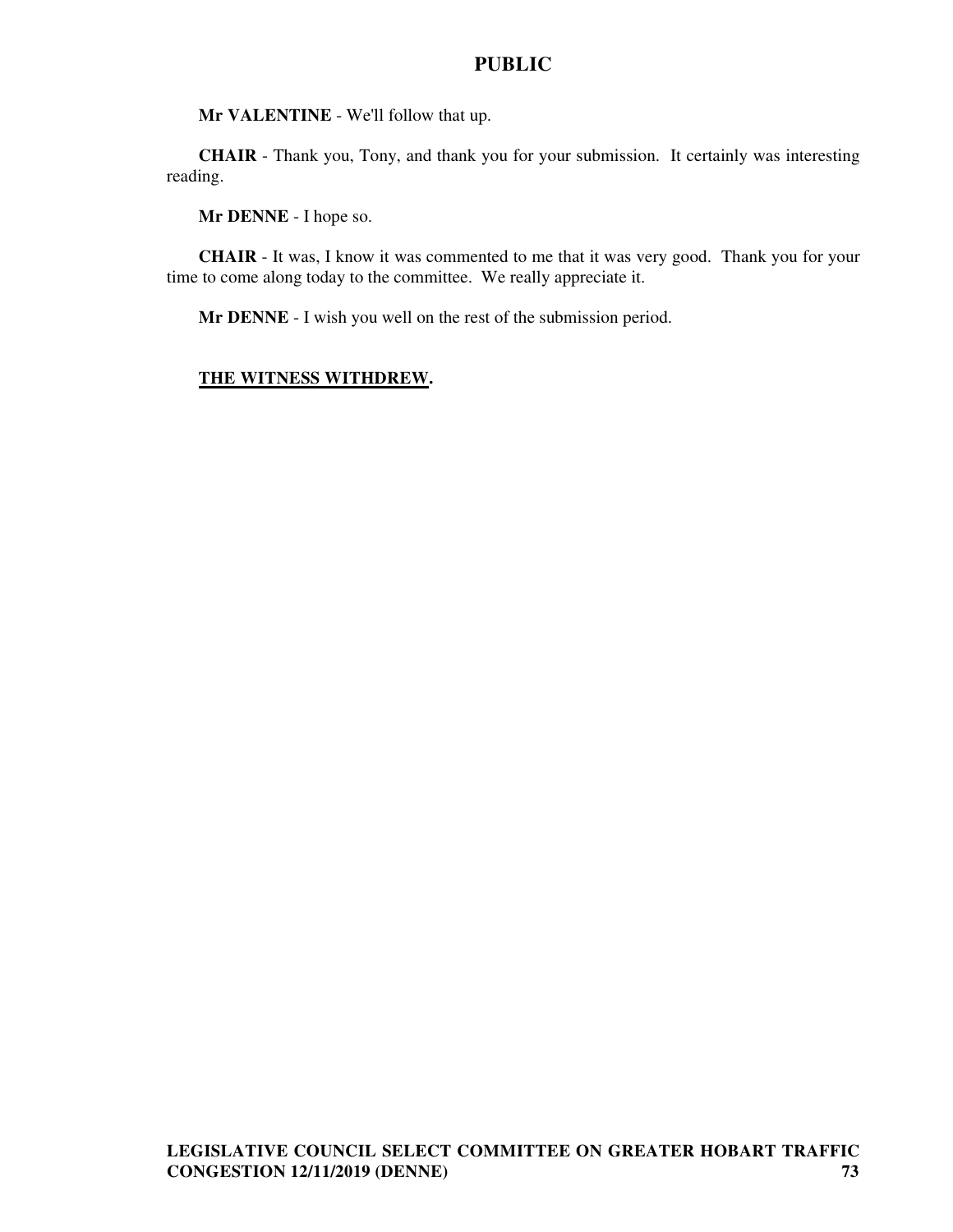**Mr VALENTINE** - We'll follow that up.

**CHAIR** - Thank you, Tony, and thank you for your submission. It certainly was interesting reading.

**Mr DENNE** - I hope so.

**CHAIR** - It was, I know it was commented to me that it was very good. Thank you for your time to come along today to the committee. We really appreciate it.

**Mr DENNE** - I wish you well on the rest of the submission period.

#### **THE WITNESS WITHDREW.**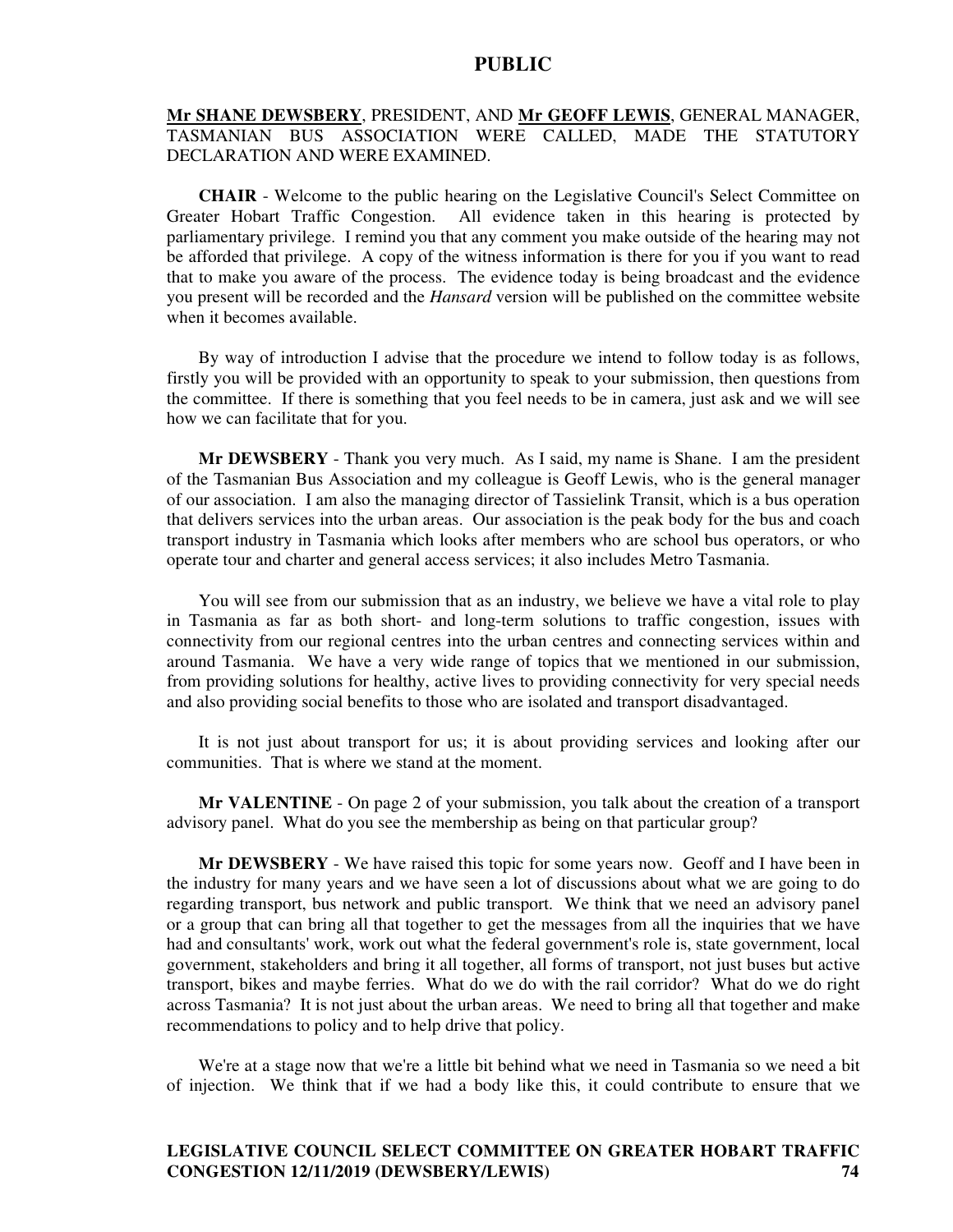#### **Mr SHANE DEWSBERY**, PRESIDENT, AND **Mr GEOFF LEWIS**, GENERAL MANAGER, TASMANIAN BUS ASSOCIATION WERE CALLED, MADE THE STATUTORY DECLARATION AND WERE EXAMINED.

**CHAIR** - Welcome to the public hearing on the Legislative Council's Select Committee on Greater Hobart Traffic Congestion. All evidence taken in this hearing is protected by parliamentary privilege. I remind you that any comment you make outside of the hearing may not be afforded that privilege. A copy of the witness information is there for you if you want to read that to make you aware of the process. The evidence today is being broadcast and the evidence you present will be recorded and the *Hansard* version will be published on the committee website when it becomes available.

By way of introduction I advise that the procedure we intend to follow today is as follows, firstly you will be provided with an opportunity to speak to your submission, then questions from the committee. If there is something that you feel needs to be in camera, just ask and we will see how we can facilitate that for you.

**Mr DEWSBERY** - Thank you very much. As I said, my name is Shane. I am the president of the Tasmanian Bus Association and my colleague is Geoff Lewis, who is the general manager of our association. I am also the managing director of Tassielink Transit, which is a bus operation that delivers services into the urban areas. Our association is the peak body for the bus and coach transport industry in Tasmania which looks after members who are school bus operators, or who operate tour and charter and general access services; it also includes Metro Tasmania.

You will see from our submission that as an industry, we believe we have a vital role to play in Tasmania as far as both short- and long-term solutions to traffic congestion, issues with connectivity from our regional centres into the urban centres and connecting services within and around Tasmania. We have a very wide range of topics that we mentioned in our submission, from providing solutions for healthy, active lives to providing connectivity for very special needs and also providing social benefits to those who are isolated and transport disadvantaged.

It is not just about transport for us; it is about providing services and looking after our communities. That is where we stand at the moment.

**Mr VALENTINE** - On page 2 of your submission, you talk about the creation of a transport advisory panel. What do you see the membership as being on that particular group?

**Mr DEWSBERY** - We have raised this topic for some years now. Geoff and I have been in the industry for many years and we have seen a lot of discussions about what we are going to do regarding transport, bus network and public transport. We think that we need an advisory panel or a group that can bring all that together to get the messages from all the inquiries that we have had and consultants' work, work out what the federal government's role is, state government, local government, stakeholders and bring it all together, all forms of transport, not just buses but active transport, bikes and maybe ferries. What do we do with the rail corridor? What do we do right across Tasmania? It is not just about the urban areas. We need to bring all that together and make recommendations to policy and to help drive that policy.

We're at a stage now that we're a little bit behind what we need in Tasmania so we need a bit of injection. We think that if we had a body like this, it could contribute to ensure that we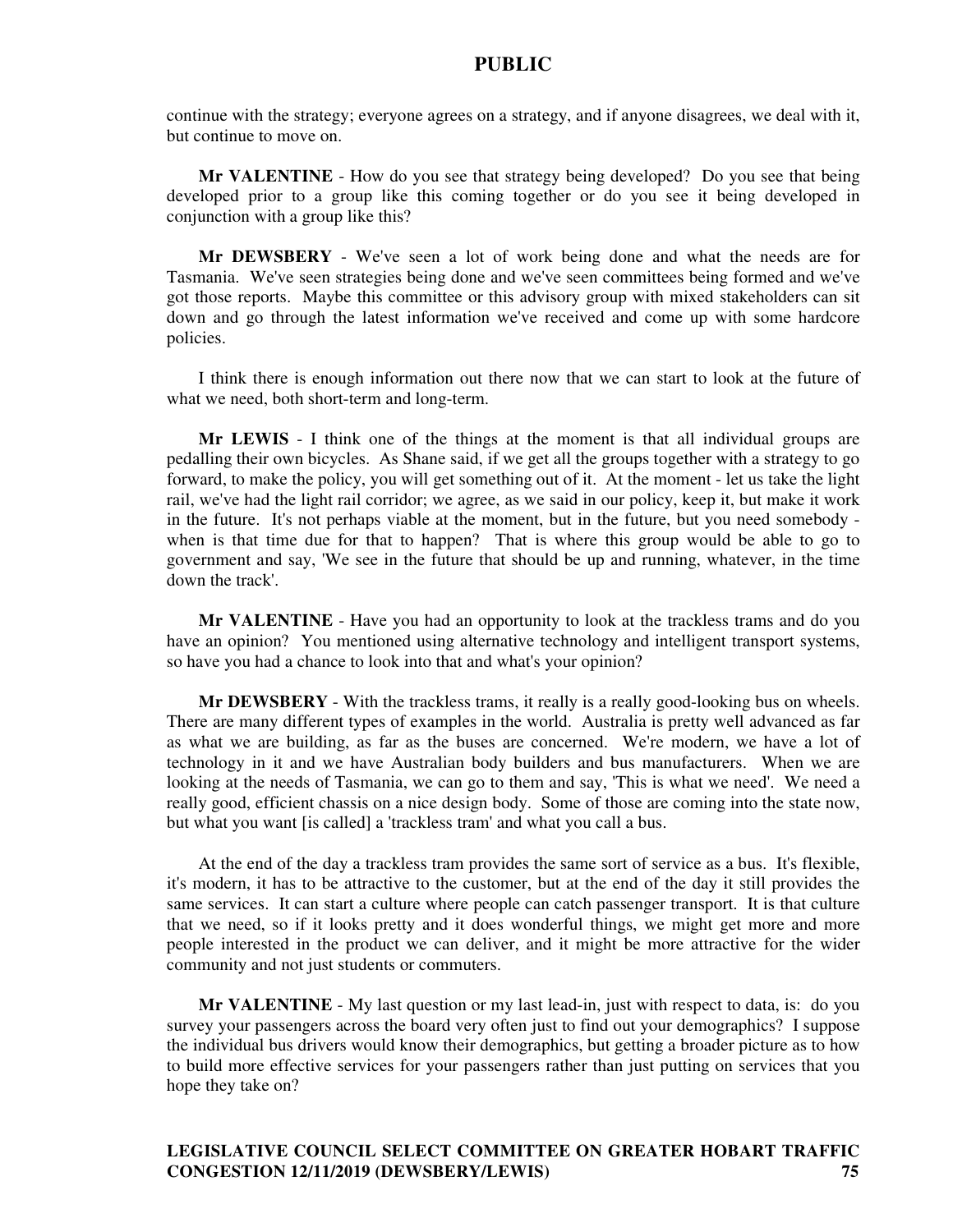continue with the strategy; everyone agrees on a strategy, and if anyone disagrees, we deal with it, but continue to move on.

**Mr VALENTINE** - How do you see that strategy being developed? Do you see that being developed prior to a group like this coming together or do you see it being developed in conjunction with a group like this?

**Mr DEWSBERY** - We've seen a lot of work being done and what the needs are for Tasmania. We've seen strategies being done and we've seen committees being formed and we've got those reports. Maybe this committee or this advisory group with mixed stakeholders can sit down and go through the latest information we've received and come up with some hardcore policies.

I think there is enough information out there now that we can start to look at the future of what we need, both short-term and long-term.

**Mr LEWIS** - I think one of the things at the moment is that all individual groups are pedalling their own bicycles. As Shane said, if we get all the groups together with a strategy to go forward, to make the policy, you will get something out of it. At the moment - let us take the light rail, we've had the light rail corridor; we agree, as we said in our policy, keep it, but make it work in the future. It's not perhaps viable at the moment, but in the future, but you need somebody when is that time due for that to happen? That is where this group would be able to go to government and say, 'We see in the future that should be up and running, whatever, in the time down the track'.

**Mr VALENTINE** - Have you had an opportunity to look at the trackless trams and do you have an opinion? You mentioned using alternative technology and intelligent transport systems, so have you had a chance to look into that and what's your opinion?

**Mr DEWSBERY** - With the trackless trams, it really is a really good-looking bus on wheels. There are many different types of examples in the world. Australia is pretty well advanced as far as what we are building, as far as the buses are concerned. We're modern, we have a lot of technology in it and we have Australian body builders and bus manufacturers. When we are looking at the needs of Tasmania, we can go to them and say, 'This is what we need'. We need a really good, efficient chassis on a nice design body. Some of those are coming into the state now, but what you want [is called] a 'trackless tram' and what you call a bus.

At the end of the day a trackless tram provides the same sort of service as a bus. It's flexible, it's modern, it has to be attractive to the customer, but at the end of the day it still provides the same services. It can start a culture where people can catch passenger transport. It is that culture that we need, so if it looks pretty and it does wonderful things, we might get more and more people interested in the product we can deliver, and it might be more attractive for the wider community and not just students or commuters.

**Mr VALENTINE** - My last question or my last lead-in, just with respect to data, is: do you survey your passengers across the board very often just to find out your demographics? I suppose the individual bus drivers would know their demographics, but getting a broader picture as to how to build more effective services for your passengers rather than just putting on services that you hope they take on?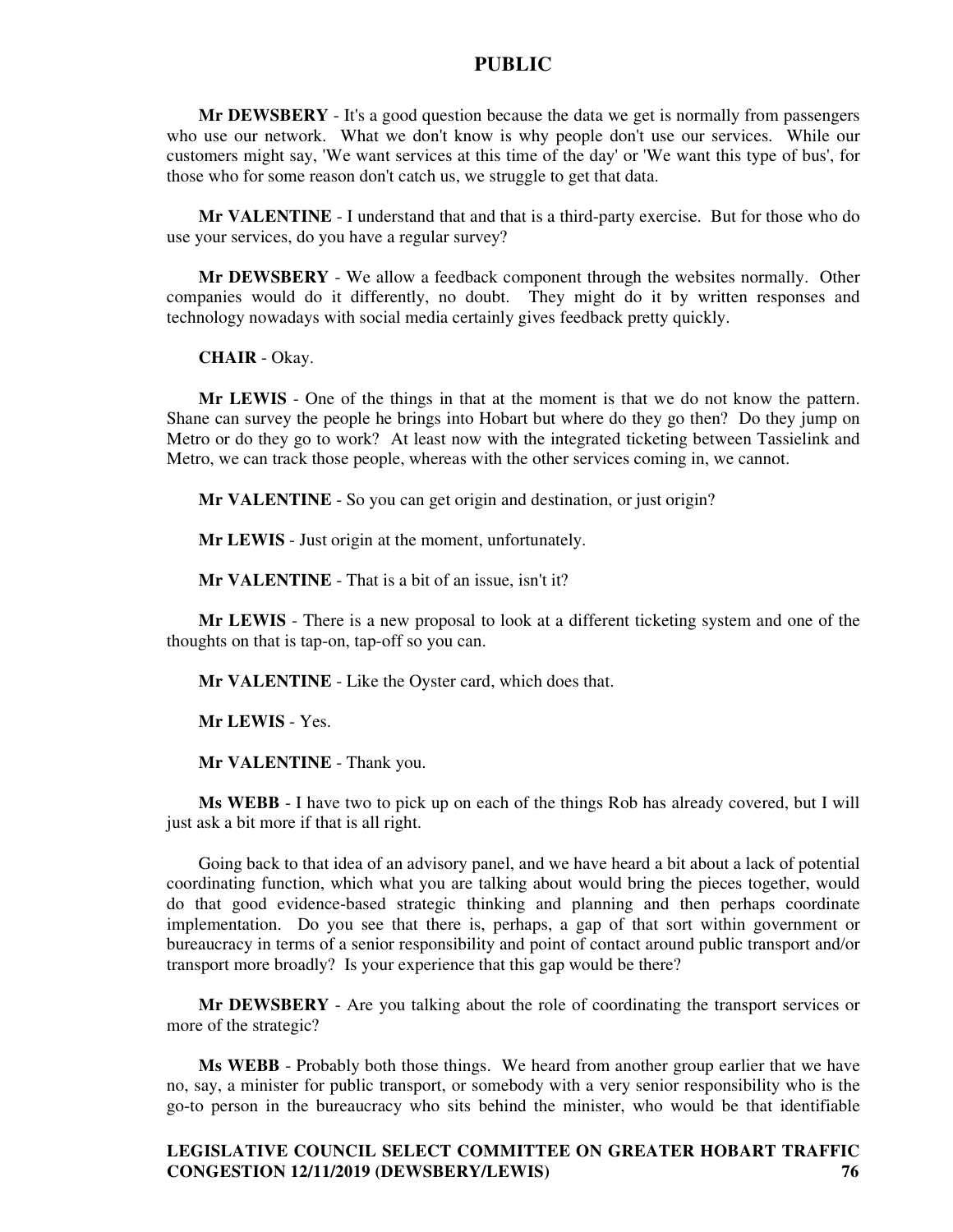**Mr DEWSBERY** - It's a good question because the data we get is normally from passengers who use our network. What we don't know is why people don't use our services. While our customers might say, 'We want services at this time of the day' or 'We want this type of bus', for those who for some reason don't catch us, we struggle to get that data.

**Mr VALENTINE** - I understand that and that is a third-party exercise. But for those who do use your services, do you have a regular survey?

**Mr DEWSBERY** - We allow a feedback component through the websites normally. Other companies would do it differently, no doubt. They might do it by written responses and technology nowadays with social media certainly gives feedback pretty quickly.

**CHAIR** - Okay.

**Mr LEWIS** - One of the things in that at the moment is that we do not know the pattern. Shane can survey the people he brings into Hobart but where do they go then? Do they jump on Metro or do they go to work? At least now with the integrated ticketing between Tassielink and Metro, we can track those people, whereas with the other services coming in, we cannot.

**Mr VALENTINE** - So you can get origin and destination, or just origin?

**Mr LEWIS** - Just origin at the moment, unfortunately.

**Mr VALENTINE** - That is a bit of an issue, isn't it?

**Mr LEWIS** - There is a new proposal to look at a different ticketing system and one of the thoughts on that is tap-on, tap-off so you can.

**Mr VALENTINE** - Like the Oyster card, which does that.

**Mr LEWIS** - Yes.

**Mr VALENTINE** - Thank you.

**Ms WEBB** - I have two to pick up on each of the things Rob has already covered, but I will just ask a bit more if that is all right.

Going back to that idea of an advisory panel, and we have heard a bit about a lack of potential coordinating function, which what you are talking about would bring the pieces together, would do that good evidence-based strategic thinking and planning and then perhaps coordinate implementation. Do you see that there is, perhaps, a gap of that sort within government or bureaucracy in terms of a senior responsibility and point of contact around public transport and/or transport more broadly? Is your experience that this gap would be there?

**Mr DEWSBERY** - Are you talking about the role of coordinating the transport services or more of the strategic?

**Ms WEBB** - Probably both those things. We heard from another group earlier that we have no, say, a minister for public transport, or somebody with a very senior responsibility who is the go-to person in the bureaucracy who sits behind the minister, who would be that identifiable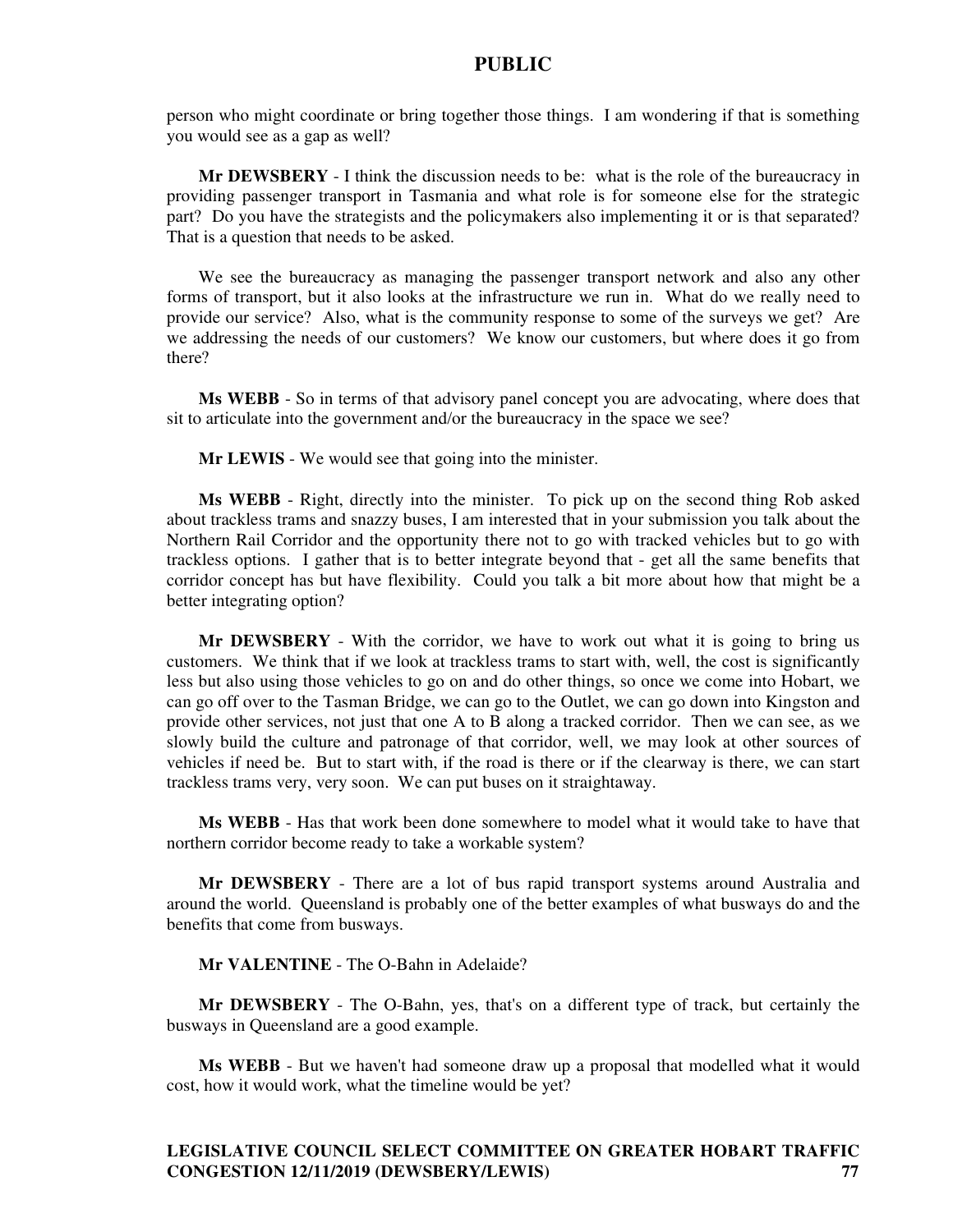person who might coordinate or bring together those things. I am wondering if that is something you would see as a gap as well?

**Mr DEWSBERY** - I think the discussion needs to be: what is the role of the bureaucracy in providing passenger transport in Tasmania and what role is for someone else for the strategic part? Do you have the strategists and the policymakers also implementing it or is that separated? That is a question that needs to be asked.

We see the bureaucracy as managing the passenger transport network and also any other forms of transport, but it also looks at the infrastructure we run in. What do we really need to provide our service? Also, what is the community response to some of the surveys we get? Are we addressing the needs of our customers? We know our customers, but where does it go from there?

**Ms WEBB** - So in terms of that advisory panel concept you are advocating, where does that sit to articulate into the government and/or the bureaucracy in the space we see?

**Mr LEWIS** - We would see that going into the minister.

**Ms WEBB** - Right, directly into the minister. To pick up on the second thing Rob asked about trackless trams and snazzy buses, I am interested that in your submission you talk about the Northern Rail Corridor and the opportunity there not to go with tracked vehicles but to go with trackless options. I gather that is to better integrate beyond that - get all the same benefits that corridor concept has but have flexibility. Could you talk a bit more about how that might be a better integrating option?

**Mr DEWSBERY** - With the corridor, we have to work out what it is going to bring us customers. We think that if we look at trackless trams to start with, well, the cost is significantly less but also using those vehicles to go on and do other things, so once we come into Hobart, we can go off over to the Tasman Bridge, we can go to the Outlet, we can go down into Kingston and provide other services, not just that one A to B along a tracked corridor. Then we can see, as we slowly build the culture and patronage of that corridor, well, we may look at other sources of vehicles if need be. But to start with, if the road is there or if the clearway is there, we can start trackless trams very, very soon. We can put buses on it straightaway.

**Ms WEBB** - Has that work been done somewhere to model what it would take to have that northern corridor become ready to take a workable system?

**Mr DEWSBERY** - There are a lot of bus rapid transport systems around Australia and around the world. Queensland is probably one of the better examples of what busways do and the benefits that come from busways.

**Mr VALENTINE** - The O-Bahn in Adelaide?

**Mr DEWSBERY** - The O-Bahn, yes, that's on a different type of track, but certainly the busways in Queensland are a good example.

**Ms WEBB** - But we haven't had someone draw up a proposal that modelled what it would cost, how it would work, what the timeline would be yet?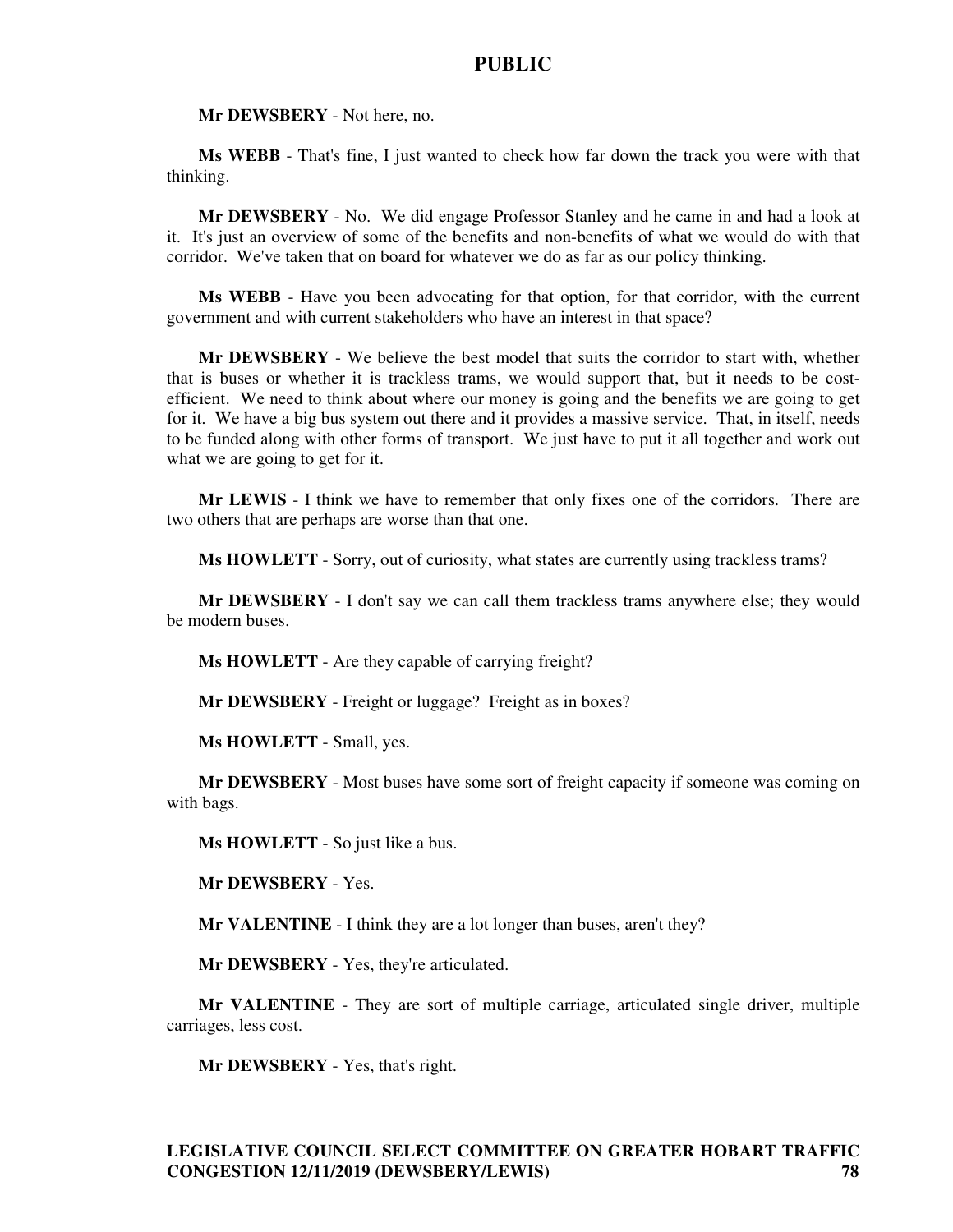**Mr DEWSBERY** - Not here, no.

**Ms WEBB** - That's fine, I just wanted to check how far down the track you were with that thinking.

**Mr DEWSBERY** - No. We did engage Professor Stanley and he came in and had a look at it. It's just an overview of some of the benefits and non-benefits of what we would do with that corridor. We've taken that on board for whatever we do as far as our policy thinking.

**Ms WEBB** - Have you been advocating for that option, for that corridor, with the current government and with current stakeholders who have an interest in that space?

**Mr DEWSBERY** - We believe the best model that suits the corridor to start with, whether that is buses or whether it is trackless trams, we would support that, but it needs to be costefficient. We need to think about where our money is going and the benefits we are going to get for it. We have a big bus system out there and it provides a massive service. That, in itself, needs to be funded along with other forms of transport. We just have to put it all together and work out what we are going to get for it.

**Mr LEWIS** - I think we have to remember that only fixes one of the corridors. There are two others that are perhaps are worse than that one.

**Ms HOWLETT** - Sorry, out of curiosity, what states are currently using trackless trams?

**Mr DEWSBERY** - I don't say we can call them trackless trams anywhere else; they would be modern buses.

**Ms HOWLETT** - Are they capable of carrying freight?

**Mr DEWSBERY** - Freight or luggage? Freight as in boxes?

**Ms HOWLETT** - Small, yes.

**Mr DEWSBERY** - Most buses have some sort of freight capacity if someone was coming on with bags.

**Ms HOWLETT** - So just like a bus.

**Mr DEWSBERY** - Yes.

**Mr VALENTINE** - I think they are a lot longer than buses, aren't they?

**Mr DEWSBERY** - Yes, they're articulated.

**Mr VALENTINE** - They are sort of multiple carriage, articulated single driver, multiple carriages, less cost.

**Mr DEWSBERY** - Yes, that's right.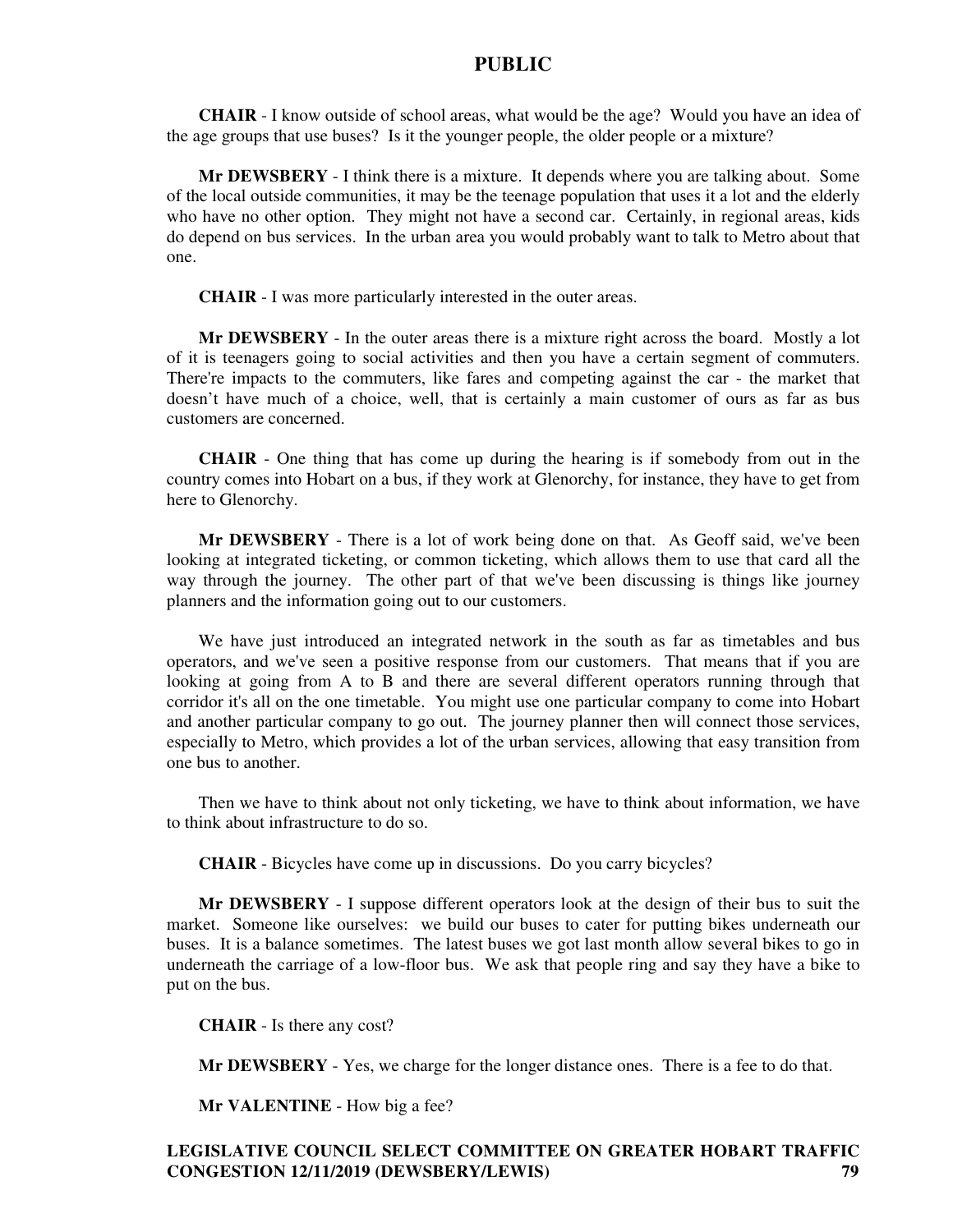**CHAIR** - I know outside of school areas, what would be the age? Would you have an idea of the age groups that use buses? Is it the younger people, the older people or a mixture?

**Mr DEWSBERY** - I think there is a mixture. It depends where you are talking about. Some of the local outside communities, it may be the teenage population that uses it a lot and the elderly who have no other option. They might not have a second car. Certainly, in regional areas, kids do depend on bus services. In the urban area you would probably want to talk to Metro about that one.

**CHAIR** - I was more particularly interested in the outer areas.

**Mr DEWSBERY** - In the outer areas there is a mixture right across the board. Mostly a lot of it is teenagers going to social activities and then you have a certain segment of commuters. There're impacts to the commuters, like fares and competing against the car - the market that doesn't have much of a choice, well, that is certainly a main customer of ours as far as bus customers are concerned.

**CHAIR** - One thing that has come up during the hearing is if somebody from out in the country comes into Hobart on a bus, if they work at Glenorchy, for instance, they have to get from here to Glenorchy.

**Mr DEWSBERY** - There is a lot of work being done on that. As Geoff said, we've been looking at integrated ticketing, or common ticketing, which allows them to use that card all the way through the journey. The other part of that we've been discussing is things like journey planners and the information going out to our customers.

We have just introduced an integrated network in the south as far as timetables and bus operators, and we've seen a positive response from our customers. That means that if you are looking at going from A to B and there are several different operators running through that corridor it's all on the one timetable. You might use one particular company to come into Hobart and another particular company to go out. The journey planner then will connect those services, especially to Metro, which provides a lot of the urban services, allowing that easy transition from one bus to another.

Then we have to think about not only ticketing, we have to think about information, we have to think about infrastructure to do so.

**CHAIR** - Bicycles have come up in discussions. Do you carry bicycles?

**Mr DEWSBERY** - I suppose different operators look at the design of their bus to suit the market. Someone like ourselves: we build our buses to cater for putting bikes underneath our buses. It is a balance sometimes. The latest buses we got last month allow several bikes to go in underneath the carriage of a low-floor bus. We ask that people ring and say they have a bike to put on the bus.

**CHAIR** - Is there any cost?

**Mr DEWSBERY** - Yes, we charge for the longer distance ones. There is a fee to do that.

**Mr VALENTINE** - How big a fee?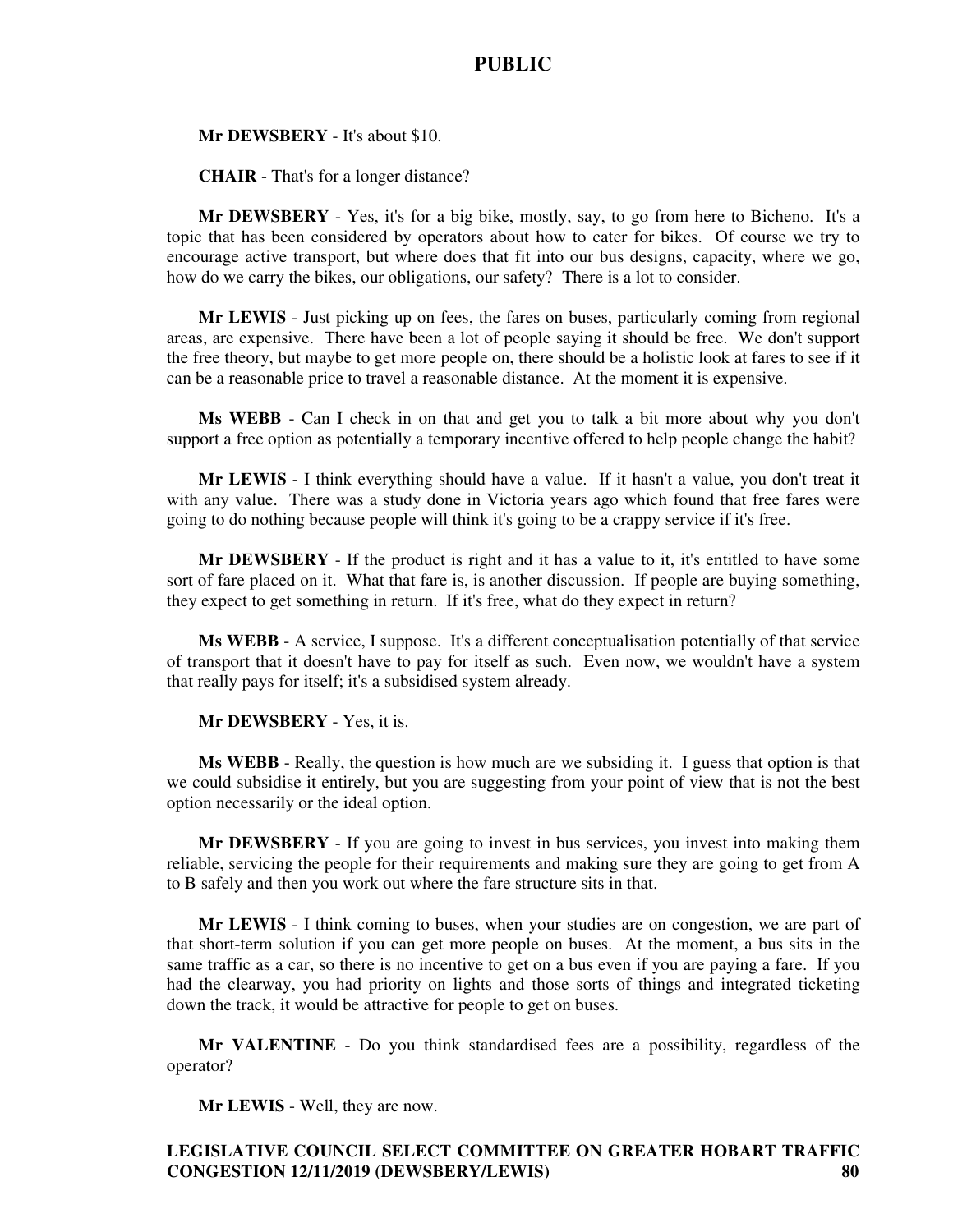**Mr DEWSBERY** - It's about \$10.

**CHAIR** - That's for a longer distance?

**Mr DEWSBERY** - Yes, it's for a big bike, mostly, say, to go from here to Bicheno. It's a topic that has been considered by operators about how to cater for bikes. Of course we try to encourage active transport, but where does that fit into our bus designs, capacity, where we go, how do we carry the bikes, our obligations, our safety? There is a lot to consider.

**Mr LEWIS** - Just picking up on fees, the fares on buses, particularly coming from regional areas, are expensive. There have been a lot of people saying it should be free. We don't support the free theory, but maybe to get more people on, there should be a holistic look at fares to see if it can be a reasonable price to travel a reasonable distance. At the moment it is expensive.

**Ms WEBB** - Can I check in on that and get you to talk a bit more about why you don't support a free option as potentially a temporary incentive offered to help people change the habit?

**Mr LEWIS** - I think everything should have a value. If it hasn't a value, you don't treat it with any value. There was a study done in Victoria years ago which found that free fares were going to do nothing because people will think it's going to be a crappy service if it's free.

**Mr DEWSBERY** - If the product is right and it has a value to it, it's entitled to have some sort of fare placed on it. What that fare is, is another discussion. If people are buying something, they expect to get something in return. If it's free, what do they expect in return?

**Ms WEBB** - A service, I suppose. It's a different conceptualisation potentially of that service of transport that it doesn't have to pay for itself as such. Even now, we wouldn't have a system that really pays for itself; it's a subsidised system already.

**Mr DEWSBERY** - Yes, it is.

**Ms WEBB** - Really, the question is how much are we subsiding it. I guess that option is that we could subsidise it entirely, but you are suggesting from your point of view that is not the best option necessarily or the ideal option.

**Mr DEWSBERY** - If you are going to invest in bus services, you invest into making them reliable, servicing the people for their requirements and making sure they are going to get from A to B safely and then you work out where the fare structure sits in that.

**Mr LEWIS** - I think coming to buses, when your studies are on congestion, we are part of that short-term solution if you can get more people on buses. At the moment, a bus sits in the same traffic as a car, so there is no incentive to get on a bus even if you are paying a fare. If you had the clearway, you had priority on lights and those sorts of things and integrated ticketing down the track, it would be attractive for people to get on buses.

**Mr VALENTINE** - Do you think standardised fees are a possibility, regardless of the operator?

**Mr LEWIS** - Well, they are now.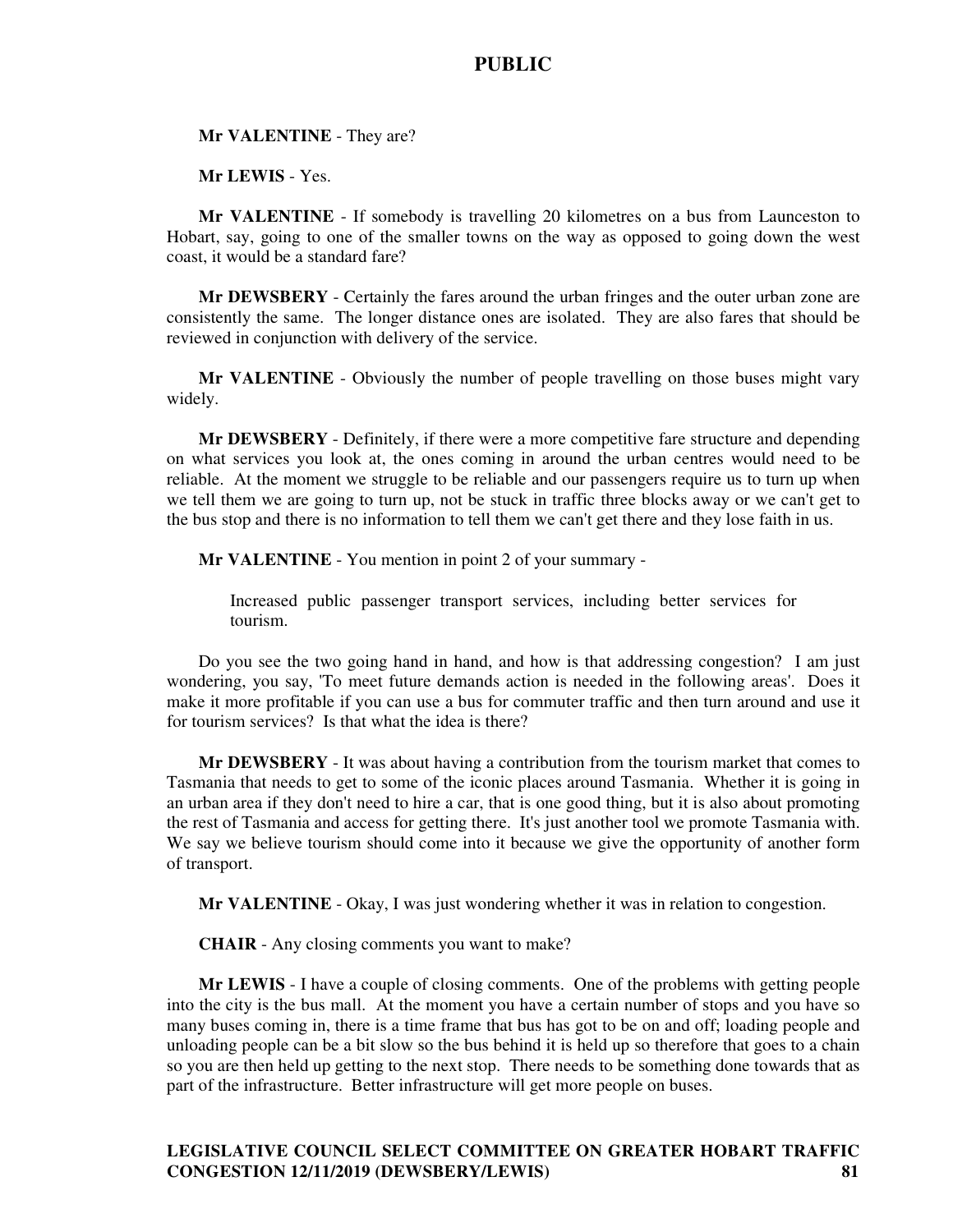**Mr VALENTINE** - They are?

**Mr LEWIS** - Yes.

**Mr VALENTINE** - If somebody is travelling 20 kilometres on a bus from Launceston to Hobart, say, going to one of the smaller towns on the way as opposed to going down the west coast, it would be a standard fare?

**Mr DEWSBERY** - Certainly the fares around the urban fringes and the outer urban zone are consistently the same. The longer distance ones are isolated. They are also fares that should be reviewed in conjunction with delivery of the service.

**Mr VALENTINE** - Obviously the number of people travelling on those buses might vary widely.

**Mr DEWSBERY** - Definitely, if there were a more competitive fare structure and depending on what services you look at, the ones coming in around the urban centres would need to be reliable. At the moment we struggle to be reliable and our passengers require us to turn up when we tell them we are going to turn up, not be stuck in traffic three blocks away or we can't get to the bus stop and there is no information to tell them we can't get there and they lose faith in us.

**Mr VALENTINE** - You mention in point 2 of your summary -

Increased public passenger transport services, including better services for tourism.

Do you see the two going hand in hand, and how is that addressing congestion? I am just wondering, you say, 'To meet future demands action is needed in the following areas'. Does it make it more profitable if you can use a bus for commuter traffic and then turn around and use it for tourism services? Is that what the idea is there?

**Mr DEWSBERY** - It was about having a contribution from the tourism market that comes to Tasmania that needs to get to some of the iconic places around Tasmania. Whether it is going in an urban area if they don't need to hire a car, that is one good thing, but it is also about promoting the rest of Tasmania and access for getting there. It's just another tool we promote Tasmania with. We say we believe tourism should come into it because we give the opportunity of another form of transport.

**Mr VALENTINE** - Okay, I was just wondering whether it was in relation to congestion.

**CHAIR** - Any closing comments you want to make?

**Mr LEWIS** - I have a couple of closing comments. One of the problems with getting people into the city is the bus mall. At the moment you have a certain number of stops and you have so many buses coming in, there is a time frame that bus has got to be on and off; loading people and unloading people can be a bit slow so the bus behind it is held up so therefore that goes to a chain so you are then held up getting to the next stop. There needs to be something done towards that as part of the infrastructure. Better infrastructure will get more people on buses.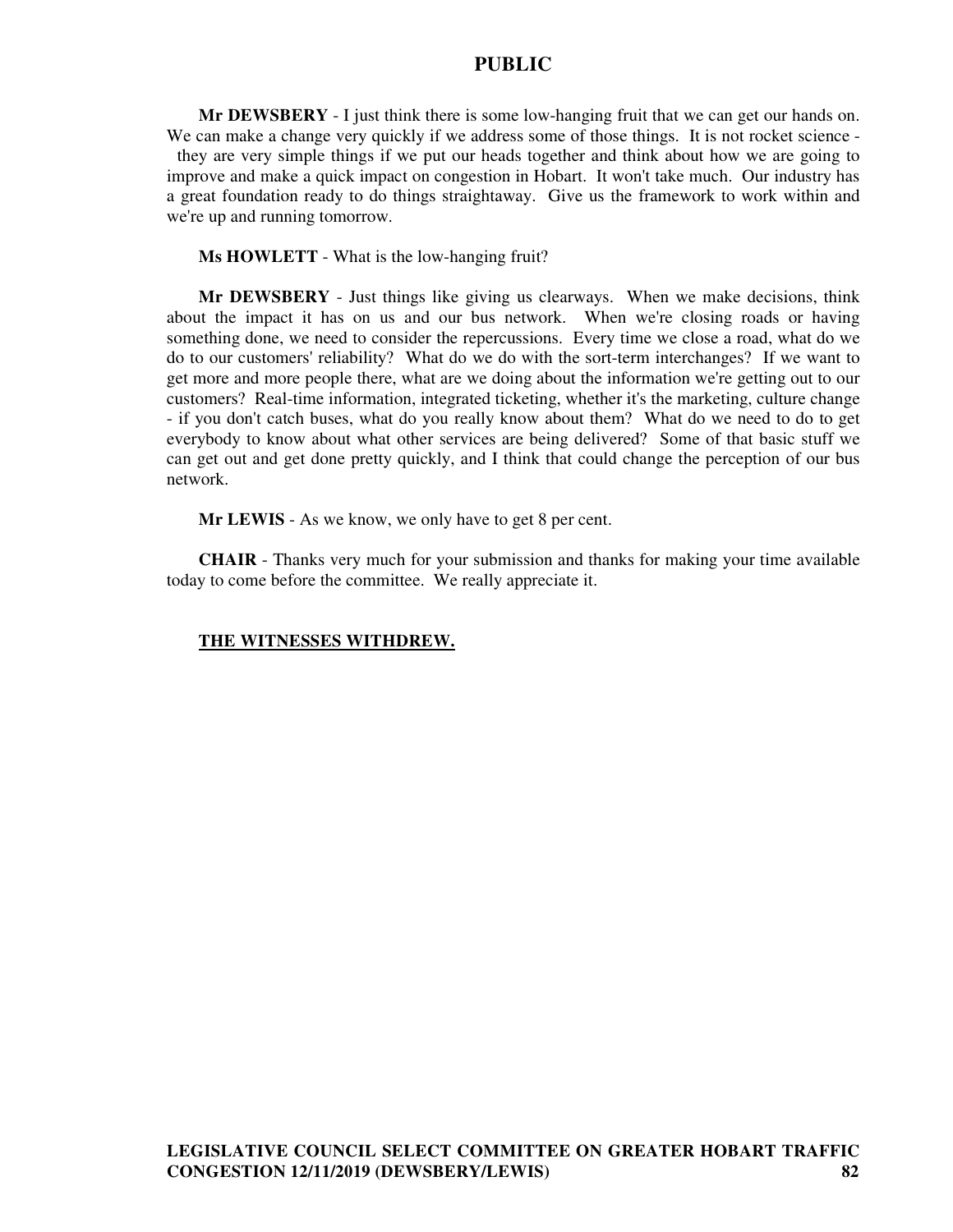**Mr DEWSBERY** - I just think there is some low-hanging fruit that we can get our hands on. We can make a change very quickly if we address some of those things. It is not rocket science they are very simple things if we put our heads together and think about how we are going to improve and make a quick impact on congestion in Hobart. It won't take much. Our industry has a great foundation ready to do things straightaway. Give us the framework to work within and we're up and running tomorrow.

**Ms HOWLETT** - What is the low-hanging fruit?

**Mr DEWSBERY** - Just things like giving us clearways. When we make decisions, think about the impact it has on us and our bus network. When we're closing roads or having something done, we need to consider the repercussions. Every time we close a road, what do we do to our customers' reliability? What do we do with the sort-term interchanges? If we want to get more and more people there, what are we doing about the information we're getting out to our customers? Real-time information, integrated ticketing, whether it's the marketing, culture change - if you don't catch buses, what do you really know about them? What do we need to do to get everybody to know about what other services are being delivered? Some of that basic stuff we can get out and get done pretty quickly, and I think that could change the perception of our bus network.

**Mr LEWIS** - As we know, we only have to get 8 per cent.

**CHAIR** - Thanks very much for your submission and thanks for making your time available today to come before the committee. We really appreciate it.

#### **THE WITNESSES WITHDREW.**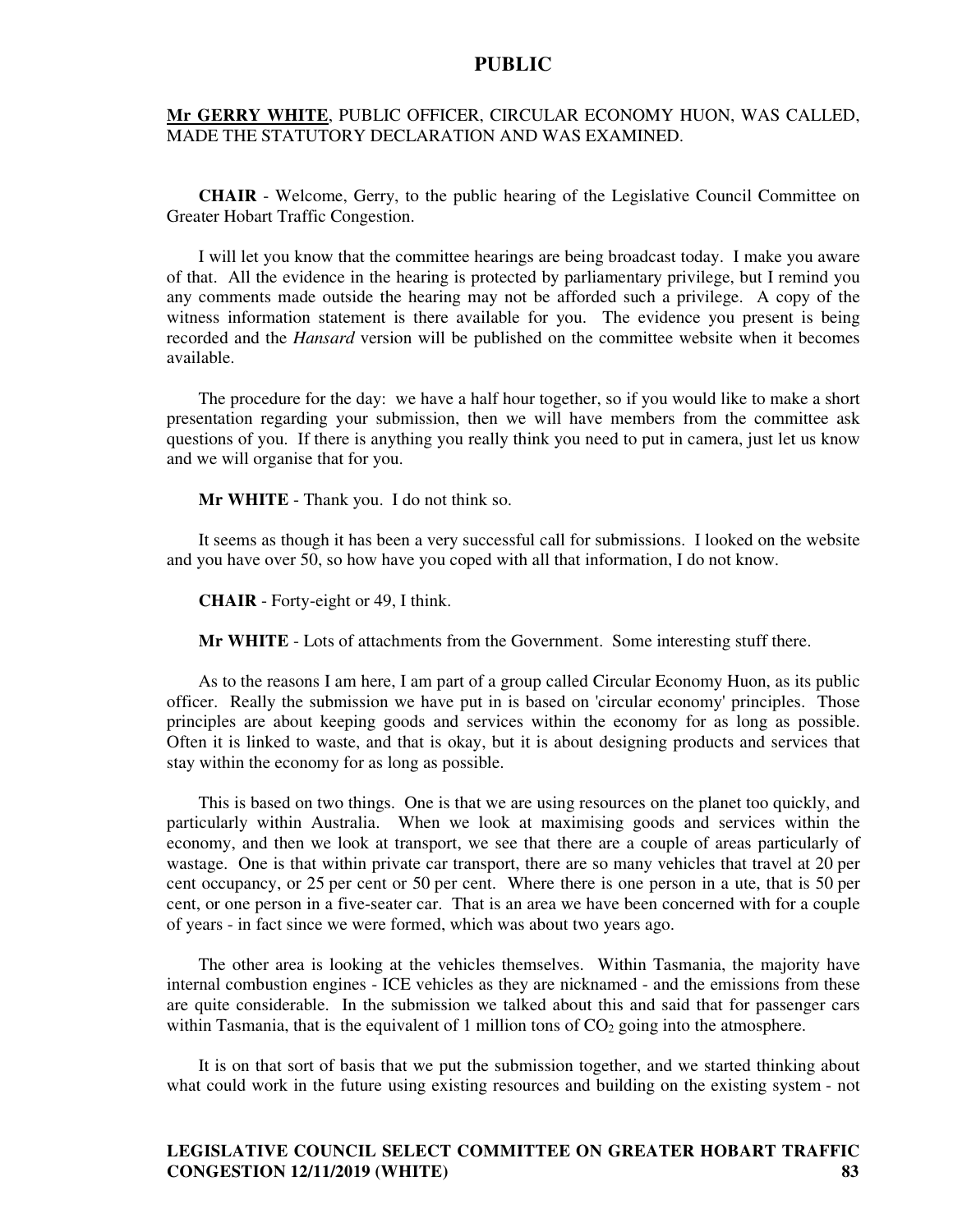#### **Mr GERRY WHITE**, PUBLIC OFFICER, CIRCULAR ECONOMY HUON, WAS CALLED, MADE THE STATUTORY DECLARATION AND WAS EXAMINED.

**CHAIR** - Welcome, Gerry, to the public hearing of the Legislative Council Committee on Greater Hobart Traffic Congestion.

I will let you know that the committee hearings are being broadcast today. I make you aware of that. All the evidence in the hearing is protected by parliamentary privilege, but I remind you any comments made outside the hearing may not be afforded such a privilege. A copy of the witness information statement is there available for you. The evidence you present is being recorded and the *Hansard* version will be published on the committee website when it becomes available.

The procedure for the day: we have a half hour together, so if you would like to make a short presentation regarding your submission, then we will have members from the committee ask questions of you. If there is anything you really think you need to put in camera, just let us know and we will organise that for you.

**Mr WHITE** - Thank you. I do not think so.

It seems as though it has been a very successful call for submissions. I looked on the website and you have over 50, so how have you coped with all that information, I do not know.

**CHAIR** - Forty-eight or 49, I think.

**Mr WHITE** - Lots of attachments from the Government. Some interesting stuff there.

As to the reasons I am here, I am part of a group called Circular Economy Huon, as its public officer. Really the submission we have put in is based on 'circular economy' principles. Those principles are about keeping goods and services within the economy for as long as possible. Often it is linked to waste, and that is okay, but it is about designing products and services that stay within the economy for as long as possible.

This is based on two things. One is that we are using resources on the planet too quickly, and particularly within Australia. When we look at maximising goods and services within the economy, and then we look at transport, we see that there are a couple of areas particularly of wastage. One is that within private car transport, there are so many vehicles that travel at 20 per cent occupancy, or 25 per cent or 50 per cent. Where there is one person in a ute, that is 50 per cent, or one person in a five-seater car. That is an area we have been concerned with for a couple of years - in fact since we were formed, which was about two years ago.

The other area is looking at the vehicles themselves. Within Tasmania, the majority have internal combustion engines - ICE vehicles as they are nicknamed - and the emissions from these are quite considerable. In the submission we talked about this and said that for passenger cars within Tasmania, that is the equivalent of 1 million tons of  $CO<sub>2</sub>$  going into the atmosphere.

It is on that sort of basis that we put the submission together, and we started thinking about what could work in the future using existing resources and building on the existing system - not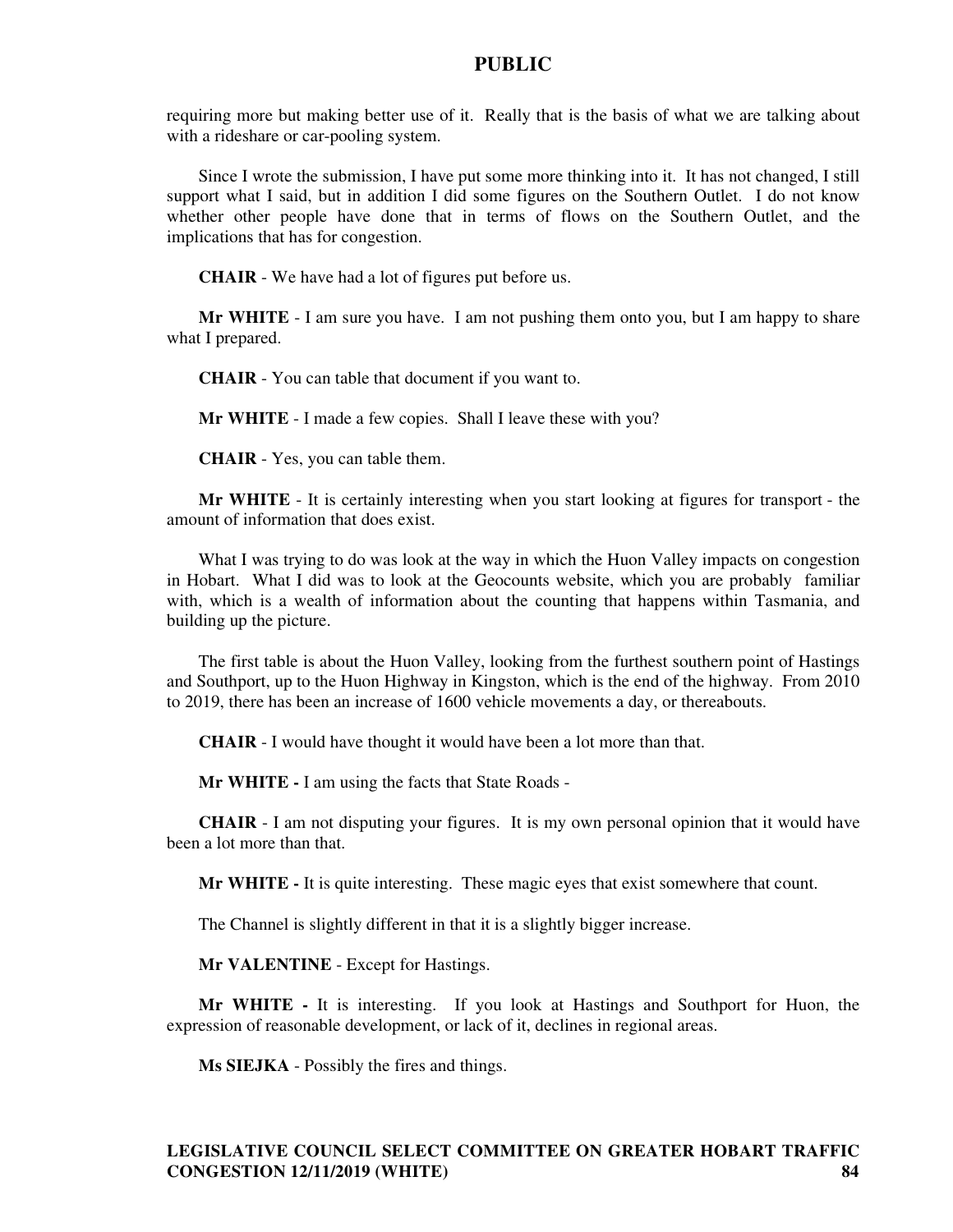requiring more but making better use of it. Really that is the basis of what we are talking about with a rideshare or car-pooling system.

Since I wrote the submission, I have put some more thinking into it. It has not changed, I still support what I said, but in addition I did some figures on the Southern Outlet. I do not know whether other people have done that in terms of flows on the Southern Outlet, and the implications that has for congestion.

**CHAIR** - We have had a lot of figures put before us.

**Mr WHITE** - I am sure you have. I am not pushing them onto you, but I am happy to share what I prepared.

**CHAIR** - You can table that document if you want to.

**Mr WHITE** - I made a few copies. Shall I leave these with you?

**CHAIR** - Yes, you can table them.

**Mr WHITE** - It is certainly interesting when you start looking at figures for transport - the amount of information that does exist.

What I was trying to do was look at the way in which the Huon Valley impacts on congestion in Hobart. What I did was to look at the Geocounts website, which you are probably familiar with, which is a wealth of information about the counting that happens within Tasmania, and building up the picture.

The first table is about the Huon Valley, looking from the furthest southern point of Hastings and Southport, up to the Huon Highway in Kingston, which is the end of the highway. From 2010 to 2019, there has been an increase of 1600 vehicle movements a day, or thereabouts.

**CHAIR** - I would have thought it would have been a lot more than that.

**Mr WHITE -** I am using the facts that State Roads -

**CHAIR** - I am not disputing your figures. It is my own personal opinion that it would have been a lot more than that.

**Mr WHITE -** It is quite interesting. These magic eyes that exist somewhere that count.

The Channel is slightly different in that it is a slightly bigger increase.

**Mr VALENTINE** - Except for Hastings.

**Mr WHITE -** It is interesting. If you look at Hastings and Southport for Huon, the expression of reasonable development, or lack of it, declines in regional areas.

**Ms SIEJKA** - Possibly the fires and things.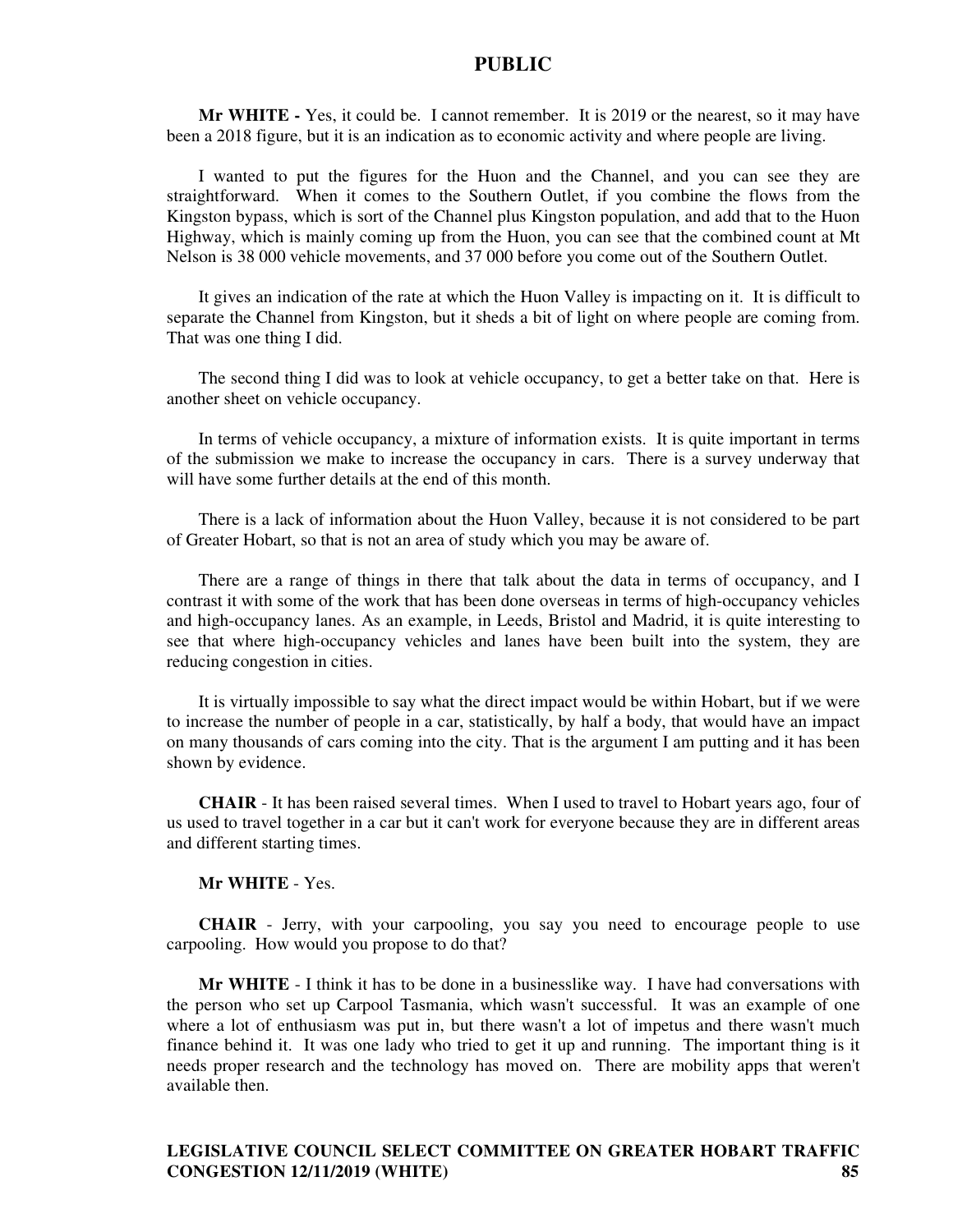**Mr WHITE -** Yes, it could be. I cannot remember. It is 2019 or the nearest, so it may have been a 2018 figure, but it is an indication as to economic activity and where people are living.

I wanted to put the figures for the Huon and the Channel, and you can see they are straightforward. When it comes to the Southern Outlet, if you combine the flows from the Kingston bypass, which is sort of the Channel plus Kingston population, and add that to the Huon Highway, which is mainly coming up from the Huon, you can see that the combined count at Mt Nelson is 38 000 vehicle movements, and 37 000 before you come out of the Southern Outlet.

It gives an indication of the rate at which the Huon Valley is impacting on it. It is difficult to separate the Channel from Kingston, but it sheds a bit of light on where people are coming from. That was one thing I did.

The second thing I did was to look at vehicle occupancy, to get a better take on that. Here is another sheet on vehicle occupancy.

In terms of vehicle occupancy, a mixture of information exists. It is quite important in terms of the submission we make to increase the occupancy in cars. There is a survey underway that will have some further details at the end of this month.

There is a lack of information about the Huon Valley, because it is not considered to be part of Greater Hobart, so that is not an area of study which you may be aware of.

There are a range of things in there that talk about the data in terms of occupancy, and I contrast it with some of the work that has been done overseas in terms of high-occupancy vehicles and high-occupancy lanes. As an example, in Leeds, Bristol and Madrid, it is quite interesting to see that where high-occupancy vehicles and lanes have been built into the system, they are reducing congestion in cities.

It is virtually impossible to say what the direct impact would be within Hobart, but if we were to increase the number of people in a car, statistically, by half a body, that would have an impact on many thousands of cars coming into the city. That is the argument I am putting and it has been shown by evidence.

**CHAIR** - It has been raised several times. When I used to travel to Hobart years ago, four of us used to travel together in a car but it can't work for everyone because they are in different areas and different starting times.

#### **Mr WHITE** - Yes.

**CHAIR** - Jerry, with your carpooling, you say you need to encourage people to use carpooling. How would you propose to do that?

**Mr WHITE** - I think it has to be done in a businesslike way. I have had conversations with the person who set up Carpool Tasmania, which wasn't successful. It was an example of one where a lot of enthusiasm was put in, but there wasn't a lot of impetus and there wasn't much finance behind it. It was one lady who tried to get it up and running. The important thing is it needs proper research and the technology has moved on. There are mobility apps that weren't available then.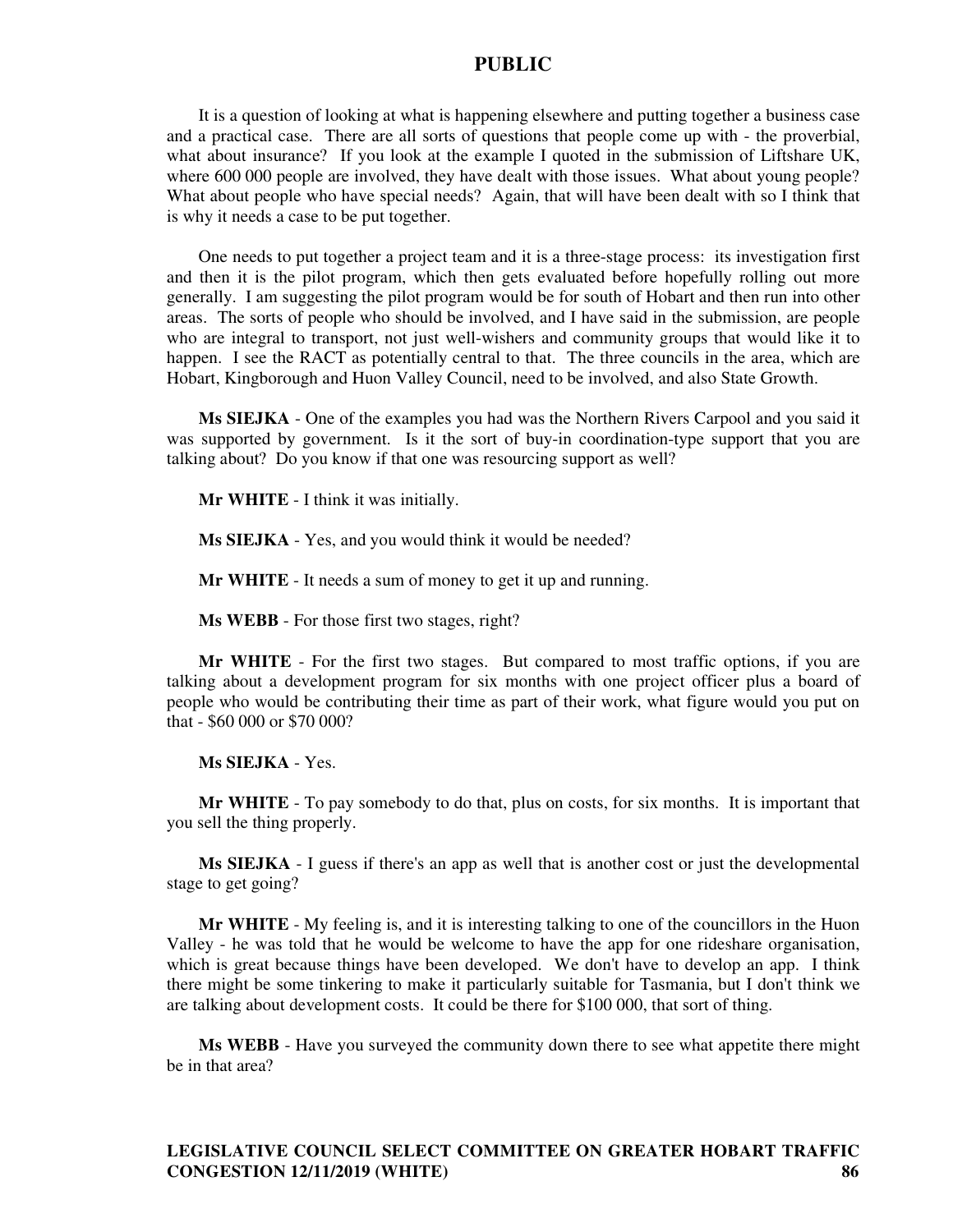It is a question of looking at what is happening elsewhere and putting together a business case and a practical case. There are all sorts of questions that people come up with - the proverbial, what about insurance? If you look at the example I quoted in the submission of Liftshare UK, where 600 000 people are involved, they have dealt with those issues. What about young people? What about people who have special needs? Again, that will have been dealt with so I think that is why it needs a case to be put together.

One needs to put together a project team and it is a three-stage process: its investigation first and then it is the pilot program, which then gets evaluated before hopefully rolling out more generally. I am suggesting the pilot program would be for south of Hobart and then run into other areas. The sorts of people who should be involved, and I have said in the submission, are people who are integral to transport, not just well-wishers and community groups that would like it to happen. I see the RACT as potentially central to that. The three councils in the area, which are Hobart, Kingborough and Huon Valley Council, need to be involved, and also State Growth.

**Ms SIEJKA** - One of the examples you had was the Northern Rivers Carpool and you said it was supported by government. Is it the sort of buy-in coordination-type support that you are talking about? Do you know if that one was resourcing support as well?

**Mr WHITE** - I think it was initially.

**Ms SIEJKA** - Yes, and you would think it would be needed?

**Mr WHITE** - It needs a sum of money to get it up and running.

**Ms WEBB** - For those first two stages, right?

**Mr WHITE** - For the first two stages. But compared to most traffic options, if you are talking about a development program for six months with one project officer plus a board of people who would be contributing their time as part of their work, what figure would you put on that - \$60 000 or \$70 000?

**Ms SIEJKA** - Yes.

**Mr WHITE** - To pay somebody to do that, plus on costs, for six months. It is important that you sell the thing properly.

**Ms SIEJKA** - I guess if there's an app as well that is another cost or just the developmental stage to get going?

**Mr WHITE** - My feeling is, and it is interesting talking to one of the councillors in the Huon Valley - he was told that he would be welcome to have the app for one rideshare organisation, which is great because things have been developed. We don't have to develop an app. I think there might be some tinkering to make it particularly suitable for Tasmania, but I don't think we are talking about development costs. It could be there for \$100 000, that sort of thing.

**Ms WEBB** - Have you surveyed the community down there to see what appetite there might be in that area?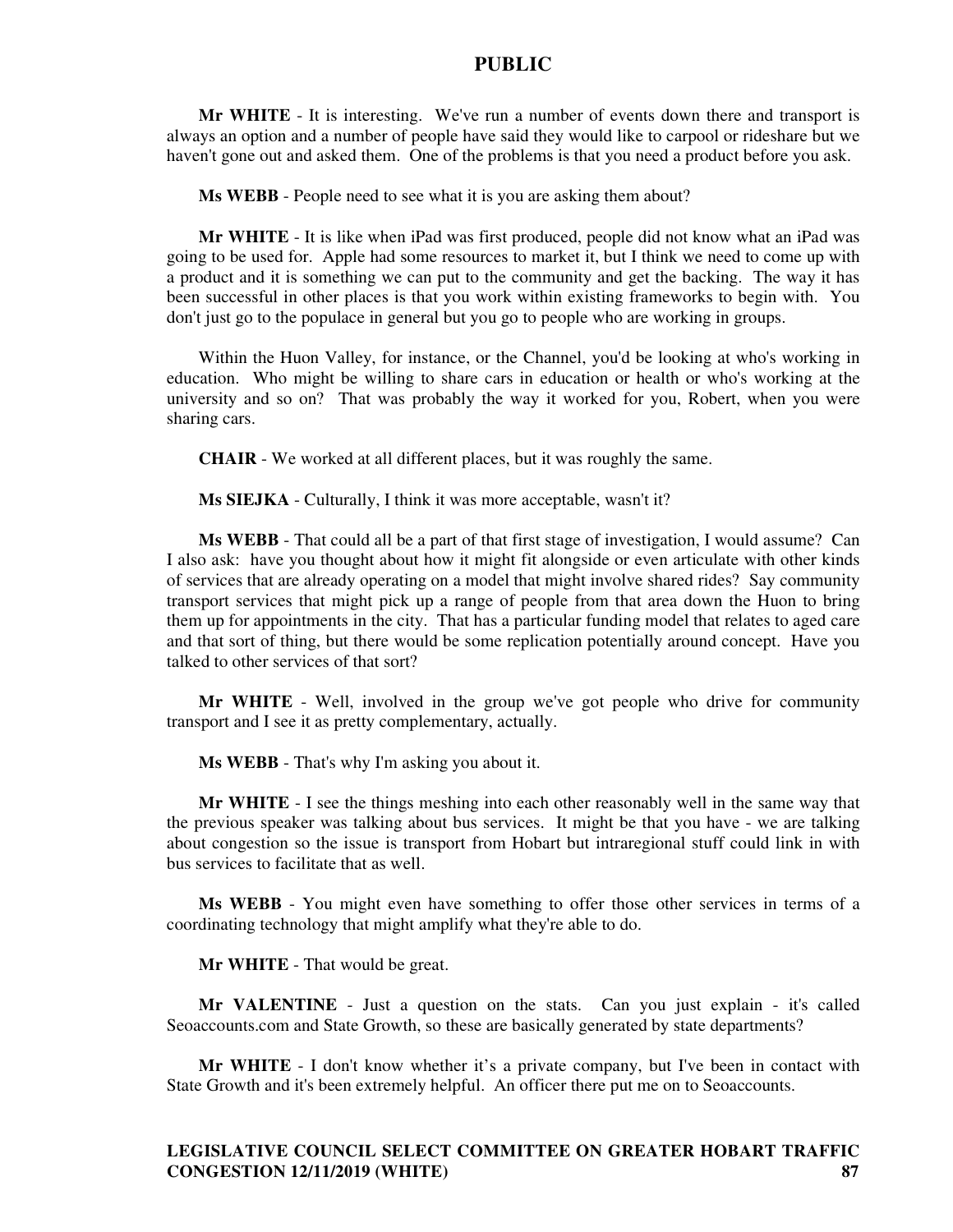**Mr WHITE** - It is interesting. We've run a number of events down there and transport is always an option and a number of people have said they would like to carpool or rideshare but we haven't gone out and asked them. One of the problems is that you need a product before you ask.

**Ms WEBB** - People need to see what it is you are asking them about?

**Mr WHITE** - It is like when iPad was first produced, people did not know what an iPad was going to be used for. Apple had some resources to market it, but I think we need to come up with a product and it is something we can put to the community and get the backing. The way it has been successful in other places is that you work within existing frameworks to begin with. You don't just go to the populace in general but you go to people who are working in groups.

Within the Huon Valley, for instance, or the Channel, you'd be looking at who's working in education. Who might be willing to share cars in education or health or who's working at the university and so on? That was probably the way it worked for you, Robert, when you were sharing cars.

**CHAIR** - We worked at all different places, but it was roughly the same.

**Ms SIEJKA** - Culturally, I think it was more acceptable, wasn't it?

**Ms WEBB** - That could all be a part of that first stage of investigation, I would assume? Can I also ask: have you thought about how it might fit alongside or even articulate with other kinds of services that are already operating on a model that might involve shared rides? Say community transport services that might pick up a range of people from that area down the Huon to bring them up for appointments in the city. That has a particular funding model that relates to aged care and that sort of thing, but there would be some replication potentially around concept. Have you talked to other services of that sort?

**Mr WHITE** - Well, involved in the group we've got people who drive for community transport and I see it as pretty complementary, actually.

**Ms WEBB** - That's why I'm asking you about it.

**Mr WHITE** - I see the things meshing into each other reasonably well in the same way that the previous speaker was talking about bus services. It might be that you have - we are talking about congestion so the issue is transport from Hobart but intraregional stuff could link in with bus services to facilitate that as well.

**Ms WEBB** - You might even have something to offer those other services in terms of a coordinating technology that might amplify what they're able to do.

**Mr WHITE** - That would be great.

**Mr VALENTINE** - Just a question on the stats. Can you just explain - it's called Seoaccounts.com and State Growth, so these are basically generated by state departments?

**Mr WHITE** - I don't know whether it's a private company, but I've been in contact with State Growth and it's been extremely helpful. An officer there put me on to Seoaccounts.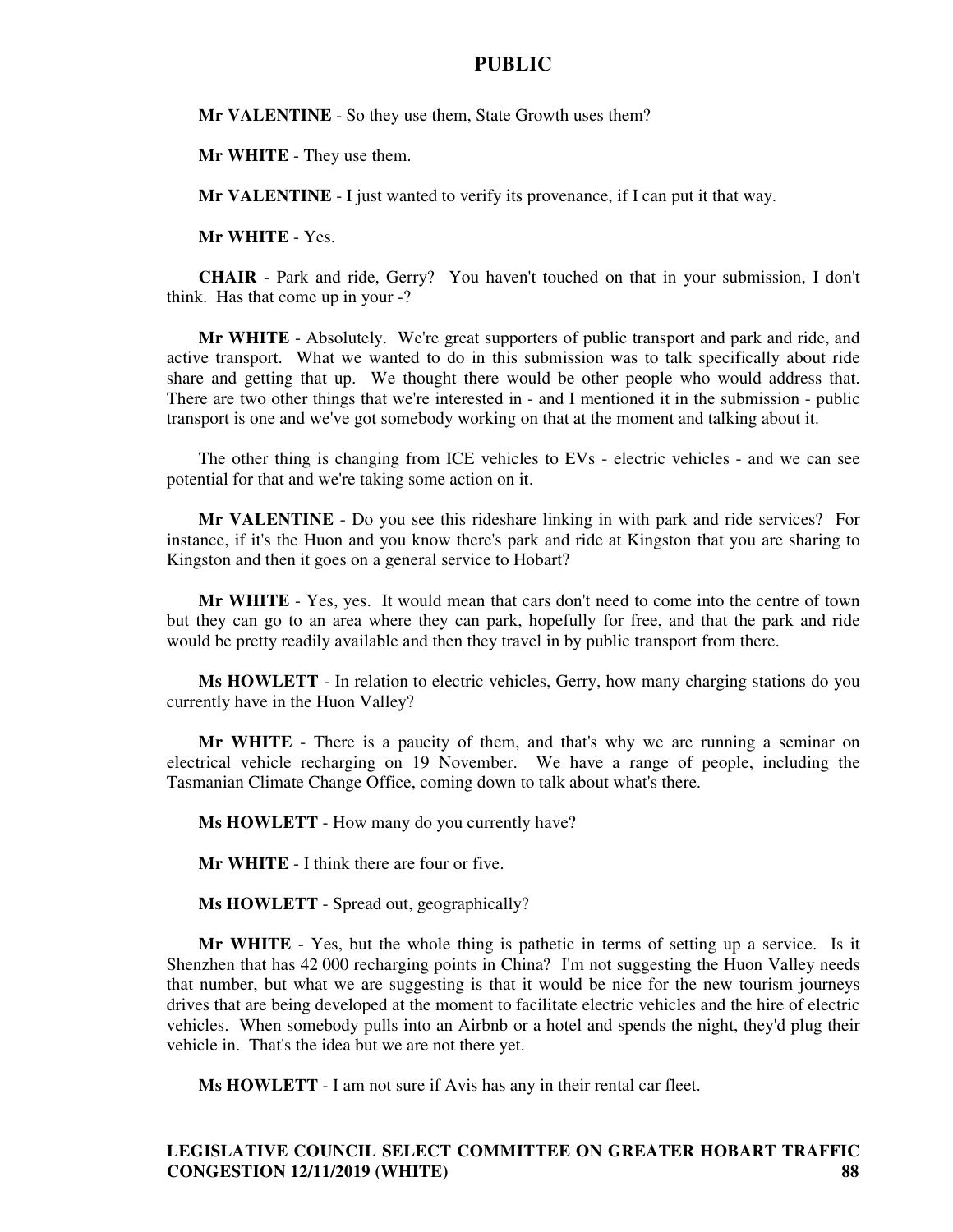**Mr VALENTINE** - So they use them, State Growth uses them?

**Mr WHITE** - They use them.

**Mr VALENTINE** - I just wanted to verify its provenance, if I can put it that way.

**Mr WHITE** - Yes.

**CHAIR** - Park and ride, Gerry? You haven't touched on that in your submission, I don't think. Has that come up in your -?

**Mr WHITE** - Absolutely. We're great supporters of public transport and park and ride, and active transport. What we wanted to do in this submission was to talk specifically about ride share and getting that up. We thought there would be other people who would address that. There are two other things that we're interested in - and I mentioned it in the submission - public transport is one and we've got somebody working on that at the moment and talking about it.

The other thing is changing from ICE vehicles to EVs - electric vehicles - and we can see potential for that and we're taking some action on it.

**Mr VALENTINE** - Do you see this rideshare linking in with park and ride services? For instance, if it's the Huon and you know there's park and ride at Kingston that you are sharing to Kingston and then it goes on a general service to Hobart?

**Mr WHITE** - Yes, yes. It would mean that cars don't need to come into the centre of town but they can go to an area where they can park, hopefully for free, and that the park and ride would be pretty readily available and then they travel in by public transport from there.

**Ms HOWLETT** - In relation to electric vehicles, Gerry, how many charging stations do you currently have in the Huon Valley?

**Mr WHITE** - There is a paucity of them, and that's why we are running a seminar on electrical vehicle recharging on 19 November. We have a range of people, including the Tasmanian Climate Change Office, coming down to talk about what's there.

**Ms HOWLETT** - How many do you currently have?

**Mr WHITE** - I think there are four or five.

**Ms HOWLETT** - Spread out, geographically?

**Mr WHITE** - Yes, but the whole thing is pathetic in terms of setting up a service. Is it Shenzhen that has 42 000 recharging points in China? I'm not suggesting the Huon Valley needs that number, but what we are suggesting is that it would be nice for the new tourism journeys drives that are being developed at the moment to facilitate electric vehicles and the hire of electric vehicles. When somebody pulls into an Airbnb or a hotel and spends the night, they'd plug their vehicle in. That's the idea but we are not there yet.

**Ms HOWLETT** - I am not sure if Avis has any in their rental car fleet.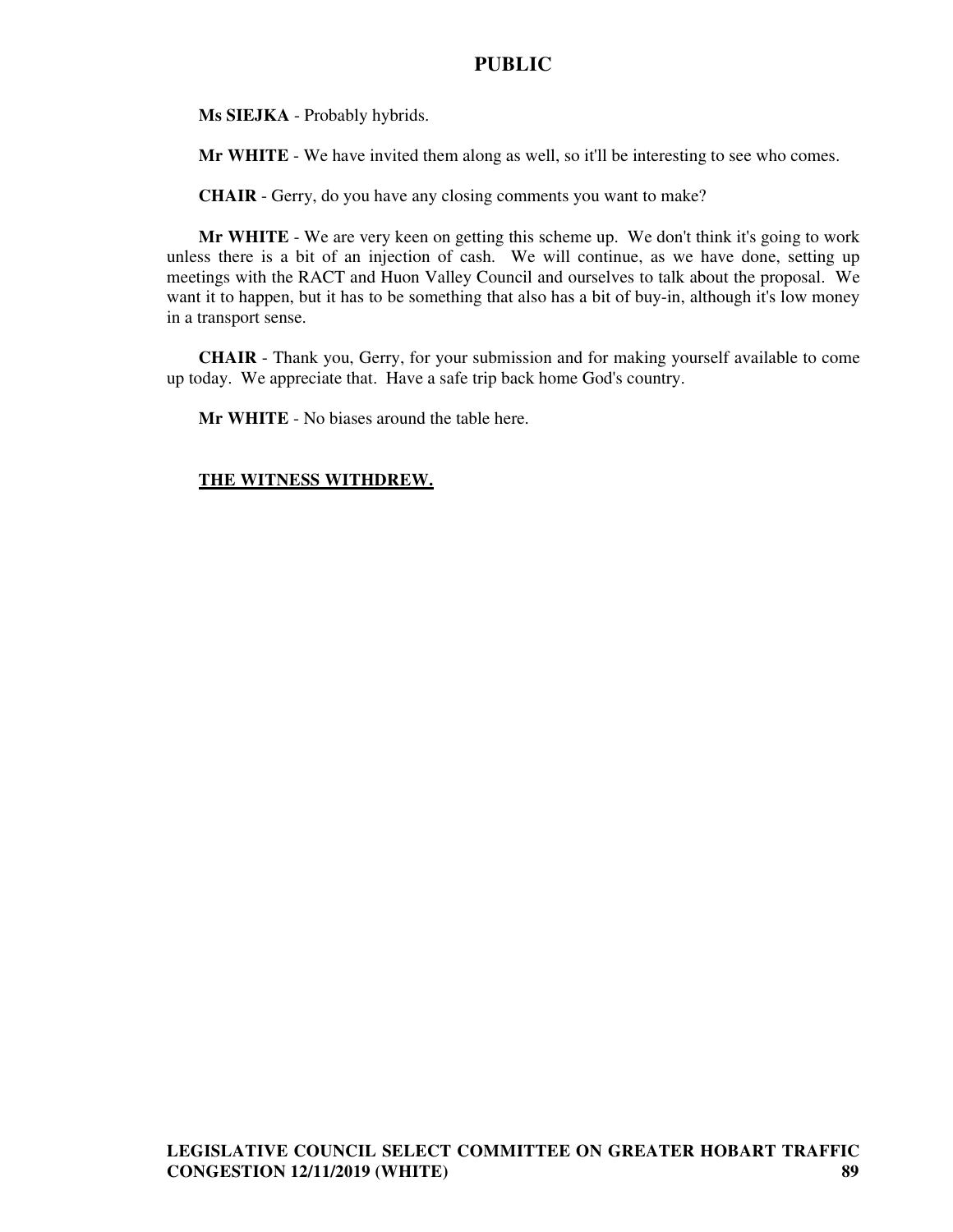**Ms SIEJKA** - Probably hybrids.

**Mr WHITE** - We have invited them along as well, so it'll be interesting to see who comes.

**CHAIR** - Gerry, do you have any closing comments you want to make?

**Mr WHITE** - We are very keen on getting this scheme up. We don't think it's going to work unless there is a bit of an injection of cash. We will continue, as we have done, setting up meetings with the RACT and Huon Valley Council and ourselves to talk about the proposal. We want it to happen, but it has to be something that also has a bit of buy-in, although it's low money in a transport sense.

**CHAIR** - Thank you, Gerry, for your submission and for making yourself available to come up today. We appreciate that. Have a safe trip back home God's country.

**Mr WHITE** - No biases around the table here.

#### **THE WITNESS WITHDREW.**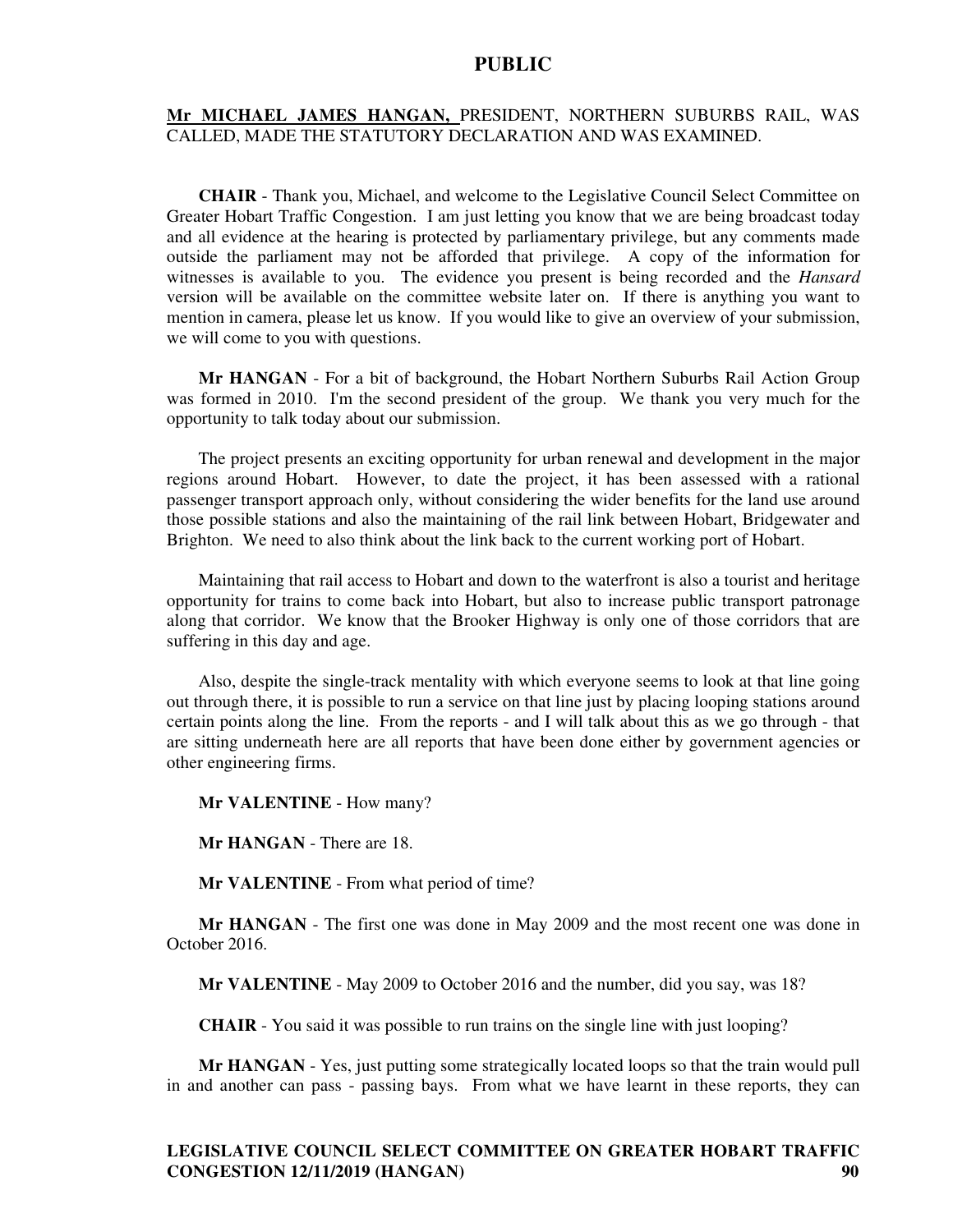#### **Mr MICHAEL JAMES HANGAN,** PRESIDENT, NORTHERN SUBURBS RAIL, WAS CALLED, MADE THE STATUTORY DECLARATION AND WAS EXAMINED.

**CHAIR** - Thank you, Michael, and welcome to the Legislative Council Select Committee on Greater Hobart Traffic Congestion. I am just letting you know that we are being broadcast today and all evidence at the hearing is protected by parliamentary privilege, but any comments made outside the parliament may not be afforded that privilege. A copy of the information for witnesses is available to you. The evidence you present is being recorded and the *Hansard* version will be available on the committee website later on. If there is anything you want to mention in camera, please let us know. If you would like to give an overview of your submission, we will come to you with questions.

**Mr HANGAN** - For a bit of background, the Hobart Northern Suburbs Rail Action Group was formed in 2010. I'm the second president of the group. We thank you very much for the opportunity to talk today about our submission.

The project presents an exciting opportunity for urban renewal and development in the major regions around Hobart. However, to date the project, it has been assessed with a rational passenger transport approach only, without considering the wider benefits for the land use around those possible stations and also the maintaining of the rail link between Hobart, Bridgewater and Brighton. We need to also think about the link back to the current working port of Hobart.

Maintaining that rail access to Hobart and down to the waterfront is also a tourist and heritage opportunity for trains to come back into Hobart, but also to increase public transport patronage along that corridor. We know that the Brooker Highway is only one of those corridors that are suffering in this day and age.

Also, despite the single-track mentality with which everyone seems to look at that line going out through there, it is possible to run a service on that line just by placing looping stations around certain points along the line. From the reports - and I will talk about this as we go through - that are sitting underneath here are all reports that have been done either by government agencies or other engineering firms.

**Mr VALENTINE** - How many?

**Mr HANGAN** - There are 18.

**Mr VALENTINE** - From what period of time?

**Mr HANGAN** - The first one was done in May 2009 and the most recent one was done in October 2016.

**Mr VALENTINE** - May 2009 to October 2016 and the number, did you say, was 18?

**CHAIR** - You said it was possible to run trains on the single line with just looping?

**Mr HANGAN** - Yes, just putting some strategically located loops so that the train would pull in and another can pass - passing bays. From what we have learnt in these reports, they can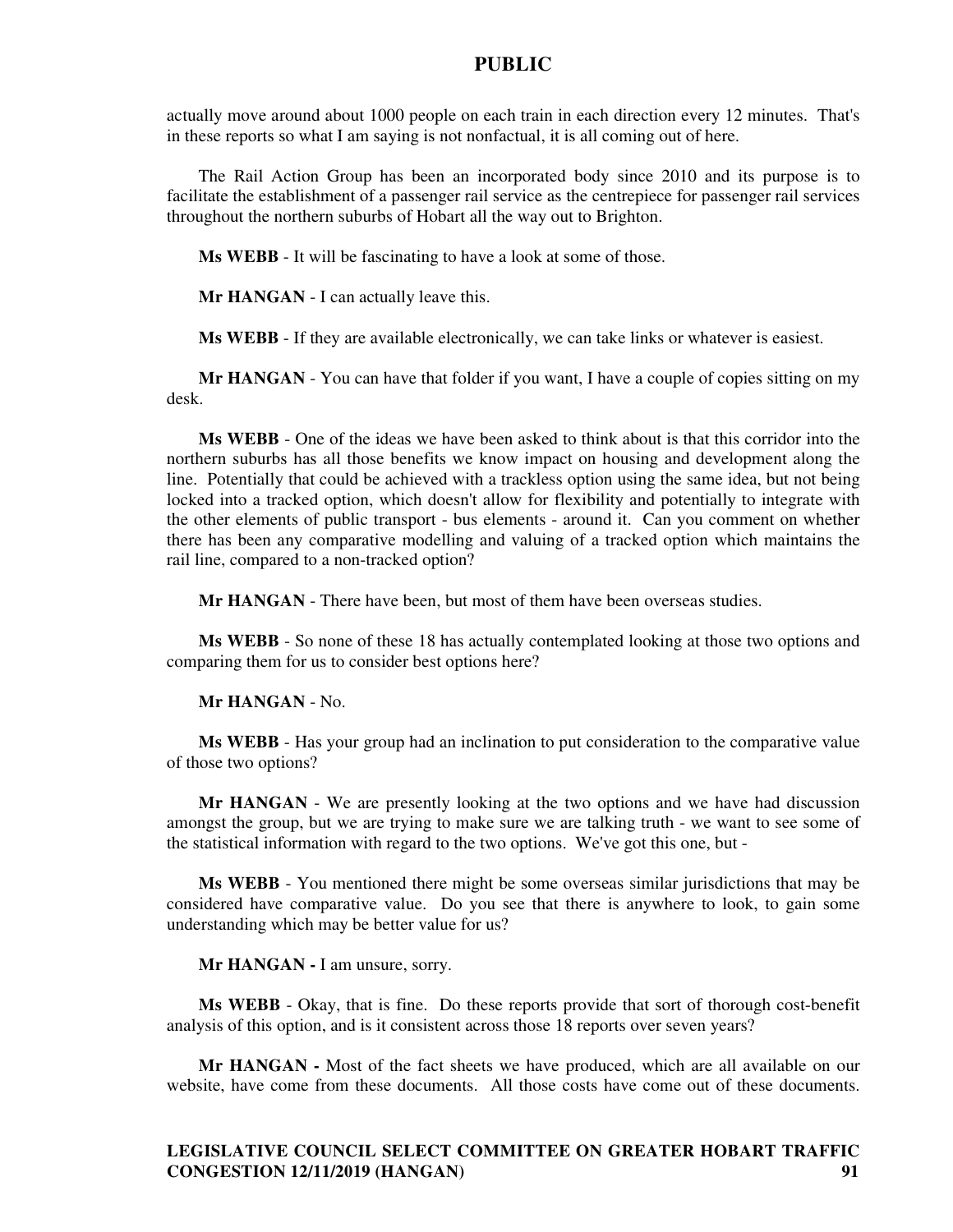actually move around about 1000 people on each train in each direction every 12 minutes. That's in these reports so what I am saying is not nonfactual, it is all coming out of here.

The Rail Action Group has been an incorporated body since 2010 and its purpose is to facilitate the establishment of a passenger rail service as the centrepiece for passenger rail services throughout the northern suburbs of Hobart all the way out to Brighton.

**Ms WEBB** - It will be fascinating to have a look at some of those.

**Mr HANGAN** - I can actually leave this.

**Ms WEBB** - If they are available electronically, we can take links or whatever is easiest.

**Mr HANGAN** - You can have that folder if you want, I have a couple of copies sitting on my desk.

**Ms WEBB** - One of the ideas we have been asked to think about is that this corridor into the northern suburbs has all those benefits we know impact on housing and development along the line. Potentially that could be achieved with a trackless option using the same idea, but not being locked into a tracked option, which doesn't allow for flexibility and potentially to integrate with the other elements of public transport - bus elements - around it. Can you comment on whether there has been any comparative modelling and valuing of a tracked option which maintains the rail line, compared to a non-tracked option?

**Mr HANGAN** - There have been, but most of them have been overseas studies.

**Ms WEBB** - So none of these 18 has actually contemplated looking at those two options and comparing them for us to consider best options here?

**Mr HANGAN** - No.

**Ms WEBB** - Has your group had an inclination to put consideration to the comparative value of those two options?

**Mr HANGAN** - We are presently looking at the two options and we have had discussion amongst the group, but we are trying to make sure we are talking truth - we want to see some of the statistical information with regard to the two options. We've got this one, but -

**Ms WEBB** - You mentioned there might be some overseas similar jurisdictions that may be considered have comparative value. Do you see that there is anywhere to look, to gain some understanding which may be better value for us?

**Mr HANGAN -** I am unsure, sorry.

**Ms WEBB** - Okay, that is fine. Do these reports provide that sort of thorough cost-benefit analysis of this option, and is it consistent across those 18 reports over seven years?

**Mr HANGAN -** Most of the fact sheets we have produced, which are all available on our website, have come from these documents. All those costs have come out of these documents.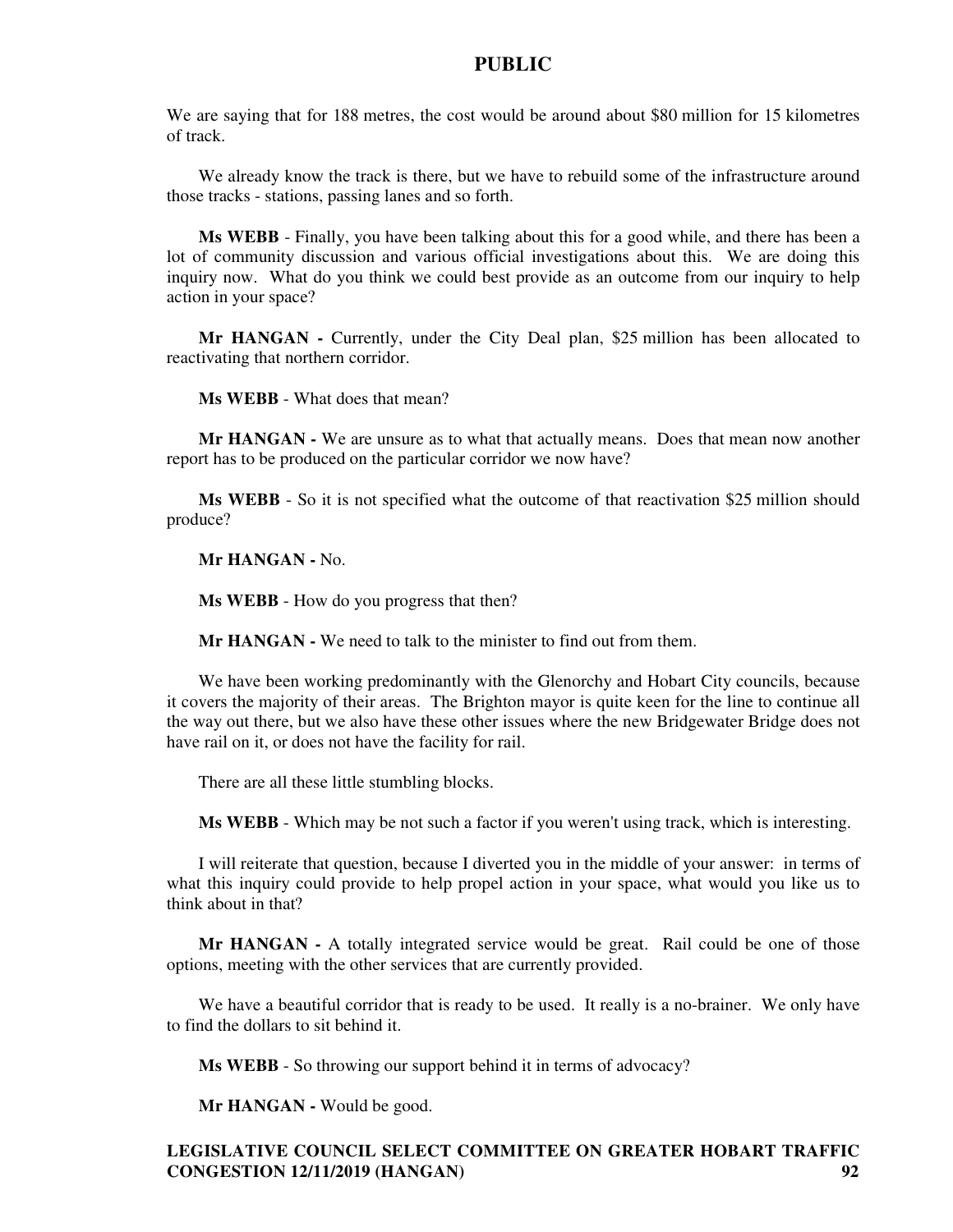We are saying that for 188 metres, the cost would be around about \$80 million for 15 kilometres of track.

We already know the track is there, but we have to rebuild some of the infrastructure around those tracks - stations, passing lanes and so forth.

**Ms WEBB** - Finally, you have been talking about this for a good while, and there has been a lot of community discussion and various official investigations about this. We are doing this inquiry now. What do you think we could best provide as an outcome from our inquiry to help action in your space?

**Mr HANGAN -** Currently, under the City Deal plan, \$25 million has been allocated to reactivating that northern corridor.

**Ms WEBB** - What does that mean?

**Mr HANGAN -** We are unsure as to what that actually means. Does that mean now another report has to be produced on the particular corridor we now have?

**Ms WEBB** - So it is not specified what the outcome of that reactivation \$25 million should produce?

**Mr HANGAN -** No.

**Ms WEBB** - How do you progress that then?

**Mr HANGAN -** We need to talk to the minister to find out from them.

We have been working predominantly with the Glenorchy and Hobart City councils, because it covers the majority of their areas. The Brighton mayor is quite keen for the line to continue all the way out there, but we also have these other issues where the new Bridgewater Bridge does not have rail on it, or does not have the facility for rail.

There are all these little stumbling blocks.

**Ms WEBB** - Which may be not such a factor if you weren't using track, which is interesting.

I will reiterate that question, because I diverted you in the middle of your answer: in terms of what this inquiry could provide to help propel action in your space, what would you like us to think about in that?

**Mr HANGAN -** A totally integrated service would be great. Rail could be one of those options, meeting with the other services that are currently provided.

We have a beautiful corridor that is ready to be used. It really is a no-brainer. We only have to find the dollars to sit behind it.

**Ms WEBB** - So throwing our support behind it in terms of advocacy?

**Mr HANGAN -** Would be good.

# **LEGISLATIVE COUNCIL SELECT COMMITTEE ON GREATER HOBART TRAFFIC CONGESTION 12/11/2019 (HANGAN) 92**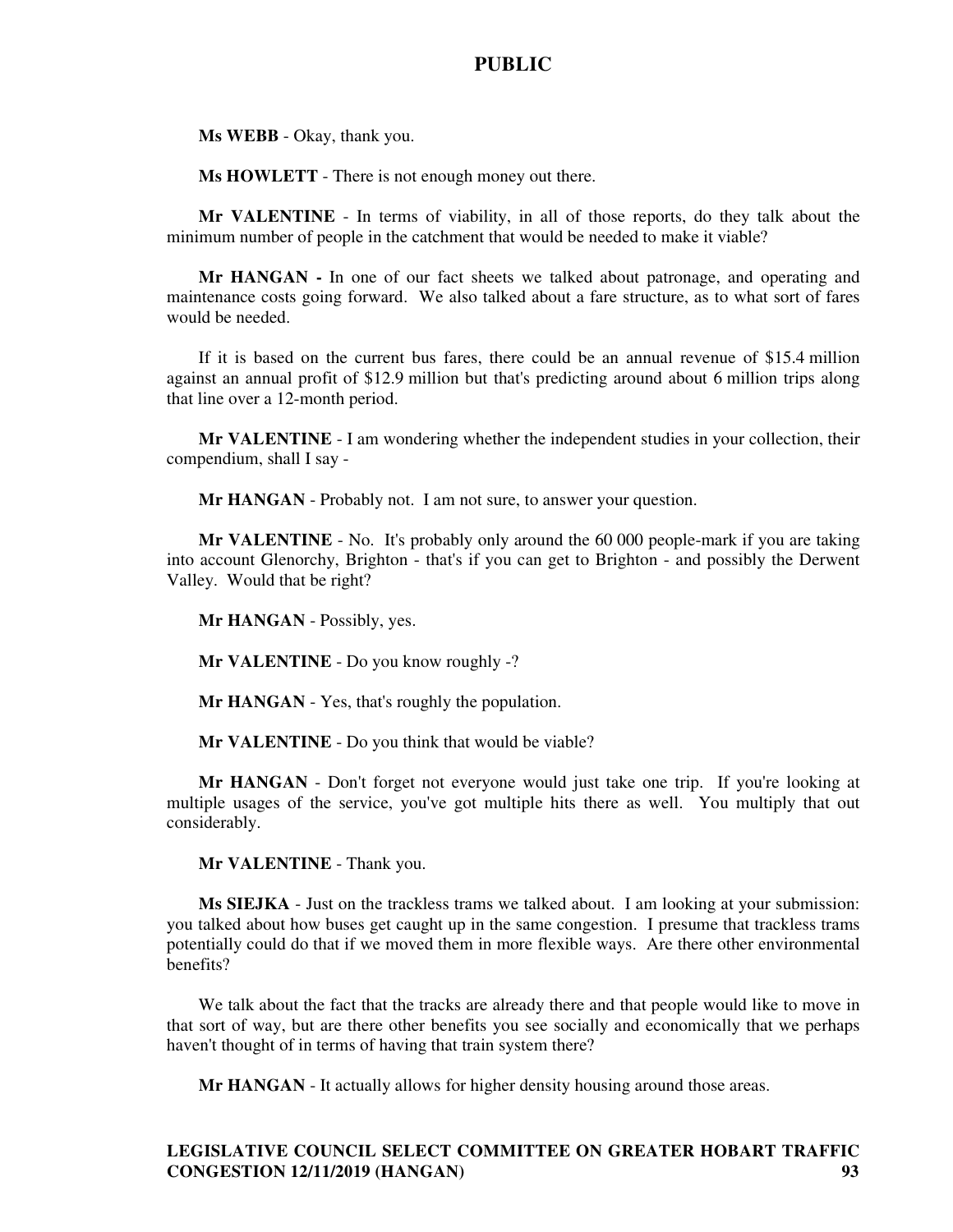**Ms WEBB** - Okay, thank you.

**Ms HOWLETT** - There is not enough money out there.

**Mr VALENTINE** - In terms of viability, in all of those reports, do they talk about the minimum number of people in the catchment that would be needed to make it viable?

**Mr HANGAN -** In one of our fact sheets we talked about patronage, and operating and maintenance costs going forward. We also talked about a fare structure, as to what sort of fares would be needed.

If it is based on the current bus fares, there could be an annual revenue of \$15.4 million against an annual profit of \$12.9 million but that's predicting around about 6 million trips along that line over a 12-month period.

**Mr VALENTINE** - I am wondering whether the independent studies in your collection, their compendium, shall I say -

**Mr HANGAN** - Probably not. I am not sure, to answer your question.

**Mr VALENTINE** - No. It's probably only around the 60 000 people-mark if you are taking into account Glenorchy, Brighton - that's if you can get to Brighton - and possibly the Derwent Valley. Would that be right?

**Mr HANGAN** - Possibly, yes.

**Mr VALENTINE** - Do you know roughly -?

**Mr HANGAN** - Yes, that's roughly the population.

**Mr VALENTINE** - Do you think that would be viable?

**Mr HANGAN** - Don't forget not everyone would just take one trip. If you're looking at multiple usages of the service, you've got multiple hits there as well. You multiply that out considerably.

**Mr VALENTINE** - Thank you.

**Ms SIEJKA** - Just on the trackless trams we talked about. I am looking at your submission: you talked about how buses get caught up in the same congestion. I presume that trackless trams potentially could do that if we moved them in more flexible ways. Are there other environmental benefits?

We talk about the fact that the tracks are already there and that people would like to move in that sort of way, but are there other benefits you see socially and economically that we perhaps haven't thought of in terms of having that train system there?

**Mr HANGAN** - It actually allows for higher density housing around those areas.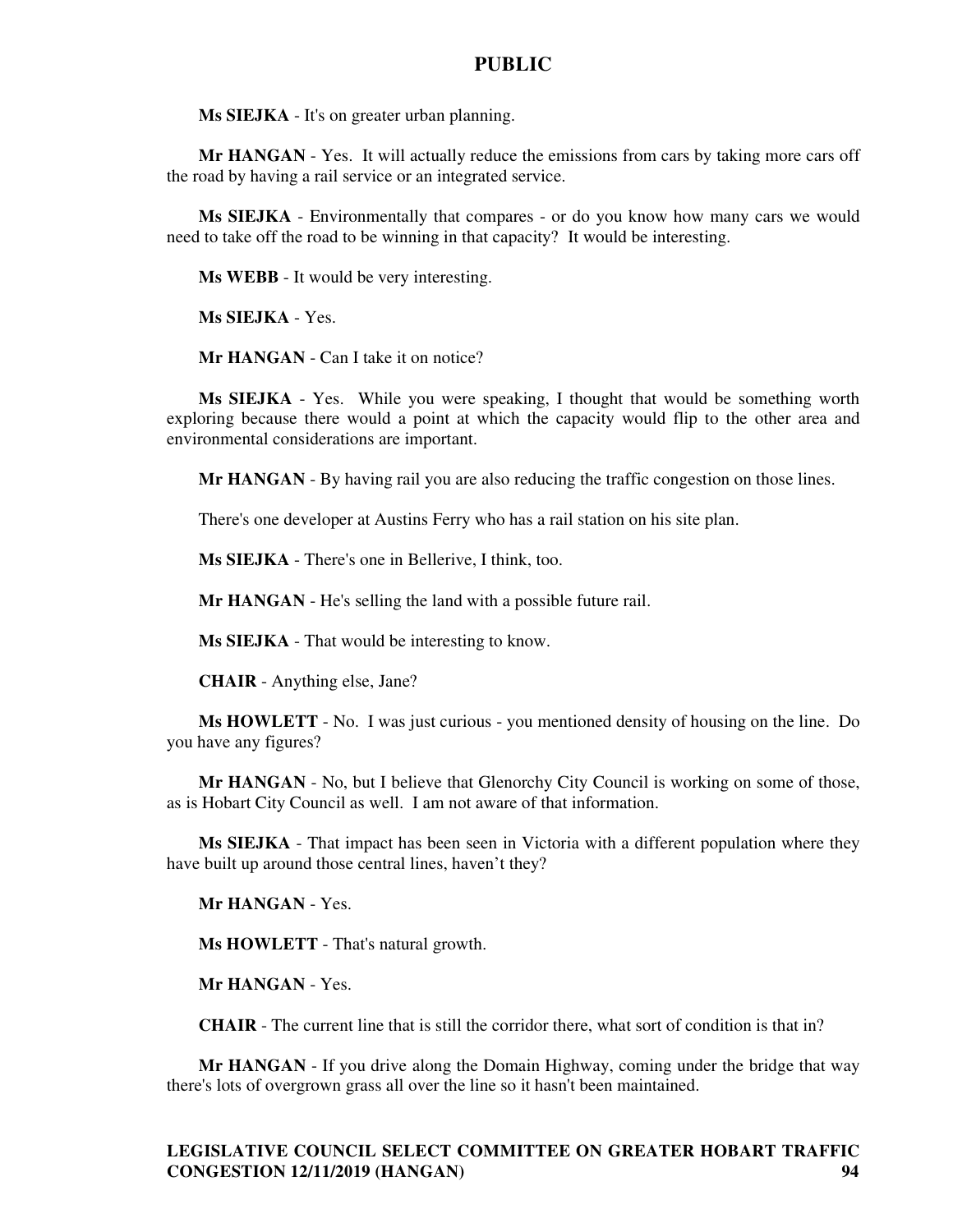**Ms SIEJKA** - It's on greater urban planning.

**Mr HANGAN** - Yes. It will actually reduce the emissions from cars by taking more cars off the road by having a rail service or an integrated service.

**Ms SIEJKA** - Environmentally that compares - or do you know how many cars we would need to take off the road to be winning in that capacity? It would be interesting.

**Ms WEBB** - It would be very interesting.

**Ms SIEJKA** - Yes.

**Mr HANGAN** - Can I take it on notice?

**Ms SIEJKA** - Yes. While you were speaking, I thought that would be something worth exploring because there would a point at which the capacity would flip to the other area and environmental considerations are important.

**Mr HANGAN** - By having rail you are also reducing the traffic congestion on those lines.

There's one developer at Austins Ferry who has a rail station on his site plan.

**Ms SIEJKA** - There's one in Bellerive, I think, too.

**Mr HANGAN** - He's selling the land with a possible future rail.

**Ms SIEJKA** - That would be interesting to know.

**CHAIR** - Anything else, Jane?

**Ms HOWLETT** - No. I was just curious - you mentioned density of housing on the line. Do you have any figures?

**Mr HANGAN** - No, but I believe that Glenorchy City Council is working on some of those, as is Hobart City Council as well. I am not aware of that information.

**Ms SIEJKA** - That impact has been seen in Victoria with a different population where they have built up around those central lines, haven't they?

**Mr HANGAN** - Yes.

**Ms HOWLETT** - That's natural growth.

**Mr HANGAN** - Yes.

**CHAIR** - The current line that is still the corridor there, what sort of condition is that in?

**Mr HANGAN** - If you drive along the Domain Highway, coming under the bridge that way there's lots of overgrown grass all over the line so it hasn't been maintained.

## **LEGISLATIVE COUNCIL SELECT COMMITTEE ON GREATER HOBART TRAFFIC CONGESTION 12/11/2019 (HANGAN) 94**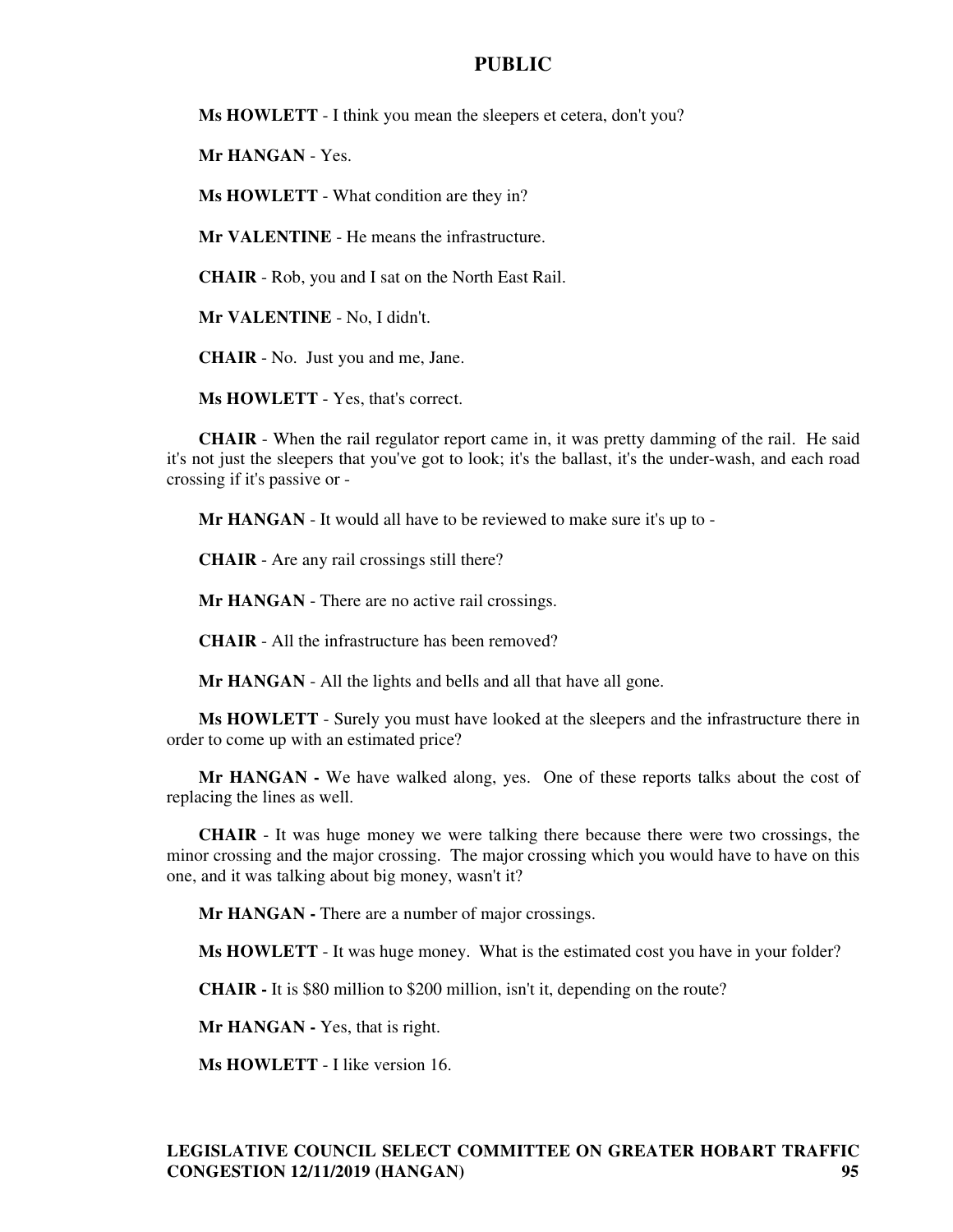**Ms HOWLETT** - I think you mean the sleepers et cetera, don't you?

**Mr HANGAN** - Yes.

**Ms HOWLETT** - What condition are they in?

**Mr VALENTINE** - He means the infrastructure.

**CHAIR** - Rob, you and I sat on the North East Rail.

**Mr VALENTINE** - No, I didn't.

**CHAIR** - No. Just you and me, Jane.

**Ms HOWLETT** - Yes, that's correct.

**CHAIR** - When the rail regulator report came in, it was pretty damming of the rail. He said it's not just the sleepers that you've got to look; it's the ballast, it's the under-wash, and each road crossing if it's passive or -

**Mr HANGAN** - It would all have to be reviewed to make sure it's up to -

**CHAIR** - Are any rail crossings still there?

**Mr HANGAN** - There are no active rail crossings.

**CHAIR** - All the infrastructure has been removed?

**Mr HANGAN** - All the lights and bells and all that have all gone.

**Ms HOWLETT** - Surely you must have looked at the sleepers and the infrastructure there in order to come up with an estimated price?

**Mr HANGAN -** We have walked along, yes. One of these reports talks about the cost of replacing the lines as well.

**CHAIR** - It was huge money we were talking there because there were two crossings, the minor crossing and the major crossing. The major crossing which you would have to have on this one, and it was talking about big money, wasn't it?

**Mr HANGAN -** There are a number of major crossings.

**Ms HOWLETT** - It was huge money. What is the estimated cost you have in your folder?

**CHAIR -** It is \$80 million to \$200 million, isn't it, depending on the route?

**Mr HANGAN -** Yes, that is right.

**Ms HOWLETT** - I like version 16.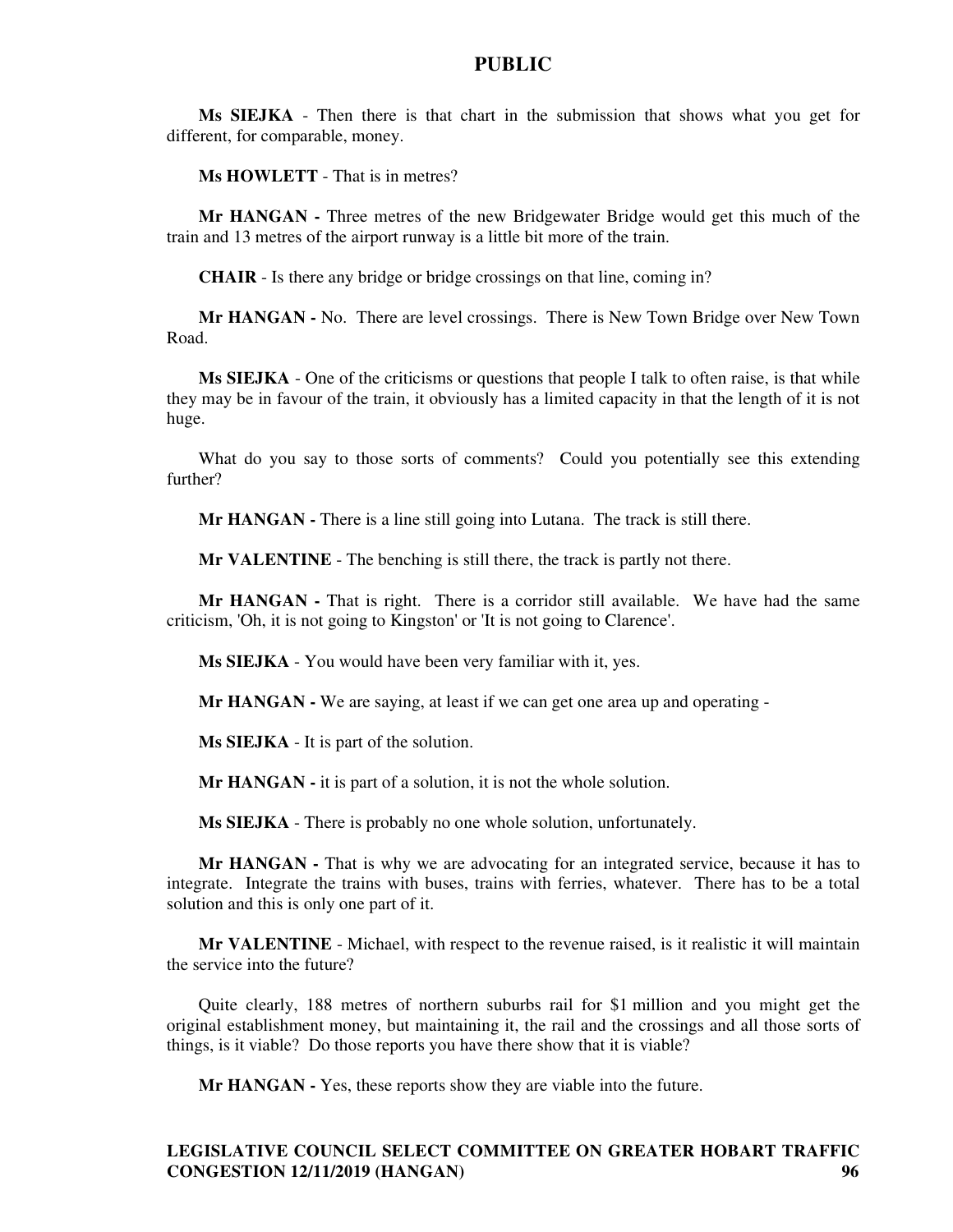**Ms SIEJKA** - Then there is that chart in the submission that shows what you get for different, for comparable, money.

**Ms HOWLETT** - That is in metres?

**Mr HANGAN -** Three metres of the new Bridgewater Bridge would get this much of the train and 13 metres of the airport runway is a little bit more of the train.

**CHAIR** - Is there any bridge or bridge crossings on that line, coming in?

**Mr HANGAN -** No. There are level crossings. There is New Town Bridge over New Town Road.

**Ms SIEJKA** - One of the criticisms or questions that people I talk to often raise, is that while they may be in favour of the train, it obviously has a limited capacity in that the length of it is not huge.

What do you say to those sorts of comments? Could you potentially see this extending further?

**Mr HANGAN - There is a line still going into Lutana. The track is still there.** 

**Mr VALENTINE** - The benching is still there, the track is partly not there.

**Mr HANGAN -** That is right. There is a corridor still available. We have had the same criticism, 'Oh, it is not going to Kingston' or 'It is not going to Clarence'.

**Ms SIEJKA** - You would have been very familiar with it, yes.

**Mr HANGAN -** We are saying, at least if we can get one area up and operating -

**Ms SIEJKA** - It is part of the solution.

**Mr HANGAN -** it is part of a solution, it is not the whole solution.

**Ms SIEJKA** - There is probably no one whole solution, unfortunately.

Mr HANGAN - That is why we are advocating for an integrated service, because it has to integrate. Integrate the trains with buses, trains with ferries, whatever. There has to be a total solution and this is only one part of it.

**Mr VALENTINE** - Michael, with respect to the revenue raised, is it realistic it will maintain the service into the future?

Quite clearly, 188 metres of northern suburbs rail for \$1 million and you might get the original establishment money, but maintaining it, the rail and the crossings and all those sorts of things, is it viable? Do those reports you have there show that it is viable?

**Mr HANGAN -** Yes, these reports show they are viable into the future.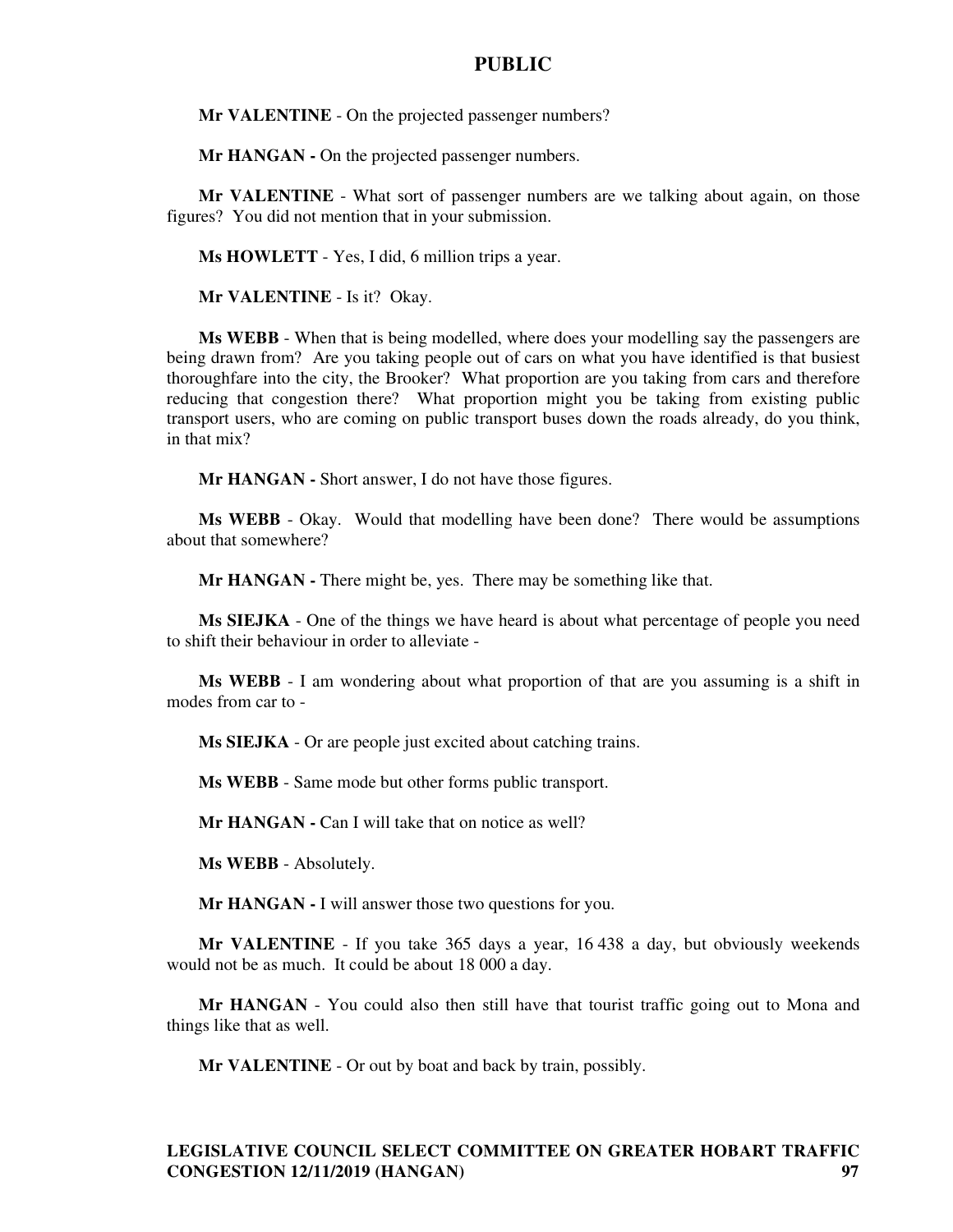**Mr VALENTINE** - On the projected passenger numbers?

**Mr HANGAN - On the projected passenger numbers.** 

**Mr VALENTINE** - What sort of passenger numbers are we talking about again, on those figures? You did not mention that in your submission.

**Ms HOWLETT** - Yes, I did, 6 million trips a year.

**Mr VALENTINE** - Is it? Okay.

**Ms WEBB** - When that is being modelled, where does your modelling say the passengers are being drawn from? Are you taking people out of cars on what you have identified is that busiest thoroughfare into the city, the Brooker? What proportion are you taking from cars and therefore reducing that congestion there? What proportion might you be taking from existing public transport users, who are coming on public transport buses down the roads already, do you think, in that mix?

**Mr HANGAN -** Short answer, I do not have those figures.

**Ms WEBB** - Okay. Would that modelling have been done? There would be assumptions about that somewhere?

**Mr HANGAN -** There might be, yes. There may be something like that.

**Ms SIEJKA** - One of the things we have heard is about what percentage of people you need to shift their behaviour in order to alleviate -

**Ms WEBB** - I am wondering about what proportion of that are you assuming is a shift in modes from car to -

**Ms SIEJKA** - Or are people just excited about catching trains.

**Ms WEBB** - Same mode but other forms public transport.

**Mr HANGAN - Can I will take that on notice as well?** 

**Ms WEBB** - Absolutely.

**Mr HANGAN -** I will answer those two questions for you.

**Mr VALENTINE** - If you take 365 days a year, 16 438 a day, but obviously weekends would not be as much. It could be about 18 000 a day.

**Mr HANGAN** - You could also then still have that tourist traffic going out to Mona and things like that as well.

**Mr VALENTINE** - Or out by boat and back by train, possibly.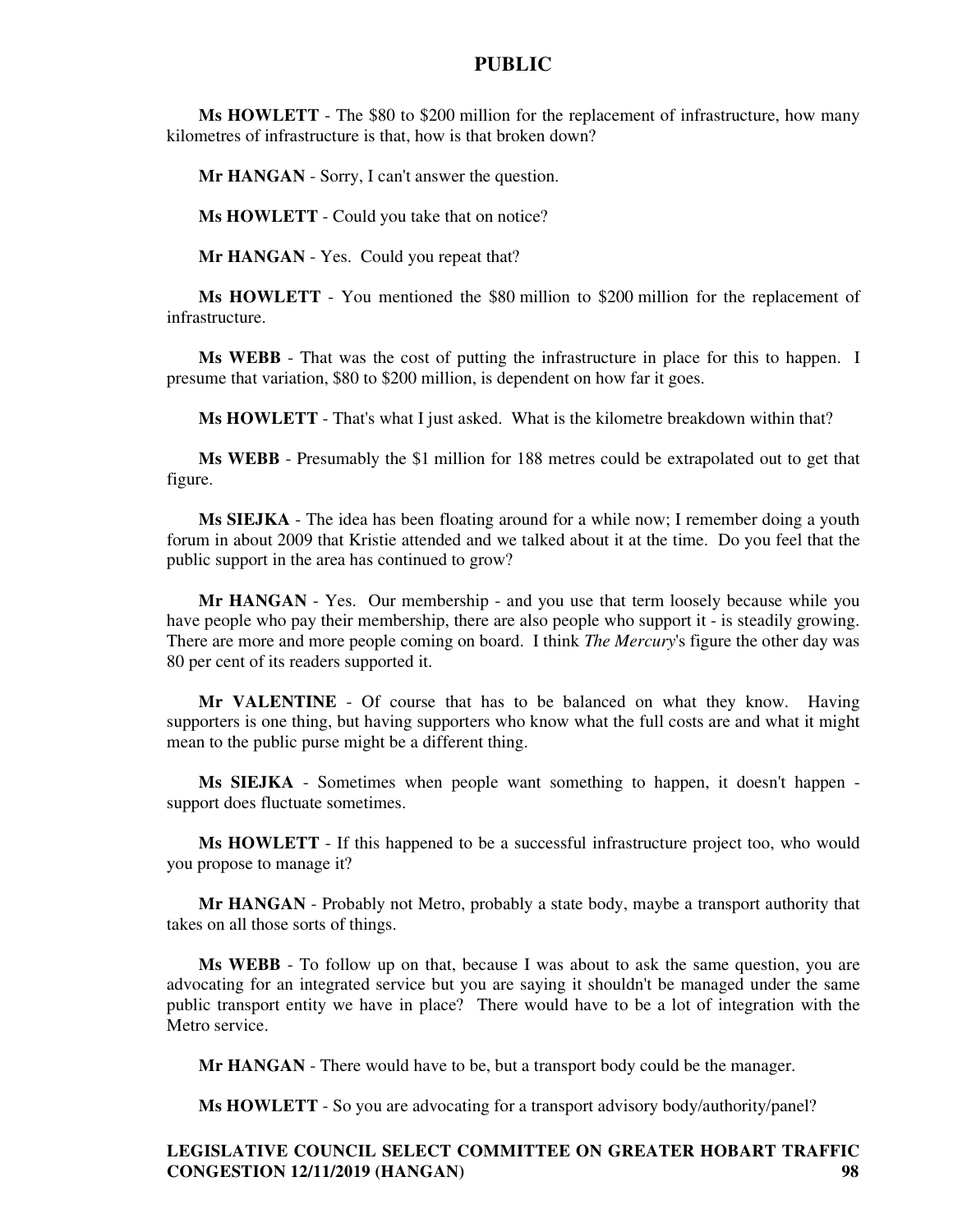**Ms HOWLETT** - The \$80 to \$200 million for the replacement of infrastructure, how many kilometres of infrastructure is that, how is that broken down?

**Mr HANGAN** - Sorry, I can't answer the question.

**Ms HOWLETT** - Could you take that on notice?

**Mr HANGAN** - Yes. Could you repeat that?

**Ms HOWLETT** - You mentioned the \$80 million to \$200 million for the replacement of infrastructure.

**Ms WEBB** - That was the cost of putting the infrastructure in place for this to happen. I presume that variation, \$80 to \$200 million, is dependent on how far it goes.

**Ms HOWLETT** - That's what I just asked. What is the kilometre breakdown within that?

**Ms WEBB** - Presumably the \$1 million for 188 metres could be extrapolated out to get that figure.

**Ms SIEJKA** - The idea has been floating around for a while now; I remember doing a youth forum in about 2009 that Kristie attended and we talked about it at the time. Do you feel that the public support in the area has continued to grow?

**Mr HANGAN** - Yes. Our membership - and you use that term loosely because while you have people who pay their membership, there are also people who support it - is steadily growing. There are more and more people coming on board. I think *The Mercury*'s figure the other day was 80 per cent of its readers supported it.

**Mr VALENTINE** - Of course that has to be balanced on what they know. Having supporters is one thing, but having supporters who know what the full costs are and what it might mean to the public purse might be a different thing.

**Ms SIEJKA** - Sometimes when people want something to happen, it doesn't happen support does fluctuate sometimes.

**Ms HOWLETT** - If this happened to be a successful infrastructure project too, who would you propose to manage it?

**Mr HANGAN** - Probably not Metro, probably a state body, maybe a transport authority that takes on all those sorts of things.

**Ms WEBB** - To follow up on that, because I was about to ask the same question, you are advocating for an integrated service but you are saying it shouldn't be managed under the same public transport entity we have in place? There would have to be a lot of integration with the Metro service.

**Mr HANGAN** - There would have to be, but a transport body could be the manager.

**Ms HOWLETT** - So you are advocating for a transport advisory body/authority/panel?

# **LEGISLATIVE COUNCIL SELECT COMMITTEE ON GREATER HOBART TRAFFIC CONGESTION 12/11/2019 (HANGAN) 98**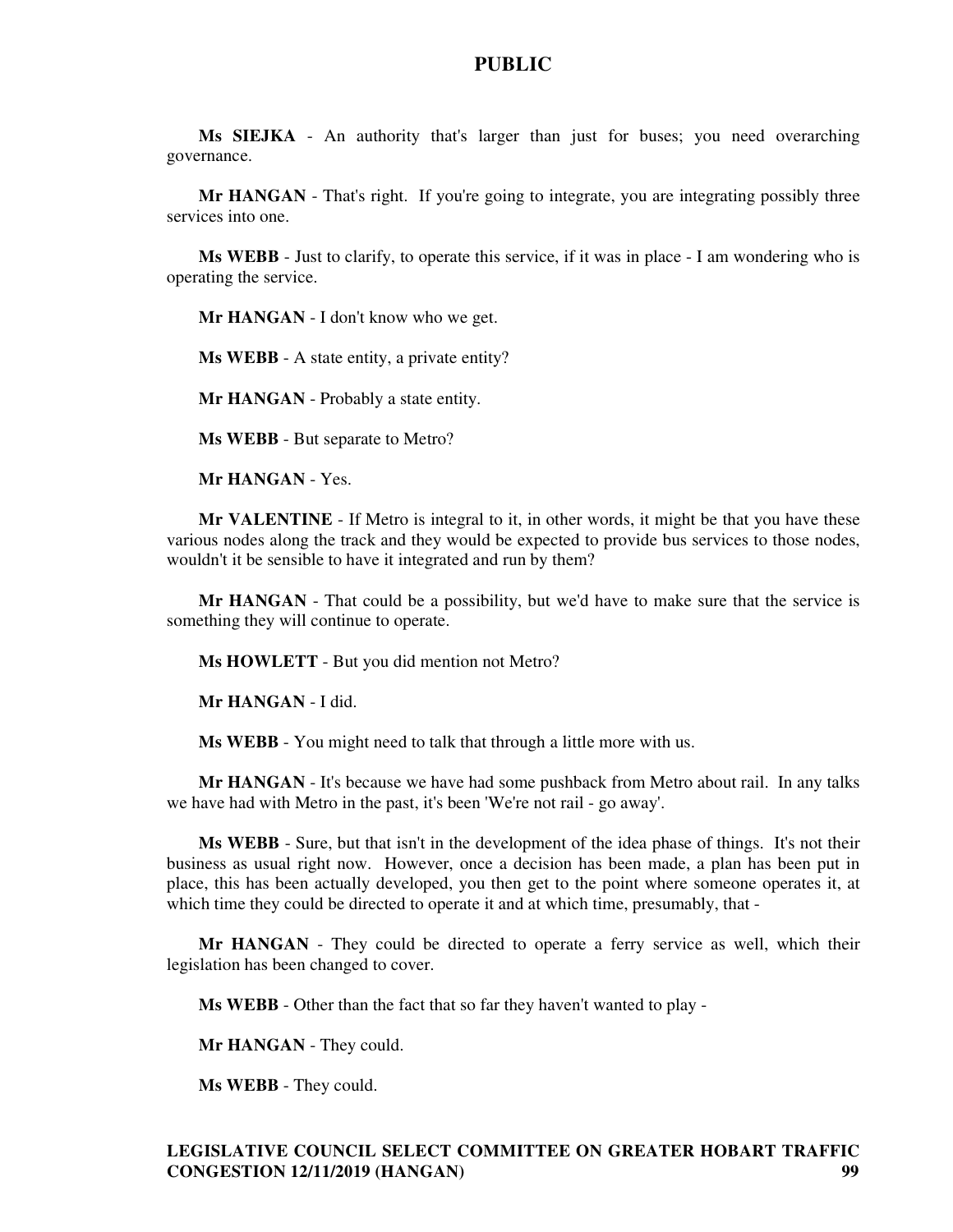**Ms SIEJKA** - An authority that's larger than just for buses; you need overarching governance.

**Mr HANGAN** - That's right. If you're going to integrate, you are integrating possibly three services into one.

**Ms WEBB** - Just to clarify, to operate this service, if it was in place - I am wondering who is operating the service.

**Mr HANGAN** - I don't know who we get.

**Ms WEBB** - A state entity, a private entity?

**Mr HANGAN** - Probably a state entity.

**Ms WEBB** - But separate to Metro?

**Mr HANGAN** - Yes.

**Mr VALENTINE** - If Metro is integral to it, in other words, it might be that you have these various nodes along the track and they would be expected to provide bus services to those nodes, wouldn't it be sensible to have it integrated and run by them?

**Mr HANGAN** - That could be a possibility, but we'd have to make sure that the service is something they will continue to operate.

**Ms HOWLETT** - But you did mention not Metro?

**Mr HANGAN** - I did.

**Ms WEBB** - You might need to talk that through a little more with us.

**Mr HANGAN** - It's because we have had some pushback from Metro about rail. In any talks we have had with Metro in the past, it's been 'We're not rail - go away'.

**Ms WEBB** - Sure, but that isn't in the development of the idea phase of things. It's not their business as usual right now. However, once a decision has been made, a plan has been put in place, this has been actually developed, you then get to the point where someone operates it, at which time they could be directed to operate it and at which time, presumably, that -

**Mr HANGAN** - They could be directed to operate a ferry service as well, which their legislation has been changed to cover.

**Ms WEBB** - Other than the fact that so far they haven't wanted to play -

**Mr HANGAN** - They could.

**Ms WEBB** - They could.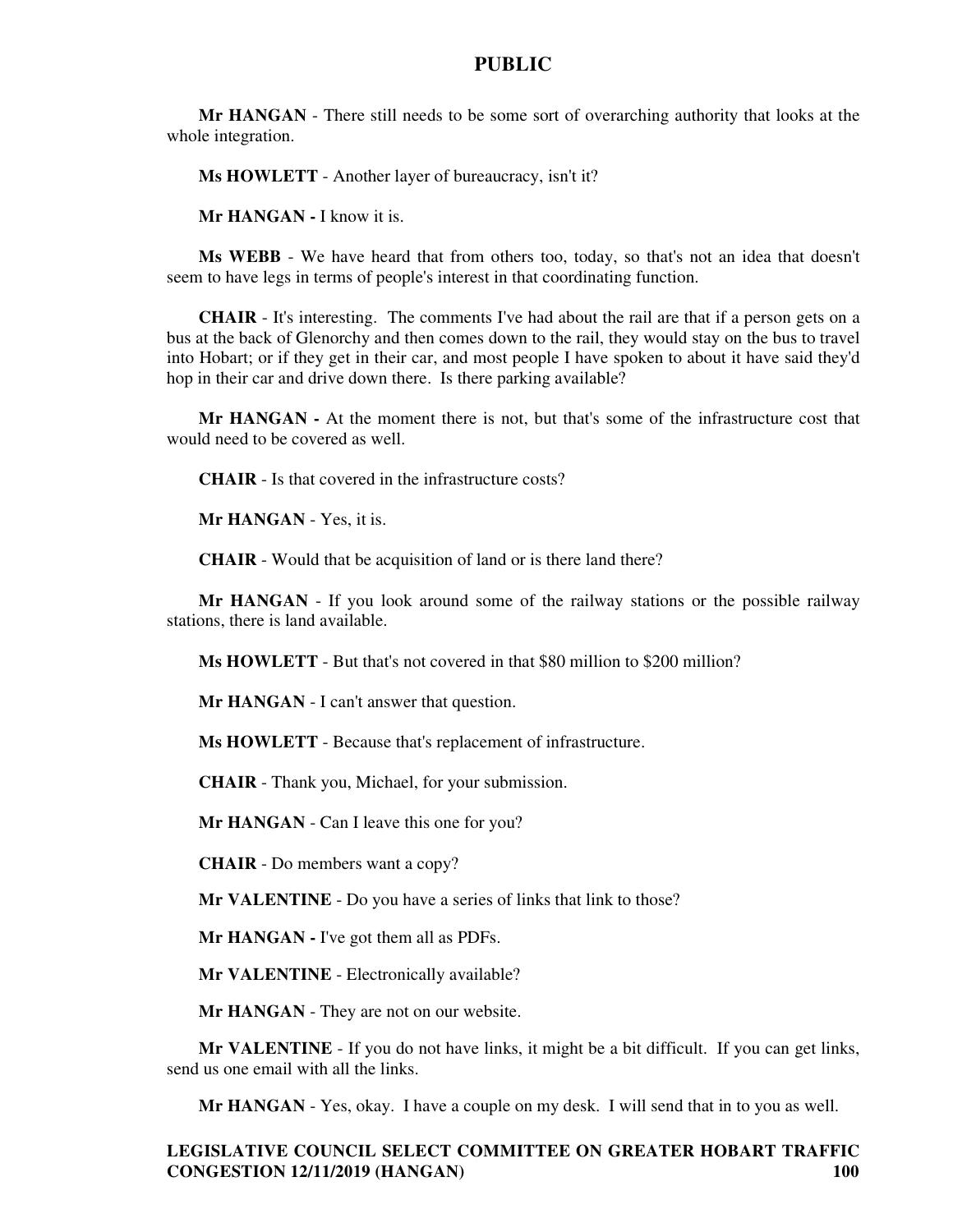**Mr HANGAN** - There still needs to be some sort of overarching authority that looks at the whole integration.

**Ms HOWLETT** - Another layer of bureaucracy, isn't it?

**Mr HANGAN -** I know it is.

**Ms WEBB** - We have heard that from others too, today, so that's not an idea that doesn't seem to have legs in terms of people's interest in that coordinating function.

**CHAIR** - It's interesting. The comments I've had about the rail are that if a person gets on a bus at the back of Glenorchy and then comes down to the rail, they would stay on the bus to travel into Hobart; or if they get in their car, and most people I have spoken to about it have said they'd hop in their car and drive down there. Is there parking available?

**Mr HANGAN -** At the moment there is not, but that's some of the infrastructure cost that would need to be covered as well.

**CHAIR** - Is that covered in the infrastructure costs?

**Mr HANGAN** - Yes, it is.

**CHAIR** - Would that be acquisition of land or is there land there?

**Mr HANGAN** - If you look around some of the railway stations or the possible railway stations, there is land available.

**Ms HOWLETT** - But that's not covered in that \$80 million to \$200 million?

**Mr HANGAN** - I can't answer that question.

**Ms HOWLETT** - Because that's replacement of infrastructure.

**CHAIR** - Thank you, Michael, for your submission.

**Mr HANGAN** - Can I leave this one for you?

**CHAIR** - Do members want a copy?

**Mr VALENTINE** - Do you have a series of links that link to those?

**Mr HANGAN -** I've got them all as PDFs.

**Mr VALENTINE** - Electronically available?

**Mr HANGAN** - They are not on our website.

**Mr VALENTINE** - If you do not have links, it might be a bit difficult. If you can get links, send us one email with all the links.

**Mr HANGAN** - Yes, okay. I have a couple on my desk. I will send that in to you as well.

# **LEGISLATIVE COUNCIL SELECT COMMITTEE ON GREATER HOBART TRAFFIC CONGESTION 12/11/2019 (HANGAN) 100**